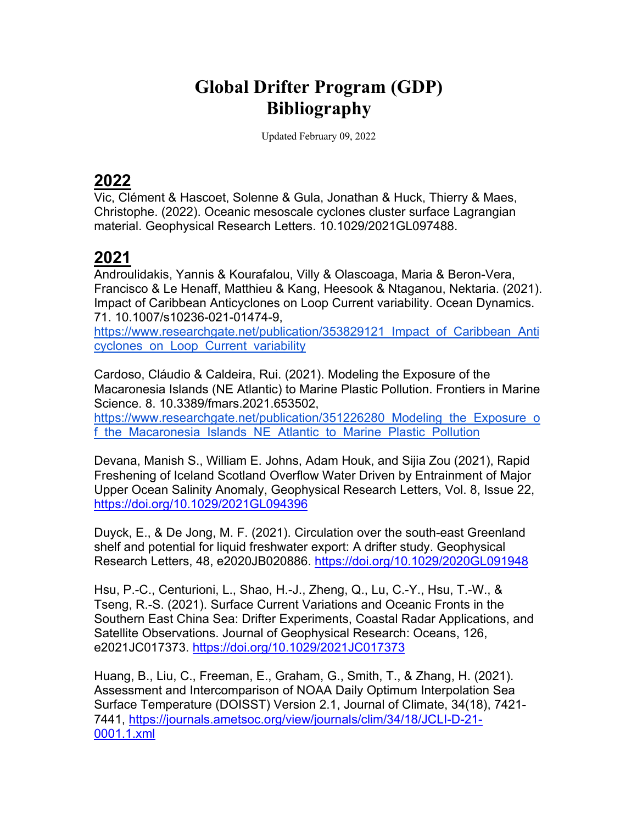# **Global Drifter Program (GDP) Bibliography**

Updated February 09, 2022

## **2022**

Vic, Clément & Hascoet, Solenne & Gula, Jonathan & Huck, Thierry & Maes, Christophe. (2022). Oceanic mesoscale cyclones cluster surface Lagrangian material. Geophysical Research Letters. 10.1029/2021GL097488.

## **2021**

Androulidakis, Yannis & Kourafalou, Villy & Olascoaga, Maria & Beron-Vera, Francisco & Le Henaff, Matthieu & Kang, Heesook & Ntaganou, Nektaria. (2021). Impact of Caribbean Anticyclones on Loop Current variability. Ocean Dynamics. 71. 10.1007/s10236-021-01474-9,

https://www.researchgate.net/publication/353829121 Impact of Caribbean Anti cyclones\_on\_Loop\_Current\_variability

Cardoso, Cláudio & Caldeira, Rui. (2021). Modeling the Exposure of the Macaronesia Islands (NE Atlantic) to Marine Plastic Pollution. Frontiers in Marine Science. 8. 10.3389/fmars.2021.653502,

https://www.researchgate.net/publication/351226280 Modeling the Exposure o f the Macaronesia Islands NE Atlantic to Marine Plastic Pollution

Devana, Manish S., William E. Johns, Adam Houk, and Sijia Zou (2021), Rapid Freshening of Iceland Scotland Overflow Water Driven by Entrainment of Major Upper Ocean Salinity Anomaly, Geophysical Research Letters, Vol. 8, Issue 22, https://doi.org/10.1029/2021GL094396

Duyck, E., & De Jong, M. F. (2021). Circulation over the south-east Greenland shelf and potential for liquid freshwater export: A drifter study. Geophysical Research Letters, 48, e2020JB020886. https://doi.org/10.1029/2020GL091948

Hsu, P.-C., Centurioni, L., Shao, H.-J., Zheng, Q., Lu, C.-Y., Hsu, T.-W., & Tseng, R.-S. (2021). Surface Current Variations and Oceanic Fronts in the Southern East China Sea: Drifter Experiments, Coastal Radar Applications, and Satellite Observations. Journal of Geophysical Research: Oceans, 126, e2021JC017373. https://doi.org/10.1029/2021JC017373

Huang, B., Liu, C., Freeman, E., Graham, G., Smith, T., & Zhang, H. (2021). Assessment and Intercomparison of NOAA Daily Optimum Interpolation Sea Surface Temperature (DOISST) Version 2.1, Journal of Climate, 34(18), 7421- 7441, https://journals.ametsoc.org/view/journals/clim/34/18/JCLI-D-21- 0001.1.xml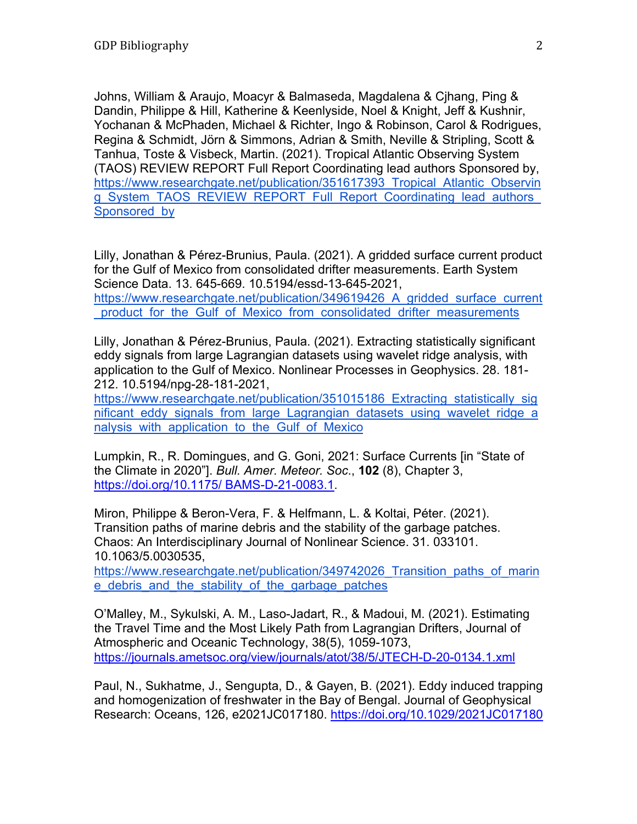Johns, William & Araujo, Moacyr & Balmaseda, Magdalena & Cjhang, Ping & Dandin, Philippe & Hill, Katherine & Keenlyside, Noel & Knight, Jeff & Kushnir, Yochanan & McPhaden, Michael & Richter, Ingo & Robinson, Carol & Rodrigues, Regina & Schmidt, Jörn & Simmons, Adrian & Smith, Neville & Stripling, Scott & Tanhua, Toste & Visbeck, Martin. (2021). Tropical Atlantic Observing System (TAOS) REVIEW REPORT Full Report Coordinating lead authors Sponsored by, https://www.researchgate.net/publication/351617393\_Tropical\_Atlantic\_Observin g\_System\_TAOS\_REVIEW\_REPORT\_Full\_Report\_Coordinating\_lead\_authors Sponsored by

Lilly, Jonathan & Pérez-Brunius, Paula. (2021). A gridded surface current product for the Gulf of Mexico from consolidated drifter measurements. Earth System Science Data. 13. 645-669. 10.5194/essd-13-645-2021,

https://www.researchgate.net/publication/349619426 A gridded surface current product for the Gulf of Mexico from consolidated drifter measurements

Lilly, Jonathan & Pérez-Brunius, Paula. (2021). Extracting statistically significant eddy signals from large Lagrangian datasets using wavelet ridge analysis, with application to the Gulf of Mexico. Nonlinear Processes in Geophysics. 28. 181- 212. 10.5194/npg-28-181-2021,

https://www.researchgate.net/publication/351015186 Extracting statistically sig nificant eddy signals from large Lagrangian datasets using wavelet ridge a nalysis with application to the Gulf of Mexico

Lumpkin, R., R. Domingues, and G. Goni, 2021: Surface Currents [in "State of the Climate in 2020"]. *Bull. Amer. Meteor. Soc*., **102** (8), Chapter 3, https://doi.org/10.1175/ BAMS-D-21-0083.1.

Miron, Philippe & Beron-Vera, F. & Helfmann, L. & Koltai, Péter. (2021). Transition paths of marine debris and the stability of the garbage patches. Chaos: An Interdisciplinary Journal of Nonlinear Science. 31. 033101. 10.1063/5.0030535,

https://www.researchgate.net/publication/349742026 Transition paths of marin e\_debris\_and\_the\_stability\_of\_the\_garbage\_patches

O'Malley, M., Sykulski, A. M., Laso-Jadart, R., & Madoui, M. (2021). Estimating the Travel Time and the Most Likely Path from Lagrangian Drifters, Journal of Atmospheric and Oceanic Technology, 38(5), 1059-1073, https://journals.ametsoc.org/view/journals/atot/38/5/JTECH-D-20-0134.1.xml

Paul, N., Sukhatme, J., Sengupta, D., & Gayen, B. (2021). Eddy induced trapping and homogenization of freshwater in the Bay of Bengal. Journal of Geophysical Research: Oceans, 126, e2021JC017180. https://doi.org/10.1029/2021JC017180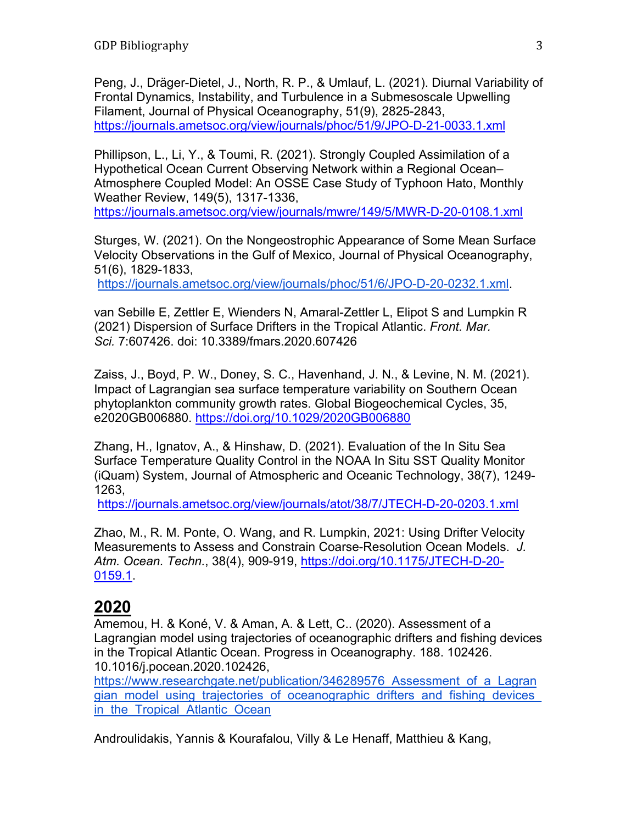Peng, J., Dräger-Dietel, J., North, R. P., & Umlauf, L. (2021). Diurnal Variability of Frontal Dynamics, Instability, and Turbulence in a Submesoscale Upwelling Filament, Journal of Physical Oceanography, 51(9), 2825-2843, https://journals.ametsoc.org/view/journals/phoc/51/9/JPO-D-21-0033.1.xml

Phillipson, L., Li, Y., & Toumi, R. (2021). Strongly Coupled Assimilation of a Hypothetical Ocean Current Observing Network within a Regional Ocean– Atmosphere Coupled Model: An OSSE Case Study of Typhoon Hato, Monthly Weather Review, 149(5), 1317-1336,

https://journals.ametsoc.org/view/journals/mwre/149/5/MWR-D-20-0108.1.xml

Sturges, W. (2021). On the Nongeostrophic Appearance of Some Mean Surface Velocity Observations in the Gulf of Mexico, Journal of Physical Oceanography, 51(6), 1829-1833,

https://journals.ametsoc.org/view/journals/phoc/51/6/JPO-D-20-0232.1.xml.

van Sebille E, Zettler E, Wienders N, Amaral-Zettler L, Elipot S and Lumpkin R (2021) Dispersion of Surface Drifters in the Tropical Atlantic. *Front. Mar. Sci.* 7:607426. doi: 10.3389/fmars.2020.607426

Zaiss, J., Boyd, P. W., Doney, S. C., Havenhand, J. N., & Levine, N. M. (2021). Impact of Lagrangian sea surface temperature variability on Southern Ocean phytoplankton community growth rates. Global Biogeochemical Cycles, 35, e2020GB006880. https://doi.org/10.1029/2020GB006880

Zhang, H., Ignatov, A., & Hinshaw, D. (2021). Evaluation of the In Situ Sea Surface Temperature Quality Control in the NOAA In Situ SST Quality Monitor (iQuam) System, Journal of Atmospheric and Oceanic Technology, 38(7), 1249- 1263,

https://journals.ametsoc.org/view/journals/atot/38/7/JTECH-D-20-0203.1.xml

Zhao, M., R. M. Ponte, O. Wang, and R. Lumpkin, 2021: Using Drifter Velocity Measurements to Assess and Constrain Coarse-Resolution Ocean Models. *J. Atm. Ocean. Techn.*, 38(4), 909-919, https://doi.org/10.1175/JTECH-D-20- 0159.1.

## **2020**

Amemou, H. & Koné, V. & Aman, A. & Lett, C.. (2020). Assessment of a Lagrangian model using trajectories of oceanographic drifters and fishing devices in the Tropical Atlantic Ocean. Progress in Oceanography. 188. 102426. 10.1016/j.pocean.2020.102426,

https://www.researchgate.net/publication/346289576 Assessment of a Lagran gian model using trajectories of oceanographic drifters and fishing devices in the Tropical Atlantic Ocean

Androulidakis, Yannis & Kourafalou, Villy & Le Henaff, Matthieu & Kang,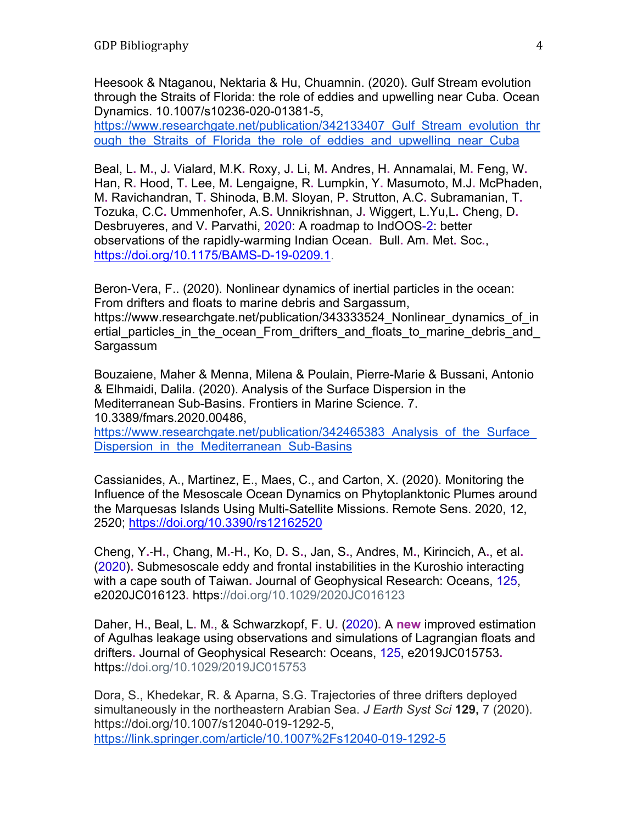Heesook & Ntaganou, Nektaria & Hu, Chuamnin. (2020). Gulf Stream evolution through the Straits of Florida: the role of eddies and upwelling near Cuba. Ocean Dynamics. 10.1007/s10236-020-01381-5,

https://www.researchgate.net/publication/342133407 Gulf Stream evolution thr ough the Straits of Florida the role of eddies and upwelling near Cuba

Beal, L**.** M**.**, J**.** Vialard, M.K**.** Roxy, J**.** Li, M**.** Andres, H**.** Annamalai, M**.** Feng, W**.** Han, R**.** Hood, T**.** Lee, M**.** Lengaigne, R**.** Lumpkin, Y**.** Masumoto, M.J**.** McPhaden, M**.** Ravichandran, T**.** Shinoda, B.M**.** Sloyan, P**.** Strutton, A.C**.** Subramanian, T**.** Tozuka, C.C**.** Ummenhofer, A.S**.** Unnikrishnan, J**.** Wiggert, L.Yu,L**.** Cheng, D**.** Desbruyeres, and V**.** Parvathi, 2020: A roadmap to IndOOS-2: better observations of the rapidly-warming Indian Ocean**.** Bull**.** Am**.** Met**.** Soc**.**, https://doi.org/10.1175/BAMS-D-19-0209.1.

Beron-Vera, F.. (2020). Nonlinear dynamics of inertial particles in the ocean: From drifters and floats to marine debris and Sargassum, https://www.researchgate.net/publication/343333524 Nonlinear dynamics of in ertial particles in the ocean From drifters and floats to marine debris and Sargassum

Bouzaiene, Maher & Menna, Milena & Poulain, Pierre-Marie & Bussani, Antonio & Elhmaidi, Dalila. (2020). Analysis of the Surface Dispersion in the Mediterranean Sub-Basins. Frontiers in Marine Science. 7. 10.3389/fmars.2020.00486, https://www.researchgate.net/publication/342465383 Analysis of the Surface Dispersion in the Mediterranean Sub-Basins

Cassianides, A., Martinez, E., Maes, C., and Carton, X. (2020). Monitoring the Influence of the Mesoscale Ocean Dynamics on Phytoplanktonic Plumes around the Marquesas Islands Using Multi-Satellite Missions. Remote Sens. 2020, 12, 2520; https://doi.org/10.3390/rs12162520

Cheng, Y**.**‐H**.**, Chang, M**.**‐H**.**, Ko, D**.** S**.**, Jan, S**.**, Andres, M**.**, Kirincich, A**.**, et al**.** (2020)**.** Submesoscale eddy and frontal instabilities in the Kuroshio interacting with a cape south of Taiwan**.** Journal of Geophysical Research: Oceans, 125, e2020JC016123**.** https://doi.org/10.1029/2020JC016123

Daher, H**.**, Beal, L**.** M**.**, & Schwarzkopf, F**.** U**.** (2020)**.** A **new** improved estimation of Agulhas leakage using observations and simulations of Lagrangian floats and drifters**.** Journal of Geophysical Research: Oceans, 125, e2019JC015753**.** https://doi.org/10.1029/2019JC015753

Dora, S., Khedekar, R. & Aparna, S.G. Trajectories of three drifters deployed simultaneously in the northeastern Arabian Sea. *J Earth Syst Sci* **129,** 7 (2020). https://doi.org/10.1007/s12040-019-1292-5, https://link.springer.com/article/10.1007%2Fs12040-019-1292-5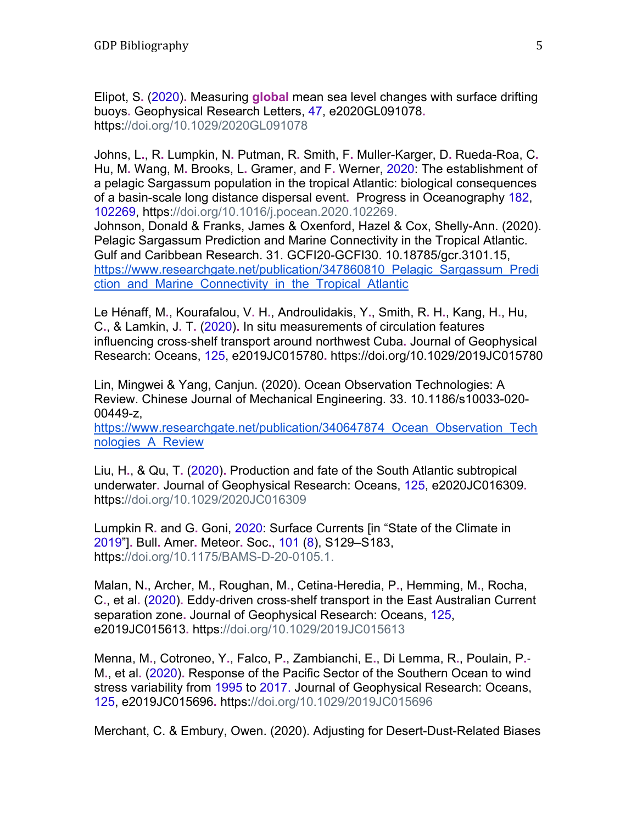Elipot, S**.** (2020)**.** Measuring **global** mean sea level changes with surface drifting buoys**.** Geophysical Research Letters, 47, e2020GL091078**.** https://doi.org/10.1029/2020GL091078

Johns, L**.**, R**.** Lumpkin, N**.** Putman, R**.** Smith, F**.** Muller-Karger, D**.** Rueda-Roa, C**.** Hu, M**.** Wang, M**.** Brooks, L**.** Gramer, and F**.** Werner, 2020: The establishment of a pelagic Sargassum population in the tropical Atlantic: biological consequences of a basin-scale long distance dispersal event**.** Progress in Oceanography 182, 102269, https://doi.org/10.1016/j.pocean.2020.102269.

Johnson, Donald & Franks, James & Oxenford, Hazel & Cox, Shelly-Ann. (2020). Pelagic Sargassum Prediction and Marine Connectivity in the Tropical Atlantic. Gulf and Caribbean Research. 31. GCFI20-GCFI30. 10.18785/gcr.3101.15, https://www.researchgate.net/publication/347860810 Pelagic Sargassum Predi ction and Marine Connectivity in the Tropical Atlantic

Le Hénaff, M**.**, Kourafalou, V**.** H**.**, Androulidakis, Y**.**, Smith, R**.** H**.**, Kang, H**.**, Hu, C**.**, & Lamkin, J**.** T**.** (2020)**.** In situ measurements of circulation features influencing cross‐shelf transport around northwest Cuba**.** Journal of Geophysical Research: Oceans, 125, e2019JC015780**.** https://doi.org/10.1029/2019JC015780

Lin, Mingwei & Yang, Canjun. (2020). Ocean Observation Technologies: A Review. Chinese Journal of Mechanical Engineering. 33. 10.1186/s10033-020- 00449-z,

https://www.researchgate.net/publication/340647874 Ocean Observation Tech nologies\_A\_Review

Liu, H**.**, & Qu, T**.** (2020)**.** Production and fate of the South Atlantic subtropical underwater**.** Journal of Geophysical Research: Oceans, 125, e2020JC016309**.** https://doi.org/10.1029/2020JC016309

Lumpkin R**.** and G**.** Goni, 2020: Surface Currents [in "State of the Climate in 2019"]**.** Bull**.** Amer**.** Meteor**.** Soc**.**, 101 (8), S129–S183, https://doi.org/10.1175/BAMS-D-20-0105.1.

Malan, N**.**, Archer, M**.**, Roughan, M**.**, Cetina‐Heredia, P**.**, Hemming, M**.**, Rocha, C**.**, et al**.** (2020)**.** Eddy‐driven cross‐shelf transport in the East Australian Current separation zone**.** Journal of Geophysical Research: Oceans, 125, e2019JC015613**.** https://doi.org/10.1029/2019JC015613

Menna, M**.**, Cotroneo, Y**.**, Falco, P**.**, Zambianchi, E**.**, Di Lemma, R**.**, Poulain, P**.**‐ M**.**, et al**.** (2020)**.** Response of the Pacific Sector of the Southern Ocean to wind stress variability from 1995 to 2017. Journal of Geophysical Research: Oceans, 125, e2019JC015696**.** https://doi.org/10.1029/2019JC015696

Merchant, C. & Embury, Owen. (2020). Adjusting for Desert-Dust-Related Biases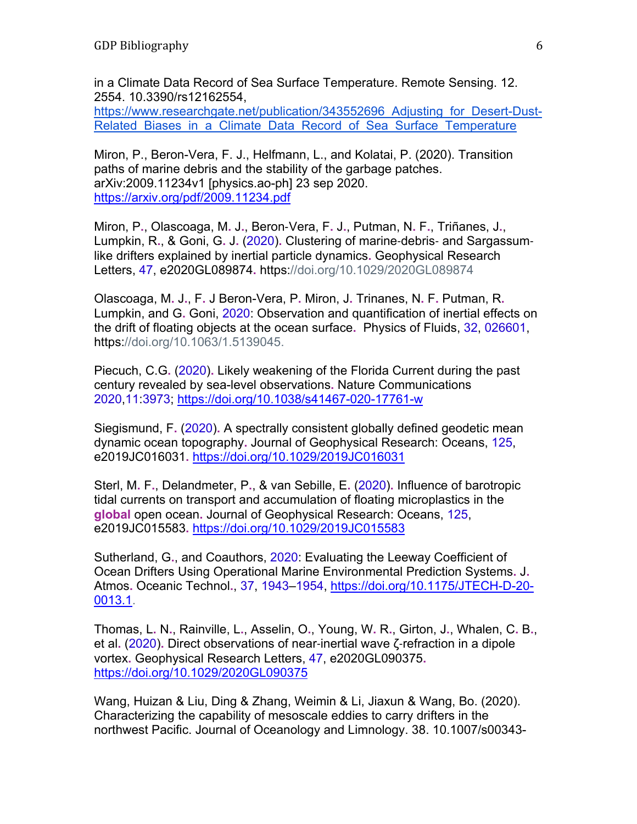in a Climate Data Record of Sea Surface Temperature. Remote Sensing. 12. 2554. 10.3390/rs12162554,

https://www.researchgate.net/publication/343552696 Adjusting for Desert-Dust-Related Biases in a Climate Data Record of Sea Surface Temperature

Miron, P., Beron-Vera, F. J., Helfmann, L., and Kolatai, P. (2020). Transition paths of marine debris and the stability of the garbage patches. arXiv:2009.11234v1 [physics.ao-ph] 23 sep 2020. https://arxiv.org/pdf/2009.11234.pdf

Miron, P**.**, Olascoaga, M**.** J**.**, Beron-Vera, F**.** J**.**, Putman, N**.** F**.**, Triñanes, J**.**, Lumpkin, R**.**, & Goni, G**.** J**.** (2020)**.** Clustering of marine‐debris‐ and Sargassum‐ like drifters explained by inertial particle dynamics**.** Geophysical Research Letters, 47, e2020GL089874**.** https://doi.org/10.1029/2020GL089874

Olascoaga, M**.** J**.**, F**.** J Beron-Vera, P**.** Miron, J**.** Trinanes, N**.** F**.** Putman, R**.** Lumpkin, and G**.** Goni, 2020: Observation and quantification of inertial effects on the drift of floating objects at the ocean surface**.** Physics of Fluids, 32, 026601, https://doi.org/10.1063/1.5139045.

Piecuch, C.G**.** (2020)**.** Likely weakening of the Florida Current during the past century revealed by sea-level observations**.** Nature Communications 2020,11:3973; https://doi.org/10.1038/s41467-020-17761-w

Siegismund, F**.** (2020)**.** A spectrally consistent globally defined geodetic mean dynamic ocean topography**.** Journal of Geophysical Research: Oceans, 125, e2019JC016031**.** https://doi.org/10.1029/2019JC016031

Sterl, M**.** F**.**, Delandmeter, P**.**, & van Sebille, E**.** (2020)**.** Influence of barotropic tidal currents on transport and accumulation of floating microplastics in the **global** open ocean**.** Journal of Geophysical Research: Oceans, 125, e2019JC015583**.** https://doi.org/10.1029/2019JC015583

Sutherland, G**.**, and Coauthors, 2020: Evaluating the Leeway Coefficient of Ocean Drifters Using Operational Marine Environmental Prediction Systems**.** J**.** Atmos**.** Oceanic Technol**.**, 37, 1943–1954, https://doi.org/10.1175/JTECH-D-20- 0013.1.

Thomas, L**.** N**.**, Rainville, L**.**, Asselin, O**.**, Young, W**.** R**.**, Girton, J**.**, Whalen, C**.** B**.**, et al**.** (2020)**.** Direct observations of near‐inertial wave ζ‐refraction in a dipole vortex**.** Geophysical Research Letters, 47, e2020GL090375**.** https://doi.org/10.1029/2020GL090375

Wang, Huizan & Liu, Ding & Zhang, Weimin & Li, Jiaxun & Wang, Bo. (2020). Characterizing the capability of mesoscale eddies to carry drifters in the northwest Pacific. Journal of Oceanology and Limnology. 38. 10.1007/s00343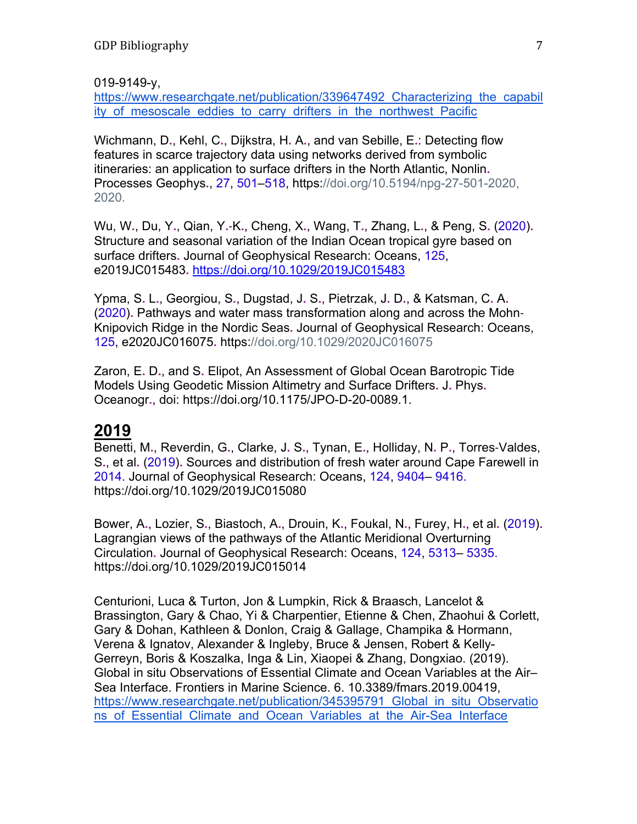019-9149-y,

https://www.researchgate.net/publication/339647492 Characterizing the capabil ity of mesoscale eddies to carry drifters in the northwest Pacific

Wichmann, D**.**, Kehl, C**.**, Dijkstra, H**.** A**.**, and van Sebille, E**.**: Detecting flow features in scarce trajectory data using networks derived from symbolic itineraries: an application to surface drifters in the North Atlantic, Nonlin**.** Processes Geophys**.**, 27, 501–518, https://doi.org/10.5194/npg-27-501-2020, 2020.

Wu, W**.**, Du, Y**.**, Qian, Y**.**‐K**.**, Cheng, X**.**, Wang, T**.**, Zhang, L**.**, & Peng, S**.** (2020)**.** Structure and seasonal variation of the Indian Ocean tropical gyre based on surface drifters**.** Journal of Geophysical Research: Oceans, 125, e2019JC015483**.** https://doi.org/10.1029/2019JC015483

Ypma, S**.** L**.**, Georgiou, S**.**, Dugstad, J**.** S**.**, Pietrzak, J**.** D**.**, & Katsman, C**.** A**.** (2020)**.** Pathways and water mass transformation along and across the Mohn‐ Knipovich Ridge in the Nordic Seas**.** Journal of Geophysical Research: Oceans, 125, e2020JC016075**.** https://doi.org/10.1029/2020JC016075

Zaron, E**.** D**.**, and S**.** Elipot, An Assessment of Global Ocean Barotropic Tide Models Using Geodetic Mission Altimetry and Surface Drifters**.** J**.** Phys**.** Oceanogr**.**, doi: https://doi.org/10.1175/JPO-D-20-0089.1.

## **2019**

Benetti, M**.**, Reverdin, G**.**, Clarke, J**.** S**.**, Tynan, E**.**, Holliday, N**.** P**.**, Torres‐Valdes, S**.**, et al**.** (2019)**.** Sources and distribution of fresh water around Cape Farewell in 2014. Journal of Geophysical Research: Oceans, 124, 9404– 9416. https://doi.org/10.1029/2019JC015080

Bower, A**.**, Lozier, S**.**, Biastoch, A**.**, Drouin, K**.**, Foukal, N**.**, Furey, H**.**, et al**.** (2019)**.** Lagrangian views of the pathways of the Atlantic Meridional Overturning Circulation**.** Journal of Geophysical Research: Oceans, 124, 5313– 5335. https://doi.org/10.1029/2019JC015014

Centurioni, Luca & Turton, Jon & Lumpkin, Rick & Braasch, Lancelot & Brassington, Gary & Chao, Yi & Charpentier, Etienne & Chen, Zhaohui & Corlett, Gary & Dohan, Kathleen & Donlon, Craig & Gallage, Champika & Hormann, Verena & Ignatov, Alexander & Ingleby, Bruce & Jensen, Robert & Kelly-Gerreyn, Boris & Koszalka, Inga & Lin, Xiaopei & Zhang, Dongxiao. (2019). Global in situ Observations of Essential Climate and Ocean Variables at the Air– Sea Interface. Frontiers in Marine Science. 6. 10.3389/fmars.2019.00419, https://www.researchgate.net/publication/345395791\_Global\_in\_situ\_Observatio ns of Essential Climate and Ocean Variables at the Air-Sea Interface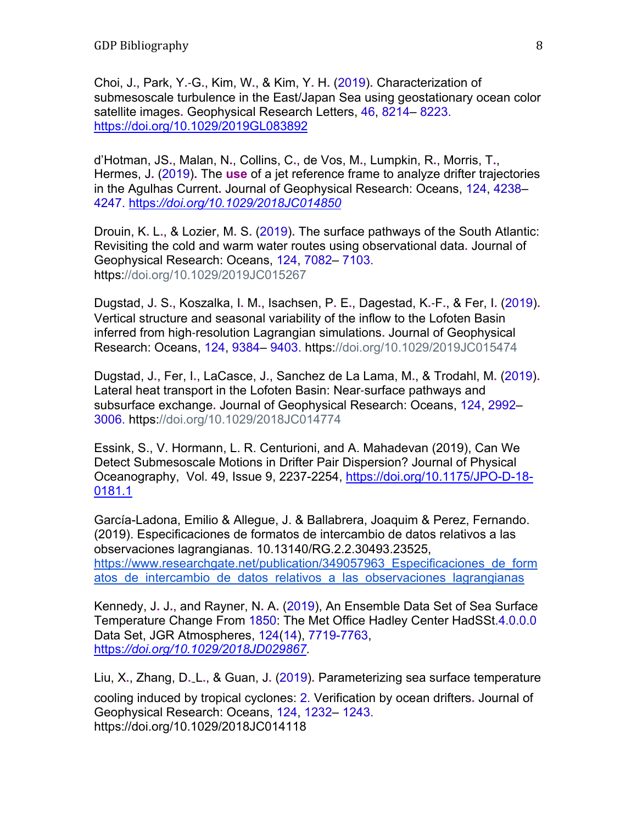Choi, J**.**, Park, Y**.**‐G**.**, Kim, W**.**, & Kim, Y**.** H**.** (2019)**.** Characterization of submesoscale turbulence in the East/Japan Sea using geostationary ocean color satellite images**.** Geophysical Research Letters, 46, 8214– 8223. https://doi.org/10.1029/2019GL083892

d'Hotman, JS**.**, Malan, N**.**, Collins, C**.**, de Vos, M**.**, Lumpkin, R**.**, Morris, T**.**, Hermes, J**.** (2019)**.** The **use** of a jet reference frame to analyze drifter trajectories in the Agulhas Current**.** Journal of Geophysical Research: Oceans, 124, 4238– 4247. https:*//doi.org/10.1029/2018JC014850*

Drouin, K**.** L**.**, & Lozier, M**.** S**.** (2019)**.** The surface pathways of the South Atlantic: Revisiting the cold and warm water routes using observational data**.** Journal of Geophysical Research: Oceans, 124, 7082– 7103. https://doi.org/10.1029/2019JC015267

Dugstad, J**.** S**.**, Koszalka, I**.** M**.**, Isachsen, P**.** E**.**, Dagestad, K**.**‐F**.**, & Fer, I**.** (2019)**.** Vertical structure and seasonal variability of the inflow to the Lofoten Basin inferred from high‐resolution Lagrangian simulations**.** Journal of Geophysical Research: Oceans, 124, 9384– 9403. https://doi.org/10.1029/2019JC015474

Dugstad, J**.**, Fer, I**.**, LaCasce, J**.**, Sanchez de La Lama, M**.**, & Trodahl, M**.** (2019)**.** Lateral heat transport in the Lofoten Basin: Near‐surface pathways and subsurface exchange**.** Journal of Geophysical Research: Oceans, 124, 2992– 3006. https://doi.org/10.1029/2018JC014774

Essink, S., V. Hormann, L. R. Centurioni, and A. Mahadevan (2019), Can We Detect Submesoscale Motions in Drifter Pair Dispersion? Journal of Physical Oceanography, Vol. 49, Issue 9, 2237-2254, https://doi.org/10.1175/JPO-D-18- 0181.1

García-Ladona, Emilio & Allegue, J. & Ballabrera, Joaquim & Perez, Fernando. (2019). Especificaciones de formatos de intercambio de datos relativos a las observaciones lagrangianas. 10.13140/RG.2.2.30493.23525, https://www.researchgate.net/publication/349057963\_Especificaciones\_de\_form atos de intercambio de datos relativos a las observaciones lagrangianas

Kennedy, J**.** J**.**, and Rayner, N**.** A**.** (2019), An Ensemble Data Set of Sea Surface Temperature Change From 1850: The Met Office Hadley Center HadSSt.4.0.0.0 Data Set, JGR Atmospheres, 124(14), 7719-7763, https:*//doi.org/10.1029/2018JD029867.* 

Liu, X**.**, Zhang, D**.** - L**.**, & Guan, J**.** (2019)**.** Parameterizing sea surface temperature cooling induced by tropical cyclones: 2. Verification by ocean drifters**.** Journal of Geophysical Research: Oceans, 124, 1232– 1243. https://doi.org/10.1029/2018JC014118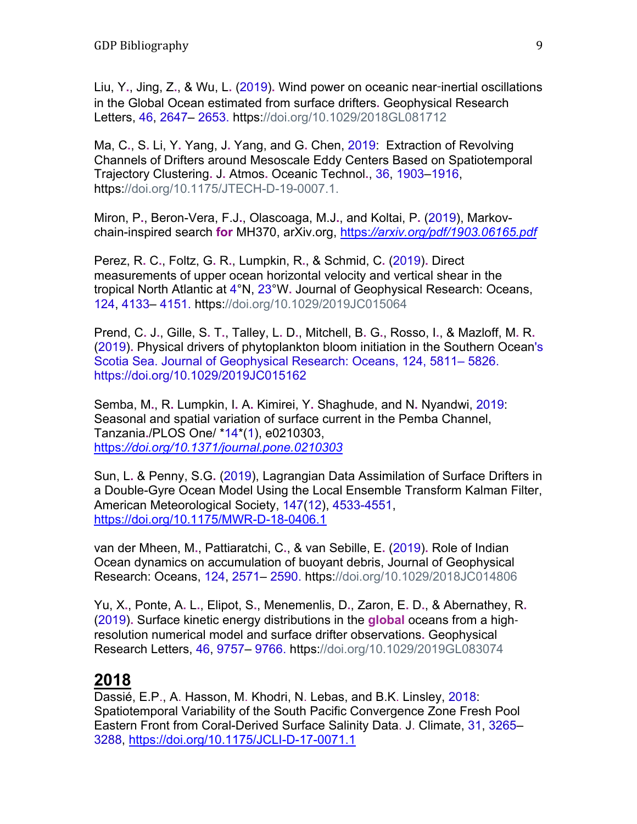Liu, Y**.**, Jing, Z**.**, & Wu, L**.** (2019)**.** Wind power on oceanic near-inertial oscillations in the Global Ocean estimated from surface drifters**.** Geophysical Research Letters, 46, 2647– 2653. https://doi.org/10.1029/2018GL081712

Ma, C**.**, S**.** Li, Y**.** Yang, J**.** Yang, and G**.** Chen, 2019: Extraction of Revolving Channels of Drifters around Mesoscale Eddy Centers Based on Spatiotemporal Trajectory Clustering**.** J**.** Atmos**.** Oceanic Technol**.**, 36, 1903–1916, https://doi.org/10.1175/JTECH-D-19-0007.1.

Miron, P**.**, Beron-Vera, F.J**.**, Olascoaga, M.J**.**, and Koltai, P**.** (2019), Markovchain-inspired search **for** MH370, arXiv.org, https:*//arxiv.org/pdf/1903.06165.pdf*

Perez, R**.** C**.**, Foltz, G**.** R**.**, Lumpkin, R**.**, & Schmid, C**.** (2019)**.** Direct measurements of upper ocean horizontal velocity and vertical shear in the tropical North Atlantic at 4°Ν, 23°W**.** Journal of Geophysical Research: Oceans, 124, 4133– 4151. https://doi.org/10.1029/2019JC015064

Prend, C**.** J**.**, Gille, S**.** T**.**, Talley, L**.** D**.**, Mitchell, B**.** G**.**, Rosso, I**.**, & Mazloff, M**.** R**.** (2019)**.** Physical drivers of phytoplankton bloom initiation in the Southern Ocean's Scotia Sea. Journal of Geophysical Research: Oceans, 124, 5811– 5826. https://doi.org/10.1029/2019JC015162

Semba, M**.**, R**.** Lumpkin, I**.** A**.** Kimirei, Y**.** Shaghude, and N**.** Nyandwi, 2019: Seasonal and spatial variation of surface current in the Pemba Channel, Tanzania**.**/PLOS One/ \*14\*(1), e0210303, https:*//doi.org/10.1371/journal.pone.0210303*

Sun, L**.** & Penny, S.G**.** (2019), Lagrangian Data Assimilation of Surface Drifters in a Double-Gyre Ocean Model Using the Local Ensemble Transform Kalman Filter, American Meteorological Society, 147(12), 4533-4551, https://doi.org/10.1175/MWR-D-18-0406.1

van der Mheen, M**.**, Pattiaratchi, C**.**, & van Sebille, E**.** (2019)**.** Role of Indian Ocean dynamics on accumulation of buoyant debris, Journal of Geophysical Research: Oceans, 124, 2571– 2590. https://doi.org/10.1029/2018JC014806

Yu, X**.**, Ponte, A**.** L**.**, Elipot, S**.**, Menemenlis, D**.**, Zaron, E**.** D**.**, & Abernathey, R**.** (2019)**.** Surface kinetic energy distributions in the **global** oceans from a high‐ resolution numerical model and surface drifter observations**.** Geophysical Research Letters, 46, 9757– 9766. https://doi.org/10.1029/2019GL083074

## **2018**

Dassié, E.P., A. Hasson, M. Khodri, N. Lebas, and B.K. Linsley, 2018: Spatiotemporal Variability of the South Pacific Convergence Zone Fresh Pool Eastern Front from Coral-Derived Surface Salinity Data. J. Climate, 31, 3265– 3288, https://doi.org/10.1175/JCLI-D-17-0071.1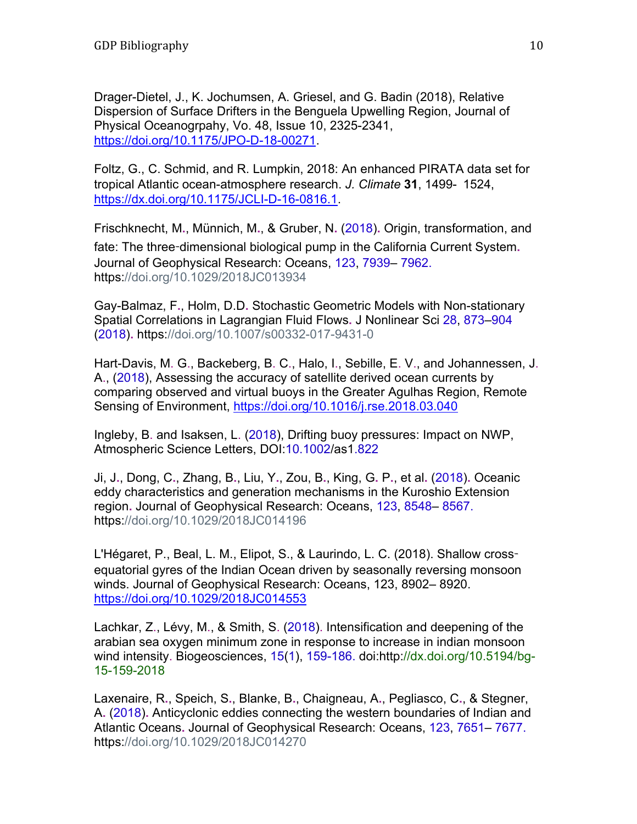Drager-Dietel, J., K. Jochumsen, A. Griesel, and G. Badin (2018), Relative Dispersion of Surface Drifters in the Benguela Upwelling Region, Journal of Physical Oceanogrpahy, Vo. 48, Issue 10, 2325-2341, https://doi.org/10.1175/JPO-D-18-00271.

Foltz, G., C. Schmid, and R. Lumpkin, 2018: An enhanced PIRATA data set for tropical Atlantic ocean-atmosphere research. *J. Climate* **31**, 1499- 1524, https://dx.doi.org/10.1175/JCLI-D-16-0816.1.

Frischknecht, M**.**, Münnich, M**.**, & Gruber, N**.** (2018)**.** Origin, transformation, and fate: The three-dimensional biological pump in the California Current System**.** Journal of Geophysical Research: Oceans, 123, 7939– 7962. https://doi.org/10.1029/2018JC013934

Gay-Balmaz, F**.**, Holm, D.D**.** Stochastic Geometric Models with Non-stationary Spatial Correlations in Lagrangian Fluid Flows**.** J Nonlinear Sci 28, 873–904 (2018)**.** https://doi.org/10.1007/s00332-017-9431-0

Hart-Davis, M. G., Backeberg, B. C., Halo, I., Sebille, E. V., and Johannessen, J. A., (2018), Assessing the accuracy of satellite derived ocean currents by comparing observed and virtual buoys in the Greater Agulhas Region, Remote Sensing of Environment, https://doi.org/10.1016/j.rse.2018.03.040

Ingleby, B. and Isaksen, L. (2018), Drifting buoy pressures: Impact on NWP, Atmospheric Science Letters, DOI:10.1002/as1.822

Ji, J**.**, Dong, C**.**, Zhang, B**.**, Liu, Y**.**, Zou, B**.**, King, G**.** P**.**, et al**.** (2018)**.** Oceanic eddy characteristics and generation mechanisms in the Kuroshio Extension region**.** Journal of Geophysical Research: Oceans, 123, 8548– 8567. https://doi.org/10.1029/2018JC014196

L'Hégaret, P., Beal, L. M., Elipot, S., & Laurindo, L. C. (2018). Shallow crossequatorial gyres of the Indian Ocean driven by seasonally reversing monsoon winds. Journal of Geophysical Research: Oceans, 123, 8902– 8920. https://doi.org/10.1029/2018JC014553

Lachkar, Z., Lévy, M., & Smith, S. (2018). Intensification and deepening of the arabian sea oxygen minimum zone in response to increase in indian monsoon wind intensity. Biogeosciences, 15(1), 159-186. doi:http://dx.doi.org/10.5194/bg-15-159-2018

Laxenaire, R**.**, Speich, S**.**, Blanke, B**.**, Chaigneau, A**.**, Pegliasco, C**.**, & Stegner, A**.** (2018)**.** Anticyclonic eddies connecting the western boundaries of Indian and Atlantic Oceans**.** Journal of Geophysical Research: Oceans, 123, 7651– 7677. https://doi.org/10.1029/2018JC014270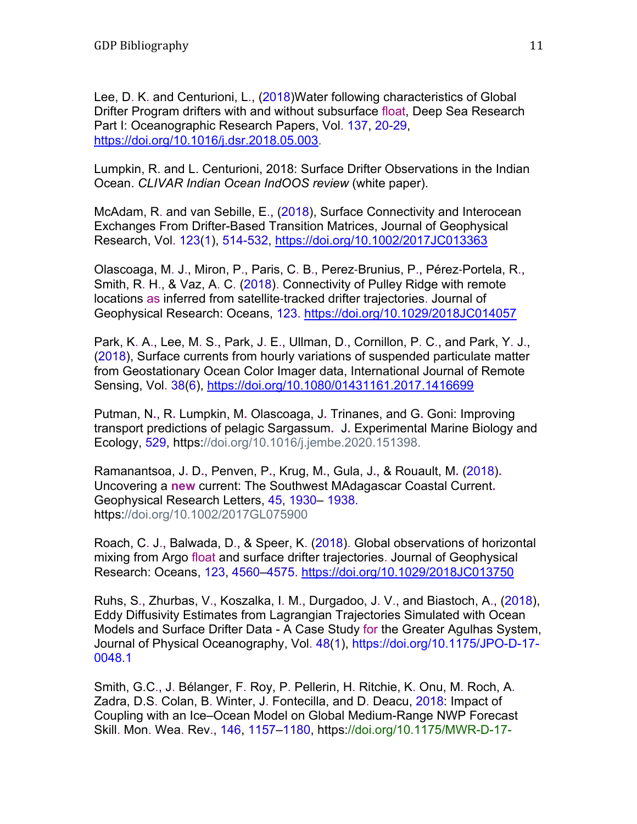Lee, D. K. and Centurioni, L., (2018)Water following characteristics of Global Drifter Program drifters with and without subsurface float, Deep Sea Research Part I: Oceanographic Research Papers, Vol. 137, 20-29, https://doi.org/10.1016/j.dsr.2018.05.003.

Lumpkin, R. and L. Centurioni, 2018: Surface Drifter Observations in the Indian Ocean. *CLIVAR Indian Ocean IndOOS review* (white paper).

McAdam, R. and van Sebille, E., (2018), Surface Connectivity and Interocean Exchanges From Drifter-Based Transition Matrices, Journal of Geophysical Research, Vol. 123(1), 514-532, https://doi.org/10.1002/2017JC013363

Olascoaga, M. J., Miron, P., Paris, C. B., Perez‐Brunius, P., Pérez‐Portela, R., Smith, R. H., & Vaz, A. C. (2018). Connectivity of Pulley Ridge with remote locations as inferred from satellite‐tracked drifter trajectories. Journal of Geophysical Research: Oceans, 123. https://doi.org/10.1029/2018JC014057

Park, K. A., Lee, M. S., Park, J. E., Ullman, D., Cornillon, P. C., and Park, Y. J., (2018), Surface currents from hourly variations of suspended particulate matter from Geostationary Ocean Color Imager data, International Journal of Remote Sensing, Vol. 38(6), https://doi.org/10.1080/01431161.2017.1416699

Putman, N**.**, R**.** Lumpkin, M**.** Olascoaga, J**.** Trinanes, and G**.** Goni: Improving transport predictions of pelagic Sargassum**.** J**.** Experimental Marine Biology and Ecology, 529, https://doi.org/10.1016/j.jembe.2020.151398.

Ramanantsoa, J**.** D**.**, Penven, P**.**, Krug, M**.**, Gula, J**.**, & Rouault, M**.** (2018)**.** Uncovering a **new** current: The Southwest MAdagascar Coastal Current**.** Geophysical Research Letters, 45, 1930– 1938. https://doi.org/10.1002/2017GL075900

Roach, C. J., Balwada, D., & Speer, K. (2018). Global observations of horizontal mixing from Argo float and surface drifter trajectories. Journal of Geophysical Research: Oceans, 123, 4560–4575. https://doi.org/10.1029/2018JC013750

Ruhs, S., Zhurbas, V., Koszalka, I. M., Durgadoo, J. V., and Biastoch, A., (2018), Eddy Diffusivity Estimates from Lagrangian Trajectories Simulated with Ocean Models and Surface Drifter Data - A Case Study for the Greater Agulhas System, Journal of Physical Oceanography, Vol. 48(1), https://doi.org/10.1175/JPO-D-17- 0048.1

Smith, G.C., J. Bélanger, F. Roy, P. Pellerin, H. Ritchie, K. Onu, M. Roch, A. Zadra, D.S. Colan, B. Winter, J. Fontecilla, and D. Deacu, 2018: Impact of Coupling with an Ice–Ocean Model on Global Medium-Range NWP Forecast Skill. Mon. Wea. Rev., 146, 1157–1180, https://doi.org/10.1175/MWR-D-17-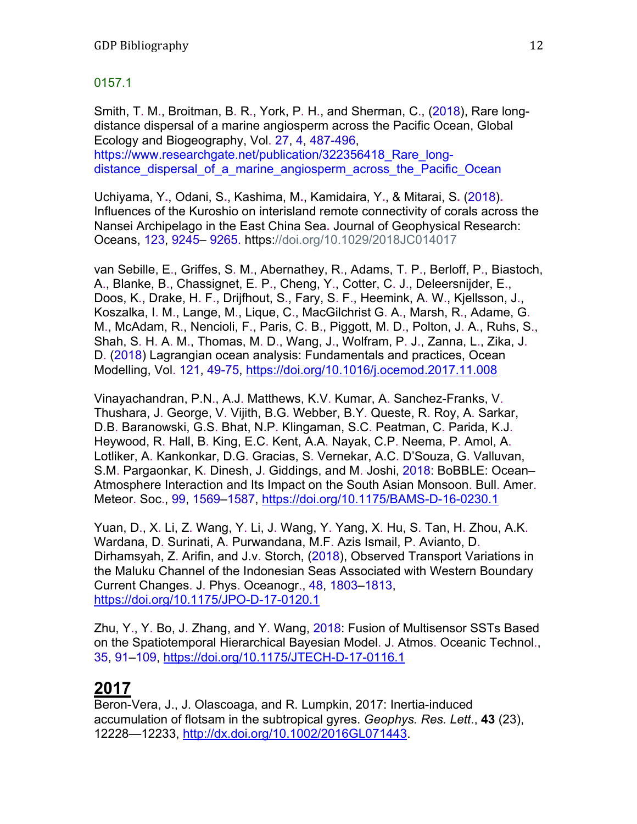#### 0157.1

Smith, T. M., Broitman, B. R., York, P. H., and Sherman, C., (2018), Rare longdistance dispersal of a marine angiosperm across the Pacific Ocean, Global Ecology and Biogeography, Vol. 27, 4, 487-496, https://www.researchgate.net/publication/322356418 Rare longdistance dispersal of a marine angiosperm across the Pacific Ocean

Uchiyama, Y**.**, Odani, S**.**, Kashima, M**.**, Kamidaira, Y**.**, & Mitarai, S**.** (2018)**.** Influences of the Kuroshio on interisland remote connectivity of corals across the Nansei Archipelago in the East China Sea**.** Journal of Geophysical Research: Oceans, 123, 9245– 9265. https://doi.org/10.1029/2018JC014017

van Sebille, E., Griffes, S. M., Abernathey, R., Adams, T. P., Berloff, P., Biastoch, A., Blanke, B., Chassignet, E. P., Cheng, Y., Cotter, C. J., Deleersnijder, E., Doos, K., Drake, H. F., Drijfhout, S., Fary, S. F., Heemink, A. W., Kjellsson, J., Koszalka, I. M., Lange, M., Lique, C., MacGilchrist G. A., Marsh, R., Adame, G. M., McAdam, R., Nencioli, F., Paris, C. B., Piggott, M. D., Polton, J. A., Ruhs, S., Shah, S. H. A. M., Thomas, M. D., Wang, J., Wolfram, P. J., Zanna, L., Zika, J. D. (2018) Lagrangian ocean analysis: Fundamentals and practices, Ocean Modelling, Vol. 121, 49-75, https://doi.org/10.1016/j.ocemod.2017.11.008

Vinayachandran, P.N., A.J. Matthews, K.V. Kumar, A. Sanchez-Franks, V. Thushara, J. George, V. Vijith, B.G. Webber, B.Y. Queste, R. Roy, A. Sarkar, D.B. Baranowski, G.S. Bhat, N.P. Klingaman, S.C. Peatman, C. Parida, K.J. Heywood, R. Hall, B. King, E.C. Kent, A.A. Nayak, C.P. Neema, P. Amol, A. Lotliker, A. Kankonkar, D.G. Gracias, S. Vernekar, A.C. D'Souza, G. Valluvan, S.M. Pargaonkar, K. Dinesh, J. Giddings, and M. Joshi, 2018: BoBBLE: Ocean– Atmosphere Interaction and Its Impact on the South Asian Monsoon. Bull. Amer. Meteor. Soc., 99, 1569–1587, https://doi.org/10.1175/BAMS-D-16-0230.1

Yuan, D., X. Li, Z. Wang, Y. Li, J. Wang, Y. Yang, X. Hu, S. Tan, H. Zhou, A.K. Wardana, D. Surinati, A. Purwandana, M.F. Azis Ismail, P. Avianto, D. Dirhamsyah, Z. Arifin, and J.v. Storch, (2018), Observed Transport Variations in the Maluku Channel of the Indonesian Seas Associated with Western Boundary Current Changes. J. Phys. Oceanogr., 48, 1803–1813, https://doi.org/10.1175/JPO-D-17-0120.1

Zhu, Y., Y. Bo, J. Zhang, and Y. Wang, 2018: Fusion of Multisensor SSTs Based on the Spatiotemporal Hierarchical Bayesian Model. J. Atmos. Oceanic Technol., 35, 91–109, https://doi.org/10.1175/JTECH-D-17-0116.1

## **2017**

Beron-Vera, J., J. Olascoaga, and R. Lumpkin, 2017: Inertia-induced accumulation of flotsam in the subtropical gyres. *Geophys. Res. Lett*., **43** (23), 12228—12233, http://dx.doi.org/10.1002/2016GL071443.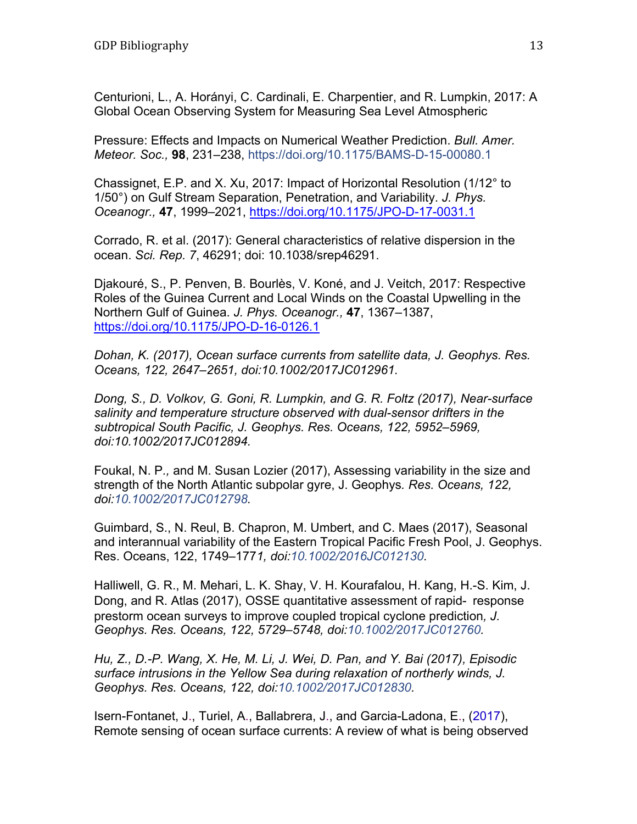Centurioni, L., A. Horányi, C. Cardinali, E. Charpentier, and R. Lumpkin, 2017: A Global Ocean Observing System for Measuring Sea Level Atmospheric

Pressure: Effects and Impacts on Numerical Weather Prediction. *Bull. Amer. Meteor. Soc.,* **98**, 231–238, https://doi.org/10.1175/BAMS-D-15-00080.1

Chassignet, E.P. and X. Xu, 2017: Impact of Horizontal Resolution (1/12° to 1/50°) on Gulf Stream Separation, Penetration, and Variability. *J. Phys. Oceanogr.,* **47**, 1999–2021, https://doi.org/10.1175/JPO-D-17-0031.1

Corrado, R. et al. (2017): General characteristics of relative dispersion in the ocean. *Sci. Rep. 7*, 46291; doi: 10.1038/srep46291.

Djakouré, S., P. Penven, B. Bourlès, V. Koné, and J. Veitch, 2017: Respective Roles of the Guinea Current and Local Winds on the Coastal Upwelling in the Northern Gulf of Guinea. *J. Phys. Oceanogr.,* **47**, 1367–1387, https://doi.org/10.1175/JPO-D-16-0126.1

*Dohan, K. (2017), Ocean surface currents from satellite data, J. Geophys. Res. Oceans, 122, 2647–2651, doi:10.1002/2017JC012961.* 

*Dong, S., D. Volkov, G. Goni, R. Lumpkin, and G. R. Foltz (2017), Near-surface salinity and temperature structure observed with dual-sensor drifters in the subtropical South Pacific, J. Geophys. Res. Oceans, 122, 5952–5969, doi:10.1002/2017JC012894.* 

Foukal, N. P*.,* and M. Susan Lozier (2017), Assessing variability in the size and strength of the North Atlantic subpolar gyre, J. Geophys*. Res. Oceans, 122, doi:10.1002/2017JC012798.* 

Guimbard, S., N. Reul, B. Chapron, M. Umbert, and C. Maes (2017), Seasonal and interannual variability of the Eastern Tropical Pacific Fresh Pool, J. Geophys. Res. Oceans, 122, 1749–177*1, doi:10.1002/2016JC012130.* 

Halliwell, G. R., M. Mehari, L. K. Shay, V. H. Kourafalou, H. Kang, H.-S. Kim, J. Dong, and R. Atlas (2017), OSSE quantitative assessment of rapid- response prestorm ocean surveys to improve coupled tropical cyclone prediction*, J. Geophys. Res. Oceans, 122, 5729–5748, doi:10.1002/2017JC012760.* 

*Hu, Z., D.-P. Wang, X. He, M. Li, J. Wei, D. Pan, and Y. Bai (2017), Episodic surface intrusions in the Yellow Sea during relaxation of northerly winds, J. Geophys. Res. Oceans, 122, doi:10.1002/2017JC012830.* 

Isern-Fontanet, J., Turiel, A., Ballabrera, J., and Garcia-Ladona, E., (2017), Remote sensing of ocean surface currents: A review of what is being observed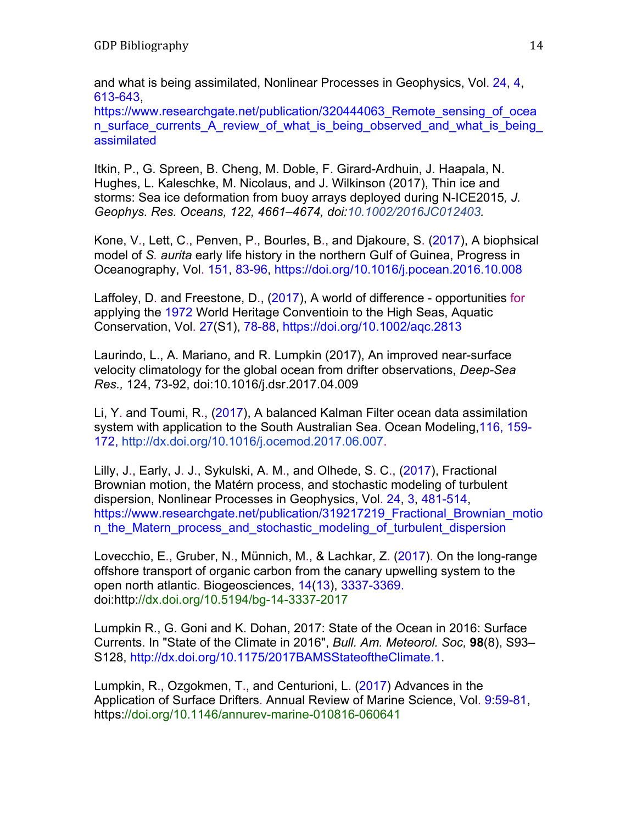and what is being assimilated, Nonlinear Processes in Geophysics, Vol. 24, 4, 613-643,

https://www.researchgate.net/publication/320444063 Remote sensing of ocea n surface currents A review of what is being observed and what is being assimilated

Itkin, P., G. Spreen, B. Cheng, M. Doble, F. Girard-Ardhuin, J. Haapala, N. Hughes, L. Kaleschke, M. Nicolaus, and J. Wilkinson (2017), Thin ice and storms: Sea ice deformation from buoy arrays deployed during N-ICE2015*, J. Geophys. Res. Oceans, 122, 4661–4674, doi:10.1002/2016JC012403.* 

Kone, V., Lett, C., Penven, P., Bourles, B., and Djakoure, S. (2017), A biophsical model of *S. aurita* early life history in the northern Gulf of Guinea, Progress in Oceanography, Vol. 151, 83-96, https://doi.org/10.1016/j.pocean.2016.10.008

Laffoley, D. and Freestone, D., (2017), A world of difference - opportunities for applying the 1972 World Heritage Conventioin to the High Seas, Aquatic Conservation, Vol. 27(S1), 78-88, https://doi.org/10.1002/aqc.2813

Laurindo, L., A. Mariano, and R. Lumpkin (2017), An improved near-surface velocity climatology for the global ocean from drifter observations, *Deep-Sea Res.,* 124, 73-92, doi:10.1016/j.dsr.2017.04.009

Li, Y. and Toumi, R., (2017), A balanced Kalman Filter ocean data assimilation system with application to the South Australian Sea. Ocean Modeling,116, 159- 172, http://dx.doi.org/10.1016/j.ocemod.2017.06.007.

Lilly, J., Early, J. J., Sykulski, A. M., and Olhede, S. C., (2017), Fractional Brownian motion, the Matérn process, and stochastic modeling of turbulent dispersion, Nonlinear Processes in Geophysics, Vol. 24, 3, 481-514, https://www.researchgate.net/publication/319217219\_Fractional\_Brownian\_motio n the Matern process and stochastic modeling of turbulent dispersion

Lovecchio, E., Gruber, N., Münnich, M., & Lachkar, Z. (2017). On the long-range offshore transport of organic carbon from the canary upwelling system to the open north atlantic. Biogeosciences, 14(13), 3337-3369. doi:http://dx.doi.org/10.5194/bg-14-3337-2017

Lumpkin R., G. Goni and K. Dohan, 2017: State of the Ocean in 2016: Surface Currents. In "State of the Climate in 2016", *Bull. Am. Meteorol. Soc,* **98**(8), S93– S128, http://dx.doi.org/10.1175/2017BAMSStateoftheClimate.1.

Lumpkin, R., Ozgokmen, T., and Centurioni, L. (2017) Advances in the Application of Surface Drifters. Annual Review of Marine Science, Vol. 9:59-81, https://doi.org/10.1146/annurev-marine-010816-060641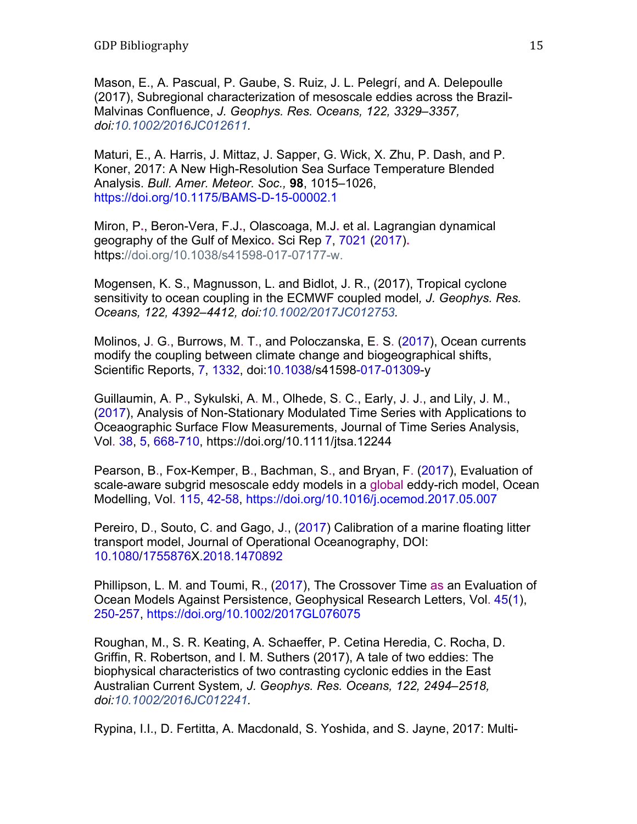Mason, E., A. Pascual, P. Gaube, S. Ruiz, J. L. Pelegrí, and A. Delepoulle (2017), Subregional characterization of mesoscale eddies across the Brazil-Malvinas Confluence, *J. Geophys. Res. Oceans, 122, 3329–3357, doi:10.1002/2016JC012611.* 

Maturi, E., A. Harris, J. Mittaz, J. Sapper, G. Wick, X. Zhu, P. Dash, and P. Koner, 2017: A New High-Resolution Sea Surface Temperature Blended Analysis. *Bull. Amer. Meteor. Soc.,* **98**, 1015–1026, https://doi.org/10.1175/BAMS-D-15-00002.1

Miron, P**.**, Beron-Vera, F.J**.**, Olascoaga, M.J**.** et al**.** Lagrangian dynamical geography of the Gulf of Mexico**.** Sci Rep 7, 7021 (2017)**.** https://doi.org/10.1038/s41598-017-07177-w.

Mogensen, K. S., Magnusson, L. and Bidlot, J. R., (2017), Tropical cyclone sensitivity to ocean coupling in the ECMWF coupled model*, J. Geophys. Res. Oceans, 122, 4392–4412, doi:10.1002/2017JC012753.* 

Molinos, J. G., Burrows, M. T., and Poloczanska, E. S. (2017), Ocean currents modify the coupling between climate change and biogeographical shifts, Scientific Reports, 7, 1332, doi:10.1038/s41598-017-01309-y

Guillaumin, A. P., Sykulski, A. M., Olhede, S. C., Early, J. J., and Lily, J. M., (2017), Analysis of Non-Stationary Modulated Time Series with Applications to Oceaographic Surface Flow Measurements, Journal of Time Series Analysis, Vol. 38, 5, 668-710, https://doi.org/10.1111/jtsa.12244

Pearson, B., Fox-Kemper, B., Bachman, S., and Bryan, F. (2017), Evaluation of scale-aware subgrid mesoscale eddy models in a global eddy-rich model, Ocean Modelling, Vol. 115, 42-58, https://doi.org/10.1016/j.ocemod.2017.05.007

Pereiro, D., Souto, C. and Gago, J., (2017) Calibration of a marine floating litter transport model, Journal of Operational Oceanography, DOI: 10.1080/1755876X.2018.1470892

Phillipson, L. M. and Toumi, R., (2017), The Crossover Time as an Evaluation of Ocean Models Against Persistence, Geophysical Research Letters, Vol. 45(1), 250-257, https://doi.org/10.1002/2017GL076075

Roughan, M., S. R. Keating, A. Schaeffer, P. Cetina Heredia, C. Rocha, D. Griffin, R. Robertson, and I. M. Suthers (2017), A tale of two eddies: The biophysical characteristics of two contrasting cyclonic eddies in the East Australian Current System*, J. Geophys. Res. Oceans, 122, 2494–2518, doi:10.1002/2016JC012241.* 

Rypina, I.I., D. Fertitta, A. Macdonald, S. Yoshida, and S. Jayne, 2017: Multi-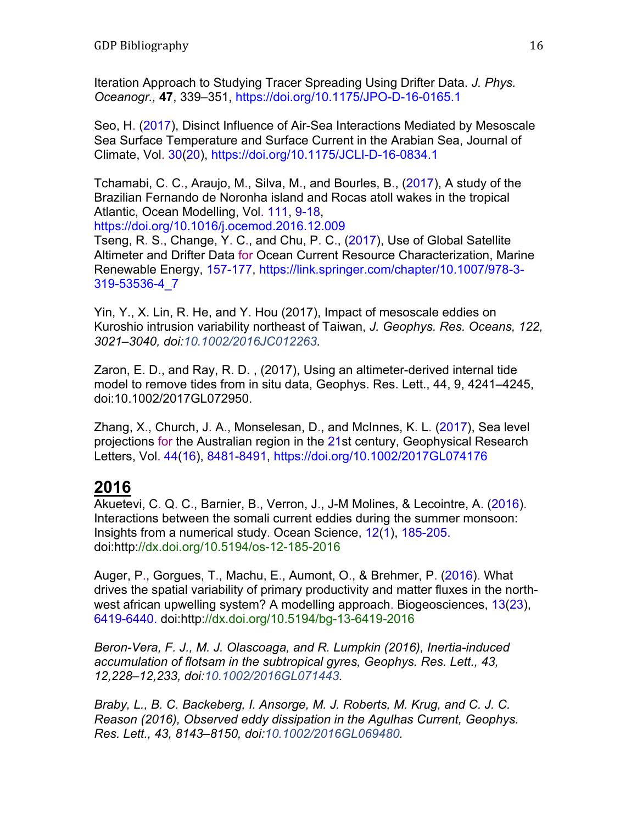Iteration Approach to Studying Tracer Spreading Using Drifter Data. *J. Phys. Oceanogr.,* **47**, 339–351, https://doi.org/10.1175/JPO-D-16-0165.1

Seo, H. (2017), Disinct Influence of Air-Sea Interactions Mediated by Mesoscale Sea Surface Temperature and Surface Current in the Arabian Sea, Journal of Climate, Vol. 30(20), https://doi.org/10.1175/JCLI-D-16-0834.1

Tchamabi, C. C., Araujo, M., Silva, M., and Bourles, B., (2017), A study of the Brazilian Fernando de Noronha island and Rocas atoll wakes in the tropical Atlantic, Ocean Modelling, Vol. 111, 9-18, https://doi.org/10.1016/j.ocemod.2016.12.009

Tseng, R. S., Change, Y. C., and Chu, P. C., (2017), Use of Global Satellite Altimeter and Drifter Data for Ocean Current Resource Characterization, Marine Renewable Energy, 157-177, https://link.springer.com/chapter/10.1007/978-3- 319-53536-4\_7

Yin, Y., X. Lin, R. He, and Y. Hou (2017), Impact of mesoscale eddies on Kuroshio intrusion variability northeast of Taiwan, *J. Geophys. Res. Oceans, 122, 3021–3040, doi:10.1002/2016JC012263.* 

Zaron, E. D., and Ray, R. D. , (2017), Using an altimeter-derived internal tide model to remove tides from in situ data, Geophys. Res. Lett., 44, 9, 4241–4245, doi:10.1002/2017GL072950.

Zhang, X., Church, J. A., Monselesan, D., and McInnes, K. L. (2017), Sea level projections for the Australian region in the 21st century, Geophysical Research Letters, Vol. 44(16), 8481-8491, https://doi.org/10.1002/2017GL074176

# **2016**

Akuetevi, C. Q. C., Barnier, B., Verron, J., J-M Molines, & Lecointre, A. (2016). Interactions between the somali current eddies during the summer monsoon: Insights from a numerical study. Ocean Science, 12(1), 185-205. doi:http://dx.doi.org/10.5194/os-12-185-2016

Auger, P., Gorgues, T., Machu, E., Aumont, O., & Brehmer, P. (2016). What drives the spatial variability of primary productivity and matter fluxes in the northwest african upwelling system? A modelling approach. Biogeosciences, 13(23), 6419-6440. doi:http://dx.doi.org/10.5194/bg-13-6419-2016

*Beron-Vera, F. J., M. J. Olascoaga, and R. Lumpkin (2016), Inertia-induced accumulation of flotsam in the subtropical gyres, Geophys. Res. Lett., 43, 12,228–12,233, doi:10.1002/2016GL071443.* 

*Braby, L., B. C. Backeberg, I. Ansorge, M. J. Roberts, M. Krug, and C. J. C. Reason (2016), Observed eddy dissipation in the Agulhas Current, Geophys. Res. Lett., 43, 8143–8150, doi:10.1002/2016GL069480.*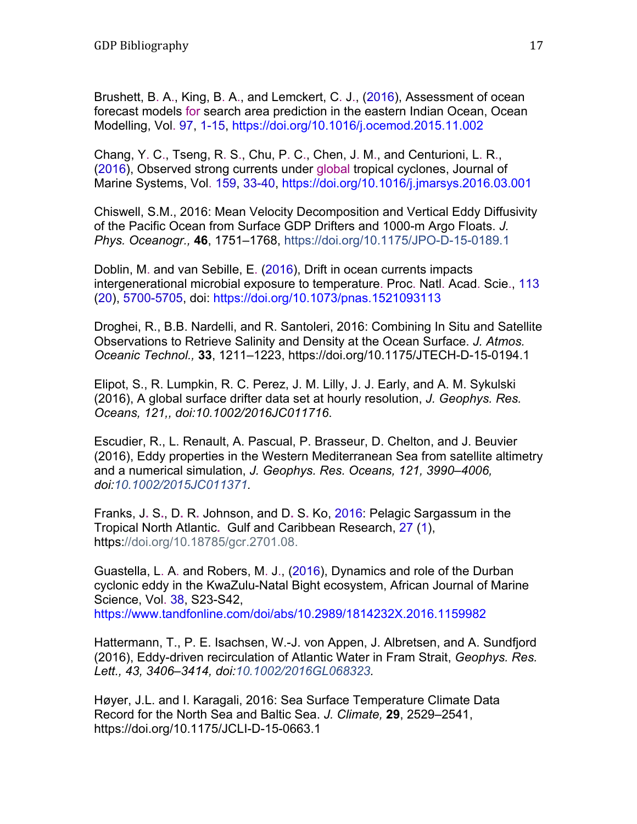Brushett, B. A., King, B. A., and Lemckert, C. J., (2016), Assessment of ocean forecast models for search area prediction in the eastern Indian Ocean, Ocean Modelling, Vol. 97, 1-15, https://doi.org/10.1016/j.ocemod.2015.11.002

Chang, Y. C., Tseng, R. S., Chu, P. C., Chen, J. M., and Centurioni, L. R., (2016), Observed strong currents under global tropical cyclones, Journal of Marine Systems, Vol. 159, 33-40, https://doi.org/10.1016/j.jmarsys.2016.03.001

Chiswell, S.M., 2016: Mean Velocity Decomposition and Vertical Eddy Diffusivity of the Pacific Ocean from Surface GDP Drifters and 1000-m Argo Floats. *J. Phys. Oceanogr.,* **46**, 1751–1768, https://doi.org/10.1175/JPO-D-15-0189.1

Doblin, M. and van Sebille, E. (2016), Drift in ocean currents impacts intergenerational microbial exposure to temperature. Proc. Natl. Acad. Scie., 113 (20), 5700-5705, doi: https://doi.org/10.1073/pnas.1521093113

Droghei, R., B.B. Nardelli, and R. Santoleri, 2016: Combining In Situ and Satellite Observations to Retrieve Salinity and Density at the Ocean Surface. *J. Atmos. Oceanic Technol.,* **33**, 1211–1223, https://doi.org/10.1175/JTECH-D-15-0194.1

Elipot, S., R. Lumpkin, R. C. Perez, J. M. Lilly, J. J. Early, and A. M. Sykulski (2016), A global surface drifter data set at hourly resolution, *J. Geophys. Res. Oceans, 121,, doi:10.1002/2016JC011716*.

Escudier, R., L. Renault, A. Pascual, P. Brasseur, D. Chelton, and J. Beuvier (2016), Eddy properties in the Western Mediterranean Sea from satellite altimetry and a numerical simulation, *J. Geophys. Res. Oceans, 121, 3990–4006, doi:10.1002/2015JC011371.* 

Franks, J**.** S**.**, D**.** R**.** Johnson, and D**.** S**.** Ko, 2016: Pelagic Sargassum in the Tropical North Atlantic**.** Gulf and Caribbean Research, 27 (1), https://doi.org/10.18785/gcr.2701.08.

Guastella, L. A. and Robers, M. J., (2016), Dynamics and role of the Durban cyclonic eddy in the KwaZulu-Natal Bight ecosystem, African Journal of Marine Science, Vol. 38, S23-S42,

https://www.tandfonline.com/doi/abs/10.2989/1814232X.2016.1159982

Hattermann, T., P. E. Isachsen, W.-J. von Appen, J. Albretsen, and A. Sundfjord (2016), Eddy-driven recirculation of Atlantic Water in Fram Strait, *Geophys. Res. Lett., 43, 3406–3414, doi:10.1002/2016GL068323.* 

Høyer, J.L. and I. Karagali, 2016: Sea Surface Temperature Climate Data Record for the North Sea and Baltic Sea. *J. Climate,* **29**, 2529–2541, https://doi.org/10.1175/JCLI-D-15-0663.1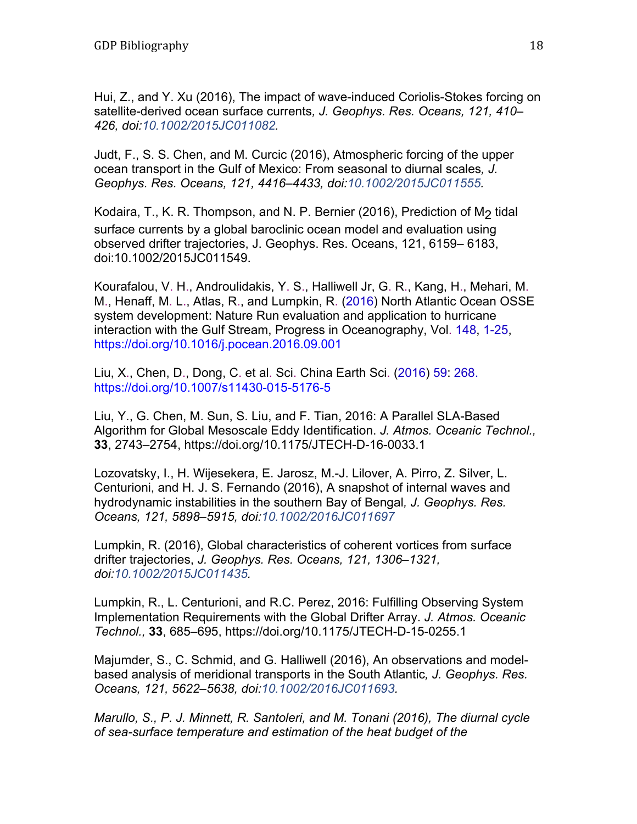Hui, Z., and Y. Xu (2016), The impact of wave-induced Coriolis-Stokes forcing on satellite-derived ocean surface currents*, J. Geophys. Res. Oceans, 121, 410– 426, doi:10.1002/2015JC011082.* 

Judt, F., S. S. Chen, and M. Curcic (2016), Atmospheric forcing of the upper ocean transport in the Gulf of Mexico: From seasonal to diurnal scales*, J. Geophys. Res. Oceans, 121, 4416–4433, doi:10.1002/2015JC011555.* 

Kodaira, T., K. R. Thompson, and N. P. Bernier (2016), Prediction of M<sub>2</sub> tidal surface currents by a global baroclinic ocean model and evaluation using observed drifter trajectories, J. Geophys. Res. Oceans, 121, 6159– 6183, doi:10.1002/2015JC011549.

Kourafalou, V. H., Androulidakis, Y. S., Halliwell Jr, G. R., Kang, H., Mehari, M. M., Henaff, M. L., Atlas, R., and Lumpkin, R. (2016) North Atlantic Ocean OSSE system development: Nature Run evaluation and application to hurricane interaction with the Gulf Stream, Progress in Oceanography, Vol. 148, 1-25, https://doi.org/10.1016/j.pocean.2016.09.001

Liu, X., Chen, D., Dong, C. et al. Sci. China Earth Sci. (2016) 59: 268. https://doi.org/10.1007/s11430-015-5176-5

Liu, Y., G. Chen, M. Sun, S. Liu, and F. Tian, 2016: A Parallel SLA-Based Algorithm for Global Mesoscale Eddy Identification. *J. Atmos. Oceanic Technol.,*  **33**, 2743–2754, https://doi.org/10.1175/JTECH-D-16-0033.1

Lozovatsky, I., H. Wijesekera, E. Jarosz, M.-J. Lilover, A. Pirro, Z. Silver, L. Centurioni, and H. J. S. Fernando (2016), A snapshot of internal waves and hydrodynamic instabilities in the southern Bay of Bengal*, J. Geophys. Res. Oceans, 121, 5898–5915, doi:10.1002/2016JC011697* 

Lumpkin, R. (2016), Global characteristics of coherent vortices from surface drifter trajectories, *J. Geophys. Res. Oceans, 121, 1306–1321, doi:10.1002/2015JC011435.* 

Lumpkin, R., L. Centurioni, and R.C. Perez, 2016: Fulfilling Observing System Implementation Requirements with the Global Drifter Array. *J. Atmos. Oceanic Technol.,* **33**, 685–695, https://doi.org/10.1175/JTECH-D-15-0255.1

Majumder, S., C. Schmid, and G. Halliwell (2016), An observations and modelbased analysis of meridional transports in the South Atlantic*, J. Geophys. Res. Oceans, 121, 5622–5638, doi:10.1002/2016JC011693.* 

*Marullo, S., P. J. Minnett, R. Santoleri, and M. Tonani (2016), The diurnal cycle of sea-surface temperature and estimation of the heat budget of the*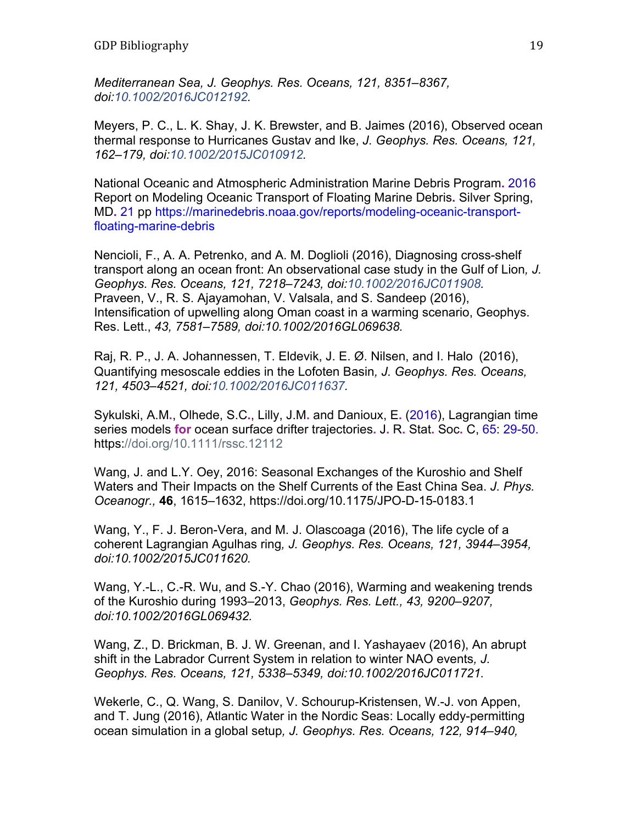*Mediterranean Sea, J. Geophys. Res. Oceans, 121, 8351–8367, doi:10.1002/2016JC012192.* 

Meyers, P. C., L. K. Shay, J. K. Brewster, and B. Jaimes (2016), Observed ocean thermal response to Hurricanes Gustav and Ike, *J. Geophys. Res. Oceans, 121, 162–179, doi:10.1002/2015JC010912.* 

National Oceanic and Atmospheric Administration Marine Debris Program**.** 2016 Report on Modeling Oceanic Transport of Floating Marine Debris**.** Silver Spring, MD**.** 21 pp https://marinedebris.noaa.gov/reports/modeling-oceanic-transportfloating-marine-debris

Nencioli, F., A. A. Petrenko, and A. M. Doglioli (2016), Diagnosing cross-shelf transport along an ocean front: An observational case study in the Gulf of Lion*, J. Geophys. Res. Oceans, 121, 7218–7243, doi:10.1002/2016JC011908.*  Praveen, V., R. S. Ajayamohan, V. Valsala, and S. Sandeep (2016), Intensification of upwelling along Oman coast in a warming scenario, Geophys. Res. Lett., *43, 7581–7589, doi:10.1002/2016GL069638.* 

Raj, R. P., J. A. Johannessen, T. Eldevik, J. E. Ø. Nilsen, and I. Halo (2016), Quantifying mesoscale eddies in the Lofoten Basin*, J. Geophys. Res. Oceans, 121, 4503–4521, doi:10.1002/2016JC011637.* 

Sykulski, A.M**.**, Olhede, S.C**.**, Lilly, J.M**.** and Danioux, E**.** (2016), Lagrangian time series models **for** ocean surface drifter trajectories**.** J**.** R**.** Stat**.** Soc**.** C, 65: 29-50. https://doi.org/10.1111/rssc.12112

Wang, J. and L.Y. Oey, 2016: Seasonal Exchanges of the Kuroshio and Shelf Waters and Their Impacts on the Shelf Currents of the East China Sea. *J. Phys. Oceanogr.,* **46**, 1615–1632, https://doi.org/10.1175/JPO-D-15-0183.1

Wang, Y., F. J. Beron-Vera, and M. J. Olascoaga (2016), The life cycle of a coherent Lagrangian Agulhas ring*, J. Geophys. Res. Oceans, 121, 3944–3954, doi:10.1002/2015JC011620.* 

Wang, Y.-L., C.-R. Wu, and S.-Y. Chao (2016), Warming and weakening trends of the Kuroshio during 1993–2013, *Geophys. Res. Lett., 43, 9200–9207, doi:10.1002/2016GL069432.* 

Wang, Z., D. Brickman, B. J. W. Greenan, and I. Yashayaev (2016), An abrupt shift in the Labrador Current System in relation to winter NAO events*, J. Geophys. Res. Oceans, 121, 5338–5349, doi:10.1002/2016JC011721.* 

Wekerle, C., Q. Wang, S. Danilov, V. Schourup-Kristensen, W.-J. von Appen, and T. Jung (2016), Atlantic Water in the Nordic Seas: Locally eddy-permitting ocean simulation in a global setup*, J. Geophys. Res. Oceans, 122, 914–940,*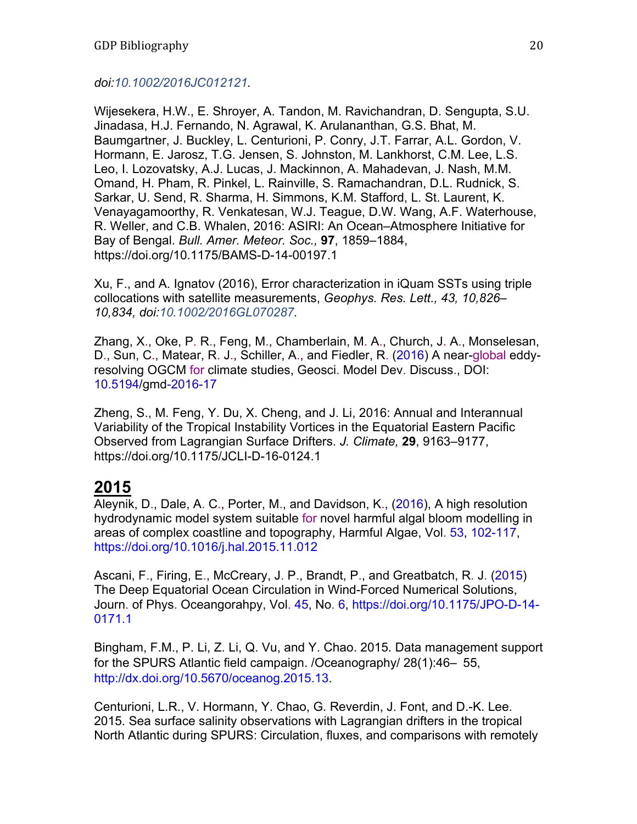#### *doi:10.1002/2016JC012121.*

Wijesekera, H.W., E. Shroyer, A. Tandon, M. Ravichandran, D. Sengupta, S.U. Jinadasa, H.J. Fernando, N. Agrawal, K. Arulananthan, G.S. Bhat, M. Baumgartner, J. Buckley, L. Centurioni, P. Conry, J.T. Farrar, A.L. Gordon, V. Hormann, E. Jarosz, T.G. Jensen, S. Johnston, M. Lankhorst, C.M. Lee, L.S. Leo, I. Lozovatsky, A.J. Lucas, J. Mackinnon, A. Mahadevan, J. Nash, M.M. Omand, H. Pham, R. Pinkel, L. Rainville, S. Ramachandran, D.L. Rudnick, S. Sarkar, U. Send, R. Sharma, H. Simmons, K.M. Stafford, L. St. Laurent, K. Venayagamoorthy, R. Venkatesan, W.J. Teague, D.W. Wang, A.F. Waterhouse, R. Weller, and C.B. Whalen, 2016: ASIRI: An Ocean–Atmosphere Initiative for Bay of Bengal. *Bull. Amer. Meteor. Soc.,* **97**, 1859–1884, https://doi.org/10.1175/BAMS-D-14-00197.1

Xu, F., and A. Ignatov (2016), Error characterization in iQuam SSTs using triple collocations with satellite measurements, *Geophys. Res. Lett., 43, 10,826– 10,834, doi:10.1002/2016GL070287.* 

Zhang, X., Oke, P. R., Feng, M., Chamberlain, M. A., Church, J. A., Monselesan, D., Sun, C., Matear, R. J., Schiller, A., and Fiedler, R. (2016) A near-global eddyresolving OGCM for climate studies, Geosci. Model Dev. Discuss., DOI: 10.5194/gmd-2016-17

Zheng, S., M. Feng, Y. Du, X. Cheng, and J. Li, 2016: Annual and Interannual Variability of the Tropical Instability Vortices in the Equatorial Eastern Pacific Observed from Lagrangian Surface Drifters. *J. Climate,* **29**, 9163–9177, https://doi.org/10.1175/JCLI-D-16-0124.1

## **2015**

Aleynik, D., Dale, A. C., Porter, M., and Davidson, K., (2016), A high resolution hydrodynamic model system suitable for novel harmful algal bloom modelling in areas of complex coastline and topography, Harmful Algae, Vol. 53, 102-117, https://doi.org/10.1016/j.hal.2015.11.012

Ascani, F., Firing, E., McCreary, J. P., Brandt, P., and Greatbatch, R. J. (2015) The Deep Equatorial Ocean Circulation in Wind-Forced Numerical Solutions, Journ. of Phys. Oceangorahpy, Vol. 45, No. 6, https://doi.org/10.1175/JPO-D-14- 0171.1

Bingham, F.M., P. Li, Z. Li, Q. Vu, and Y. Chao. 2015. Data management support for the SPURS Atlantic field campaign. /Oceanography/ 28(1):46– 55, http://dx.doi.org/10.5670/oceanog.2015.13.

Centurioni, L.R., V. Hormann, Y. Chao, G. Reverdin, J. Font, and D.-K. Lee. 2015. Sea surface salinity observations with Lagrangian drifters in the tropical North Atlantic during SPURS: Circulation, fluxes, and comparisons with remotely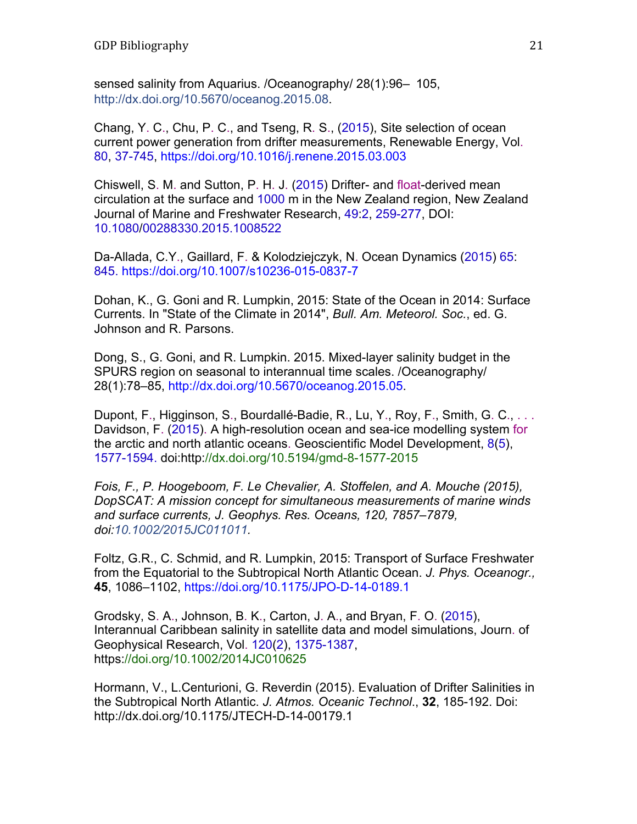sensed salinity from Aquarius. /Oceanography/ 28(1):96– 105, http://dx.doi.org/10.5670/oceanog.2015.08.

Chang, Y. C., Chu, P. C., and Tseng, R. S., (2015), Site selection of ocean current power generation from drifter measurements, Renewable Energy, Vol. 80, 37-745, https://doi.org/10.1016/j.renene.2015.03.003

Chiswell, S. M. and Sutton, P. H. J. (2015) Drifter- and float-derived mean circulation at the surface and 1000 m in the New Zealand region, New Zealand Journal of Marine and Freshwater Research, 49:2, 259-277, DOI: 10.1080/00288330.2015.1008522

Da-Allada, C.Y., Gaillard, F. & Kolodziejczyk, N. Ocean Dynamics (2015) 65: 845. https://doi.org/10.1007/s10236-015-0837-7

Dohan, K., G. Goni and R. Lumpkin, 2015: State of the Ocean in 2014: Surface Currents. In "State of the Climate in 2014", *Bull. Am. Meteorol. Soc.*, ed. G. Johnson and R. Parsons.

Dong, S., G. Goni, and R. Lumpkin. 2015. Mixed-layer salinity budget in the SPURS region on seasonal to interannual time scales. /Oceanography/ 28(1):78–85, http://dx.doi.org/10.5670/oceanog.2015.05.

Dupont, F., Higginson, S., Bourdallé-Badie, R., Lu, Y., Roy, F., Smith, G. C., . . . Davidson, F. (2015). A high-resolution ocean and sea-ice modelling system for the arctic and north atlantic oceans. Geoscientific Model Development, 8(5), 1577-1594. doi:http://dx.doi.org/10.5194/gmd-8-1577-2015

*Fois, F., P. Hoogeboom, F. Le Chevalier, A. Stoffelen, and A. Mouche (2015), DopSCAT: A mission concept for simultaneous measurements of marine winds and surface currents, J. Geophys. Res. Oceans, 120, 7857–7879, doi:10.1002/2015JC011011.* 

Foltz, G.R., C. Schmid, and R. Lumpkin, 2015: Transport of Surface Freshwater from the Equatorial to the Subtropical North Atlantic Ocean. *J. Phys. Oceanogr.,*  **45**, 1086–1102, https://doi.org/10.1175/JPO-D-14-0189.1

Grodsky, S. A., Johnson, B. K., Carton, J. A., and Bryan, F. O. (2015), Interannual Caribbean salinity in satellite data and model simulations, Journ. of Geophysical Research, Vol. 120(2), 1375-1387, https://doi.org/10.1002/2014JC010625

Hormann, V., L.Centurioni, G. Reverdin (2015). Evaluation of Drifter Salinities in the Subtropical North Atlantic. *J. Atmos. Oceanic Technol*., **32**, 185-192. Doi: http://dx.doi.org/10.1175/JTECH-D-14-00179.1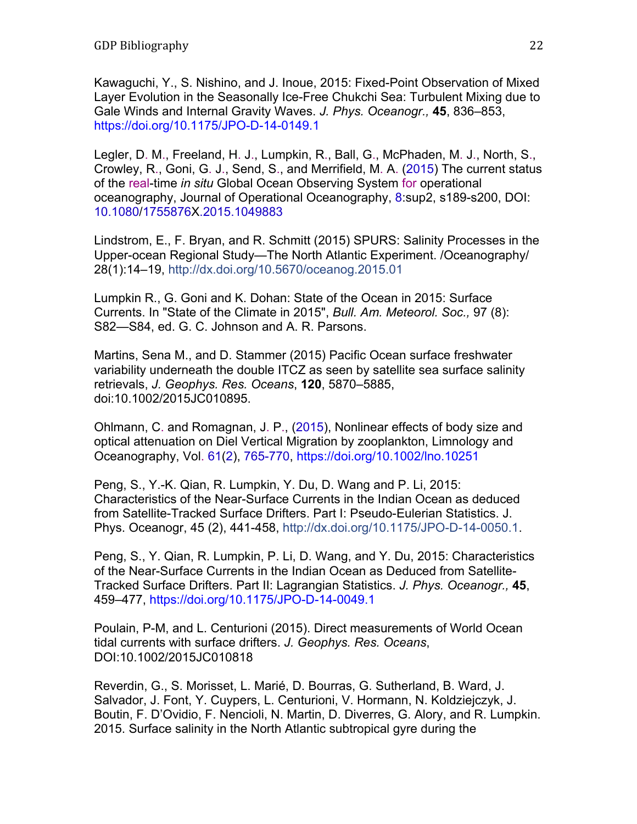Kawaguchi, Y., S. Nishino, and J. Inoue, 2015: Fixed-Point Observation of Mixed Layer Evolution in the Seasonally Ice-Free Chukchi Sea: Turbulent Mixing due to Gale Winds and Internal Gravity Waves. *J. Phys. Oceanogr.,* **45**, 836–853, https://doi.org/10.1175/JPO-D-14-0149.1

Legler, D. M., Freeland, H. J., Lumpkin, R., Ball, G., McPhaden, M. J., North, S., Crowley, R., Goni, G. J., Send, S., and Merrifield, M. A. (2015) The current status of the real-time *in situ* Global Ocean Observing System for operational oceanography, Journal of Operational Oceanography, 8:sup2, s189-s200, DOI: 10.1080/1755876X.2015.1049883

Lindstrom, E., F. Bryan, and R. Schmitt (2015) SPURS: Salinity Processes in the Upper-ocean Regional Study—The North Atlantic Experiment. /Oceanography/ 28(1):14–19, http://dx.doi.org/10.5670/oceanog.2015.01

Lumpkin R., G. Goni and K. Dohan: State of the Ocean in 2015: Surface Currents. In "State of the Climate in 2015", *Bull. Am. Meteorol. Soc.,* 97 (8): S82—S84, ed. G. C. Johnson and A. R. Parsons.

Martins, Sena M., and D. Stammer (2015) Pacific Ocean surface freshwater variability underneath the double ITCZ as seen by satellite sea surface salinity retrievals, *J. Geophys. Res. Oceans*, **120**, 5870–5885, doi:10.1002/2015JC010895.

Ohlmann, C. and Romagnan, J. P., (2015), Nonlinear effects of body size and optical attenuation on Diel Vertical Migration by zooplankton, Limnology and Oceanography, Vol. 61(2), 765-770, https://doi.org/10.1002/lno.10251

Peng, S., Y.-K. Qian, R. Lumpkin, Y. Du, D. Wang and P. Li, 2015: Characteristics of the Near-Surface Currents in the Indian Ocean as deduced from Satellite-Tracked Surface Drifters. Part I: Pseudo-Eulerian Statistics. J. Phys. Oceanogr, 45 (2), 441-458, http://dx.doi.org/10.1175/JPO-D-14-0050.1.

Peng, S., Y. Qian, R. Lumpkin, P. Li, D. Wang, and Y. Du, 2015: Characteristics of the Near-Surface Currents in the Indian Ocean as Deduced from Satellite-Tracked Surface Drifters. Part II: Lagrangian Statistics. *J. Phys. Oceanogr.,* **45**, 459–477, https://doi.org/10.1175/JPO-D-14-0049.1

Poulain, P-M, and L. Centurioni (2015). Direct measurements of World Ocean tidal currents with surface drifters. *J. Geophys. Res. Oceans*, DOI:10.1002/2015JC010818

Reverdin, G., S. Morisset, L. Marié, D. Bourras, G. Sutherland, B. Ward, J. Salvador, J. Font, Y. Cuypers, L. Centurioni, V. Hormann, N. Koldziejczyk, J. Boutin, F. D'Ovidio, F. Nencioli, N. Martin, D. Diverres, G. Alory, and R. Lumpkin. 2015. Surface salinity in the North Atlantic subtropical gyre during the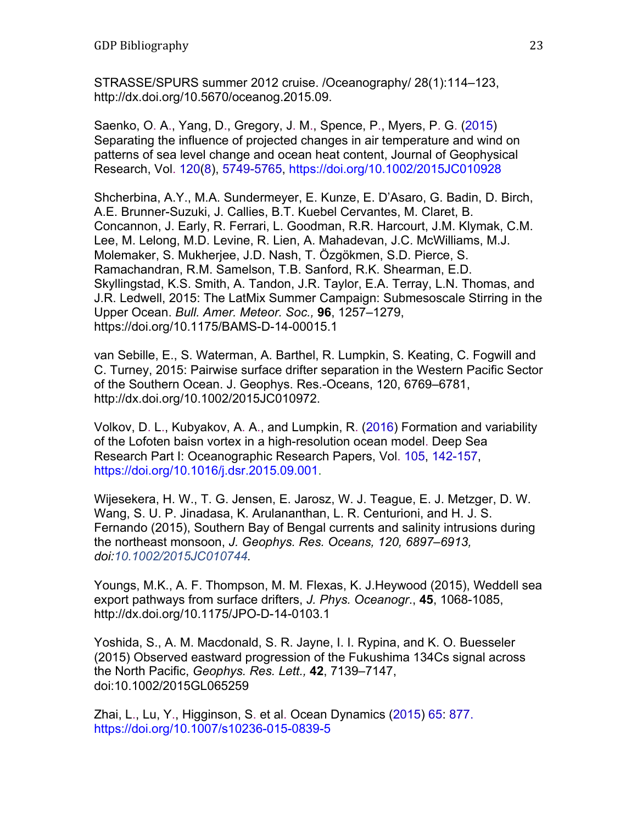STRASSE/SPURS summer 2012 cruise. /Oceanography/ 28(1):114–123, http://dx.doi.org/10.5670/oceanog.2015.09.

Saenko, O. A., Yang, D., Gregory, J. M., Spence, P., Myers, P. G. (2015) Separating the influence of projected changes in air temperature and wind on patterns of sea level change and ocean heat content, Journal of Geophysical Research, Vol. 120(8), 5749-5765, https://doi.org/10.1002/2015JC010928

Shcherbina, A.Y., M.A. Sundermeyer, E. Kunze, E. D'Asaro, G. Badin, D. Birch, A.E. Brunner-Suzuki, J. Callies, B.T. Kuebel Cervantes, M. Claret, B. Concannon, J. Early, R. Ferrari, L. Goodman, R.R. Harcourt, J.M. Klymak, C.M. Lee, M. Lelong, M.D. Levine, R. Lien, A. Mahadevan, J.C. McWilliams, M.J. Molemaker, S. Mukherjee, J.D. Nash, T. Özgökmen, S.D. Pierce, S. Ramachandran, R.M. Samelson, T.B. Sanford, R.K. Shearman, E.D. Skyllingstad, K.S. Smith, A. Tandon, J.R. Taylor, E.A. Terray, L.N. Thomas, and J.R. Ledwell, 2015: The LatMix Summer Campaign: Submesoscale Stirring in the Upper Ocean. *Bull. Amer. Meteor. Soc.,* **96**, 1257–1279, https://doi.org/10.1175/BAMS-D-14-00015.1

van Sebille, E., S. Waterman, A. Barthel, R. Lumpkin, S. Keating, C. Fogwill and C. Turney, 2015: Pairwise surface drifter separation in the Western Pacific Sector of the Southern Ocean. J. Geophys. Res.-Oceans, 120, 6769–6781, http://dx.doi.org/10.1002/2015JC010972.

Volkov, D. L., Kubyakov, A. A., and Lumpkin, R. (2016) Formation and variability of the Lofoten baisn vortex in a high-resolution ocean model. Deep Sea Research Part I: Oceanographic Research Papers, Vol. 105, 142-157, https://doi.org/10.1016/j.dsr.2015.09.001.

Wijesekera, H. W., T. G. Jensen, E. Jarosz, W. J. Teague, E. J. Metzger, D. W. Wang, S. U. P. Jinadasa, K. Arulananthan, L. R. Centurioni, and H. J. S. Fernando (2015), Southern Bay of Bengal currents and salinity intrusions during the northeast monsoon, *J. Geophys. Res. Oceans, 120, 6897–6913, doi:10.1002/2015JC010744.* 

Youngs, M.K., A. F. Thompson, M. M. Flexas, K. J.Heywood (2015), Weddell sea export pathways from surface drifters, *J. Phys. Oceanogr*., **45**, 1068-1085, http://dx.doi.org/10.1175/JPO-D-14-0103.1

Yoshida, S., A. M. Macdonald, S. R. Jayne, I. I. Rypina, and K. O. Buesseler (2015) Observed eastward progression of the Fukushima 134Cs signal across the North Pacific, *Geophys. Res. Lett.,* **42**, 7139–7147, doi:10.1002/2015GL065259

Zhai, L., Lu, Y., Higginson, S. et al. Ocean Dynamics (2015) 65: 877. https://doi.org/10.1007/s10236-015-0839-5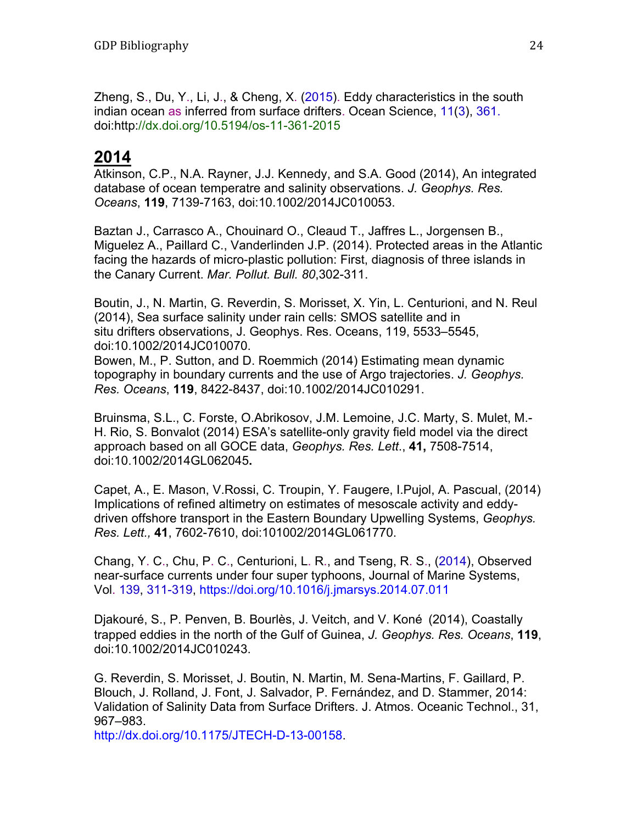Zheng, S., Du, Y., Li, J., & Cheng, X. (2015). Eddy characteristics in the south indian ocean as inferred from surface drifters. Ocean Science, 11(3), 361. doi:http://dx.doi.org/10.5194/os-11-361-2015

### **2014**

Atkinson, C.P., N.A. Rayner, J.J. Kennedy, and S.A. Good (2014), An integrated database of ocean temperatre and salinity observations. *J. Geophys. Res. Oceans*, **119**, 7139-7163, doi:10.1002/2014JC010053.

Baztan J., Carrasco A., Chouinard O., Cleaud T., Jaffres L., Jorgensen B., Miguelez A., Paillard C., Vanderlinden J.P. (2014). Protected areas in the Atlantic facing the hazards of micro-plastic pollution: First, diagnosis of three islands in the Canary Current. *Mar. Pollut. Bull. 80*,302-311.

Boutin, J., N. Martin, G. Reverdin, S. Morisset, X. Yin, L. Centurioni, and N. Reul (2014), Sea surface salinity under rain cells: SMOS satellite and in situ drifters observations, J. Geophys. Res. Oceans, 119, 5533–5545, doi:10.1002/2014JC010070.

Bowen, M., P. Sutton, and D. Roemmich (2014) Estimating mean dynamic topography in boundary currents and the use of Argo trajectories. *J. Geophys. Res. Oceans*, **119**, 8422-8437, doi:10.1002/2014JC010291.

Bruinsma, S.L., C. Forste, O.Abrikosov, J.M. Lemoine, J.C. Marty, S. Mulet, M.- H. Rio, S. Bonvalot (2014) ESA's satellite-only gravity field model via the direct approach based on all GOCE data, *Geophys. Res. Lett*., **41,** 7508-7514, doi:10.1002/2014GL062045**.** 

Capet, A., E. Mason, V.Rossi, C. Troupin, Y. Faugere, I.Pujol, A. Pascual, (2014) Implications of refined altimetry on estimates of mesoscale activity and eddydriven offshore transport in the Eastern Boundary Upwelling Systems, *Geophys. Res. Lett.,* **41**, 7602-7610, doi:101002/2014GL061770.

Chang, Y. C., Chu, P. C., Centurioni, L. R., and Tseng, R. S., (2014), Observed near-surface currents under four super typhoons, Journal of Marine Systems, Vol. 139, 311-319, https://doi.org/10.1016/j.jmarsys.2014.07.011

Djakouré, S., P. Penven, B. Bourlès, J. Veitch, and V. Koné (2014), Coastally trapped eddies in the north of the Gulf of Guinea, *J. Geophys. Res. Oceans*, **119**, doi:10.1002/2014JC010243.

G. Reverdin, S. Morisset, J. Boutin, N. Martin, M. Sena-Martins, F. Gaillard, P. Blouch, J. Rolland, J. Font, J. Salvador, P. Fernández, and D. Stammer, 2014: Validation of Salinity Data from Surface Drifters. J. Atmos. Oceanic Technol., 31, 967–983.

http://dx.doi.org/10.1175/JTECH-D-13-00158.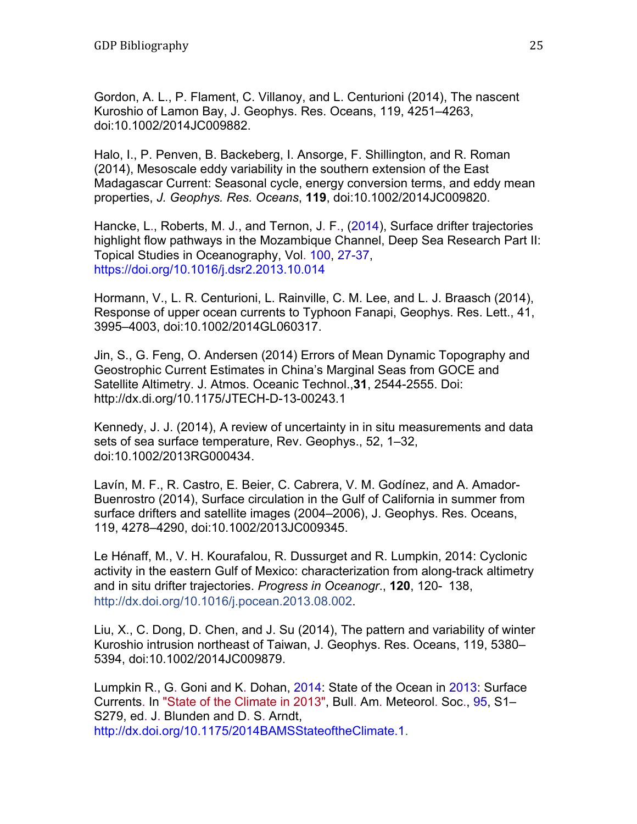Gordon, A. L., P. Flament, C. Villanoy, and L. Centurioni (2014), The nascent Kuroshio of Lamon Bay, J. Geophys. Res. Oceans, 119, 4251–4263, doi:10.1002/2014JC009882.

Halo, I., P. Penven, B. Backeberg, I. Ansorge, F. Shillington, and R. Roman (2014), Mesoscale eddy variability in the southern extension of the East Madagascar Current: Seasonal cycle, energy conversion terms, and eddy mean properties, *J. Geophys. Res. Oceans*, **119**, doi:10.1002/2014JC009820.

Hancke, L., Roberts, M. J., and Ternon, J. F., (2014), Surface drifter trajectories highlight flow pathways in the Mozambique Channel, Deep Sea Research Part II: Topical Studies in Oceanography, Vol. 100, 27-37, https://doi.org/10.1016/j.dsr2.2013.10.014

Hormann, V., L. R. Centurioni, L. Rainville, C. M. Lee, and L. J. Braasch (2014), Response of upper ocean currents to Typhoon Fanapi, Geophys. Res. Lett., 41, 3995–4003, doi:10.1002/2014GL060317.

Jin, S., G. Feng, O. Andersen (2014) Errors of Mean Dynamic Topography and Geostrophic Current Estimates in China's Marginal Seas from GOCE and Satellite Altimetry. J. Atmos. Oceanic Technol.,**31**, 2544-2555. Doi: http://dx.di.org/10.1175/JTECH-D-13-00243.1

Kennedy, J. J. (2014), A review of uncertainty in in situ measurements and data sets of sea surface temperature, Rev. Geophys., 52, 1–32, doi:10.1002/2013RG000434.

Lavín, M. F., R. Castro, E. Beier, C. Cabrera, V. M. Godínez, and A. Amador-Buenrostro (2014), Surface circulation in the Gulf of California in summer from surface drifters and satellite images (2004–2006), J. Geophys. Res. Oceans, 119, 4278–4290, doi:10.1002/2013JC009345.

Le Hénaff, M., V. H. Kourafalou, R. Dussurget and R. Lumpkin, 2014: Cyclonic activity in the eastern Gulf of Mexico: characterization from along-track altimetry and in situ drifter trajectories. *Progress in Oceanogr*., **120**, 120- 138, http://dx.doi.org/10.1016/j.pocean.2013.08.002.

Liu, X., C. Dong, D. Chen, and J. Su (2014), The pattern and variability of winter Kuroshio intrusion northeast of Taiwan, J. Geophys. Res. Oceans, 119, 5380– 5394, doi:10.1002/2014JC009879.

Lumpkin R., G. Goni and K. Dohan, 2014: State of the Ocean in 2013: Surface Currents. In "State of the Climate in 2013", Bull. Am. Meteorol. Soc., 95, S1– S279, ed. J. Blunden and D. S. Arndt, http://dx.doi.org/10.1175/2014BAMSStateoftheClimate.1.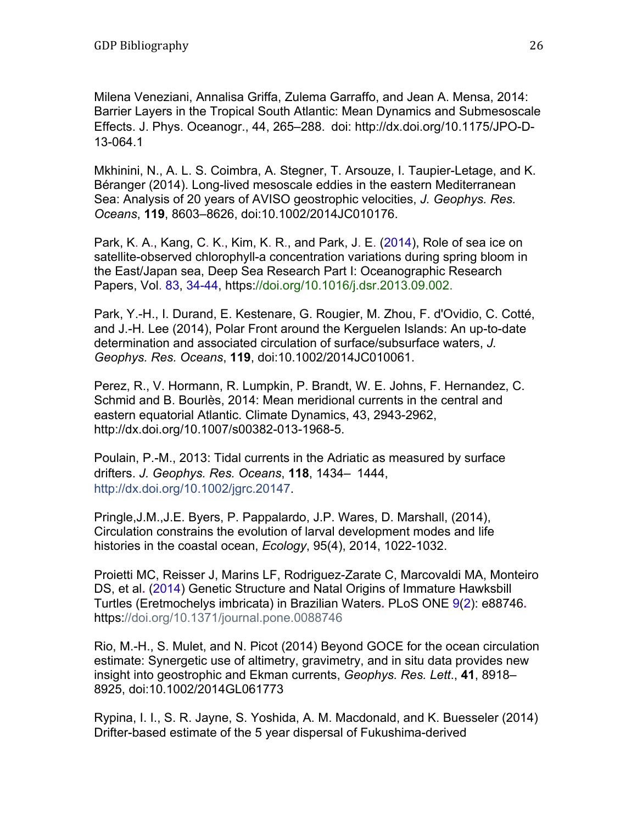Milena Veneziani, Annalisa Griffa, Zulema Garraffo, and Jean A. Mensa, 2014: Barrier Layers in the Tropical South Atlantic: Mean Dynamics and Submesoscale Effects. J. Phys. Oceanogr., 44, 265–288. doi: http://dx.doi.org/10.1175/JPO-D-13-064.1

Mkhinini, N., A. L. S. Coimbra, A. Stegner, T. Arsouze, I. Taupier-Letage, and K. Béranger (2014). Long-lived mesoscale eddies in the eastern Mediterranean Sea: Analysis of 20 years of AVISO geostrophic velocities, *J. Geophys. Res. Oceans*, **119**, 8603–8626, doi:10.1002/2014JC010176.

Park, K. A., Kang, C. K., Kim, K. R., and Park, J. E. (2014), Role of sea ice on satellite-observed chlorophyll-a concentration variations during spring bloom in the East/Japan sea, Deep Sea Research Part I: Oceanographic Research Papers, Vol. 83, 34-44, https://doi.org/10.1016/j.dsr.2013.09.002.

Park, Y.-H., I. Durand, E. Kestenare, G. Rougier, M. Zhou, F. d'Ovidio, C. Cotté, and J.-H. Lee (2014), Polar Front around the Kerguelen Islands: An up-to-date determination and associated circulation of surface/subsurface waters, *J. Geophys. Res. Oceans*, **119**, doi:10.1002/2014JC010061.

Perez, R., V. Hormann, R. Lumpkin, P. Brandt, W. E. Johns, F. Hernandez, C. Schmid and B. Bourlès, 2014: Mean meridional currents in the central and eastern equatorial Atlantic. Climate Dynamics, 43, 2943-2962, http://dx.doi.org/10.1007/s00382-013-1968-5.

Poulain, P.-M., 2013: Tidal currents in the Adriatic as measured by surface drifters. *J. Geophys. Res. Oceans*, **118**, 1434– 1444, http://dx.doi.org/10.1002/jgrc.20147.

Pringle,J.M.,J.E. Byers, P. Pappalardo, J.P. Wares, D. Marshall, (2014), Circulation constrains the evolution of larval development modes and life histories in the coastal ocean, *Ecology*, 95(4), 2014, 1022-1032.

Proietti MC, Reisser J, Marins LF, Rodriguez-Zarate C, Marcovaldi MA, Monteiro DS, et al**.** (2014) Genetic Structure and Natal Origins of Immature Hawksbill Turtles (Eretmochelys imbricata) in Brazilian Waters**.** PLoS ONE 9(2): e88746**.** https://doi.org/10.1371/journal.pone.0088746

Rio, M.-H., S. Mulet, and N. Picot (2014) Beyond GOCE for the ocean circulation estimate: Synergetic use of altimetry, gravimetry, and in situ data provides new insight into geostrophic and Ekman currents, *Geophys. Res. Lett*., **41**, 8918– 8925, doi:10.1002/2014GL061773

Rypina, I. I., S. R. Jayne, S. Yoshida, A. M. Macdonald, and K. Buesseler (2014) Drifter-based estimate of the 5 year dispersal of Fukushima-derived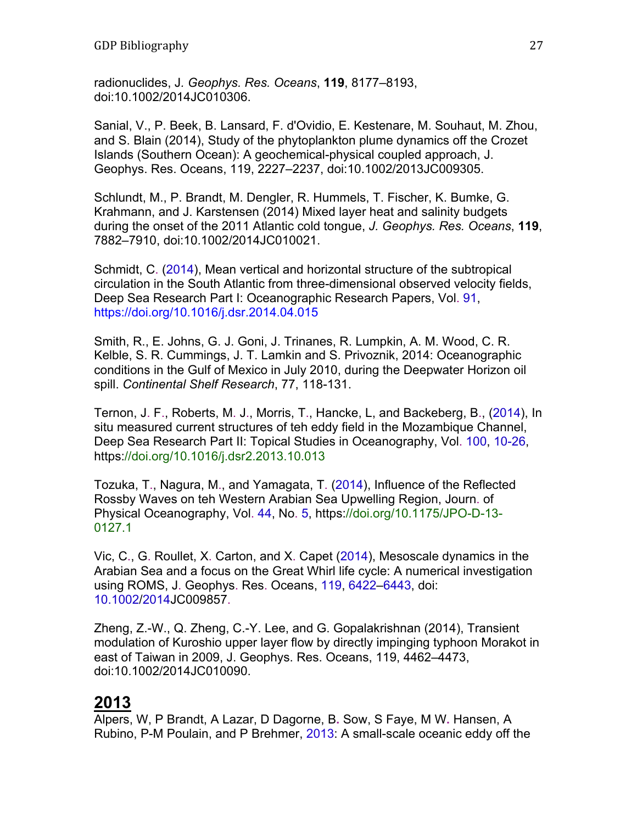radionuclides, J*. Geophys. Res. Oceans*, **119**, 8177–8193, doi:10.1002/2014JC010306.

Sanial, V., P. Beek, B. Lansard, F. d'Ovidio, E. Kestenare, M. Souhaut, M. Zhou, and S. Blain (2014), Study of the phytoplankton plume dynamics off the Crozet Islands (Southern Ocean): A geochemical-physical coupled approach, J. Geophys. Res. Oceans, 119, 2227–2237, doi:10.1002/2013JC009305.

Schlundt, M., P. Brandt, M. Dengler, R. Hummels, T. Fischer, K. Bumke, G. Krahmann, and J. Karstensen (2014) Mixed layer heat and salinity budgets during the onset of the 2011 Atlantic cold tongue, *J. Geophys. Res. Oceans*, **119**, 7882–7910, doi:10.1002/2014JC010021.

Schmidt, C. (2014), Mean vertical and horizontal structure of the subtropical circulation in the South Atlantic from three-dimensional observed velocity fields, Deep Sea Research Part I: Oceanographic Research Papers, Vol. 91, https://doi.org/10.1016/j.dsr.2014.04.015

Smith, R., E. Johns, G. J. Goni, J. Trinanes, R. Lumpkin, A. M. Wood, C. R. Kelble, S. R. Cummings, J. T. Lamkin and S. Privoznik, 2014: Oceanographic conditions in the Gulf of Mexico in July 2010, during the Deepwater Horizon oil spill. *Continental Shelf Research*, 77, 118-131.

Ternon, J. F., Roberts, M. J., Morris, T., Hancke, L, and Backeberg, B., (2014), In situ measured current structures of teh eddy field in the Mozambique Channel, Deep Sea Research Part II: Topical Studies in Oceanography, Vol. 100, 10-26, https://doi.org/10.1016/j.dsr2.2013.10.013

Tozuka, T., Nagura, M., and Yamagata, T. (2014), Influence of the Reflected Rossby Waves on teh Western Arabian Sea Upwelling Region, Journ. of Physical Oceanography, Vol. 44, No. 5, https://doi.org/10.1175/JPO-D-13- 0127.1

Vic, C., G. Roullet, X. Carton, and X. Capet (2014), Mesoscale dynamics in the Arabian Sea and a focus on the Great Whirl life cycle: A numerical investigation using ROMS, J. Geophys. Res. Oceans, 119, 6422–6443, doi: 10.1002/2014JC009857.

Zheng, Z.-W., Q. Zheng, C.-Y. Lee, and G. Gopalakrishnan (2014), Transient modulation of Kuroshio upper layer flow by directly impinging typhoon Morakot in east of Taiwan in 2009, J. Geophys. Res. Oceans, 119, 4462–4473, doi:10.1002/2014JC010090.

## **2013**

Alpers, W, P Brandt, A Lazar, D Dagorne, B**.** Sow, S Faye, M W**.** Hansen, A Rubino, P-M Poulain, and P Brehmer, 2013: A small-scale oceanic eddy off the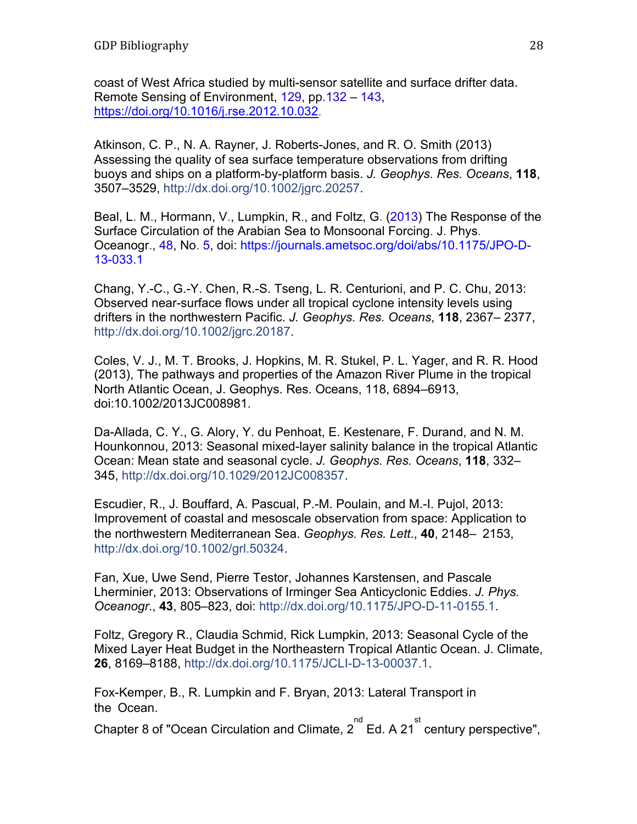coast of West Africa studied by multi-sensor satellite and surface drifter data**.** Remote Sensing of Environment, 129, pp.132 – 143, https://doi.org/10.1016/j.rse.2012.10.032.

Atkinson, C. P., N. A. Rayner, J. Roberts-Jones, and R. O. Smith (2013) Assessing the quality of sea surface temperature observations from drifting buoys and ships on a platform-by-platform basis. *J. Geophys. Res. Oceans*, **118**, 3507–3529, http://dx.doi.org/10.1002/jgrc.20257.

Beal, L. M., Hormann, V., Lumpkin, R., and Foltz, G. (2013) The Response of the Surface Circulation of the Arabian Sea to Monsoonal Forcing. J. Phys. Oceanogr., 48, No. 5, doi: https://journals.ametsoc.org/doi/abs/10.1175/JPO-D-13-033.1

Chang, Y.-C., G.-Y. Chen, R.-S. Tseng, L. R. Centurioni, and P. C. Chu, 2013: Observed near-surface flows under all tropical cyclone intensity levels using drifters in the northwestern Pacific. *J. Geophys. Res. Oceans*, **118**, 2367– 2377, http://dx.doi.org/10.1002/jgrc.20187.

Coles, V. J., M. T. Brooks, J. Hopkins, M. R. Stukel, P. L. Yager, and R. R. Hood (2013), The pathways and properties of the Amazon River Plume in the tropical North Atlantic Ocean, J. Geophys. Res. Oceans, 118, 6894–6913, doi:10.1002/2013JC008981.

Da-Allada, C. Y., G. Alory, Y. du Penhoat, E. Kestenare, F. Durand, and N. M. Hounkonnou, 2013: Seasonal mixed-layer salinity balance in the tropical Atlantic Ocean: Mean state and seasonal cycle. *J. Geophys. Res. Oceans*, **118**, 332– 345, http://dx.doi.org/10.1029/2012JC008357.

Escudier, R., J. Bouffard, A. Pascual, P.-M. Poulain, and M.-I. Pujol, 2013: Improvement of coastal and mesoscale observation from space: Application to the northwestern Mediterranean Sea. *Geophys. Res. Lett*., **40**, 2148– 2153, http://dx.doi.org/10.1002/grl.50324.

Fan, Xue, Uwe Send, Pierre Testor, Johannes Karstensen, and Pascale Lherminier, 2013: Observations of Irminger Sea Anticyclonic Eddies. *J. Phys. Oceanogr*., **43**, 805–823, doi: http://dx.doi.org/10.1175/JPO-D-11-0155.1.

Foltz, Gregory R., Claudia Schmid, Rick Lumpkin, 2013: Seasonal Cycle of the Mixed Layer Heat Budget in the Northeastern Tropical Atlantic Ocean. J. Climate, **26**, 8169–8188, http://dx.doi.org/10.1175/JCLI-D-13-00037.1.

Fox-Kemper, B., R. Lumpkin and F. Bryan, 2013: Lateral Transport in the Ocean.

Chapter 8 of "Ocean Circulation and Climate, 2  $\overline{a}^{\text{nd}}$  Ed. A 21<sup>st</sup> century perspective",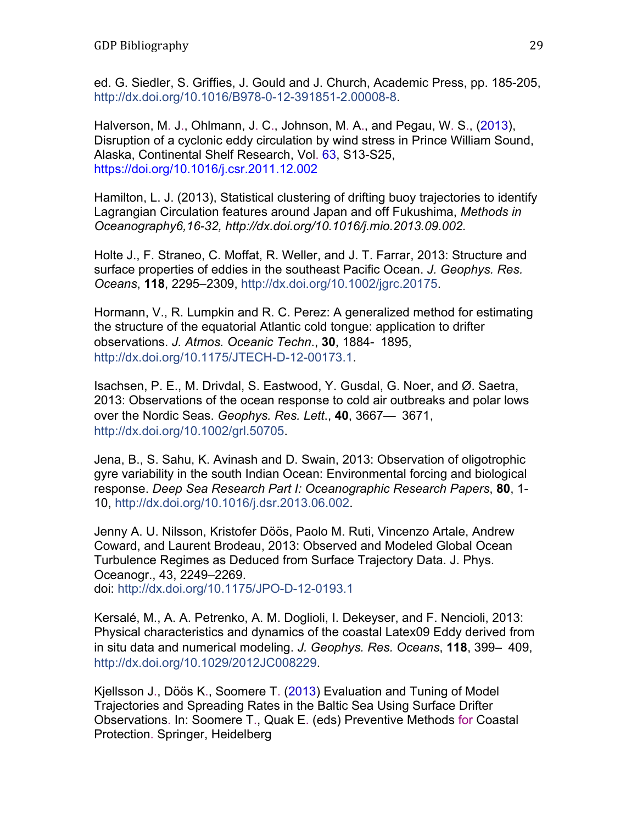ed. G. Siedler, S. Griffies, J. Gould and J. Church, Academic Press, pp. 185-205, http://dx.doi.org/10.1016/B978-0-12-391851-2.00008-8.

Halverson, M. J., Ohlmann, J. C., Johnson, M. A., and Pegau, W. S., (2013), Disruption of a cyclonic eddy circulation by wind stress in Prince William Sound, Alaska, Continental Shelf Research, Vol. 63, S13-S25, https://doi.org/10.1016/j.csr.2011.12.002

Hamilton, L. J. (2013), Statistical clustering of drifting buoy trajectories to identify Lagrangian Circulation features around Japan and off Fukushima, *Methods in Oceanography6,16-32, http://dx.doi.org/10.1016/j.mio.2013.09.002.* 

Holte J., F. Straneo, C. Moffat, R. Weller, and J. T. Farrar, 2013: Structure and surface properties of eddies in the southeast Pacific Ocean. *J. Geophys. Res. Oceans*, **118**, 2295–2309, http://dx.doi.org/10.1002/jgrc.20175.

Hormann, V., R. Lumpkin and R. C. Perez: A generalized method for estimating the structure of the equatorial Atlantic cold tongue: application to drifter observations. *J. Atmos. Oceanic Techn*., **30**, 1884- 1895, http://dx.doi.org/10.1175/JTECH-D-12-00173.1.

Isachsen, P. E., M. Drivdal, S. Eastwood, Y. Gusdal, G. Noer, and Ø. Saetra, 2013: Observations of the ocean response to cold air outbreaks and polar lows over the Nordic Seas. *Geophys. Res. Lett*., **40**, 3667— 3671, http://dx.doi.org/10.1002/grl.50705.

Jena, B., S. Sahu, K. Avinash and D. Swain, 2013: Observation of oligotrophic gyre variability in the south Indian Ocean: Environmental forcing and biological response. *Deep Sea Research Part I: Oceanographic Research Papers*, **80**, 1- 10, http://dx.doi.org/10.1016/j.dsr.2013.06.002.

Jenny A. U. Nilsson, Kristofer Döös, Paolo M. Ruti, Vincenzo Artale, Andrew Coward, and Laurent Brodeau, 2013: Observed and Modeled Global Ocean Turbulence Regimes as Deduced from Surface Trajectory Data. J. Phys. Oceanogr., 43, 2249–2269. doi: http://dx.doi.org/10.1175/JPO-D-12-0193.1

Kersalé, M., A. A. Petrenko, A. M. Doglioli, I. Dekeyser, and F. Nencioli, 2013: Physical characteristics and dynamics of the coastal Latex09 Eddy derived from in situ data and numerical modeling. *J. Geophys. Res. Oceans*, **118**, 399– 409, http://dx.doi.org/10.1029/2012JC008229.

Kjellsson J., Döös K., Soomere T. (2013) Evaluation and Tuning of Model Trajectories and Spreading Rates in the Baltic Sea Using Surface Drifter Observations. In: Soomere T., Quak E. (eds) Preventive Methods for Coastal Protection. Springer, Heidelberg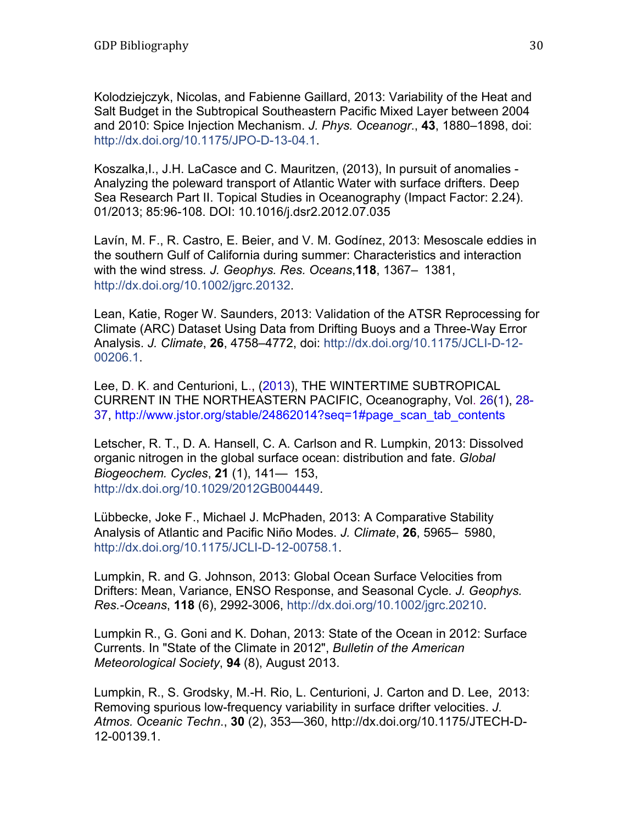Kolodziejczyk, Nicolas, and Fabienne Gaillard, 2013: Variability of the Heat and Salt Budget in the Subtropical Southeastern Pacific Mixed Layer between 2004 and 2010: Spice Injection Mechanism. *J. Phys. Oceanogr*., **43**, 1880–1898, doi: http://dx.doi.org/10.1175/JPO-D-13-04.1.

Koszalka,I., J.H. LaCasce and C. Mauritzen, (2013), In pursuit of anomalies - Analyzing the poleward transport of Atlantic Water with surface drifters. Deep Sea Research Part II. Topical Studies in Oceanography (Impact Factor: 2.24). 01/2013; 85:96-108. DOI: 10.1016/j.dsr2.2012.07.035

Lavín, M. F., R. Castro, E. Beier, and V. M. Godínez, 2013: Mesoscale eddies in the southern Gulf of California during summer: Characteristics and interaction with the wind stress*. J. Geophys. Res. Oceans*,**118**, 1367– 1381, http://dx.doi.org/10.1002/jgrc.20132.

Lean, Katie, Roger W. Saunders, 2013: Validation of the ATSR Reprocessing for Climate (ARC) Dataset Using Data from Drifting Buoys and a Three-Way Error Analysis. *J. Climate*, **26**, 4758–4772, doi: http://dx.doi.org/10.1175/JCLI-D-12- 00206.1.

Lee, D. K. and Centurioni, L., (2013), THE WINTERTIME SUBTROPICAL CURRENT IN THE NORTHEASTERN PACIFIC, Oceanography, Vol. 26(1), 28- 37, http://www.jstor.org/stable/24862014?seq=1#page\_scan\_tab\_contents

Letscher, R. T., D. A. Hansell, C. A. Carlson and R. Lumpkin, 2013: Dissolved organic nitrogen in the global surface ocean: distribution and fate. *Global Biogeochem. Cycles*, **21** (1), 141— 153, http://dx.doi.org/10.1029/2012GB004449.

Lübbecke, Joke F., Michael J. McPhaden, 2013: A Comparative Stability Analysis of Atlantic and Pacific Niño Modes. *J. Climate*, **26**, 5965– 5980, http://dx.doi.org/10.1175/JCLI-D-12-00758.1.

Lumpkin, R. and G. Johnson, 2013: Global Ocean Surface Velocities from Drifters: Mean, Variance, ENSO Response, and Seasonal Cycle*. J. Geophys. Res.-Oceans*, **118** (6), 2992-3006, http://dx.doi.org/10.1002/jgrc.20210.

Lumpkin R., G. Goni and K. Dohan, 2013: State of the Ocean in 2012: Surface Currents. In "State of the Climate in 2012", *Bulletin of the American Meteorological Society*, **94** (8), August 2013.

Lumpkin, R., S. Grodsky, M.-H. Rio, L. Centurioni, J. Carton and D. Lee, 2013: Removing spurious low-frequency variability in surface drifter velocities. *J. Atmos. Oceanic Techn*., **30** (2), 353—360, http://dx.doi.org/10.1175/JTECH-D-12-00139.1.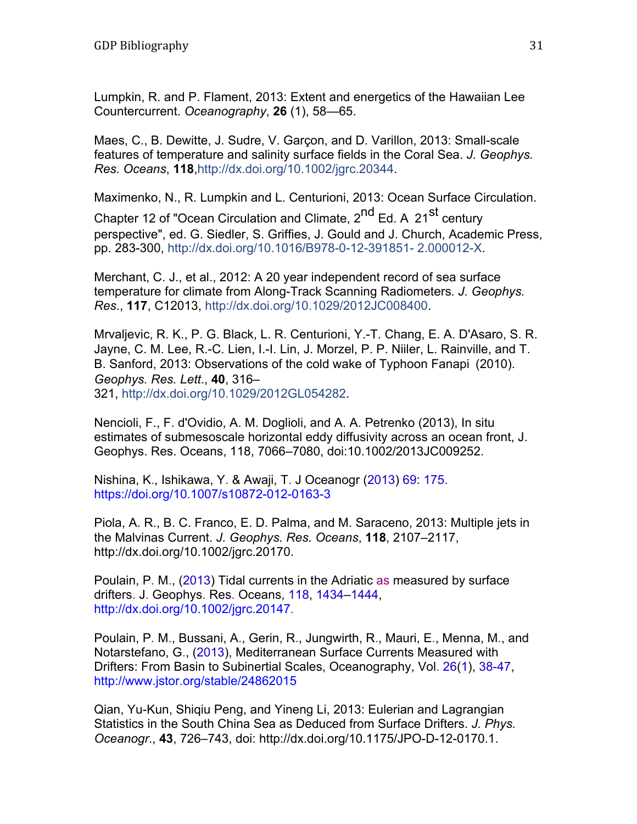Lumpkin, R. and P. Flament, 2013: Extent and energetics of the Hawaiian Lee Countercurrent. *Oceanography*, **26** (1), 58—65.

Maes, C., B. Dewitte, J. Sudre, V. Garçon, and D. Varillon, 2013: Small-scale features of temperature and salinity surface fields in the Coral Sea. *J. Geophys. Res. Oceans*, **118**,http://dx.doi.org/10.1002/jgrc.20344.

Maximenko, N., R. Lumpkin and L. Centurioni, 2013: Ocean Surface Circulation.

Chapter 12 of "Ocean Circulation and Climate, 2<sup>nd</sup> Ed. A 21<sup>st</sup> century perspective", ed. G. Siedler, S. Griffies, J. Gould and J. Church, Academic Press, pp. 283-300, http://dx.doi.org/10.1016/B978-0-12-391851- 2.000012-X.

Merchant, C. J., et al., 2012: A 20 year independent record of sea surface temperature for climate from Along-Track Scanning Radiometers*. J. Geophys. Res*., **117**, C12013, http://dx.doi.org/10.1029/2012JC008400.

Mrvaljevic, R. K., P. G. Black, L. R. Centurioni, Y.-T. Chang, E. A. D'Asaro, S. R. Jayne, C. M. Lee, R.-C. Lien, I.-I. Lin, J. Morzel, P. P. Niiler, L. Rainville, and T. B. Sanford, 2013: Observations of the cold wake of Typhoon Fanapi (2010). *Geophys. Res. Lett*., **40**, 316– 321, http://dx.doi.org/10.1029/2012GL054282.

Nencioli, F., F. d'Ovidio, A. M. Doglioli, and A. A. Petrenko (2013), In situ estimates of submesoscale horizontal eddy diffusivity across an ocean front, J. Geophys. Res. Oceans, 118, 7066–7080, doi:10.1002/2013JC009252.

Nishina, K., Ishikawa, Y. & Awaji, T. J Oceanogr (2013) 69: 175. https://doi.org/10.1007/s10872-012-0163-3

Piola, A. R., B. C. Franco, E. D. Palma, and M. Saraceno, 2013: Multiple jets in the Malvinas Current. *J. Geophys. Res. Oceans*, **118**, 2107–2117, http://dx.doi.org/10.1002/jgrc.20170.

Poulain, P. M., (2013) Tidal currents in the Adriatic as measured by surface drifters. J. Geophys. Res. Oceans, 118, 1434–1444, http://dx.doi.org/10.1002/jgrc.20147.

Poulain, P. M., Bussani, A., Gerin, R., Jungwirth, R., Mauri, E., Menna, M., and Notarstefano, G., (2013), Mediterranean Surface Currents Measured with Drifters: From Basin to Subinertial Scales, Oceanography, Vol. 26(1), 38-47, http://www.jstor.org/stable/24862015

Qian, Yu-Kun, Shiqiu Peng, and Yineng Li, 2013: Eulerian and Lagrangian Statistics in the South China Sea as Deduced from Surface Drifters. *J. Phys. Oceanogr*., **43**, 726–743, doi: http://dx.doi.org/10.1175/JPO-D-12-0170.1.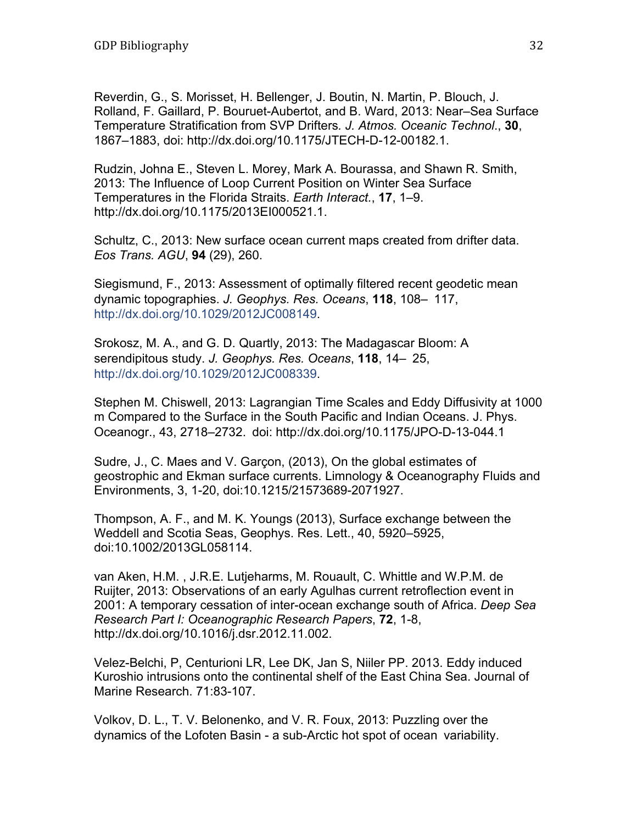Reverdin, G., S. Morisset, H. Bellenger, J. Boutin, N. Martin, P. Blouch, J. Rolland, F. Gaillard, P. Bouruet-Aubertot, and B. Ward, 2013: Near–Sea Surface Temperature Stratification from SVP Drifters*. J. Atmos. Oceanic Technol*., **30**, 1867–1883, doi: http://dx.doi.org/10.1175/JTECH-D-12-00182.1.

Rudzin, Johna E., Steven L. Morey, Mark A. Bourassa, and Shawn R. Smith, 2013: The Influence of Loop Current Position on Winter Sea Surface Temperatures in the Florida Straits. *Earth Interact.*, **17**, 1–9. http://dx.doi.org/10.1175/2013EI000521.1.

Schultz, C., 2013: New surface ocean current maps created from drifter data. *Eos Trans. AGU*, **94** (29), 260.

Siegismund, F., 2013: Assessment of optimally filtered recent geodetic mean dynamic topographies. *J. Geophys. Res. Oceans*, **118**, 108– 117, http://dx.doi.org/10.1029/2012JC008149.

Srokosz, M. A., and G. D. Quartly, 2013: The Madagascar Bloom: A serendipitous study. *J. Geophys. Res. Oceans*, **118**, 14– 25, http://dx.doi.org/10.1029/2012JC008339.

Stephen M. Chiswell, 2013: Lagrangian Time Scales and Eddy Diffusivity at 1000 m Compared to the Surface in the South Pacific and Indian Oceans. J. Phys. Oceanogr., 43, 2718–2732. doi: http://dx.doi.org/10.1175/JPO-D-13-044.1

Sudre, J., C. Maes and V. Garçon, (2013), On the global estimates of geostrophic and Ekman surface currents. Limnology & Oceanography Fluids and Environments, 3, 1-20, doi:10.1215/21573689-2071927.

Thompson, A. F., and M. K. Youngs (2013), Surface exchange between the Weddell and Scotia Seas, Geophys. Res. Lett., 40, 5920–5925, doi:10.1002/2013GL058114.

van Aken, H.M. , J.R.E. Lutjeharms, M. Rouault, C. Whittle and W.P.M. de Ruijter, 2013: Observations of an early Agulhas current retroflection event in 2001: A temporary cessation of inter-ocean exchange south of Africa. *Deep Sea Research Part I: Oceanographic Research Papers*, **72**, 1-8, http://dx.doi.org/10.1016/j.dsr.2012.11.002.

Velez-Belchi, P, Centurioni LR, Lee DK, Jan S, Niiler PP. 2013. Eddy induced Kuroshio intrusions onto the continental shelf of the East China Sea. Journal of Marine Research. 71:83-107.

Volkov, D. L., T. V. Belonenko, and V. R. Foux, 2013: Puzzling over the dynamics of the Lofoten Basin - a sub-Arctic hot spot of ocean variability.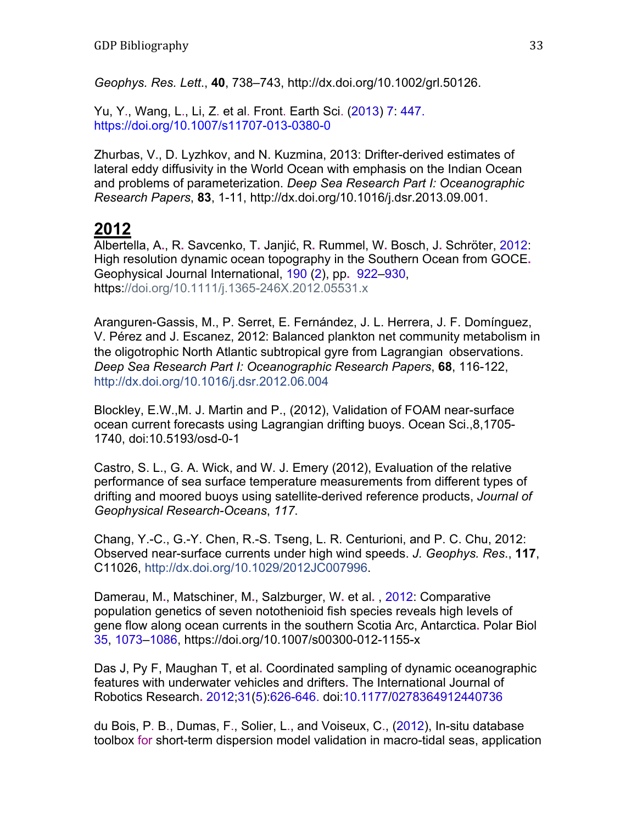*Geophys. Res. Lett*., **40**, 738–743, http://dx.doi.org/10.1002/grl.50126.

Yu, Y., Wang, L., Li, Z. et al. Front. Earth Sci. (2013) 7: 447. https://doi.org/10.1007/s11707-013-0380-0

Zhurbas, V., D. Lyzhkov, and N. Kuzmina, 2013: Drifter-derived estimates of lateral eddy diffusivity in the World Ocean with emphasis on the Indian Ocean and problems of parameterization. *Deep Sea Research Part I: Oceanographic Research Papers*, **83**, 1-11, http://dx.doi.org/10.1016/j.dsr.2013.09.001.

#### **2012**

Albertella, A**.**, R**.** Savcenko, T**.** Janjić, R**.** Rummel, W**.** Bosch, J**.** Schröter, 2012: High resolution dynamic ocean topography in the Southern Ocean from GOCE**.** Geophysical Journal International, 190 (2), pp**.** 922–930, https://doi.org/10.1111/j.1365-246X.2012.05531.x

Aranguren-Gassis, M., P. Serret, E. Fernández, J. L. Herrera, J. F. Domínguez, V. Pérez and J. Escanez, 2012: Balanced plankton net community metabolism in the oligotrophic North Atlantic subtropical gyre from Lagrangian observations. *Deep Sea Research Part I: Oceanographic Research Papers*, **68**, 116-122, http://dx.doi.org/10.1016/j.dsr.2012.06.004

Blockley, E.W.,M. J. Martin and P., (2012), Validation of FOAM near-surface ocean current forecasts using Lagrangian drifting buoys. Ocean Sci.,8,1705- 1740, doi:10.5193/osd-0-1

Castro, S. L., G. A. Wick, and W. J. Emery (2012), Evaluation of the relative performance of sea surface temperature measurements from different types of drifting and moored buoys using satellite-derived reference products, *Journal of Geophysical Research-Oceans*, *117*.

Chang, Y.-C., G.-Y. Chen, R.-S. Tseng, L. R. Centurioni, and P. C. Chu, 2012: Observed near-surface currents under high wind speeds. *J. Geophys. Res*., **117**, C11026, http://dx.doi.org/10.1029/2012JC007996.

Damerau, M**.**, Matschiner, M**.**, Salzburger, W**.** et al**.** , 2012: Comparative population genetics of seven notothenioid fish species reveals high levels of gene flow along ocean currents in the southern Scotia Arc, Antarctica**.** Polar Biol 35, 1073–1086, https://doi.org/10.1007/s00300-012-1155-x

Das J, Py F, Maughan T, et al**.** Coordinated sampling of dynamic oceanographic features with underwater vehicles and drifters**.** The International Journal of Robotics Research**.** 2012;31(5):626-646. doi:10.1177/0278364912440736

du Bois, P. B., Dumas, F., Solier, L., and Voiseux, C., (2012), In-situ database toolbox for short-term dispersion model validation in macro-tidal seas, application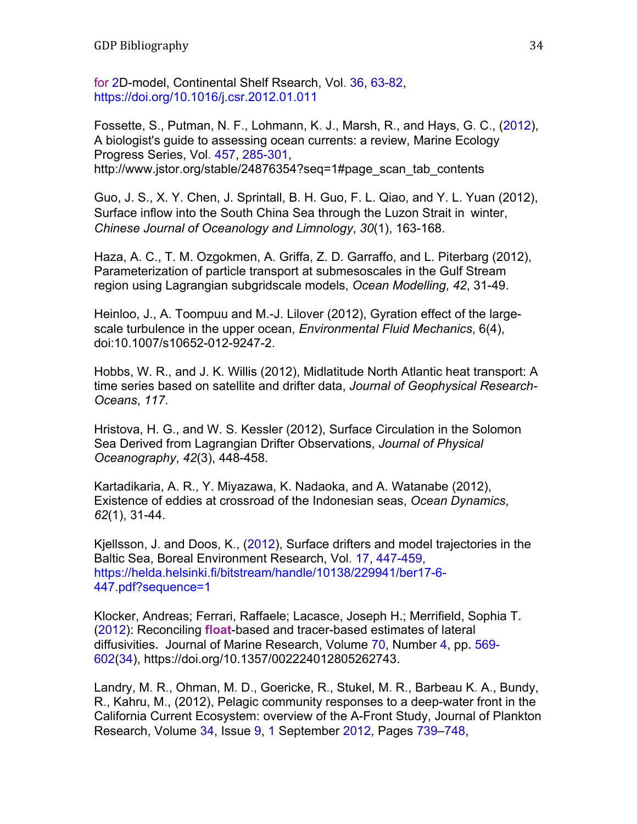for 2D-model, Continental Shelf Rsearch, Vol. 36, 63-82, https://doi.org/10.1016/j.csr.2012.01.011

Fossette, S., Putman, N. F., Lohmann, K. J., Marsh, R., and Hays, G. C., (2012), A biologist's guide to assessing ocean currents: a review, Marine Ecology Progress Series, Vol. 457, 285-301, http://www.jstor.org/stable/24876354?seq=1#page\_scan\_tab\_contents

Guo, J. S., X. Y. Chen, J. Sprintall, B. H. Guo, F. L. Qiao, and Y. L. Yuan (2012), Surface inflow into the South China Sea through the Luzon Strait in winter, *Chinese Journal of Oceanology and Limnology*, *30*(1), 163-168.

Haza, A. C., T. M. Ozgokmen, A. Griffa, Z. D. Garraffo, and L. Piterbarg (2012), Parameterization of particle transport at submesoscales in the Gulf Stream region using Lagrangian subgridscale models, *Ocean Modelling*, *42*, 31-49.

Heinloo, J., A. Toompuu and M.-J. Lilover (2012), Gyration effect of the largescale turbulence in the upper ocean, *Environmental Fluid Mechanics*, 6(4), doi:10.1007/s10652-012-9247-2.

Hobbs, W. R., and J. K. Willis (2012), Midlatitude North Atlantic heat transport: A time series based on satellite and drifter data, *Journal of Geophysical Research-Oceans*, *117*.

Hristova, H. G., and W. S. Kessler (2012), Surface Circulation in the Solomon Sea Derived from Lagrangian Drifter Observations, *Journal of Physical Oceanography*, *42*(3), 448-458.

Kartadikaria, A. R., Y. Miyazawa, K. Nadaoka, and A. Watanabe (2012), Existence of eddies at crossroad of the Indonesian seas, *Ocean Dynamics*, *62*(1), 31-44.

Kjellsson, J. and Doos, K., (2012), Surface drifters and model trajectories in the Baltic Sea, Boreal Environment Research, Vol. 17, 447-459, https://helda.helsinki.fi/bitstream/handle/10138/229941/ber17-6- 447.pdf?sequence=1

Klocker, Andreas; Ferrari, Raffaele; Lacasce, Joseph H**.**; Merrifield, Sophia T**.** (2012): Reconciling **float**-based and tracer-based estimates of lateral diffusivities**.** Journal of Marine Research, Volume 70, Number 4, pp**.** 569- 602(34), https://doi.org/10.1357/002224012805262743.

Landry, M. R., Ohman, M. D., Goericke, R., Stukel, M. R., Barbeau K. A., Bundy, R., Kahru, M., (2012), Pelagic community responses to a deep-water front in the California Current Ecosystem: overview of the A-Front Study, Journal of Plankton Research, Volume 34, Issue 9, 1 September 2012, Pages 739–748,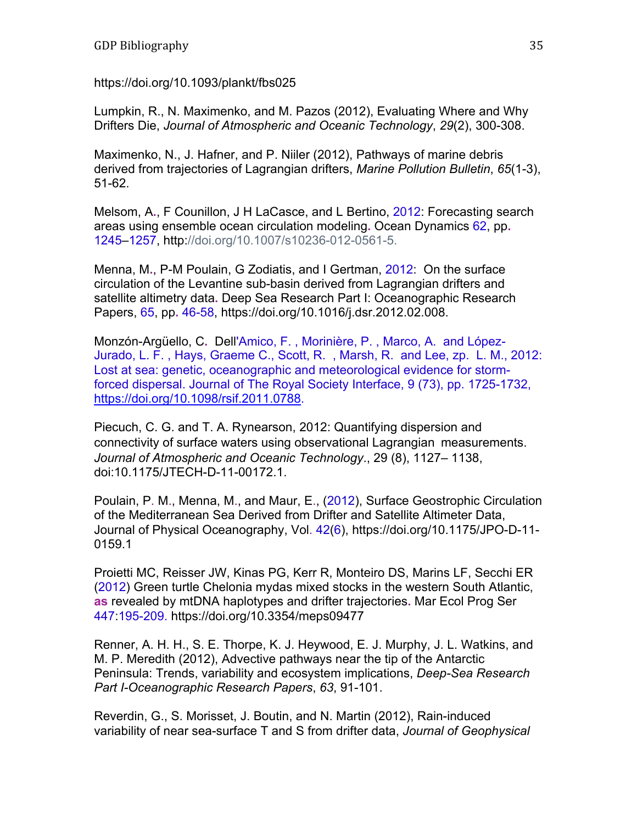https://doi.org/10.1093/plankt/fbs025

Lumpkin, R., N. Maximenko, and M. Pazos (2012), Evaluating Where and Why Drifters Die, *Journal of Atmospheric and Oceanic Technology*, *29*(2), 300-308.

Maximenko, N., J. Hafner, and P. Niiler (2012), Pathways of marine debris derived from trajectories of Lagrangian drifters, *Marine Pollution Bulletin*, *65*(1-3), 51-62.

Melsom, A**.**, F Counillon, J H LaCasce, and L Bertino, 2012: Forecasting search areas using ensemble ocean circulation modeling**.** Ocean Dynamics 62, pp**.** 1245–1257, http://doi.org/10.1007/s10236-012-0561-5.

Menna, M**.**, P-M Poulain, G Zodiatis, and I Gertman, 2012: On the surface circulation of the Levantine sub-basin derived from Lagrangian drifters and satellite altimetry data**.** Deep Sea Research Part I: Oceanographic Research Papers, 65, pp**.** 46-58, https://doi.org/10.1016/j.dsr.2012.02.008.

Monzón-Argüello, C**.** Dell'Amico, F. , Morinière, P. , Marco, A. and López-Jurado, L. F. , Hays, Graeme C., Scott, R. , Marsh, R. and Lee, zp. L. M., 2012: Lost at sea: genetic, oceanographic and meteorological evidence for stormforced dispersal. Journal of The Royal Society Interface, 9 (73), pp. 1725-1732, https://doi.org/10.1098/rsif.2011.0788.

Piecuch, C. G. and T. A. Rynearson, 2012: Quantifying dispersion and connectivity of surface waters using observational Lagrangian measurements. *Journal of Atmospheric and Oceanic Technology*., 29 (8), 1127– 1138, doi:10.1175/JTECH-D-11-00172.1.

Poulain, P. M., Menna, M., and Maur, E., (2012), Surface Geostrophic Circulation of the Mediterranean Sea Derived from Drifter and Satellite Altimeter Data, Journal of Physical Oceanography, Vol. 42(6), https://doi.org/10.1175/JPO-D-11- 0159.1

Proietti MC, Reisser JW, Kinas PG, Kerr R, Monteiro DS, Marins LF, Secchi ER (2012) Green turtle Chelonia mydas mixed stocks in the western South Atlantic, **as** revealed by mtDNA haplotypes and drifter trajectories**.** Mar Ecol Prog Ser 447:195-209. https://doi.org/10.3354/meps09477

Renner, A. H. H., S. E. Thorpe, K. J. Heywood, E. J. Murphy, J. L. Watkins, and M. P. Meredith (2012), Advective pathways near the tip of the Antarctic Peninsula: Trends, variability and ecosystem implications, *Deep-Sea Research Part I-Oceanographic Research Papers*, *63*, 91-101.

Reverdin, G., S. Morisset, J. Boutin, and N. Martin (2012), Rain-induced variability of near sea-surface T and S from drifter data, *Journal of Geophysical*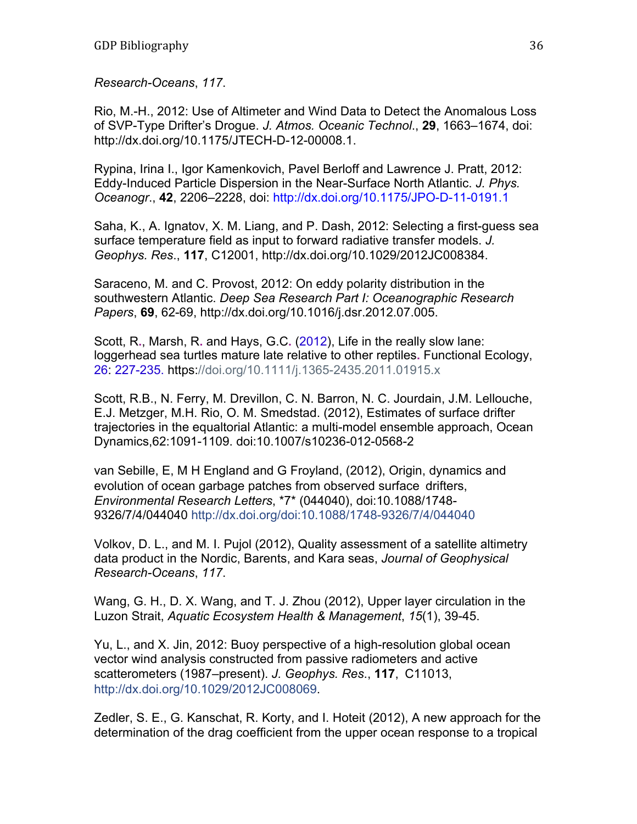*Research-Oceans*, *117*.

Rio, M.-H., 2012: Use of Altimeter and Wind Data to Detect the Anomalous Loss of SVP-Type Drifter's Drogue. *J. Atmos. Oceanic Technol*., **29**, 1663–1674, doi: http://dx.doi.org/10.1175/JTECH-D-12-00008.1.

Rypina, Irina I., Igor Kamenkovich, Pavel Berloff and Lawrence J. Pratt, 2012: Eddy-Induced Particle Dispersion in the Near-Surface North Atlantic. *J. Phys. Oceanogr*., **42**, 2206–2228, doi: http://dx.doi.org/10.1175/JPO-D-11-0191.1

Saha, K., A. Ignatov, X. M. Liang, and P. Dash, 2012: Selecting a first-guess sea surface temperature field as input to forward radiative transfer models. *J. Geophys. Res*., **117**, C12001, http://dx.doi.org/10.1029/2012JC008384.

Saraceno, M. and C. Provost, 2012: On eddy polarity distribution in the southwestern Atlantic. *Deep Sea Research Part I: Oceanographic Research Papers*, **69**, 62-69, http://dx.doi.org/10.1016/j.dsr.2012.07.005.

Scott, R**.**, Marsh, R**.** and Hays, G.C**.** (2012), Life in the really slow lane: loggerhead sea turtles mature late relative to other reptiles**.** Functional Ecology, 26: 227-235. https://doi.org/10.1111/j.1365-2435.2011.01915.x

Scott, R.B., N. Ferry, M. Drevillon, C. N. Barron, N. C. Jourdain, J.M. Lellouche, E.J. Metzger, M.H. Rio, O. M. Smedstad. (2012), Estimates of surface drifter trajectories in the equaltorial Atlantic: a multi-model ensemble approach, Ocean Dynamics,62:1091-1109. doi:10.1007/s10236-012-0568-2

van Sebille, E, M H England and G Froyland, (2012), Origin, dynamics and evolution of ocean garbage patches from observed surface drifters, *Environmental Research Letters*, \*7\* (044040), doi:10.1088/1748- 9326/7/4/044040 http://dx.doi.org/doi:10.1088/1748-9326/7/4/044040

Volkov, D. L., and M. I. Pujol (2012), Quality assessment of a satellite altimetry data product in the Nordic, Barents, and Kara seas, *Journal of Geophysical Research-Oceans*, *117*.

Wang, G. H., D. X. Wang, and T. J. Zhou (2012), Upper layer circulation in the Luzon Strait, *Aquatic Ecosystem Health & Management*, *15*(1), 39-45.

Yu, L., and X. Jin, 2012: Buoy perspective of a high-resolution global ocean vector wind analysis constructed from passive radiometers and active scatterometers (1987–present). *J. Geophys. Res*., **117**, C11013, http://dx.doi.org/10.1029/2012JC008069.

Zedler, S. E., G. Kanschat, R. Korty, and I. Hoteit (2012), A new approach for the determination of the drag coefficient from the upper ocean response to a tropical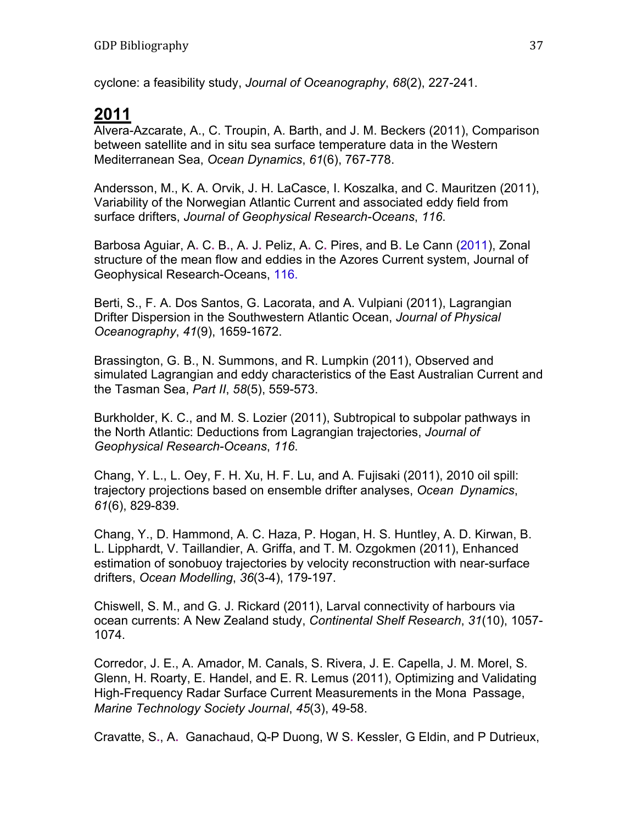cyclone: a feasibility study, *Journal of Oceanography*, *68*(2), 227-241.

# **2011**

Alvera-Azcarate, A., C. Troupin, A. Barth, and J. M. Beckers (2011), Comparison between satellite and in situ sea surface temperature data in the Western Mediterranean Sea, *Ocean Dynamics*, *61*(6), 767-778.

Andersson, M., K. A. Orvik, J. H. LaCasce, I. Koszalka, and C. Mauritzen (2011), Variability of the Norwegian Atlantic Current and associated eddy field from surface drifters, *Journal of Geophysical Research-Oceans*, *116*.

Barbosa Aguiar, A**.** C**.** B**.**, A**.** J**.** Peliz, A**.** C**.** Pires, and B**.** Le Cann (2011), Zonal structure of the mean flow and eddies in the Azores Current system, Journal of Geophysical Research-Oceans, 116.

Berti, S., F. A. Dos Santos, G. Lacorata, and A. Vulpiani (2011), Lagrangian Drifter Dispersion in the Southwestern Atlantic Ocean, *Journal of Physical Oceanography*, *41*(9), 1659-1672.

Brassington, G. B., N. Summons, and R. Lumpkin (2011), Observed and simulated Lagrangian and eddy characteristics of the East Australian Current and the Tasman Sea, *Part II*, *58*(5), 559-573.

Burkholder, K. C., and M. S. Lozier (2011), Subtropical to subpolar pathways in the North Atlantic: Deductions from Lagrangian trajectories, *Journal of Geophysical Research-Oceans*, *116*.

Chang, Y. L., L. Oey, F. H. Xu, H. F. Lu, and A. Fujisaki (2011), 2010 oil spill: trajectory projections based on ensemble drifter analyses, *Ocean Dynamics*, *61*(6), 829-839.

Chang, Y., D. Hammond, A. C. Haza, P. Hogan, H. S. Huntley, A. D. Kirwan, B. L. Lipphardt, V. Taillandier, A. Griffa, and T. M. Ozgokmen (2011), Enhanced estimation of sonobuoy trajectories by velocity reconstruction with near-surface drifters, *Ocean Modelling*, *36*(3-4), 179-197.

Chiswell, S. M., and G. J. Rickard (2011), Larval connectivity of harbours via ocean currents: A New Zealand study, *Continental Shelf Research*, *31*(10), 1057- 1074.

Corredor, J. E., A. Amador, M. Canals, S. Rivera, J. E. Capella, J. M. Morel, S. Glenn, H. Roarty, E. Handel, and E. R. Lemus (2011), Optimizing and Validating High-Frequency Radar Surface Current Measurements in the Mona Passage, *Marine Technology Society Journal*, *45*(3), 49-58.

Cravatte, S**.**, A**.** Ganachaud, Q-P Duong, W S**.** Kessler, G Eldin, and P Dutrieux,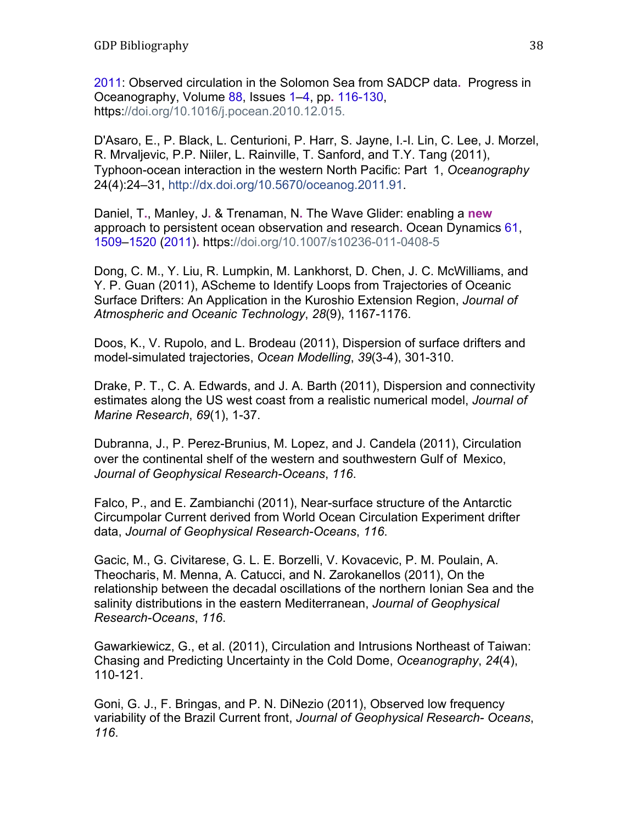2011: Observed circulation in the Solomon Sea from SADCP data**.** Progress in Oceanography, Volume 88, Issues 1–4, pp**.** 116-130, https://doi.org/10.1016/j.pocean.2010.12.015.

D'Asaro, E., P. Black, L. Centurioni, P. Harr, S. Jayne, I.-I. Lin, C. Lee, J. Morzel, R. Mrvaljevic, P.P. Niiler, L. Rainville, T. Sanford, and T.Y. Tang (2011), Typhoon-ocean interaction in the western North Pacific: Part 1, *Oceanography*  24(4):24–31, http://dx.doi.org/10.5670/oceanog.2011.91.

Daniel, T**.**, Manley, J**.** & Trenaman, N**.** The Wave Glider: enabling a **new** approach to persistent ocean observation and research**.** Ocean Dynamics 61, 1509–1520 (2011)**.** https://doi.org/10.1007/s10236-011-0408-5

Dong, C. M., Y. Liu, R. Lumpkin, M. Lankhorst, D. Chen, J. C. McWilliams, and Y. P. Guan (2011), AScheme to Identify Loops from Trajectories of Oceanic Surface Drifters: An Application in the Kuroshio Extension Region, *Journal of Atmospheric and Oceanic Technology*, *28*(9), 1167-1176.

Doos, K., V. Rupolo, and L. Brodeau (2011), Dispersion of surface drifters and model-simulated trajectories, *Ocean Modelling*, *39*(3-4), 301-310.

Drake, P. T., C. A. Edwards, and J. A. Barth (2011), Dispersion and connectivity estimates along the US west coast from a realistic numerical model, *Journal of Marine Research*, *69*(1), 1-37.

Dubranna, J., P. Perez-Brunius, M. Lopez, and J. Candela (2011), Circulation over the continental shelf of the western and southwestern Gulf of Mexico, *Journal of Geophysical Research-Oceans*, *116*.

Falco, P., and E. Zambianchi (2011), Near-surface structure of the Antarctic Circumpolar Current derived from World Ocean Circulation Experiment drifter data, *Journal of Geophysical Research-Oceans*, *116*.

Gacic, M., G. Civitarese, G. L. E. Borzelli, V. Kovacevic, P. M. Poulain, A. Theocharis, M. Menna, A. Catucci, and N. Zarokanellos (2011), On the relationship between the decadal oscillations of the northern Ionian Sea and the salinity distributions in the eastern Mediterranean, *Journal of Geophysical Research-Oceans*, *116*.

Gawarkiewicz, G., et al. (2011), Circulation and Intrusions Northeast of Taiwan: Chasing and Predicting Uncertainty in the Cold Dome, *Oceanography*, *24*(4), 110-121.

Goni, G. J., F. Bringas, and P. N. DiNezio (2011), Observed low frequency variability of the Brazil Current front, *Journal of Geophysical Research- Oceans*, *116*.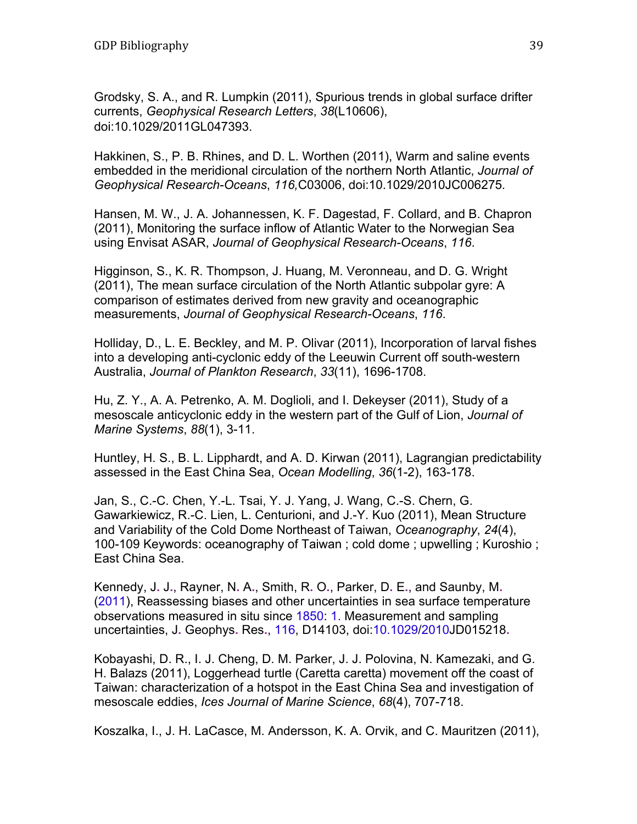Grodsky, S. A., and R. Lumpkin (2011), Spurious trends in global surface drifter currents, *Geophysical Research Letters*, *38*(L10606), doi:10.1029/2011GL047393.

Hakkinen, S., P. B. Rhines, and D. L. Worthen (2011), Warm and saline events embedded in the meridional circulation of the northern North Atlantic, *Journal of Geophysical Research-Oceans*, *116,*C03006, doi:10.1029/2010JC006275*.* 

Hansen, M. W., J. A. Johannessen, K. F. Dagestad, F. Collard, and B. Chapron (2011), Monitoring the surface inflow of Atlantic Water to the Norwegian Sea using Envisat ASAR, *Journal of Geophysical Research-Oceans*, *116*.

Higginson, S., K. R. Thompson, J. Huang, M. Veronneau, and D. G. Wright (2011), The mean surface circulation of the North Atlantic subpolar gyre: A comparison of estimates derived from new gravity and oceanographic measurements, *Journal of Geophysical Research-Oceans*, *116*.

Holliday, D., L. E. Beckley, and M. P. Olivar (2011), Incorporation of larval fishes into a developing anti-cyclonic eddy of the Leeuwin Current off south-western Australia, *Journal of Plankton Research*, *33*(11), 1696-1708.

Hu, Z. Y., A. A. Petrenko, A. M. Doglioli, and I. Dekeyser (2011), Study of a mesoscale anticyclonic eddy in the western part of the Gulf of Lion, *Journal of Marine Systems*, *88*(1), 3-11.

Huntley, H. S., B. L. Lipphardt, and A. D. Kirwan (2011), Lagrangian predictability assessed in the East China Sea, *Ocean Modelling*, *36*(1-2), 163-178.

Jan, S., C.-C. Chen, Y.-L. Tsai, Y. J. Yang, J. Wang, C.-S. Chern, G. Gawarkiewicz, R.-C. Lien, L. Centurioni, and J.-Y. Kuo (2011), Mean Structure and Variability of the Cold Dome Northeast of Taiwan, *Oceanography*, *24*(4), 100-109 Keywords: oceanography of Taiwan ; cold dome ; upwelling ; Kuroshio ; East China Sea.

Kennedy, J**.** J**.**, Rayner, N**.** A**.**, Smith, R**.** O**.**, Parker, D**.** E**.**, and Saunby, M**.** (2011), Reassessing biases and other uncertainties in sea surface temperature observations measured in situ since 1850: 1. Measurement and sampling uncertainties, J**.** Geophys**.** Res**.**, 116, D14103, doi:10.1029/2010JD015218**.**

Kobayashi, D. R., I. J. Cheng, D. M. Parker, J. J. Polovina, N. Kamezaki, and G. H. Balazs (2011), Loggerhead turtle (Caretta caretta) movement off the coast of Taiwan: characterization of a hotspot in the East China Sea and investigation of mesoscale eddies, *Ices Journal of Marine Science*, *68*(4), 707-718.

Koszalka, I., J. H. LaCasce, M. Andersson, K. A. Orvik, and C. Mauritzen (2011),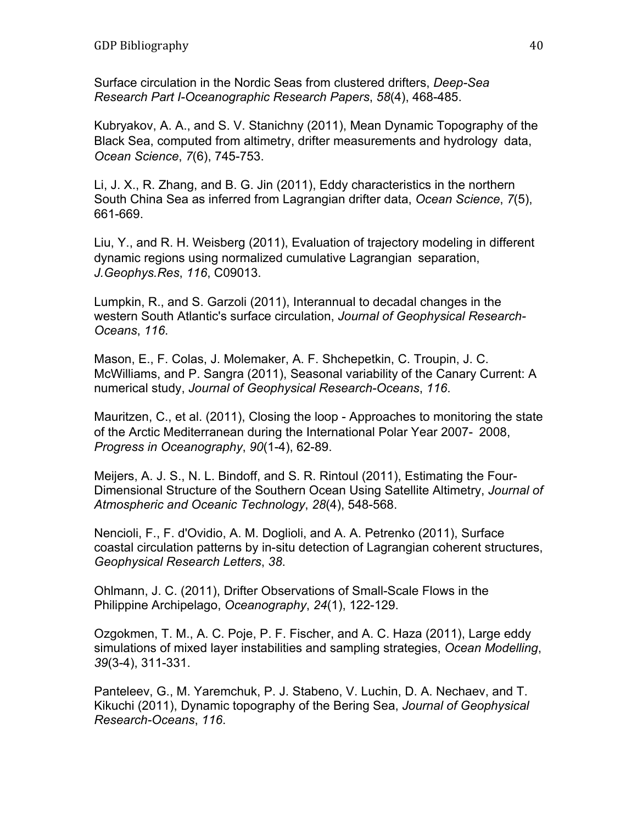Surface circulation in the Nordic Seas from clustered drifters, *Deep-Sea Research Part I-Oceanographic Research Papers*, *58*(4), 468-485.

Kubryakov, A. A., and S. V. Stanichny (2011), Mean Dynamic Topography of the Black Sea, computed from altimetry, drifter measurements and hydrology data, *Ocean Science*, *7*(6), 745-753.

Li, J. X., R. Zhang, and B. G. Jin (2011), Eddy characteristics in the northern South China Sea as inferred from Lagrangian drifter data, *Ocean Science*, *7*(5), 661-669.

Liu, Y., and R. H. Weisberg (2011), Evaluation of trajectory modeling in different dynamic regions using normalized cumulative Lagrangian separation, *J.Geophys.Res*, *116*, C09013.

Lumpkin, R., and S. Garzoli (2011), Interannual to decadal changes in the western South Atlantic's surface circulation, *Journal of Geophysical Research-Oceans*, *116*.

Mason, E., F. Colas, J. Molemaker, A. F. Shchepetkin, C. Troupin, J. C. McWilliams, and P. Sangra (2011), Seasonal variability of the Canary Current: A numerical study, *Journal of Geophysical Research-Oceans*, *116*.

Mauritzen, C., et al. (2011), Closing the loop - Approaches to monitoring the state of the Arctic Mediterranean during the International Polar Year 2007- 2008, *Progress in Oceanography*, *90*(1-4), 62-89.

Meijers, A. J. S., N. L. Bindoff, and S. R. Rintoul (2011), Estimating the Four-Dimensional Structure of the Southern Ocean Using Satellite Altimetry, *Journal of Atmospheric and Oceanic Technology*, *28*(4), 548-568.

Nencioli, F., F. d'Ovidio, A. M. Doglioli, and A. A. Petrenko (2011), Surface coastal circulation patterns by in-situ detection of Lagrangian coherent structures, *Geophysical Research Letters*, *38*.

Ohlmann, J. C. (2011), Drifter Observations of Small-Scale Flows in the Philippine Archipelago, *Oceanography*, *24*(1), 122-129.

Ozgokmen, T. M., A. C. Poje, P. F. Fischer, and A. C. Haza (2011), Large eddy simulations of mixed layer instabilities and sampling strategies, *Ocean Modelling*, *39*(3-4), 311-331.

Panteleev, G., M. Yaremchuk, P. J. Stabeno, V. Luchin, D. A. Nechaev, and T. Kikuchi (2011), Dynamic topography of the Bering Sea, *Journal of Geophysical Research-Oceans*, *116*.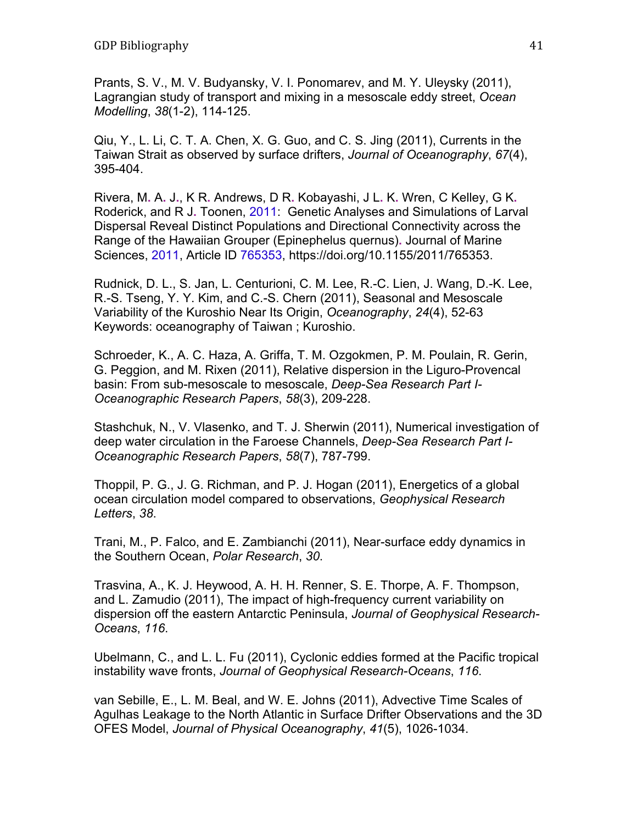Prants, S. V., M. V. Budyansky, V. I. Ponomarev, and M. Y. Uleysky (2011), Lagrangian study of transport and mixing in a mesoscale eddy street, *Ocean Modelling*, *38*(1-2), 114-125.

Qiu, Y., L. Li, C. T. A. Chen, X. G. Guo, and C. S. Jing (2011), Currents in the Taiwan Strait as observed by surface drifters, *Journal of Oceanography*, *67*(4), 395-404.

Rivera, M**.** A**.** J**.**, K R**.** Andrews, D R**.** Kobayashi, J L**.** K**.** Wren, C Kelley, G K**.** Roderick, and R J**.** Toonen, 2011: Genetic Analyses and Simulations of Larval Dispersal Reveal Distinct Populations and Directional Connectivity across the Range of the Hawaiian Grouper (Epinephelus quernus)**.** Journal of Marine Sciences, 2011, Article ID 765353, https://doi.org/10.1155/2011/765353.

Rudnick, D. L., S. Jan, L. Centurioni, C. M. Lee, R.-C. Lien, J. Wang, D.-K. Lee, R.-S. Tseng, Y. Y. Kim, and C.-S. Chern (2011), Seasonal and Mesoscale Variability of the Kuroshio Near Its Origin, *Oceanography*, *24*(4), 52-63 Keywords: oceanography of Taiwan ; Kuroshio.

Schroeder, K., A. C. Haza, A. Griffa, T. M. Ozgokmen, P. M. Poulain, R. Gerin, G. Peggion, and M. Rixen (2011), Relative dispersion in the Liguro-Provencal basin: From sub-mesoscale to mesoscale, *Deep-Sea Research Part I-Oceanographic Research Papers*, *58*(3), 209-228.

Stashchuk, N., V. Vlasenko, and T. J. Sherwin (2011), Numerical investigation of deep water circulation in the Faroese Channels, *Deep-Sea Research Part I-Oceanographic Research Papers*, *58*(7), 787-799.

Thoppil, P. G., J. G. Richman, and P. J. Hogan (2011), Energetics of a global ocean circulation model compared to observations, *Geophysical Research Letters*, *38*.

Trani, M., P. Falco, and E. Zambianchi (2011), Near-surface eddy dynamics in the Southern Ocean, *Polar Research*, *30*.

Trasvina, A., K. J. Heywood, A. H. H. Renner, S. E. Thorpe, A. F. Thompson, and L. Zamudio (2011), The impact of high-frequency current variability on dispersion off the eastern Antarctic Peninsula, *Journal of Geophysical Research-Oceans*, *116*.

Ubelmann, C., and L. L. Fu (2011), Cyclonic eddies formed at the Pacific tropical instability wave fronts, *Journal of Geophysical Research-Oceans*, *116*.

van Sebille, E., L. M. Beal, and W. E. Johns (2011), Advective Time Scales of Agulhas Leakage to the North Atlantic in Surface Drifter Observations and the 3D OFES Model, *Journal of Physical Oceanography*, *41*(5), 1026-1034.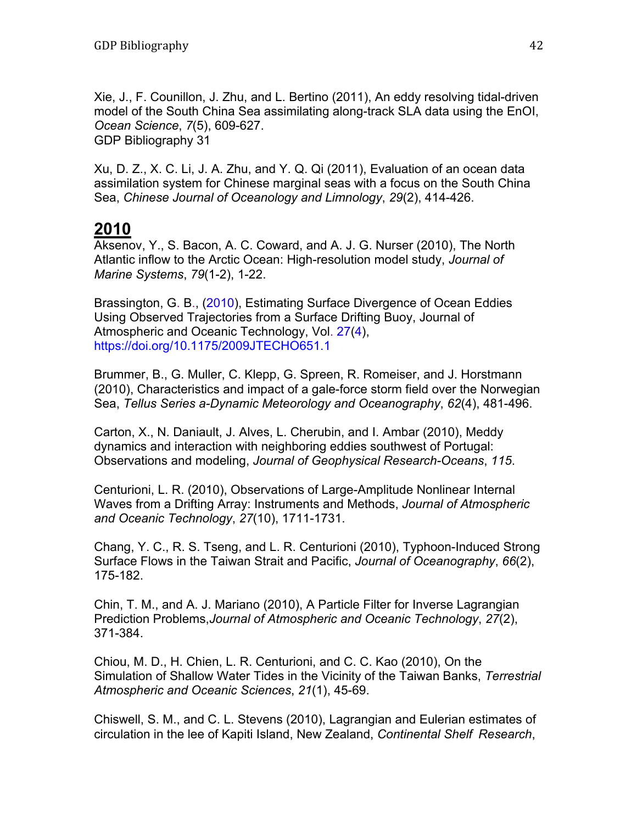Xie, J., F. Counillon, J. Zhu, and L. Bertino (2011), An eddy resolving tidal-driven model of the South China Sea assimilating along-track SLA data using the EnOI, *Ocean Science*, *7*(5), 609-627. GDP Bibliography 31

Xu, D. Z., X. C. Li, J. A. Zhu, and Y. Q. Qi (2011), Evaluation of an ocean data assimilation system for Chinese marginal seas with a focus on the South China Sea, *Chinese Journal of Oceanology and Limnology*, *29*(2), 414-426.

#### **2010**

Aksenov, Y., S. Bacon, A. C. Coward, and A. J. G. Nurser (2010), The North Atlantic inflow to the Arctic Ocean: High-resolution model study, *Journal of Marine Systems*, *79*(1-2), 1-22.

Brassington, G. B., (2010), Estimating Surface Divergence of Ocean Eddies Using Observed Trajectories from a Surface Drifting Buoy, Journal of Atmospheric and Oceanic Technology, Vol. 27(4), https://doi.org/10.1175/2009JTECHO651.1

Brummer, B., G. Muller, C. Klepp, G. Spreen, R. Romeiser, and J. Horstmann (2010), Characteristics and impact of a gale-force storm field over the Norwegian Sea, *Tellus Series a-Dynamic Meteorology and Oceanography*, *62*(4), 481-496.

Carton, X., N. Daniault, J. Alves, L. Cherubin, and I. Ambar (2010), Meddy dynamics and interaction with neighboring eddies southwest of Portugal: Observations and modeling, *Journal of Geophysical Research-Oceans*, *115*.

Centurioni, L. R. (2010), Observations of Large-Amplitude Nonlinear Internal Waves from a Drifting Array: Instruments and Methods, *Journal of Atmospheric and Oceanic Technology*, *27*(10), 1711-1731.

Chang, Y. C., R. S. Tseng, and L. R. Centurioni (2010), Typhoon-Induced Strong Surface Flows in the Taiwan Strait and Pacific, *Journal of Oceanography*, *66*(2), 175-182.

Chin, T. M., and A. J. Mariano (2010), A Particle Filter for Inverse Lagrangian Prediction Problems,*Journal of Atmospheric and Oceanic Technology*, *27*(2), 371-384.

Chiou, M. D., H. Chien, L. R. Centurioni, and C. C. Kao (2010), On the Simulation of Shallow Water Tides in the Vicinity of the Taiwan Banks, *Terrestrial Atmospheric and Oceanic Sciences*, *21*(1), 45-69.

Chiswell, S. M., and C. L. Stevens (2010), Lagrangian and Eulerian estimates of circulation in the lee of Kapiti Island, New Zealand, *Continental Shelf Research*,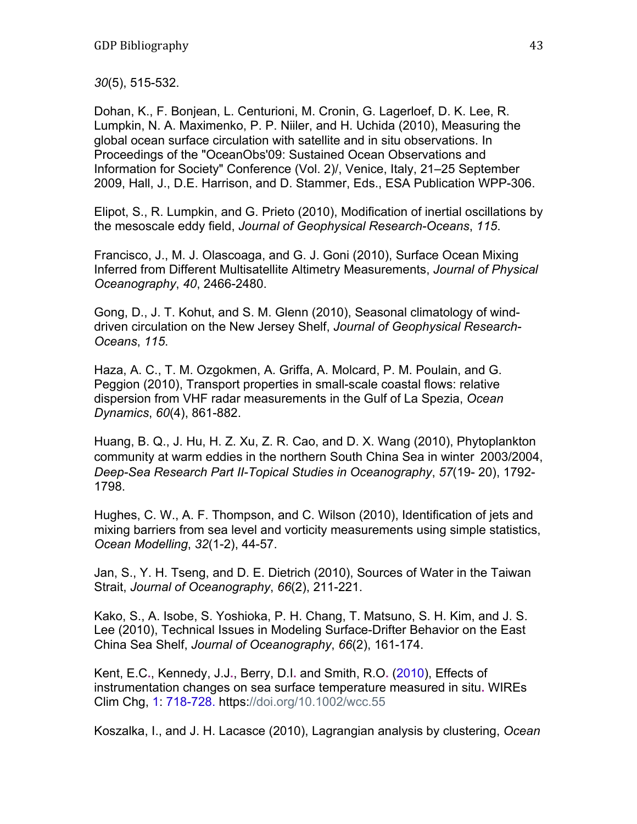*30*(5), 515-532.

Dohan, K., F. Bonjean, L. Centurioni, M. Cronin, G. Lagerloef, D. K. Lee, R. Lumpkin, N. A. Maximenko, P. P. Niiler, and H. Uchida (2010), Measuring the global ocean surface circulation with satellite and in situ observations. In Proceedings of the "OceanObs'09: Sustained Ocean Observations and Information for Society" Conference (Vol. 2)/, Venice, Italy, 21–25 September 2009, Hall, J., D.E. Harrison, and D. Stammer, Eds., ESA Publication WPP-306.

Elipot, S., R. Lumpkin, and G. Prieto (2010), Modification of inertial oscillations by the mesoscale eddy field, *Journal of Geophysical Research-Oceans*, *115*.

Francisco, J., M. J. Olascoaga, and G. J. Goni (2010), Surface Ocean Mixing Inferred from Different Multisatellite Altimetry Measurements, *Journal of Physical Oceanography*, *40*, 2466-2480.

Gong, D., J. T. Kohut, and S. M. Glenn (2010), Seasonal climatology of winddriven circulation on the New Jersey Shelf, *Journal of Geophysical Research-Oceans*, *115*.

Haza, A. C., T. M. Ozgokmen, A. Griffa, A. Molcard, P. M. Poulain, and G. Peggion (2010), Transport properties in small-scale coastal flows: relative dispersion from VHF radar measurements in the Gulf of La Spezia, *Ocean Dynamics*, *60*(4), 861-882.

Huang, B. Q., J. Hu, H. Z. Xu, Z. R. Cao, and D. X. Wang (2010), Phytoplankton community at warm eddies in the northern South China Sea in winter 2003/2004, *Deep-Sea Research Part II-Topical Studies in Oceanography*, *57*(19- 20), 1792- 1798.

Hughes, C. W., A. F. Thompson, and C. Wilson (2010), Identification of jets and mixing barriers from sea level and vorticity measurements using simple statistics, *Ocean Modelling*, *32*(1-2), 44-57.

Jan, S., Y. H. Tseng, and D. E. Dietrich (2010), Sources of Water in the Taiwan Strait, *Journal of Oceanography*, *66*(2), 211-221.

Kako, S., A. Isobe, S. Yoshioka, P. H. Chang, T. Matsuno, S. H. Kim, and J. S. Lee (2010), Technical Issues in Modeling Surface-Drifter Behavior on the East China Sea Shelf, *Journal of Oceanography*, *66*(2), 161-174.

Kent, E.C**.**, Kennedy, J.J**.**, Berry, D.I**.** and Smith, R.O**.** (2010), Effects of instrumentation changes on sea surface temperature measured in situ**.** WIREs Clim Chg, 1: 718-728. https://doi.org/10.1002/wcc.55

Koszalka, I., and J. H. Lacasce (2010), Lagrangian analysis by clustering, *Ocean*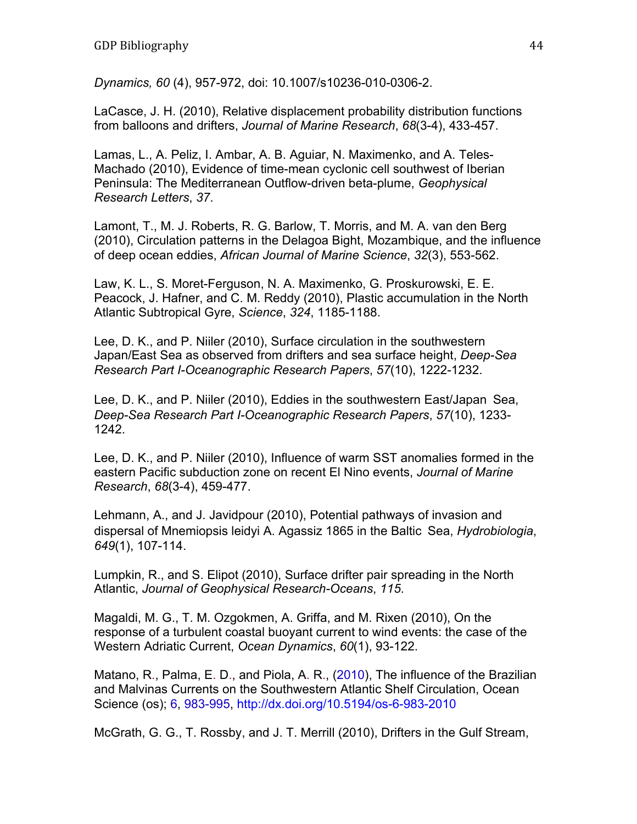*Dynamics, 60* (4), 957-972, doi: 10.1007/s10236-010-0306-2.

LaCasce, J. H. (2010), Relative displacement probability distribution functions from balloons and drifters, *Journal of Marine Research*, *68*(3-4), 433-457.

Lamas, L., A. Peliz, I. Ambar, A. B. Aguiar, N. Maximenko, and A. Teles-Machado (2010), Evidence of time-mean cyclonic cell southwest of Iberian Peninsula: The Mediterranean Outflow-driven beta-plume, *Geophysical Research Letters*, *37*.

Lamont, T., M. J. Roberts, R. G. Barlow, T. Morris, and M. A. van den Berg (2010), Circulation patterns in the Delagoa Bight, Mozambique, and the influence of deep ocean eddies, *African Journal of Marine Science*, *32*(3), 553-562.

Law, K. L., S. Moret-Ferguson, N. A. Maximenko, G. Proskurowski, E. E. Peacock, J. Hafner, and C. M. Reddy (2010), Plastic accumulation in the North Atlantic Subtropical Gyre, *Science*, *324*, 1185-1188.

Lee, D. K., and P. Niiler (2010), Surface circulation in the southwestern Japan/East Sea as observed from drifters and sea surface height, *Deep-Sea Research Part I-Oceanographic Research Papers*, *57*(10), 1222-1232.

Lee, D. K., and P. Niiler (2010), Eddies in the southwestern East/Japan Sea, *Deep-Sea Research Part I-Oceanographic Research Papers*, *57*(10), 1233- 1242.

Lee, D. K., and P. Niiler (2010), Influence of warm SST anomalies formed in the eastern Pacific subduction zone on recent El Nino events, *Journal of Marine Research*, *68*(3-4), 459-477.

Lehmann, A., and J. Javidpour (2010), Potential pathways of invasion and dispersal of Mnemiopsis leidyi A. Agassiz 1865 in the Baltic Sea, *Hydrobiologia*, *649*(1), 107-114.

Lumpkin, R., and S. Elipot (2010), Surface drifter pair spreading in the North Atlantic, *Journal of Geophysical Research-Oceans*, *115*.

Magaldi, M. G., T. M. Ozgokmen, A. Griffa, and M. Rixen (2010), On the response of a turbulent coastal buoyant current to wind events: the case of the Western Adriatic Current, *Ocean Dynamics*, *60*(1), 93-122.

Matano, R., Palma, E. D., and Piola, A. R., (2010), The influence of the Brazilian and Malvinas Currents on the Southwestern Atlantic Shelf Circulation, Ocean Science (os); 6, 983-995, http://dx.doi.org/10.5194/os-6-983-2010

McGrath, G. G., T. Rossby, and J. T. Merrill (2010), Drifters in the Gulf Stream,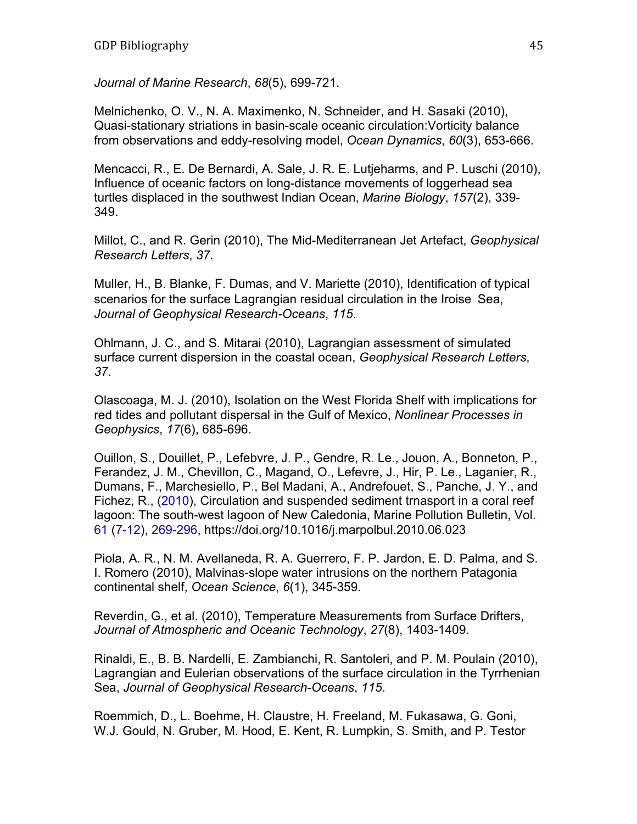*Journal of Marine Research*, *68*(5), 699-721.

Melnichenko, O. V., N. A. Maximenko, N. Schneider, and H. Sasaki (2010), Quasi-stationary striations in basin-scale oceanic circulation:Vorticity balance from observations and eddy-resolving model, *Ocean Dynamics*, *60*(3), 653-666.

Mencacci, R., E. De Bernardi, A. Sale, J. R. E. Lutjeharms, and P. Luschi (2010), Influence of oceanic factors on long-distance movements of loggerhead sea turtles displaced in the southwest Indian Ocean, *Marine Biology*, *157*(2), 339- 349.

Millot, C., and R. Gerin (2010), The Mid-Mediterranean Jet Artefact, *Geophysical Research Letters*, *37*.

Muller, H., B. Blanke, F. Dumas, and V. Mariette (2010), Identification of typical scenarios for the surface Lagrangian residual circulation in the Iroise Sea, *Journal of Geophysical Research-Oceans*, *115*.

Ohlmann, J. C., and S. Mitarai (2010), Lagrangian assessment of simulated surface current dispersion in the coastal ocean, *Geophysical Research Letters*, *37*.

Olascoaga, M. J. (2010), Isolation on the West Florida Shelf with implications for red tides and pollutant dispersal in the Gulf of Mexico, *Nonlinear Processes in Geophysics*, *17*(6), 685-696.

Ouillon, S., Douillet, P., Lefebvre, J. P., Gendre, R. Le., Jouon, A., Bonneton, P., Ferandez, J. M., Chevillon, C., Magand, O., Lefevre, J., Hir, P. Le., Laganier, R., Dumans, F., Marchesiello, P., Bel Madani, A., Andrefouet, S., Panche, J. Y., and Fichez, R., (2010), Circulation and suspended sediment trnasport in a coral reef lagoon: The south-west lagoon of New Caledonia, Marine Pollution Bulletin, Vol. 61 (7-12), 269-296, https://doi.org/10.1016/j.marpolbul.2010.06.023

Piola, A. R., N. M. Avellaneda, R. A. Guerrero, F. P. Jardon, E. D. Palma, and S. I. Romero (2010), Malvinas-slope water intrusions on the northern Patagonia continental shelf, *Ocean Science*, *6*(1), 345-359.

Reverdin, G., et al. (2010), Temperature Measurements from Surface Drifters, *Journal of Atmospheric and Oceanic Technology*, *27*(8), 1403-1409.

Rinaldi, E., B. B. Nardelli, E. Zambianchi, R. Santoleri, and P. M. Poulain (2010), Lagrangian and Eulerian observations of the surface circulation in the Tyrrhenian Sea, *Journal of Geophysical Research-Oceans*, *115*.

Roemmich, D., L. Boehme, H. Claustre, H. Freeland, M. Fukasawa, G. Goni, W.J. Gould, N. Gruber, M. Hood, E. Kent, R. Lumpkin, S. Smith, and P. Testor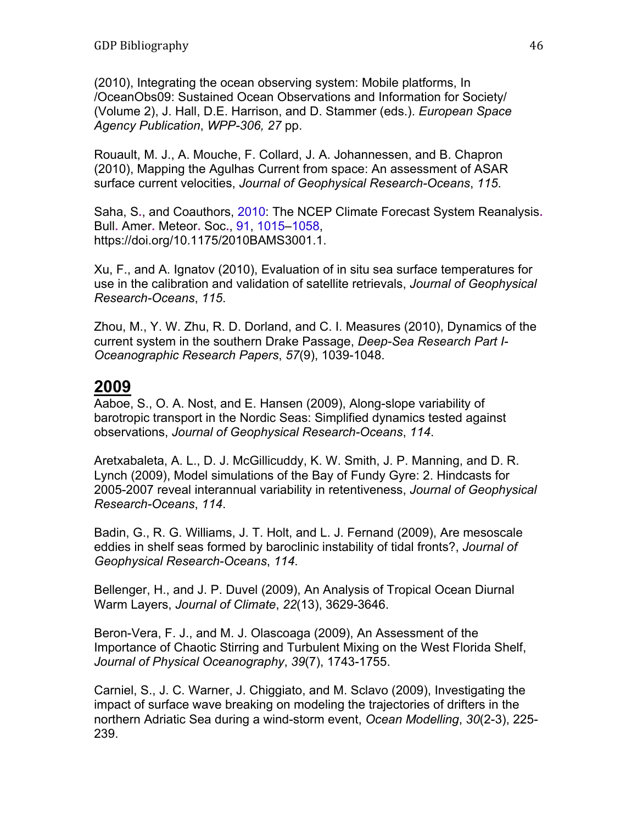(2010), Integrating the ocean observing system: Mobile platforms, In /OceanObs09: Sustained Ocean Observations and Information for Society/ (Volume 2), J. Hall, D.E. Harrison, and D. Stammer (eds.). *European Space Agency Publication*, *WPP-306, 27* pp.

Rouault, M. J., A. Mouche, F. Collard, J. A. Johannessen, and B. Chapron (2010), Mapping the Agulhas Current from space: An assessment of ASAR surface current velocities, *Journal of Geophysical Research-Oceans*, *115*.

Saha, S**.**, and Coauthors, 2010: The NCEP Climate Forecast System Reanalysis**.** Bull**.** Amer**.** Meteor**.** Soc**.**, 91, 1015–1058, https://doi.org/10.1175/2010BAMS3001.1.

Xu, F., and A. Ignatov (2010), Evaluation of in situ sea surface temperatures for use in the calibration and validation of satellite retrievals, *Journal of Geophysical Research-Oceans*, *115*.

Zhou, M., Y. W. Zhu, R. D. Dorland, and C. I. Measures (2010), Dynamics of the current system in the southern Drake Passage, *Deep-Sea Research Part I-Oceanographic Research Papers*, *57*(9), 1039-1048.

### **2009**

Aaboe, S., O. A. Nost, and E. Hansen (2009), Along-slope variability of barotropic transport in the Nordic Seas: Simplified dynamics tested against observations, *Journal of Geophysical Research-Oceans*, *114*.

Aretxabaleta, A. L., D. J. McGillicuddy, K. W. Smith, J. P. Manning, and D. R. Lynch (2009), Model simulations of the Bay of Fundy Gyre: 2. Hindcasts for 2005-2007 reveal interannual variability in retentiveness, *Journal of Geophysical Research-Oceans*, *114*.

Badin, G., R. G. Williams, J. T. Holt, and L. J. Fernand (2009), Are mesoscale eddies in shelf seas formed by baroclinic instability of tidal fronts?, *Journal of Geophysical Research-Oceans*, *114*.

Bellenger, H., and J. P. Duvel (2009), An Analysis of Tropical Ocean Diurnal Warm Layers, *Journal of Climate*, *22*(13), 3629-3646.

Beron-Vera, F. J., and M. J. Olascoaga (2009), An Assessment of the Importance of Chaotic Stirring and Turbulent Mixing on the West Florida Shelf, *Journal of Physical Oceanography*, *39*(7), 1743-1755.

Carniel, S., J. C. Warner, J. Chiggiato, and M. Sclavo (2009), Investigating the impact of surface wave breaking on modeling the trajectories of drifters in the northern Adriatic Sea during a wind-storm event, *Ocean Modelling*, *30*(2-3), 225- 239.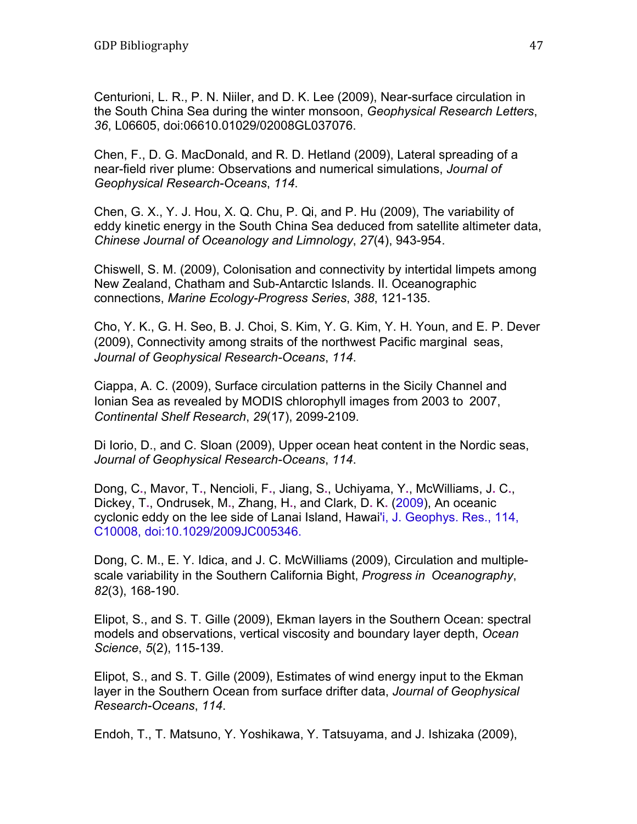Centurioni, L. R., P. N. Niiler, and D. K. Lee (2009), Near-surface circulation in the South China Sea during the winter monsoon, *Geophysical Research Letters*, *36*, L06605, doi:06610.01029/02008GL037076.

Chen, F., D. G. MacDonald, and R. D. Hetland (2009), Lateral spreading of a near-field river plume: Observations and numerical simulations, *Journal of Geophysical Research-Oceans*, *114*.

Chen, G. X., Y. J. Hou, X. Q. Chu, P. Qi, and P. Hu (2009), The variability of eddy kinetic energy in the South China Sea deduced from satellite altimeter data, *Chinese Journal of Oceanology and Limnology*, *27*(4), 943-954.

Chiswell, S. M. (2009), Colonisation and connectivity by intertidal limpets among New Zealand, Chatham and Sub-Antarctic Islands. II. Oceanographic connections, *Marine Ecology-Progress Series*, *388*, 121-135.

Cho, Y. K., G. H. Seo, B. J. Choi, S. Kim, Y. G. Kim, Y. H. Youn, and E. P. Dever (2009), Connectivity among straits of the northwest Pacific marginal seas, *Journal of Geophysical Research-Oceans*, *114*.

Ciappa, A. C. (2009), Surface circulation patterns in the Sicily Channel and Ionian Sea as revealed by MODIS chlorophyll images from 2003 to 2007, *Continental Shelf Research*, *29*(17), 2099-2109.

Di Iorio, D., and C. Sloan (2009), Upper ocean heat content in the Nordic seas, *Journal of Geophysical Research-Oceans*, *114*.

Dong, C**.**, Mavor, T**.**, Nencioli, F**.**, Jiang, S**.**, Uchiyama, Y**.**, McWilliams, J**.** C**.**, Dickey, T**.**, Ondrusek, M**.**, Zhang, H**.**, and Clark, D**.** K**.** (2009), An oceanic cyclonic eddy on the lee side of Lanai Island, Hawai'i, J. Geophys. Res., 114, C10008, doi:10.1029/2009JC005346.

Dong, C. M., E. Y. Idica, and J. C. McWilliams (2009), Circulation and multiplescale variability in the Southern California Bight, *Progress in Oceanography*, *82*(3), 168-190.

Elipot, S., and S. T. Gille (2009), Ekman layers in the Southern Ocean: spectral models and observations, vertical viscosity and boundary layer depth, *Ocean Science*, *5*(2), 115-139.

Elipot, S., and S. T. Gille (2009), Estimates of wind energy input to the Ekman layer in the Southern Ocean from surface drifter data, *Journal of Geophysical Research-Oceans*, *114*.

Endoh, T., T. Matsuno, Y. Yoshikawa, Y. Tatsuyama, and J. Ishizaka (2009),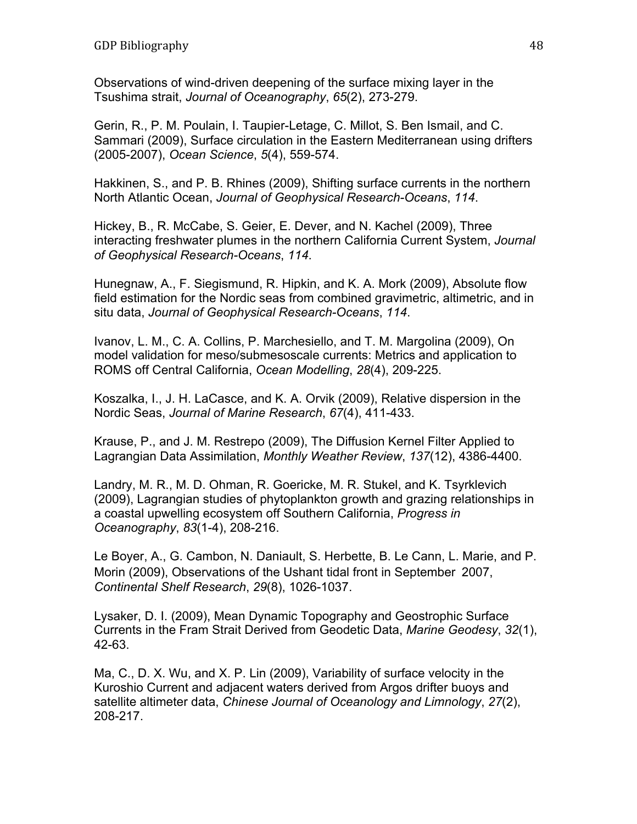Observations of wind-driven deepening of the surface mixing layer in the Tsushima strait, *Journal of Oceanography*, *65*(2), 273-279.

Gerin, R., P. M. Poulain, I. Taupier-Letage, C. Millot, S. Ben Ismail, and C. Sammari (2009), Surface circulation in the Eastern Mediterranean using drifters (2005-2007), *Ocean Science*, *5*(4), 559-574.

Hakkinen, S., and P. B. Rhines (2009), Shifting surface currents in the northern North Atlantic Ocean, *Journal of Geophysical Research-Oceans*, *114*.

Hickey, B., R. McCabe, S. Geier, E. Dever, and N. Kachel (2009), Three interacting freshwater plumes in the northern California Current System, *Journal of Geophysical Research-Oceans*, *114*.

Hunegnaw, A., F. Siegismund, R. Hipkin, and K. A. Mork (2009), Absolute flow field estimation for the Nordic seas from combined gravimetric, altimetric, and in situ data, *Journal of Geophysical Research-Oceans*, *114*.

Ivanov, L. M., C. A. Collins, P. Marchesiello, and T. M. Margolina (2009), On model validation for meso/submesoscale currents: Metrics and application to ROMS off Central California, *Ocean Modelling*, *28*(4), 209-225.

Koszalka, I., J. H. LaCasce, and K. A. Orvik (2009), Relative dispersion in the Nordic Seas, *Journal of Marine Research*, *67*(4), 411-433.

Krause, P., and J. M. Restrepo (2009), The Diffusion Kernel Filter Applied to Lagrangian Data Assimilation, *Monthly Weather Review*, *137*(12), 4386-4400.

Landry, M. R., M. D. Ohman, R. Goericke, M. R. Stukel, and K. Tsyrklevich (2009), Lagrangian studies of phytoplankton growth and grazing relationships in a coastal upwelling ecosystem off Southern California, *Progress in Oceanography*, *83*(1-4), 208-216.

Le Boyer, A., G. Cambon, N. Daniault, S. Herbette, B. Le Cann, L. Marie, and P. Morin (2009), Observations of the Ushant tidal front in September 2007, *Continental Shelf Research*, *29*(8), 1026-1037.

Lysaker, D. I. (2009), Mean Dynamic Topography and Geostrophic Surface Currents in the Fram Strait Derived from Geodetic Data, *Marine Geodesy*, *32*(1), 42-63.

Ma, C., D. X. Wu, and X. P. Lin (2009), Variability of surface velocity in the Kuroshio Current and adjacent waters derived from Argos drifter buoys and satellite altimeter data, *Chinese Journal of Oceanology and Limnology*, *27*(2), 208-217.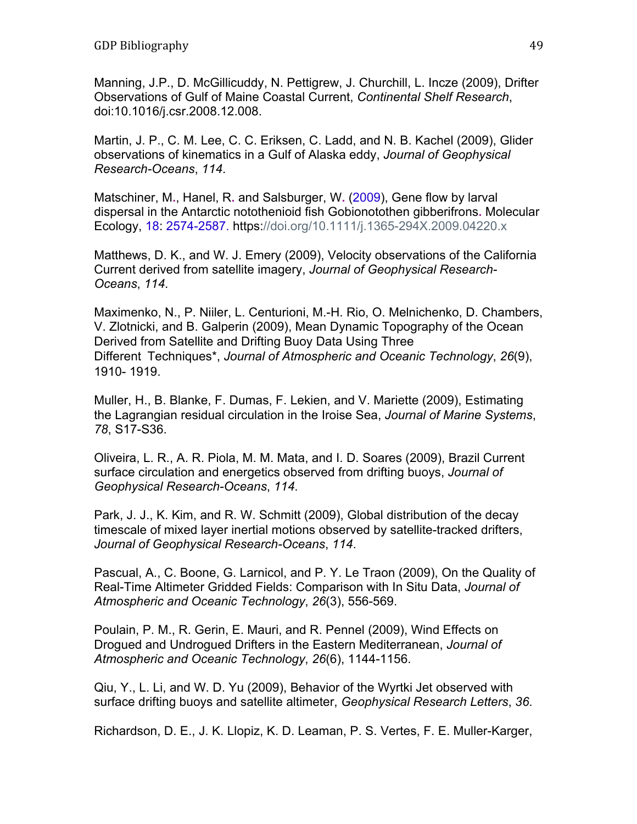Manning, J.P., D. McGillicuddy, N. Pettigrew, J. Churchill, L. Incze (2009), Drifter Observations of Gulf of Maine Coastal Current, *Continental Shelf Research*, doi:10.1016/j.csr.2008.12.008.

Martin, J. P., C. M. Lee, C. C. Eriksen, C. Ladd, and N. B. Kachel (2009), Glider observations of kinematics in a Gulf of Alaska eddy, *Journal of Geophysical Research-Oceans*, *114*.

Matschiner, M**.**, Hanel, R**.** and Salsburger, W**.** (2009), Gene flow by larval dispersal in the Antarctic notothenioid fish Gobionotothen gibberifrons**.** Molecular Ecology, 18: 2574-2587. https://doi.org/10.1111/j.1365-294X.2009.04220.x

Matthews, D. K., and W. J. Emery (2009), Velocity observations of the California Current derived from satellite imagery, *Journal of Geophysical Research-Oceans*, *114*.

Maximenko, N., P. Niiler, L. Centurioni, M.-H. Rio, O. Melnichenko, D. Chambers, V. Zlotnicki, and B. Galperin (2009), Mean Dynamic Topography of the Ocean Derived from Satellite and Drifting Buoy Data Using Three Different Techniques\*, *Journal of Atmospheric and Oceanic Technology*, *26*(9), 1910- 1919.

Muller, H., B. Blanke, F. Dumas, F. Lekien, and V. Mariette (2009), Estimating the Lagrangian residual circulation in the Iroise Sea, *Journal of Marine Systems*, *78*, S17-S36.

Oliveira, L. R., A. R. Piola, M. M. Mata, and I. D. Soares (2009), Brazil Current surface circulation and energetics observed from drifting buoys, *Journal of Geophysical Research-Oceans*, *114*.

Park, J. J., K. Kim, and R. W. Schmitt (2009), Global distribution of the decay timescale of mixed layer inertial motions observed by satellite-tracked drifters, *Journal of Geophysical Research-Oceans*, *114*.

Pascual, A., C. Boone, G. Larnicol, and P. Y. Le Traon (2009), On the Quality of Real-Time Altimeter Gridded Fields: Comparison with In Situ Data, *Journal of Atmospheric and Oceanic Technology*, *26*(3), 556-569.

Poulain, P. M., R. Gerin, E. Mauri, and R. Pennel (2009), Wind Effects on Drogued and Undrogued Drifters in the Eastern Mediterranean, *Journal of Atmospheric and Oceanic Technology*, *26*(6), 1144-1156.

Qiu, Y., L. Li, and W. D. Yu (2009), Behavior of the Wyrtki Jet observed with surface drifting buoys and satellite altimeter, *Geophysical Research Letters*, *36*.

Richardson, D. E., J. K. Llopiz, K. D. Leaman, P. S. Vertes, F. E. Muller-Karger,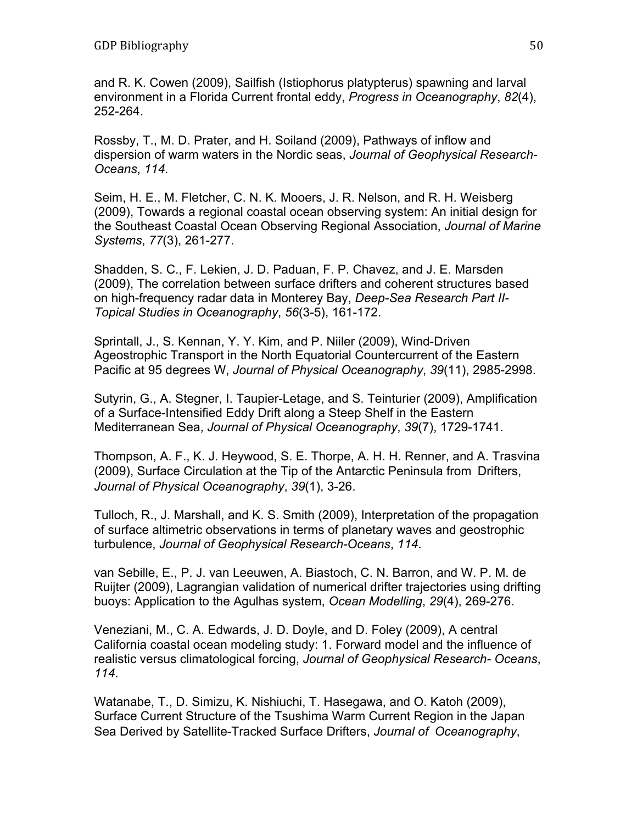and R. K. Cowen (2009), Sailfish (Istiophorus platypterus) spawning and larval environment in a Florida Current frontal eddy, *Progress in Oceanography*, *82*(4), 252-264.

Rossby, T., M. D. Prater, and H. Soiland (2009), Pathways of inflow and dispersion of warm waters in the Nordic seas, *Journal of Geophysical Research-Oceans*, *114*.

Seim, H. E., M. Fletcher, C. N. K. Mooers, J. R. Nelson, and R. H. Weisberg (2009), Towards a regional coastal ocean observing system: An initial design for the Southeast Coastal Ocean Observing Regional Association, *Journal of Marine Systems*, *77*(3), 261-277.

Shadden, S. C., F. Lekien, J. D. Paduan, F. P. Chavez, and J. E. Marsden (2009), The correlation between surface drifters and coherent structures based on high-frequency radar data in Monterey Bay, *Deep-Sea Research Part II-Topical Studies in Oceanography*, *56*(3-5), 161-172.

Sprintall, J., S. Kennan, Y. Y. Kim, and P. Niiler (2009), Wind-Driven Ageostrophic Transport in the North Equatorial Countercurrent of the Eastern Pacific at 95 degrees W, *Journal of Physical Oceanography*, *39*(11), 2985-2998.

Sutyrin, G., A. Stegner, I. Taupier-Letage, and S. Teinturier (2009), Amplification of a Surface-Intensified Eddy Drift along a Steep Shelf in the Eastern Mediterranean Sea, *Journal of Physical Oceanography*, *39*(7), 1729-1741.

Thompson, A. F., K. J. Heywood, S. E. Thorpe, A. H. H. Renner, and A. Trasvina (2009), Surface Circulation at the Tip of the Antarctic Peninsula from Drifters, *Journal of Physical Oceanography*, *39*(1), 3-26.

Tulloch, R., J. Marshall, and K. S. Smith (2009), Interpretation of the propagation of surface altimetric observations in terms of planetary waves and geostrophic turbulence, *Journal of Geophysical Research-Oceans*, *114*.

van Sebille, E., P. J. van Leeuwen, A. Biastoch, C. N. Barron, and W. P. M. de Ruijter (2009), Lagrangian validation of numerical drifter trajectories using drifting buoys: Application to the Agulhas system, *Ocean Modelling*, *29*(4), 269-276.

Veneziani, M., C. A. Edwards, J. D. Doyle, and D. Foley (2009), A central California coastal ocean modeling study: 1. Forward model and the influence of realistic versus climatological forcing, *Journal of Geophysical Research- Oceans*, *114*.

Watanabe, T., D. Simizu, K. Nishiuchi, T. Hasegawa, and O. Katoh (2009), Surface Current Structure of the Tsushima Warm Current Region in the Japan Sea Derived by Satellite-Tracked Surface Drifters, *Journal of Oceanography*,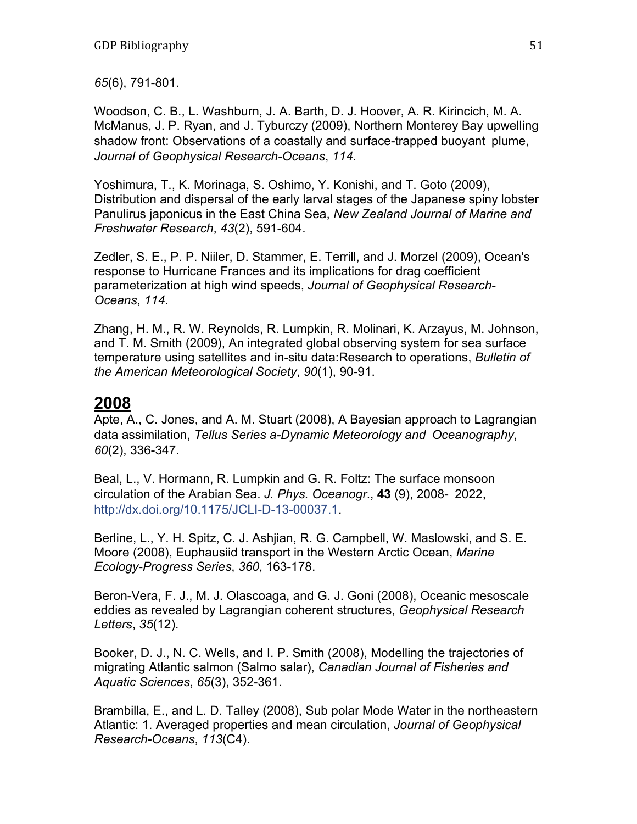*65*(6), 791-801.

Woodson, C. B., L. Washburn, J. A. Barth, D. J. Hoover, A. R. Kirincich, M. A. McManus, J. P. Ryan, and J. Tyburczy (2009), Northern Monterey Bay upwelling shadow front: Observations of a coastally and surface-trapped buoyant plume, *Journal of Geophysical Research-Oceans*, *114*.

Yoshimura, T., K. Morinaga, S. Oshimo, Y. Konishi, and T. Goto (2009), Distribution and dispersal of the early larval stages of the Japanese spiny lobster Panulirus japonicus in the East China Sea, *New Zealand Journal of Marine and Freshwater Research*, *43*(2), 591-604.

Zedler, S. E., P. P. Niiler, D. Stammer, E. Terrill, and J. Morzel (2009), Ocean's response to Hurricane Frances and its implications for drag coefficient parameterization at high wind speeds, *Journal of Geophysical Research-Oceans*, *114*.

Zhang, H. M., R. W. Reynolds, R. Lumpkin, R. Molinari, K. Arzayus, M. Johnson, and T. M. Smith (2009), An integrated global observing system for sea surface temperature using satellites and in-situ data:Research to operations, *Bulletin of the American Meteorological Society*, *90*(1), 90-91.

### **2008**

Apte, A., C. Jones, and A. M. Stuart (2008), A Bayesian approach to Lagrangian data assimilation, *Tellus Series a-Dynamic Meteorology and Oceanography*, *60*(2), 336-347.

Beal, L., V. Hormann, R. Lumpkin and G. R. Foltz: The surface monsoon circulation of the Arabian Sea. *J. Phys. Oceanogr*., **43** (9), 2008- 2022, http://dx.doi.org/10.1175/JCLI-D-13-00037.1.

Berline, L., Y. H. Spitz, C. J. Ashjian, R. G. Campbell, W. Maslowski, and S. E. Moore (2008), Euphausiid transport in the Western Arctic Ocean, *Marine Ecology-Progress Series*, *360*, 163-178.

Beron-Vera, F. J., M. J. Olascoaga, and G. J. Goni (2008), Oceanic mesoscale eddies as revealed by Lagrangian coherent structures, *Geophysical Research Letters*, *35*(12).

Booker, D. J., N. C. Wells, and I. P. Smith (2008), Modelling the trajectories of migrating Atlantic salmon (Salmo salar), *Canadian Journal of Fisheries and Aquatic Sciences*, *65*(3), 352-361.

Brambilla, E., and L. D. Talley (2008), Sub polar Mode Water in the northeastern Atlantic: 1. Averaged properties and mean circulation, *Journal of Geophysical Research-Oceans*, *113*(C4).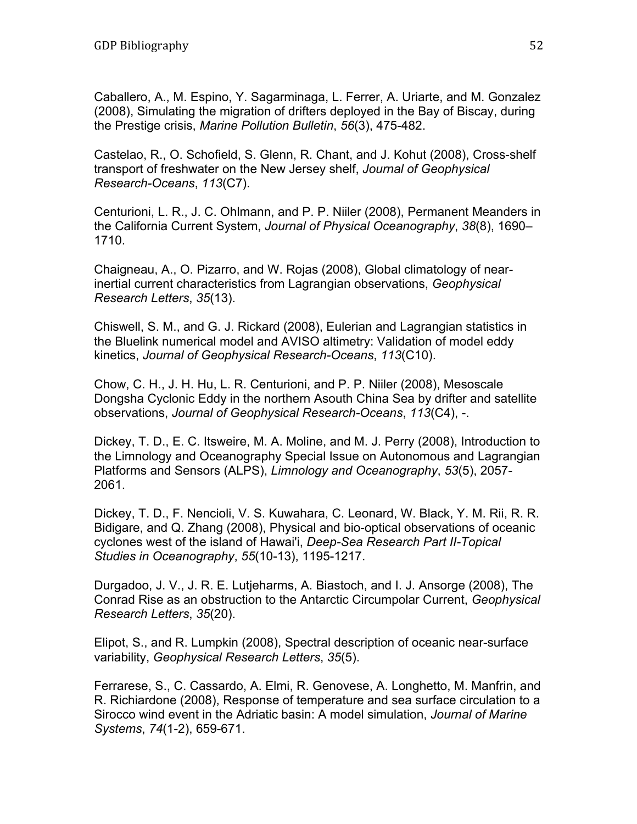Caballero, A., M. Espino, Y. Sagarminaga, L. Ferrer, A. Uriarte, and M. Gonzalez (2008), Simulating the migration of drifters deployed in the Bay of Biscay, during the Prestige crisis, *Marine Pollution Bulletin*, *56*(3), 475-482.

Castelao, R., O. Schofield, S. Glenn, R. Chant, and J. Kohut (2008), Cross-shelf transport of freshwater on the New Jersey shelf, *Journal of Geophysical Research-Oceans*, *113*(C7).

Centurioni, L. R., J. C. Ohlmann, and P. P. Niiler (2008), Permanent Meanders in the California Current System, *Journal of Physical Oceanography*, *38*(8), 1690– 1710.

Chaigneau, A., O. Pizarro, and W. Rojas (2008), Global climatology of nearinertial current characteristics from Lagrangian observations, *Geophysical Research Letters*, *35*(13).

Chiswell, S. M., and G. J. Rickard (2008), Eulerian and Lagrangian statistics in the Bluelink numerical model and AVISO altimetry: Validation of model eddy kinetics, *Journal of Geophysical Research-Oceans*, *113*(C10).

Chow, C. H., J. H. Hu, L. R. Centurioni, and P. P. Niiler (2008), Mesoscale Dongsha Cyclonic Eddy in the northern Asouth China Sea by drifter and satellite observations, *Journal of Geophysical Research-Oceans*, *113*(C4), -.

Dickey, T. D., E. C. Itsweire, M. A. Moline, and M. J. Perry (2008), Introduction to the Limnology and Oceanography Special Issue on Autonomous and Lagrangian Platforms and Sensors (ALPS), *Limnology and Oceanography*, *53*(5), 2057- 2061.

Dickey, T. D., F. Nencioli, V. S. Kuwahara, C. Leonard, W. Black, Y. M. Rii, R. R. Bidigare, and Q. Zhang (2008), Physical and bio-optical observations of oceanic cyclones west of the island of Hawai'i, *Deep-Sea Research Part II-Topical Studies in Oceanography*, *55*(10-13), 1195-1217.

Durgadoo, J. V., J. R. E. Lutjeharms, A. Biastoch, and I. J. Ansorge (2008), The Conrad Rise as an obstruction to the Antarctic Circumpolar Current, *Geophysical Research Letters*, *35*(20).

Elipot, S., and R. Lumpkin (2008), Spectral description of oceanic near-surface variability, *Geophysical Research Letters*, *35*(5).

Ferrarese, S., C. Cassardo, A. Elmi, R. Genovese, A. Longhetto, M. Manfrin, and R. Richiardone (2008), Response of temperature and sea surface circulation to a Sirocco wind event in the Adriatic basin: A model simulation, *Journal of Marine Systems*, *74*(1-2), 659-671.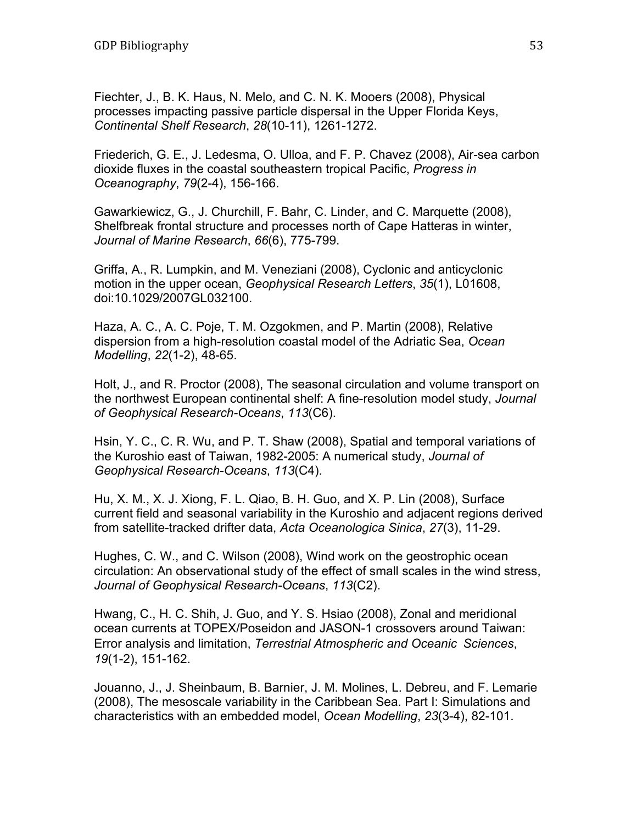Fiechter, J., B. K. Haus, N. Melo, and C. N. K. Mooers (2008), Physical processes impacting passive particle dispersal in the Upper Florida Keys, *Continental Shelf Research*, *28*(10-11), 1261-1272.

Friederich, G. E., J. Ledesma, O. Ulloa, and F. P. Chavez (2008), Air-sea carbon dioxide fluxes in the coastal southeastern tropical Pacific, *Progress in Oceanography*, *79*(2-4), 156-166.

Gawarkiewicz, G., J. Churchill, F. Bahr, C. Linder, and C. Marquette (2008), Shelfbreak frontal structure and processes north of Cape Hatteras in winter, *Journal of Marine Research*, *66*(6), 775-799.

Griffa, A., R. Lumpkin, and M. Veneziani (2008), Cyclonic and anticyclonic motion in the upper ocean, *Geophysical Research Letters*, *35*(1), L01608, doi:10.1029/2007GL032100.

Haza, A. C., A. C. Poje, T. M. Ozgokmen, and P. Martin (2008), Relative dispersion from a high-resolution coastal model of the Adriatic Sea, *Ocean Modelling*, *22*(1-2), 48-65.

Holt, J., and R. Proctor (2008), The seasonal circulation and volume transport on the northwest European continental shelf: A fine-resolution model study, *Journal of Geophysical Research-Oceans*, *113*(C6).

Hsin, Y. C., C. R. Wu, and P. T. Shaw (2008), Spatial and temporal variations of the Kuroshio east of Taiwan, 1982-2005: A numerical study, *Journal of Geophysical Research-Oceans*, *113*(C4).

Hu, X. M., X. J. Xiong, F. L. Qiao, B. H. Guo, and X. P. Lin (2008), Surface current field and seasonal variability in the Kuroshio and adjacent regions derived from satellite-tracked drifter data, *Acta Oceanologica Sinica*, *27*(3), 11-29.

Hughes, C. W., and C. Wilson (2008), Wind work on the geostrophic ocean circulation: An observational study of the effect of small scales in the wind stress, *Journal of Geophysical Research-Oceans*, *113*(C2).

Hwang, C., H. C. Shih, J. Guo, and Y. S. Hsiao (2008), Zonal and meridional ocean currents at TOPEX/Poseidon and JASON-1 crossovers around Taiwan: Error analysis and limitation, *Terrestrial Atmospheric and Oceanic Sciences*, *19*(1-2), 151-162.

Jouanno, J., J. Sheinbaum, B. Barnier, J. M. Molines, L. Debreu, and F. Lemarie (2008), The mesoscale variability in the Caribbean Sea. Part I: Simulations and characteristics with an embedded model, *Ocean Modelling*, *23*(3-4), 82-101.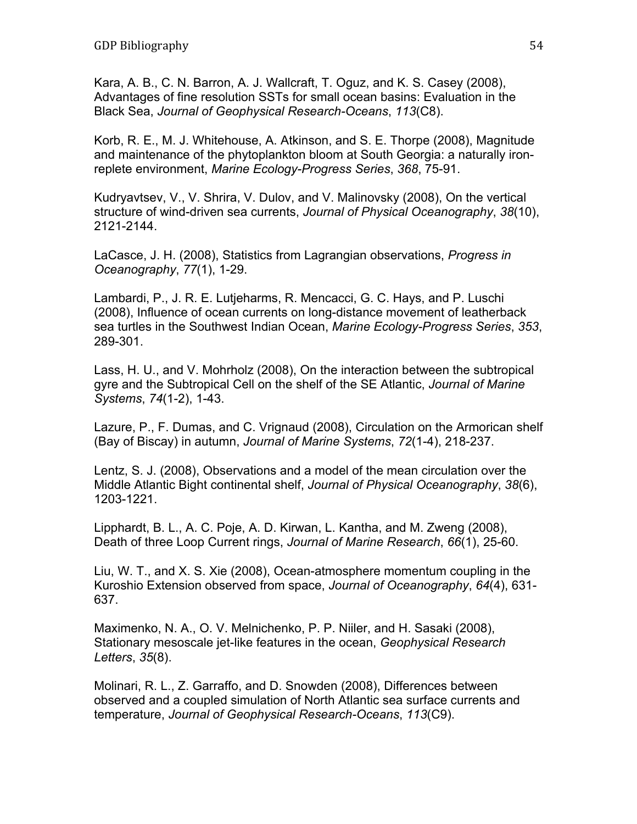Kara, A. B., C. N. Barron, A. J. Wallcraft, T. Oguz, and K. S. Casey (2008), Advantages of fine resolution SSTs for small ocean basins: Evaluation in the Black Sea, *Journal of Geophysical Research-Oceans*, *113*(C8).

Korb, R. E., M. J. Whitehouse, A. Atkinson, and S. E. Thorpe (2008), Magnitude and maintenance of the phytoplankton bloom at South Georgia: a naturally ironreplete environment, *Marine Ecology-Progress Series*, *368*, 75-91.

Kudryavtsev, V., V. Shrira, V. Dulov, and V. Malinovsky (2008), On the vertical structure of wind-driven sea currents, *Journal of Physical Oceanography*, *38*(10), 2121-2144.

LaCasce, J. H. (2008), Statistics from Lagrangian observations, *Progress in Oceanography*, *77*(1), 1-29.

Lambardi, P., J. R. E. Lutjeharms, R. Mencacci, G. C. Hays, and P. Luschi (2008), Influence of ocean currents on long-distance movement of leatherback sea turtles in the Southwest Indian Ocean, *Marine Ecology-Progress Series*, *353*, 289-301.

Lass, H. U., and V. Mohrholz (2008), On the interaction between the subtropical gyre and the Subtropical Cell on the shelf of the SE Atlantic, *Journal of Marine Systems*, *74*(1-2), 1-43.

Lazure, P., F. Dumas, and C. Vrignaud (2008), Circulation on the Armorican shelf (Bay of Biscay) in autumn, *Journal of Marine Systems*, *72*(1-4), 218-237.

Lentz, S. J. (2008), Observations and a model of the mean circulation over the Middle Atlantic Bight continental shelf, *Journal of Physical Oceanography*, *38*(6), 1203-1221.

Lipphardt, B. L., A. C. Poje, A. D. Kirwan, L. Kantha, and M. Zweng (2008), Death of three Loop Current rings, *Journal of Marine Research*, *66*(1), 25-60.

Liu, W. T., and X. S. Xie (2008), Ocean-atmosphere momentum coupling in the Kuroshio Extension observed from space, *Journal of Oceanography*, *64*(4), 631- 637.

Maximenko, N. A., O. V. Melnichenko, P. P. Niiler, and H. Sasaki (2008), Stationary mesoscale jet-like features in the ocean, *Geophysical Research Letters*, *35*(8).

Molinari, R. L., Z. Garraffo, and D. Snowden (2008), Differences between observed and a coupled simulation of North Atlantic sea surface currents and temperature, *Journal of Geophysical Research-Oceans*, *113*(C9).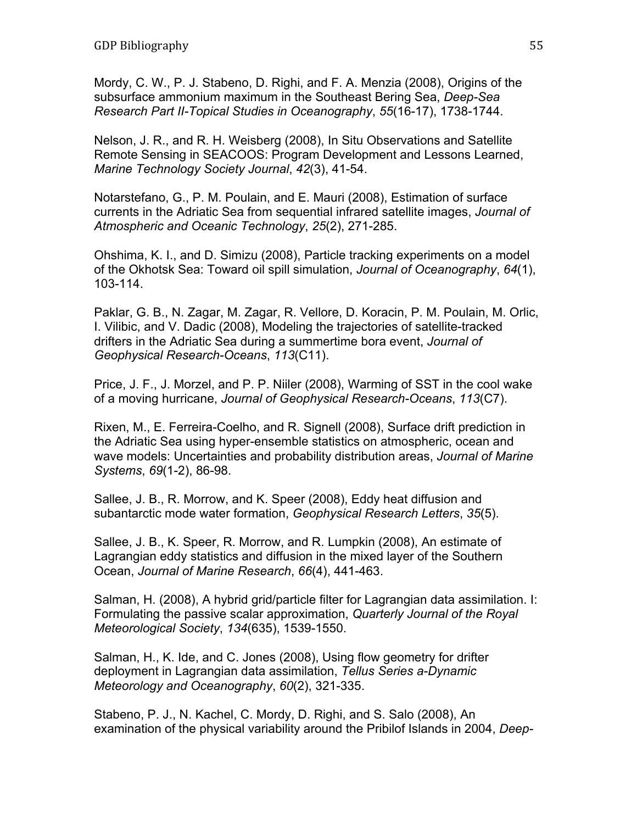Mordy, C. W., P. J. Stabeno, D. Righi, and F. A. Menzia (2008), Origins of the subsurface ammonium maximum in the Southeast Bering Sea, *Deep-Sea Research Part II-Topical Studies in Oceanography*, *55*(16-17), 1738-1744.

Nelson, J. R., and R. H. Weisberg (2008), In Situ Observations and Satellite Remote Sensing in SEACOOS: Program Development and Lessons Learned, *Marine Technology Society Journal*, *42*(3), 41-54.

Notarstefano, G., P. M. Poulain, and E. Mauri (2008), Estimation of surface currents in the Adriatic Sea from sequential infrared satellite images, *Journal of Atmospheric and Oceanic Technology*, *25*(2), 271-285.

Ohshima, K. I., and D. Simizu (2008), Particle tracking experiments on a model of the Okhotsk Sea: Toward oil spill simulation, *Journal of Oceanography*, *64*(1), 103-114.

Paklar, G. B., N. Zagar, M. Zagar, R. Vellore, D. Koracin, P. M. Poulain, M. Orlic, I. Vilibic, and V. Dadic (2008), Modeling the trajectories of satellite-tracked drifters in the Adriatic Sea during a summertime bora event, *Journal of Geophysical Research-Oceans*, *113*(C11).

Price, J. F., J. Morzel, and P. P. Niiler (2008), Warming of SST in the cool wake of a moving hurricane, *Journal of Geophysical Research-Oceans*, *113*(C7).

Rixen, M., E. Ferreira-Coelho, and R. Signell (2008), Surface drift prediction in the Adriatic Sea using hyper-ensemble statistics on atmospheric, ocean and wave models: Uncertainties and probability distribution areas, *Journal of Marine Systems*, *69*(1-2), 86-98.

Sallee, J. B., R. Morrow, and K. Speer (2008), Eddy heat diffusion and subantarctic mode water formation, *Geophysical Research Letters*, *35*(5).

Sallee, J. B., K. Speer, R. Morrow, and R. Lumpkin (2008), An estimate of Lagrangian eddy statistics and diffusion in the mixed layer of the Southern Ocean, *Journal of Marine Research*, *66*(4), 441-463.

Salman, H. (2008), A hybrid grid/particle filter for Lagrangian data assimilation. I: Formulating the passive scalar approximation, *Quarterly Journal of the Royal Meteorological Society*, *134*(635), 1539-1550.

Salman, H., K. Ide, and C. Jones (2008), Using flow geometry for drifter deployment in Lagrangian data assimilation, *Tellus Series a-Dynamic Meteorology and Oceanography*, *60*(2), 321-335.

Stabeno, P. J., N. Kachel, C. Mordy, D. Righi, and S. Salo (2008), An examination of the physical variability around the Pribilof Islands in 2004, *Deep-*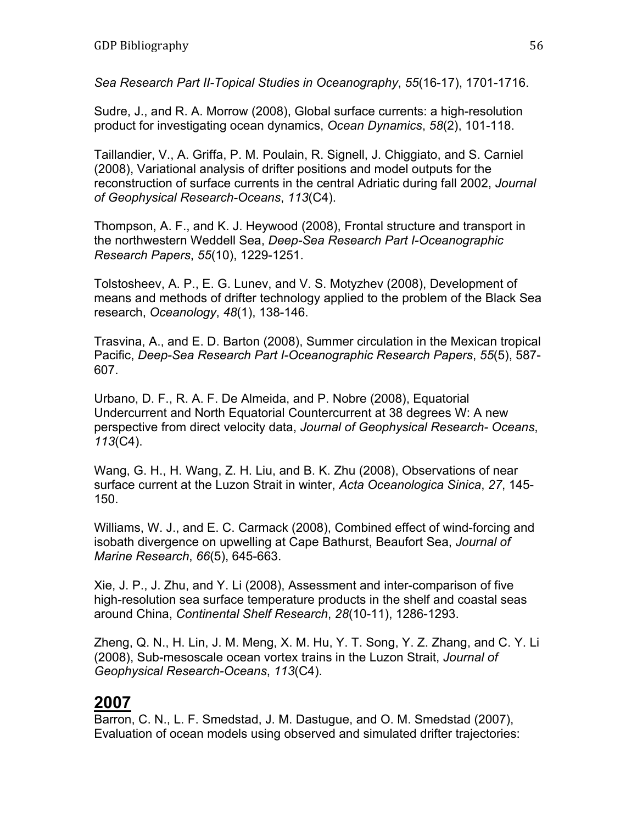*Sea Research Part II-Topical Studies in Oceanography*, *55*(16-17), 1701-1716.

Sudre, J., and R. A. Morrow (2008), Global surface currents: a high-resolution product for investigating ocean dynamics, *Ocean Dynamics*, *58*(2), 101-118.

Taillandier, V., A. Griffa, P. M. Poulain, R. Signell, J. Chiggiato, and S. Carniel (2008), Variational analysis of drifter positions and model outputs for the reconstruction of surface currents in the central Adriatic during fall 2002, *Journal of Geophysical Research-Oceans*, *113*(C4).

Thompson, A. F., and K. J. Heywood (2008), Frontal structure and transport in the northwestern Weddell Sea, *Deep-Sea Research Part I-Oceanographic Research Papers*, *55*(10), 1229-1251.

Tolstosheev, A. P., E. G. Lunev, and V. S. Motyzhev (2008), Development of means and methods of drifter technology applied to the problem of the Black Sea research, *Oceanology*, *48*(1), 138-146.

Trasvina, A., and E. D. Barton (2008), Summer circulation in the Mexican tropical Pacific, *Deep-Sea Research Part I-Oceanographic Research Papers*, *55*(5), 587- 607.

Urbano, D. F., R. A. F. De Almeida, and P. Nobre (2008), Equatorial Undercurrent and North Equatorial Countercurrent at 38 degrees W: A new perspective from direct velocity data, *Journal of Geophysical Research- Oceans*, *113*(C4).

Wang, G. H., H. Wang, Z. H. Liu, and B. K. Zhu (2008), Observations of near surface current at the Luzon Strait in winter, *Acta Oceanologica Sinica*, *27*, 145- 150.

Williams, W. J., and E. C. Carmack (2008), Combined effect of wind-forcing and isobath divergence on upwelling at Cape Bathurst, Beaufort Sea, *Journal of Marine Research*, *66*(5), 645-663.

Xie, J. P., J. Zhu, and Y. Li (2008), Assessment and inter-comparison of five high-resolution sea surface temperature products in the shelf and coastal seas around China, *Continental Shelf Research*, *28*(10-11), 1286-1293.

Zheng, Q. N., H. Lin, J. M. Meng, X. M. Hu, Y. T. Song, Y. Z. Zhang, and C. Y. Li (2008), Sub-mesoscale ocean vortex trains in the Luzon Strait, *Journal of Geophysical Research-Oceans*, *113*(C4).

# **2007**

Barron, C. N., L. F. Smedstad, J. M. Dastugue, and O. M. Smedstad (2007), Evaluation of ocean models using observed and simulated drifter trajectories: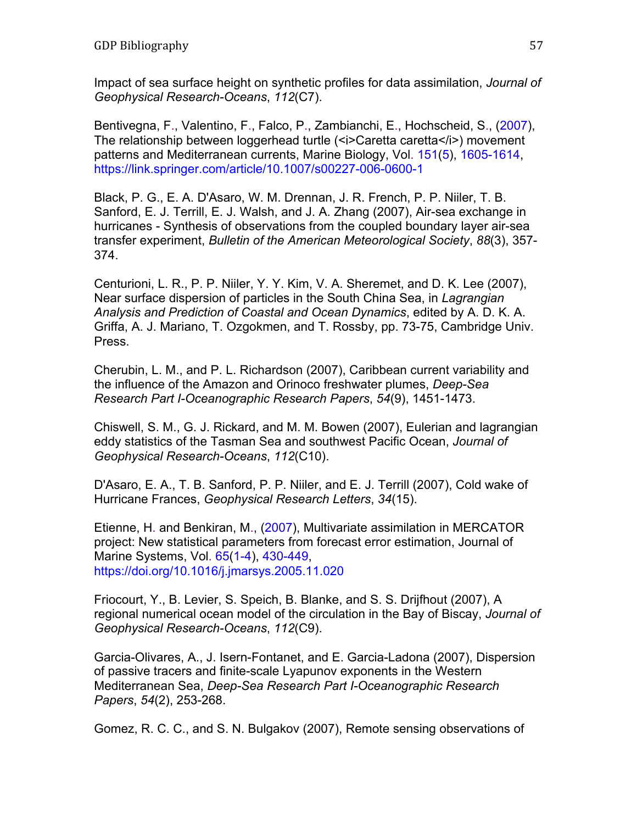Impact of sea surface height on synthetic profiles for data assimilation, *Journal of Geophysical Research-Oceans*, *112*(C7).

Bentivegna, F., Valentino, F., Falco, P., Zambianchi, E., Hochscheid, S., (2007), The relationship between loggerhead turtle (<i>Caretta caretta</i>) movement patterns and Mediterranean currents, Marine Biology, Vol. 151(5), 1605-1614, https://link.springer.com/article/10.1007/s00227-006-0600-1

Black, P. G., E. A. D'Asaro, W. M. Drennan, J. R. French, P. P. Niiler, T. B. Sanford, E. J. Terrill, E. J. Walsh, and J. A. Zhang (2007), Air-sea exchange in hurricanes - Synthesis of observations from the coupled boundary layer air-sea transfer experiment, *Bulletin of the American Meteorological Society*, *88*(3), 357- 374.

Centurioni, L. R., P. P. Niiler, Y. Y. Kim, V. A. Sheremet, and D. K. Lee (2007), Near surface dispersion of particles in the South China Sea, in *Lagrangian Analysis and Prediction of Coastal and Ocean Dynamics*, edited by A. D. K. A. Griffa, A. J. Mariano, T. Ozgokmen, and T. Rossby, pp. 73-75, Cambridge Univ. Press.

Cherubin, L. M., and P. L. Richardson (2007), Caribbean current variability and the influence of the Amazon and Orinoco freshwater plumes, *Deep-Sea Research Part I-Oceanographic Research Papers*, *54*(9), 1451-1473.

Chiswell, S. M., G. J. Rickard, and M. M. Bowen (2007), Eulerian and lagrangian eddy statistics of the Tasman Sea and southwest Pacific Ocean, *Journal of Geophysical Research-Oceans*, *112*(C10).

D'Asaro, E. A., T. B. Sanford, P. P. Niiler, and E. J. Terrill (2007), Cold wake of Hurricane Frances, *Geophysical Research Letters*, *34*(15).

Etienne, H. and Benkiran, M., (2007), Multivariate assimilation in MERCATOR project: New statistical parameters from forecast error estimation, Journal of Marine Systems, Vol. 65(1-4), 430-449, https://doi.org/10.1016/j.jmarsys.2005.11.020

Friocourt, Y., B. Levier, S. Speich, B. Blanke, and S. S. Drijfhout (2007), A regional numerical ocean model of the circulation in the Bay of Biscay, *Journal of Geophysical Research-Oceans*, *112*(C9).

Garcia-Olivares, A., J. Isern-Fontanet, and E. Garcia-Ladona (2007), Dispersion of passive tracers and finite-scale Lyapunov exponents in the Western Mediterranean Sea, *Deep-Sea Research Part I-Oceanographic Research Papers*, *54*(2), 253-268.

Gomez, R. C. C., and S. N. Bulgakov (2007), Remote sensing observations of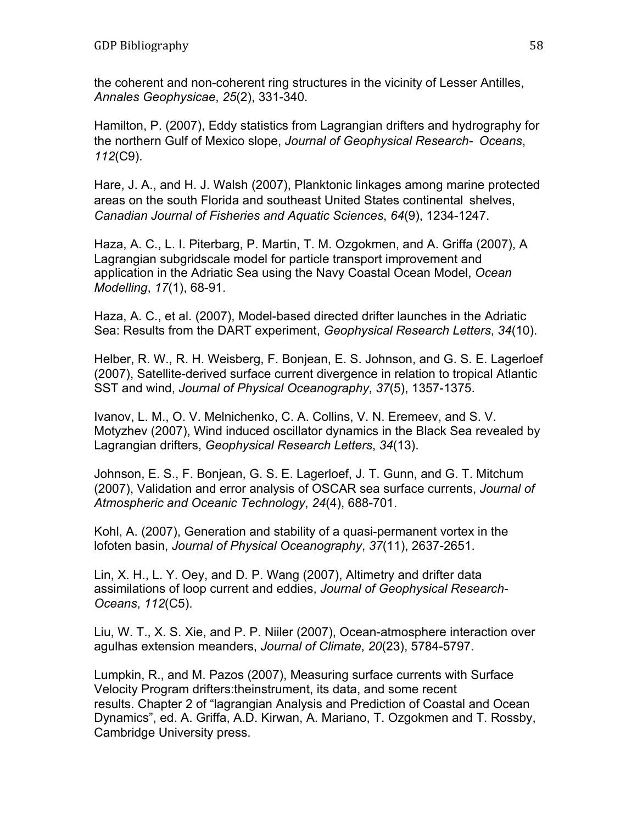the coherent and non-coherent ring structures in the vicinity of Lesser Antilles, *Annales Geophysicae*, *25*(2), 331-340.

Hamilton, P. (2007), Eddy statistics from Lagrangian drifters and hydrography for the northern Gulf of Mexico slope, *Journal of Geophysical Research- Oceans*, *112*(C9).

Hare, J. A., and H. J. Walsh (2007), Planktonic linkages among marine protected areas on the south Florida and southeast United States continental shelves, *Canadian Journal of Fisheries and Aquatic Sciences*, *64*(9), 1234-1247.

Haza, A. C., L. I. Piterbarg, P. Martin, T. M. Ozgokmen, and A. Griffa (2007), A Lagrangian subgridscale model for particle transport improvement and application in the Adriatic Sea using the Navy Coastal Ocean Model, *Ocean Modelling*, *17*(1), 68-91.

Haza, A. C., et al. (2007), Model-based directed drifter launches in the Adriatic Sea: Results from the DART experiment, *Geophysical Research Letters*, *34*(10).

Helber, R. W., R. H. Weisberg, F. Bonjean, E. S. Johnson, and G. S. E. Lagerloef (2007), Satellite-derived surface current divergence in relation to tropical Atlantic SST and wind, *Journal of Physical Oceanography*, *37*(5), 1357-1375.

Ivanov, L. M., O. V. Melnichenko, C. A. Collins, V. N. Eremeev, and S. V. Motyzhev (2007), Wind induced oscillator dynamics in the Black Sea revealed by Lagrangian drifters, *Geophysical Research Letters*, *34*(13).

Johnson, E. S., F. Bonjean, G. S. E. Lagerloef, J. T. Gunn, and G. T. Mitchum (2007), Validation and error analysis of OSCAR sea surface currents, *Journal of Atmospheric and Oceanic Technology*, *24*(4), 688-701.

Kohl, A. (2007), Generation and stability of a quasi-permanent vortex in the lofoten basin, *Journal of Physical Oceanography*, *37*(11), 2637-2651.

Lin, X. H., L. Y. Oey, and D. P. Wang (2007), Altimetry and drifter data assimilations of loop current and eddies, *Journal of Geophysical Research-Oceans*, *112*(C5).

Liu, W. T., X. S. Xie, and P. P. Niiler (2007), Ocean-atmosphere interaction over agulhas extension meanders, *Journal of Climate*, *20*(23), 5784-5797.

Lumpkin, R., and M. Pazos (2007), Measuring surface currents with Surface Velocity Program drifters:theinstrument, its data, and some recent results. Chapter 2 of "lagrangian Analysis and Prediction of Coastal and Ocean Dynamics", ed. A. Griffa, A.D. Kirwan, A. Mariano, T. Ozgokmen and T. Rossby, Cambridge University press.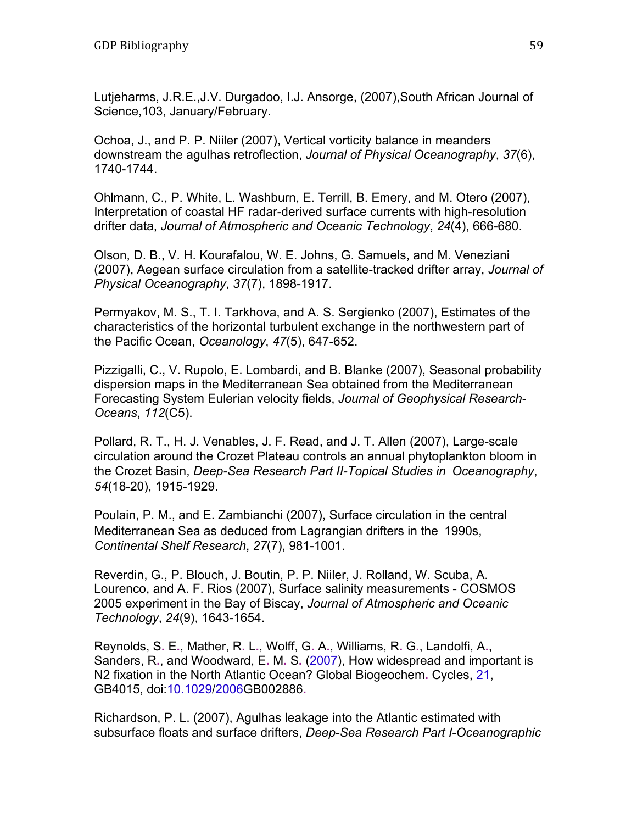Lutjeharms, J.R.E.,J.V. Durgadoo, I.J. Ansorge, (2007),South African Journal of Science,103, January/February.

Ochoa, J., and P. P. Niiler (2007), Vertical vorticity balance in meanders downstream the agulhas retroflection, *Journal of Physical Oceanography*, *37*(6), 1740-1744.

Ohlmann, C., P. White, L. Washburn, E. Terrill, B. Emery, and M. Otero (2007), Interpretation of coastal HF radar-derived surface currents with high-resolution drifter data, *Journal of Atmospheric and Oceanic Technology*, *24*(4), 666-680.

Olson, D. B., V. H. Kourafalou, W. E. Johns, G. Samuels, and M. Veneziani (2007), Aegean surface circulation from a satellite-tracked drifter array, *Journal of Physical Oceanography*, *37*(7), 1898-1917.

Permyakov, M. S., T. I. Tarkhova, and A. S. Sergienko (2007), Estimates of the characteristics of the horizontal turbulent exchange in the northwestern part of the Pacific Ocean, *Oceanology*, *47*(5), 647-652.

Pizzigalli, C., V. Rupolo, E. Lombardi, and B. Blanke (2007), Seasonal probability dispersion maps in the Mediterranean Sea obtained from the Mediterranean Forecasting System Eulerian velocity fields, *Journal of Geophysical Research-Oceans*, *112*(C5).

Pollard, R. T., H. J. Venables, J. F. Read, and J. T. Allen (2007), Large-scale circulation around the Crozet Plateau controls an annual phytoplankton bloom in the Crozet Basin, *Deep-Sea Research Part II-Topical Studies in Oceanography*, *54*(18-20), 1915-1929.

Poulain, P. M., and E. Zambianchi (2007), Surface circulation in the central Mediterranean Sea as deduced from Lagrangian drifters in the 1990s, *Continental Shelf Research*, *27*(7), 981-1001.

Reverdin, G., P. Blouch, J. Boutin, P. P. Niiler, J. Rolland, W. Scuba, A. Lourenco, and A. F. Rios (2007), Surface salinity measurements - COSMOS 2005 experiment in the Bay of Biscay, *Journal of Atmospheric and Oceanic Technology*, *24*(9), 1643-1654.

Reynolds, S**.** E**.**, Mather, R**.** L**.**, Wolff, G**.** A**.**, Williams, R**.** G**.**, Landolfi, A**.**, Sanders, R**.**, and Woodward, E**.** M**.** S**.** (2007), How widespread and important is N2 fixation in the North Atlantic Ocean? Global Biogeochem**.** Cycles, 21, GB4015, doi:10.1029/2006GB002886**.**

Richardson, P. L. (2007), Agulhas leakage into the Atlantic estimated with subsurface floats and surface drifters, *Deep-Sea Research Part I-Oceanographic*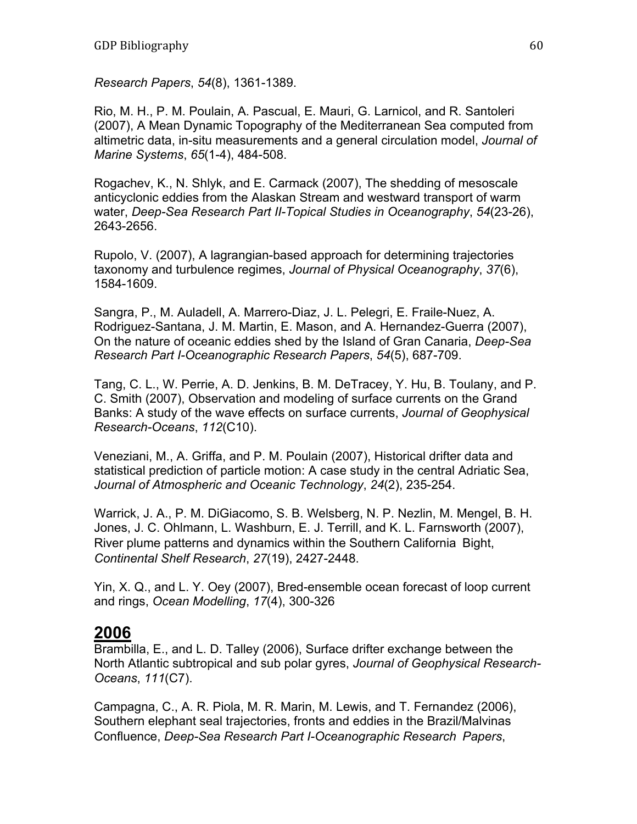*Research Papers*, *54*(8), 1361-1389.

Rio, M. H., P. M. Poulain, A. Pascual, E. Mauri, G. Larnicol, and R. Santoleri (2007), A Mean Dynamic Topography of the Mediterranean Sea computed from altimetric data, in-situ measurements and a general circulation model, *Journal of Marine Systems*, *65*(1-4), 484-508.

Rogachev, K., N. Shlyk, and E. Carmack (2007), The shedding of mesoscale anticyclonic eddies from the Alaskan Stream and westward transport of warm water, *Deep-Sea Research Part II-Topical Studies in Oceanography*, *54*(23-26), 2643-2656.

Rupolo, V. (2007), A lagrangian-based approach for determining trajectories taxonomy and turbulence regimes, *Journal of Physical Oceanography*, *37*(6), 1584-1609.

Sangra, P., M. Auladell, A. Marrero-Diaz, J. L. Pelegri, E. Fraile-Nuez, A. Rodriguez-Santana, J. M. Martin, E. Mason, and A. Hernandez-Guerra (2007), On the nature of oceanic eddies shed by the Island of Gran Canaria, *Deep-Sea Research Part I-Oceanographic Research Papers*, *54*(5), 687-709.

Tang, C. L., W. Perrie, A. D. Jenkins, B. M. DeTracey, Y. Hu, B. Toulany, and P. C. Smith (2007), Observation and modeling of surface currents on the Grand Banks: A study of the wave effects on surface currents, *Journal of Geophysical Research-Oceans*, *112*(C10).

Veneziani, M., A. Griffa, and P. M. Poulain (2007), Historical drifter data and statistical prediction of particle motion: A case study in the central Adriatic Sea, *Journal of Atmospheric and Oceanic Technology*, *24*(2), 235-254.

Warrick, J. A., P. M. DiGiacomo, S. B. Welsberg, N. P. Nezlin, M. Mengel, B. H. Jones, J. C. Ohlmann, L. Washburn, E. J. Terrill, and K. L. Farnsworth (2007), River plume patterns and dynamics within the Southern California Bight, *Continental Shelf Research*, *27*(19), 2427-2448.

Yin, X. Q., and L. Y. Oey (2007), Bred-ensemble ocean forecast of loop current and rings, *Ocean Modelling*, *17*(4), 300-326

#### **2006**

Brambilla, E., and L. D. Talley (2006), Surface drifter exchange between the North Atlantic subtropical and sub polar gyres, *Journal of Geophysical Research-Oceans*, *111*(C7).

Campagna, C., A. R. Piola, M. R. Marin, M. Lewis, and T. Fernandez (2006), Southern elephant seal trajectories, fronts and eddies in the Brazil/Malvinas Confluence, *Deep-Sea Research Part I-Oceanographic Research Papers*,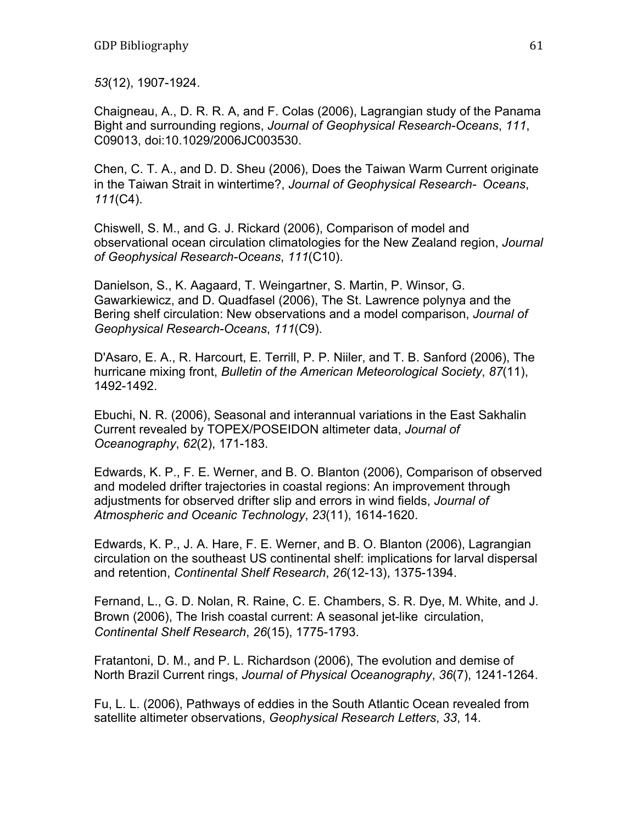*53*(12), 1907-1924.

Chaigneau, A., D. R. R. A, and F. Colas (2006), Lagrangian study of the Panama Bight and surrounding regions, *Journal of Geophysical Research-Oceans*, *111*, C09013, doi:10.1029/2006JC003530.

Chen, C. T. A., and D. D. Sheu (2006), Does the Taiwan Warm Current originate in the Taiwan Strait in wintertime?, *Journal of Geophysical Research- Oceans*, *111*(C4).

Chiswell, S. M., and G. J. Rickard (2006), Comparison of model and observational ocean circulation climatologies for the New Zealand region, *Journal of Geophysical Research-Oceans*, *111*(C10).

Danielson, S., K. Aagaard, T. Weingartner, S. Martin, P. Winsor, G. Gawarkiewicz, and D. Quadfasel (2006), The St. Lawrence polynya and the Bering shelf circulation: New observations and a model comparison, *Journal of Geophysical Research-Oceans*, *111*(C9).

D'Asaro, E. A., R. Harcourt, E. Terrill, P. P. Niiler, and T. B. Sanford (2006), The hurricane mixing front, *Bulletin of the American Meteorological Society*, *87*(11), 1492-1492.

Ebuchi, N. R. (2006), Seasonal and interannual variations in the East Sakhalin Current revealed by TOPEX/POSEIDON altimeter data, *Journal of Oceanography*, *62*(2), 171-183.

Edwards, K. P., F. E. Werner, and B. O. Blanton (2006), Comparison of observed and modeled drifter trajectories in coastal regions: An improvement through adjustments for observed drifter slip and errors in wind fields, *Journal of Atmospheric and Oceanic Technology*, *23*(11), 1614-1620.

Edwards, K. P., J. A. Hare, F. E. Werner, and B. O. Blanton (2006), Lagrangian circulation on the southeast US continental shelf: implications for larval dispersal and retention, *Continental Shelf Research*, *26*(12-13), 1375-1394.

Fernand, L., G. D. Nolan, R. Raine, C. E. Chambers, S. R. Dye, M. White, and J. Brown (2006), The Irish coastal current: A seasonal jet-like circulation, *Continental Shelf Research*, *26*(15), 1775-1793.

Fratantoni, D. M., and P. L. Richardson (2006), The evolution and demise of North Brazil Current rings, *Journal of Physical Oceanography*, *36*(7), 1241-1264.

Fu, L. L. (2006), Pathways of eddies in the South Atlantic Ocean revealed from satellite altimeter observations, *Geophysical Research Letters*, *33*, 14.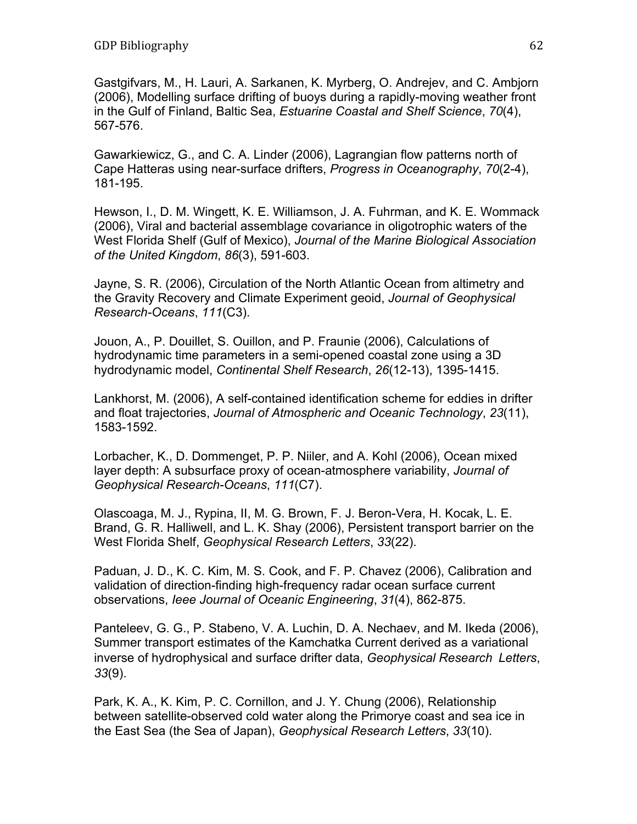Gastgifvars, M., H. Lauri, A. Sarkanen, K. Myrberg, O. Andrejev, and C. Ambjorn (2006), Modelling surface drifting of buoys during a rapidly-moving weather front in the Gulf of Finland, Baltic Sea, *Estuarine Coastal and Shelf Science*, *70*(4), 567-576.

Gawarkiewicz, G., and C. A. Linder (2006), Lagrangian flow patterns north of Cape Hatteras using near-surface drifters, *Progress in Oceanography*, *70*(2-4), 181-195.

Hewson, I., D. M. Wingett, K. E. Williamson, J. A. Fuhrman, and K. E. Wommack (2006), Viral and bacterial assemblage covariance in oligotrophic waters of the West Florida Shelf (Gulf of Mexico), *Journal of the Marine Biological Association of the United Kingdom*, *86*(3), 591-603.

Jayne, S. R. (2006), Circulation of the North Atlantic Ocean from altimetry and the Gravity Recovery and Climate Experiment geoid, *Journal of Geophysical Research-Oceans*, *111*(C3).

Jouon, A., P. Douillet, S. Ouillon, and P. Fraunie (2006), Calculations of hydrodynamic time parameters in a semi-opened coastal zone using a 3D hydrodynamic model, *Continental Shelf Research*, *26*(12-13), 1395-1415.

Lankhorst, M. (2006), A self-contained identification scheme for eddies in drifter and float trajectories, *Journal of Atmospheric and Oceanic Technology*, *23*(11), 1583-1592.

Lorbacher, K., D. Dommenget, P. P. Niiler, and A. Kohl (2006), Ocean mixed layer depth: A subsurface proxy of ocean-atmosphere variability, *Journal of Geophysical Research-Oceans*, *111*(C7).

Olascoaga, M. J., Rypina, II, M. G. Brown, F. J. Beron-Vera, H. Kocak, L. E. Brand, G. R. Halliwell, and L. K. Shay (2006), Persistent transport barrier on the West Florida Shelf, *Geophysical Research Letters*, *33*(22).

Paduan, J. D., K. C. Kim, M. S. Cook, and F. P. Chavez (2006), Calibration and validation of direction-finding high-frequency radar ocean surface current observations, *Ieee Journal of Oceanic Engineering*, *31*(4), 862-875.

Panteleev, G. G., P. Stabeno, V. A. Luchin, D. A. Nechaev, and M. Ikeda (2006), Summer transport estimates of the Kamchatka Current derived as a variational inverse of hydrophysical and surface drifter data, *Geophysical Research Letters*, *33*(9).

Park, K. A., K. Kim, P. C. Cornillon, and J. Y. Chung (2006), Relationship between satellite-observed cold water along the Primorye coast and sea ice in the East Sea (the Sea of Japan), *Geophysical Research Letters*, *33*(10).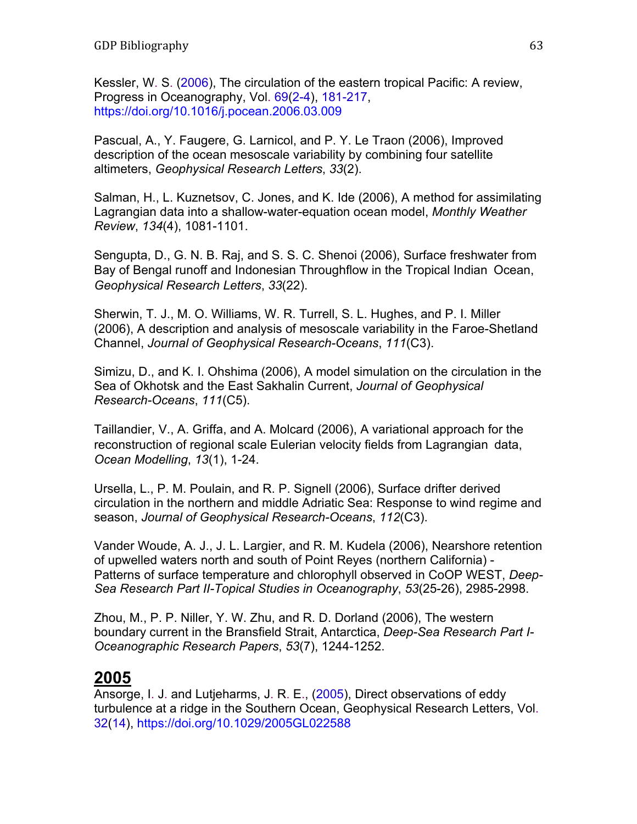Kessler, W. S. (2006), The circulation of the eastern tropical Pacific: A review, Progress in Oceanography, Vol. 69(2-4), 181-217, https://doi.org/10.1016/j.pocean.2006.03.009

Pascual, A., Y. Faugere, G. Larnicol, and P. Y. Le Traon (2006), Improved description of the ocean mesoscale variability by combining four satellite altimeters, *Geophysical Research Letters*, *33*(2).

Salman, H., L. Kuznetsov, C. Jones, and K. Ide (2006), A method for assimilating Lagrangian data into a shallow-water-equation ocean model, *Monthly Weather Review*, *134*(4), 1081-1101.

Sengupta, D., G. N. B. Raj, and S. S. C. Shenoi (2006), Surface freshwater from Bay of Bengal runoff and Indonesian Throughflow in the Tropical Indian Ocean, *Geophysical Research Letters*, *33*(22).

Sherwin, T. J., M. O. Williams, W. R. Turrell, S. L. Hughes, and P. I. Miller (2006), A description and analysis of mesoscale variability in the Faroe-Shetland Channel, *Journal of Geophysical Research-Oceans*, *111*(C3).

Simizu, D., and K. I. Ohshima (2006), A model simulation on the circulation in the Sea of Okhotsk and the East Sakhalin Current, *Journal of Geophysical Research-Oceans*, *111*(C5).

Taillandier, V., A. Griffa, and A. Molcard (2006), A variational approach for the reconstruction of regional scale Eulerian velocity fields from Lagrangian data, *Ocean Modelling*, *13*(1), 1-24.

Ursella, L., P. M. Poulain, and R. P. Signell (2006), Surface drifter derived circulation in the northern and middle Adriatic Sea: Response to wind regime and season, *Journal of Geophysical Research-Oceans*, *112*(C3).

Vander Woude, A. J., J. L. Largier, and R. M. Kudela (2006), Nearshore retention of upwelled waters north and south of Point Reyes (northern California) - Patterns of surface temperature and chlorophyll observed in CoOP WEST, *Deep-Sea Research Part II-Topical Studies in Oceanography*, *53*(25-26), 2985-2998.

Zhou, M., P. P. Niller, Y. W. Zhu, and R. D. Dorland (2006), The western boundary current in the Bransfield Strait, Antarctica, *Deep-Sea Research Part I-Oceanographic Research Papers*, *53*(7), 1244-1252.

### **2005**

Ansorge, I. J. and Lutjeharms, J. R. E., (2005), Direct observations of eddy turbulence at a ridge in the Southern Ocean, Geophysical Research Letters, Vol. 32(14), https://doi.org/10.1029/2005GL022588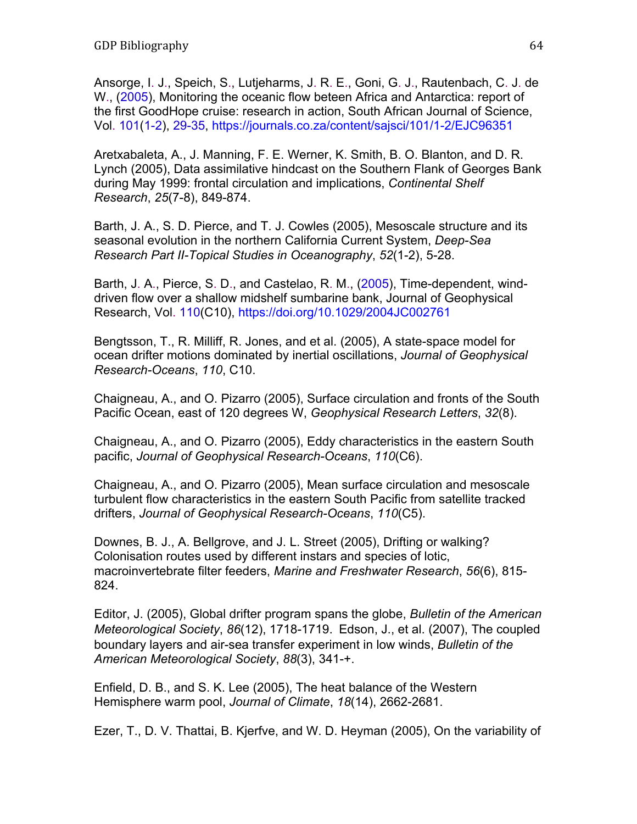Ansorge, I. J., Speich, S., Lutjeharms, J. R. E., Goni, G. J., Rautenbach, C. J. de W., (2005), Monitoring the oceanic flow beteen Africa and Antarctica: report of the first GoodHope cruise: research in action, South African Journal of Science, Vol. 101(1-2), 29-35, https://journals.co.za/content/sajsci/101/1-2/EJC96351

Aretxabaleta, A., J. Manning, F. E. Werner, K. Smith, B. O. Blanton, and D. R. Lynch (2005), Data assimilative hindcast on the Southern Flank of Georges Bank during May 1999: frontal circulation and implications, *Continental Shelf Research*, *25*(7-8), 849-874.

Barth, J. A., S. D. Pierce, and T. J. Cowles (2005), Mesoscale structure and its seasonal evolution in the northern California Current System, *Deep-Sea Research Part II-Topical Studies in Oceanography*, *52*(1-2), 5-28.

Barth, J. A., Pierce, S. D., and Castelao, R. M., (2005), Time-dependent, winddriven flow over a shallow midshelf sumbarine bank, Journal of Geophysical Research, Vol. 110(C10), https://doi.org/10.1029/2004JC002761

Bengtsson, T., R. Milliff, R. Jones, and et al. (2005), A state-space model for ocean drifter motions dominated by inertial oscillations, *Journal of Geophysical Research-Oceans*, *110*, C10.

Chaigneau, A., and O. Pizarro (2005), Surface circulation and fronts of the South Pacific Ocean, east of 120 degrees W, *Geophysical Research Letters*, *32*(8).

Chaigneau, A., and O. Pizarro (2005), Eddy characteristics in the eastern South pacific, *Journal of Geophysical Research-Oceans*, *110*(C6).

Chaigneau, A., and O. Pizarro (2005), Mean surface circulation and mesoscale turbulent flow characteristics in the eastern South Pacific from satellite tracked drifters, *Journal of Geophysical Research-Oceans*, *110*(C5).

Downes, B. J., A. Bellgrove, and J. L. Street (2005), Drifting or walking? Colonisation routes used by different instars and species of lotic, macroinvertebrate filter feeders, *Marine and Freshwater Research*, *56*(6), 815- 824.

Editor, J. (2005), Global drifter program spans the globe, *Bulletin of the American Meteorological Society*, *86*(12), 1718-1719. Edson, J., et al. (2007), The coupled boundary layers and air-sea transfer experiment in low winds, *Bulletin of the American Meteorological Society*, *88*(3), 341-+.

Enfield, D. B., and S. K. Lee (2005), The heat balance of the Western Hemisphere warm pool, *Journal of Climate*, *18*(14), 2662-2681.

Ezer, T., D. V. Thattai, B. Kjerfve, and W. D. Heyman (2005), On the variability of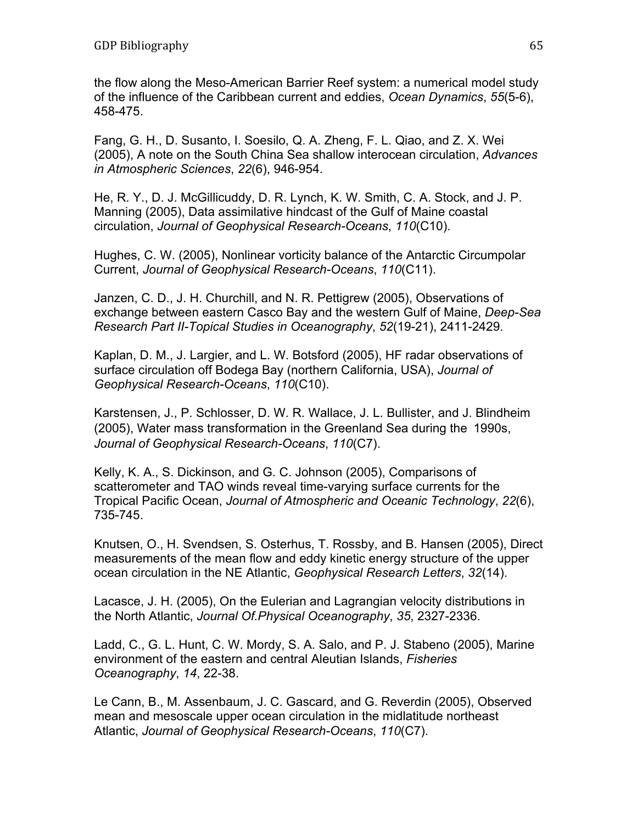the flow along the Meso-American Barrier Reef system: a numerical model study of the influence of the Caribbean current and eddies, *Ocean Dynamics*, *55*(5-6), 458-475.

Fang, G. H., D. Susanto, I. Soesilo, Q. A. Zheng, F. L. Qiao, and Z. X. Wei (2005), A note on the South China Sea shallow interocean circulation, *Advances in Atmospheric Sciences*, *22*(6), 946-954.

He, R. Y., D. J. McGillicuddy, D. R. Lynch, K. W. Smith, C. A. Stock, and J. P. Manning (2005), Data assimilative hindcast of the Gulf of Maine coastal circulation, *Journal of Geophysical Research-Oceans*, *110*(C10).

Hughes, C. W. (2005), Nonlinear vorticity balance of the Antarctic Circumpolar Current, *Journal of Geophysical Research-Oceans*, *110*(C11).

Janzen, C. D., J. H. Churchill, and N. R. Pettigrew (2005), Observations of exchange between eastern Casco Bay and the western Gulf of Maine, *Deep-Sea Research Part II-Topical Studies in Oceanography*, *52*(19-21), 2411-2429.

Kaplan, D. M., J. Largier, and L. W. Botsford (2005), HF radar observations of surface circulation off Bodega Bay (northern California, USA), *Journal of Geophysical Research-Oceans*, *110*(C10).

Karstensen, J., P. Schlosser, D. W. R. Wallace, J. L. Bullister, and J. Blindheim (2005), Water mass transformation in the Greenland Sea during the 1990s, *Journal of Geophysical Research-Oceans*, *110*(C7).

Kelly, K. A., S. Dickinson, and G. C. Johnson (2005), Comparisons of scatterometer and TAO winds reveal time-varying surface currents for the Tropical Pacific Ocean, *Journal of Atmospheric and Oceanic Technology*, *22*(6), 735-745.

Knutsen, O., H. Svendsen, S. Osterhus, T. Rossby, and B. Hansen (2005), Direct measurements of the mean flow and eddy kinetic energy structure of the upper ocean circulation in the NE Atlantic, *Geophysical Research Letters*, *32*(14).

Lacasce, J. H. (2005), On the Eulerian and Lagrangian velocity distributions in the North Atlantic, *Journal Of.Physical Oceanography*, *35*, 2327-2336.

Ladd, C., G. L. Hunt, C. W. Mordy, S. A. Salo, and P. J. Stabeno (2005), Marine environment of the eastern and central Aleutian Islands, *Fisheries Oceanography*, *14*, 22-38.

Le Cann, B., M. Assenbaum, J. C. Gascard, and G. Reverdin (2005), Observed mean and mesoscale upper ocean circulation in the midlatitude northeast Atlantic, *Journal of Geophysical Research-Oceans*, *110*(C7).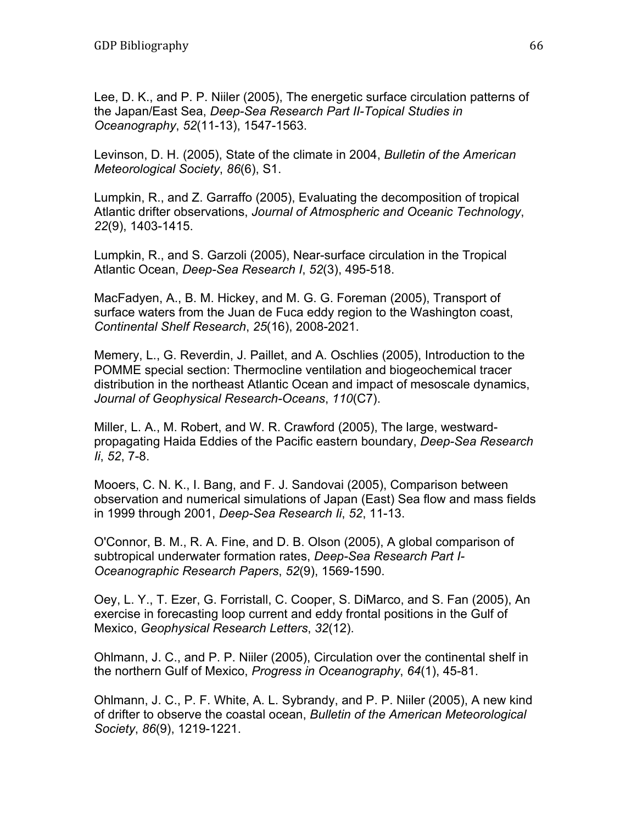Lee, D. K., and P. P. Niiler (2005), The energetic surface circulation patterns of the Japan/East Sea, *Deep-Sea Research Part II-Topical Studies in Oceanography*, *52*(11-13), 1547-1563.

Levinson, D. H. (2005), State of the climate in 2004, *Bulletin of the American Meteorological Society*, *86*(6), S1.

Lumpkin, R., and Z. Garraffo (2005), Evaluating the decomposition of tropical Atlantic drifter observations, *Journal of Atmospheric and Oceanic Technology*, *22*(9), 1403-1415.

Lumpkin, R., and S. Garzoli (2005), Near-surface circulation in the Tropical Atlantic Ocean, *Deep-Sea Research I*, *52*(3), 495-518.

MacFadyen, A., B. M. Hickey, and M. G. G. Foreman (2005), Transport of surface waters from the Juan de Fuca eddy region to the Washington coast, *Continental Shelf Research*, *25*(16), 2008-2021.

Memery, L., G. Reverdin, J. Paillet, and A. Oschlies (2005), Introduction to the POMME special section: Thermocline ventilation and biogeochemical tracer distribution in the northeast Atlantic Ocean and impact of mesoscale dynamics, *Journal of Geophysical Research-Oceans*, *110*(C7).

Miller, L. A., M. Robert, and W. R. Crawford (2005), The large, westwardpropagating Haida Eddies of the Pacific eastern boundary, *Deep-Sea Research Ii*, *52*, 7-8.

Mooers, C. N. K., I. Bang, and F. J. Sandovai (2005), Comparison between observation and numerical simulations of Japan (East) Sea flow and mass fields in 1999 through 2001, *Deep-Sea Research Ii*, *52*, 11-13.

O'Connor, B. M., R. A. Fine, and D. B. Olson (2005), A global comparison of subtropical underwater formation rates, *Deep-Sea Research Part I-Oceanographic Research Papers*, *52*(9), 1569-1590.

Oey, L. Y., T. Ezer, G. Forristall, C. Cooper, S. DiMarco, and S. Fan (2005), An exercise in forecasting loop current and eddy frontal positions in the Gulf of Mexico, *Geophysical Research Letters*, *32*(12).

Ohlmann, J. C., and P. P. Niiler (2005), Circulation over the continental shelf in the northern Gulf of Mexico, *Progress in Oceanography*, *64*(1), 45-81.

Ohlmann, J. C., P. F. White, A. L. Sybrandy, and P. P. Niiler (2005), A new kind of drifter to observe the coastal ocean, *Bulletin of the American Meteorological Society*, *86*(9), 1219-1221.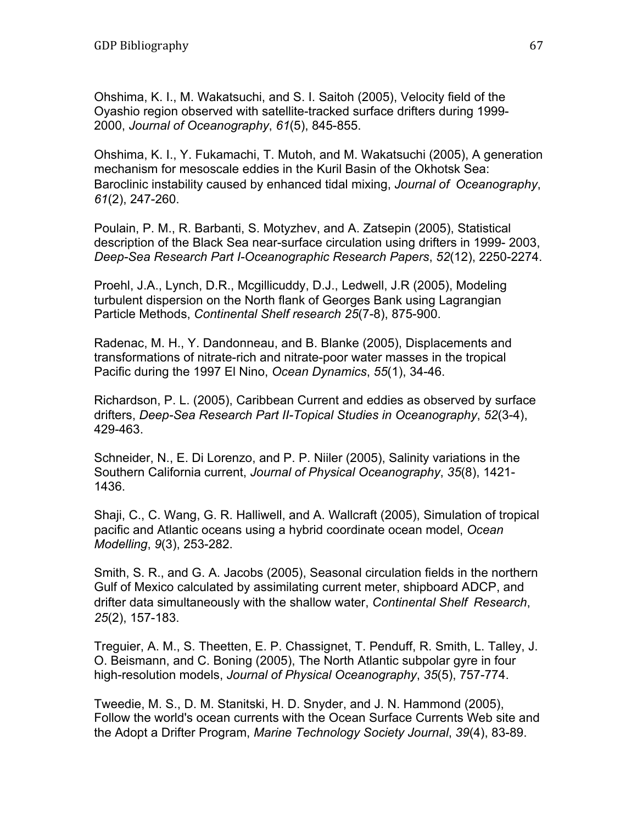Ohshima, K. I., M. Wakatsuchi, and S. I. Saitoh (2005), Velocity field of the Oyashio region observed with satellite-tracked surface drifters during 1999- 2000, *Journal of Oceanography*, *61*(5), 845-855.

Ohshima, K. I., Y. Fukamachi, T. Mutoh, and M. Wakatsuchi (2005), A generation mechanism for mesoscale eddies in the Kuril Basin of the Okhotsk Sea: Baroclinic instability caused by enhanced tidal mixing, *Journal of Oceanography*, *61*(2), 247-260.

Poulain, P. M., R. Barbanti, S. Motyzhev, and A. Zatsepin (2005), Statistical description of the Black Sea near-surface circulation using drifters in 1999- 2003, *Deep-Sea Research Part I-Oceanographic Research Papers*, *52*(12), 2250-2274.

Proehl, J.A., Lynch, D.R., Mcgillicuddy, D.J., Ledwell, J.R (2005), Modeling turbulent dispersion on the North flank of Georges Bank using Lagrangian Particle Methods, *Continental Shelf research 25*(7-8), 875-900.

Radenac, M. H., Y. Dandonneau, and B. Blanke (2005), Displacements and transformations of nitrate-rich and nitrate-poor water masses in the tropical Pacific during the 1997 El Nino, *Ocean Dynamics*, *55*(1), 34-46.

Richardson, P. L. (2005), Caribbean Current and eddies as observed by surface drifters, *Deep-Sea Research Part II-Topical Studies in Oceanography*, *52*(3-4), 429-463.

Schneider, N., E. Di Lorenzo, and P. P. Niiler (2005), Salinity variations in the Southern California current, *Journal of Physical Oceanography*, *35*(8), 1421- 1436.

Shaji, C., C. Wang, G. R. Halliwell, and A. Wallcraft (2005), Simulation of tropical pacific and Atlantic oceans using a hybrid coordinate ocean model, *Ocean Modelling*, *9*(3), 253-282.

Smith, S. R., and G. A. Jacobs (2005), Seasonal circulation fields in the northern Gulf of Mexico calculated by assimilating current meter, shipboard ADCP, and drifter data simultaneously with the shallow water, *Continental Shelf Research*, *25*(2), 157-183.

Treguier, A. M., S. Theetten, E. P. Chassignet, T. Penduff, R. Smith, L. Talley, J. O. Beismann, and C. Boning (2005), The North Atlantic subpolar gyre in four high-resolution models, *Journal of Physical Oceanography*, *35*(5), 757-774.

Tweedie, M. S., D. M. Stanitski, H. D. Snyder, and J. N. Hammond (2005), Follow the world's ocean currents with the Ocean Surface Currents Web site and the Adopt a Drifter Program, *Marine Technology Society Journal*, *39*(4), 83-89.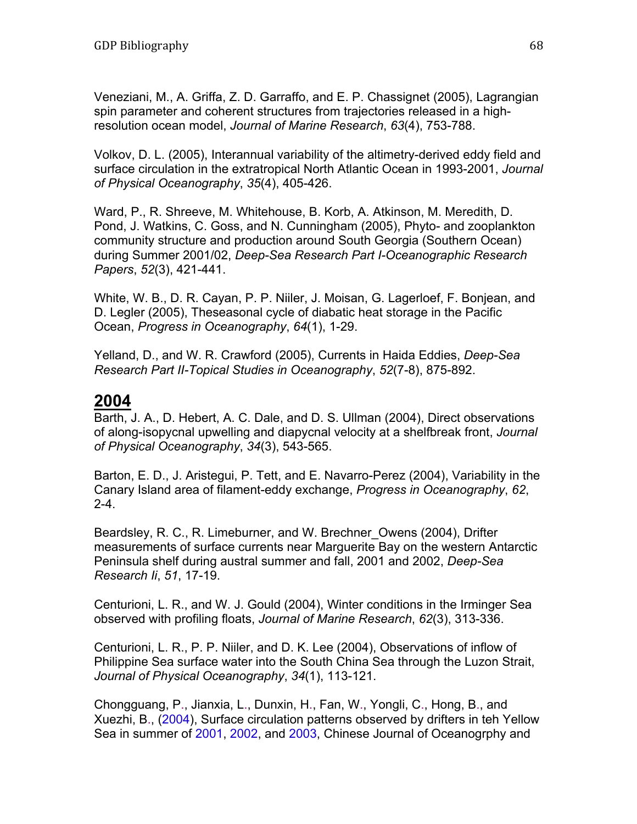Veneziani, M., A. Griffa, Z. D. Garraffo, and E. P. Chassignet (2005), Lagrangian spin parameter and coherent structures from trajectories released in a highresolution ocean model, *Journal of Marine Research*, *63*(4), 753-788.

Volkov, D. L. (2005), Interannual variability of the altimetry-derived eddy field and surface circulation in the extratropical North Atlantic Ocean in 1993-2001, *Journal of Physical Oceanography*, *35*(4), 405-426.

Ward, P., R. Shreeve, M. Whitehouse, B. Korb, A. Atkinson, M. Meredith, D. Pond, J. Watkins, C. Goss, and N. Cunningham (2005), Phyto- and zooplankton community structure and production around South Georgia (Southern Ocean) during Summer 2001/02, *Deep-Sea Research Part I-Oceanographic Research Papers*, *52*(3), 421-441.

White, W. B., D. R. Cayan, P. P. Niiler, J. Moisan, G. Lagerloef, F. Bonjean, and D. Legler (2005), Theseasonal cycle of diabatic heat storage in the Pacific Ocean, *Progress in Oceanography*, *64*(1), 1-29.

Yelland, D., and W. R. Crawford (2005), Currents in Haida Eddies, *Deep-Sea Research Part II-Topical Studies in Oceanography*, *52*(7-8), 875-892.

### **2004**

Barth, J. A., D. Hebert, A. C. Dale, and D. S. Ullman (2004), Direct observations of along-isopycnal upwelling and diapycnal velocity at a shelfbreak front, *Journal of Physical Oceanography*, *34*(3), 543-565.

Barton, E. D., J. Aristegui, P. Tett, and E. Navarro-Perez (2004), Variability in the Canary Island area of filament-eddy exchange, *Progress in Oceanography*, *62*, 2-4.

Beardsley, R. C., R. Limeburner, and W. Brechner\_Owens (2004), Drifter measurements of surface currents near Marguerite Bay on the western Antarctic Peninsula shelf during austral summer and fall, 2001 and 2002, *Deep-Sea Research Ii*, *51*, 17-19.

Centurioni, L. R., and W. J. Gould (2004), Winter conditions in the Irminger Sea observed with profiling floats, *Journal of Marine Research*, *62*(3), 313-336.

Centurioni, L. R., P. P. Niiler, and D. K. Lee (2004), Observations of inflow of Philippine Sea surface water into the South China Sea through the Luzon Strait, *Journal of Physical Oceanography*, *34*(1), 113-121.

Chongguang, P., Jianxia, L., Dunxin, H., Fan, W., Yongli, C., Hong, B., and Xuezhi, B., (2004), Surface circulation patterns observed by drifters in teh Yellow Sea in summer of 2001, 2002, and 2003, Chinese Journal of Oceanogrphy and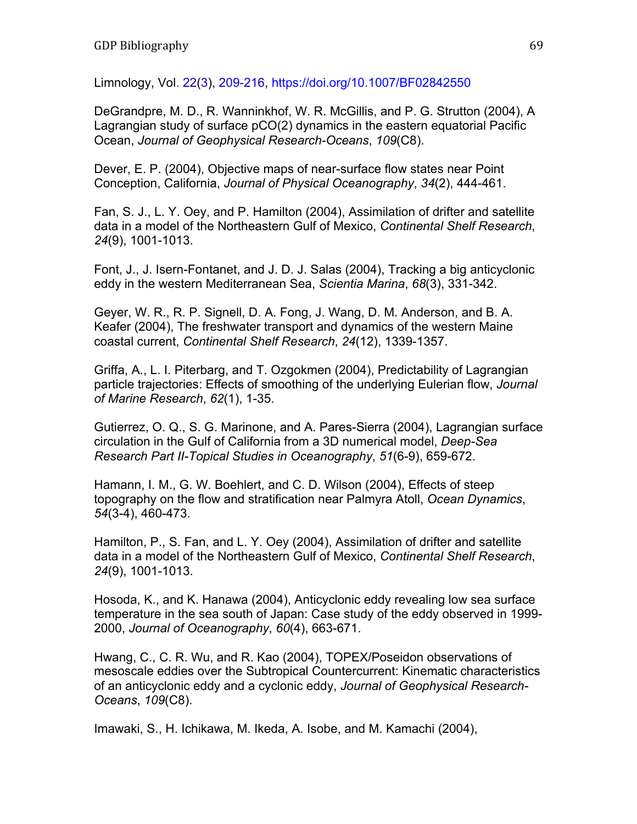Limnology, Vol. 22(3), 209-216, https://doi.org/10.1007/BF02842550

DeGrandpre, M. D., R. Wanninkhof, W. R. McGillis, and P. G. Strutton (2004), A Lagrangian study of surface pCO(2) dynamics in the eastern equatorial Pacific Ocean, *Journal of Geophysical Research-Oceans*, *109*(C8).

Dever, E. P. (2004), Objective maps of near-surface flow states near Point Conception, California, *Journal of Physical Oceanography*, *34*(2), 444-461.

Fan, S. J., L. Y. Oey, and P. Hamilton (2004), Assimilation of drifter and satellite data in a model of the Northeastern Gulf of Mexico, *Continental Shelf Research*, *24*(9), 1001-1013.

Font, J., J. Isern-Fontanet, and J. D. J. Salas (2004), Tracking a big anticyclonic eddy in the western Mediterranean Sea, *Scientia Marina*, *68*(3), 331-342.

Geyer, W. R., R. P. Signell, D. A. Fong, J. Wang, D. M. Anderson, and B. A. Keafer (2004), The freshwater transport and dynamics of the western Maine coastal current, *Continental Shelf Research*, *24*(12), 1339-1357.

Griffa, A., L. I. Piterbarg, and T. Ozgokmen (2004), Predictability of Lagrangian particle trajectories: Effects of smoothing of the underlying Eulerian flow, *Journal of Marine Research*, *62*(1), 1-35.

Gutierrez, O. Q., S. G. Marinone, and A. Pares-Sierra (2004), Lagrangian surface circulation in the Gulf of California from a 3D numerical model, *Deep-Sea Research Part II-Topical Studies in Oceanography*, *51*(6-9), 659-672.

Hamann, I. M., G. W. Boehlert, and C. D. Wilson (2004), Effects of steep topography on the flow and stratification near Palmyra Atoll, *Ocean Dynamics*, *54*(3-4), 460-473.

Hamilton, P., S. Fan, and L. Y. Oey (2004), Assimilation of drifter and satellite data in a model of the Northeastern Gulf of Mexico, *Continental Shelf Research*, *24*(9), 1001-1013.

Hosoda, K., and K. Hanawa (2004), Anticyclonic eddy revealing low sea surface temperature in the sea south of Japan: Case study of the eddy observed in 1999- 2000, *Journal of Oceanography*, *60*(4), 663-671.

Hwang, C., C. R. Wu, and R. Kao (2004), TOPEX/Poseidon observations of mesoscale eddies over the Subtropical Countercurrent: Kinematic characteristics of an anticyclonic eddy and a cyclonic eddy, *Journal of Geophysical Research-Oceans*, *109*(C8).

Imawaki, S., H. Ichikawa, M. Ikeda, A. Isobe, and M. Kamachi (2004),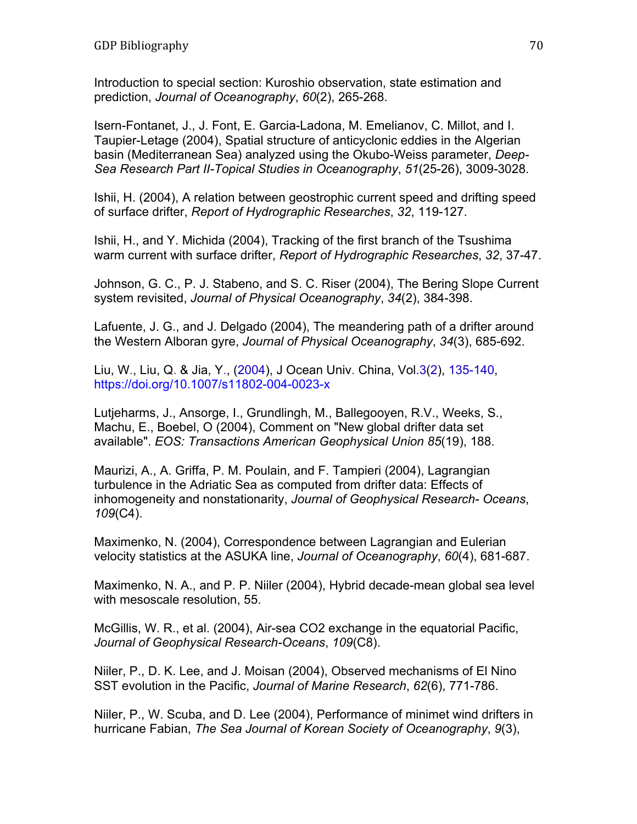Introduction to special section: Kuroshio observation, state estimation and prediction, *Journal of Oceanography*, *60*(2), 265-268.

Isern-Fontanet, J., J. Font, E. Garcia-Ladona, M. Emelianov, C. Millot, and I. Taupier-Letage (2004), Spatial structure of anticyclonic eddies in the Algerian basin (Mediterranean Sea) analyzed using the Okubo-Weiss parameter, *Deep-Sea Research Part II-Topical Studies in Oceanography*, *51*(25-26), 3009-3028.

Ishii, H. (2004), A relation between geostrophic current speed and drifting speed of surface drifter, *Report of Hydrographic Researches*, *32*, 119-127.

Ishii, H., and Y. Michida (2004), Tracking of the first branch of the Tsushima warm current with surface drifter, *Report of Hydrographic Researches*, *32*, 37-47.

Johnson, G. C., P. J. Stabeno, and S. C. Riser (2004), The Bering Slope Current system revisited, *Journal of Physical Oceanography*, *34*(2), 384-398.

Lafuente, J. G., and J. Delgado (2004), The meandering path of a drifter around the Western Alboran gyre, *Journal of Physical Oceanography*, *34*(3), 685-692.

Liu, W., Liu, Q. & Jia, Y., (2004), J Ocean Univ. China, Vol.3(2), 135-140, https://doi.org/10.1007/s11802-004-0023-x

Lutjeharms, J., Ansorge, I., Grundlingh, M., Ballegooyen, R.V., Weeks, S., Machu, E., Boebel, O (2004), Comment on "New global drifter data set available". *EOS: Transactions American Geophysical Union 85*(19), 188.

Maurizi, A., A. Griffa, P. M. Poulain, and F. Tampieri (2004), Lagrangian turbulence in the Adriatic Sea as computed from drifter data: Effects of inhomogeneity and nonstationarity, *Journal of Geophysical Research- Oceans*, *109*(C4).

Maximenko, N. (2004), Correspondence between Lagrangian and Eulerian velocity statistics at the ASUKA line, *Journal of Oceanography*, *60*(4), 681-687.

Maximenko, N. A., and P. P. Niiler (2004), Hybrid decade-mean global sea level with mesoscale resolution, 55.

McGillis, W. R., et al. (2004), Air-sea CO2 exchange in the equatorial Pacific, *Journal of Geophysical Research-Oceans*, *109*(C8).

Niiler, P., D. K. Lee, and J. Moisan (2004), Observed mechanisms of El Nino SST evolution in the Pacific, *Journal of Marine Research*, *62*(6), 771-786.

Niiler, P., W. Scuba, and D. Lee (2004), Performance of minimet wind drifters in hurricane Fabian, *The Sea Journal of Korean Society of Oceanography*, *9*(3),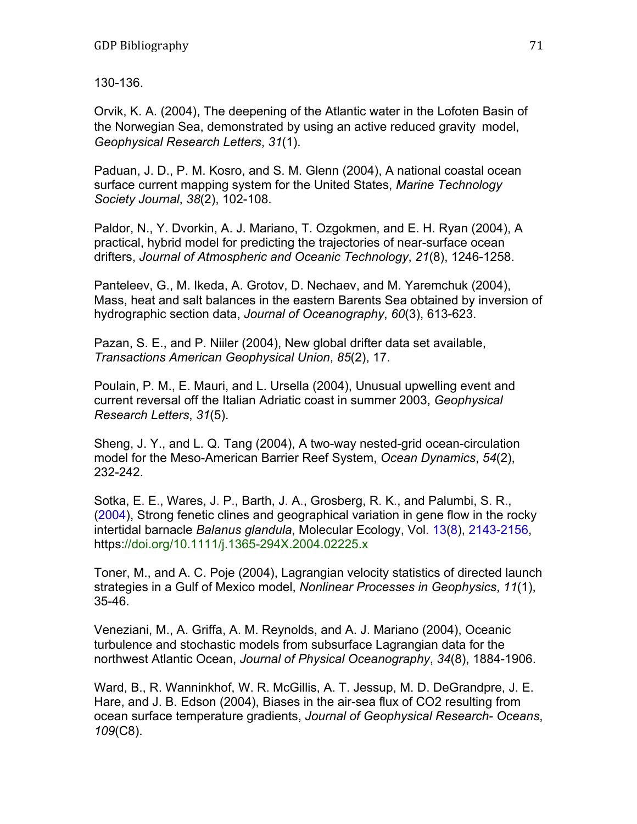130-136.

Orvik, K. A. (2004), The deepening of the Atlantic water in the Lofoten Basin of the Norwegian Sea, demonstrated by using an active reduced gravity model, *Geophysical Research Letters*, *31*(1).

Paduan, J. D., P. M. Kosro, and S. M. Glenn (2004), A national coastal ocean surface current mapping system for the United States, *Marine Technology Society Journal*, *38*(2), 102-108.

Paldor, N., Y. Dvorkin, A. J. Mariano, T. Ozgokmen, and E. H. Ryan (2004), A practical, hybrid model for predicting the trajectories of near-surface ocean drifters, *Journal of Atmospheric and Oceanic Technology*, *21*(8), 1246-1258.

Panteleev, G., M. Ikeda, A. Grotov, D. Nechaev, and M. Yaremchuk (2004), Mass, heat and salt balances in the eastern Barents Sea obtained by inversion of hydrographic section data, *Journal of Oceanography*, *60*(3), 613-623.

Pazan, S. E., and P. Niiler (2004), New global drifter data set available, *Transactions American Geophysical Union*, *85*(2), 17.

Poulain, P. M., E. Mauri, and L. Ursella (2004), Unusual upwelling event and current reversal off the Italian Adriatic coast in summer 2003, *Geophysical Research Letters*, *31*(5).

Sheng, J. Y., and L. Q. Tang (2004), A two-way nested-grid ocean-circulation model for the Meso-American Barrier Reef System, *Ocean Dynamics*, *54*(2), 232-242.

Sotka, E. E., Wares, J. P., Barth, J. A., Grosberg, R. K., and Palumbi, S. R., (2004), Strong fenetic clines and geographical variation in gene flow in the rocky intertidal barnacle *Balanus glandula*, Molecular Ecology, Vol. 13(8), 2143-2156, https://doi.org/10.1111/j.1365-294X.2004.02225.x

Toner, M., and A. C. Poje (2004), Lagrangian velocity statistics of directed launch strategies in a Gulf of Mexico model, *Nonlinear Processes in Geophysics*, *11*(1), 35-46.

Veneziani, M., A. Griffa, A. M. Reynolds, and A. J. Mariano (2004), Oceanic turbulence and stochastic models from subsurface Lagrangian data for the northwest Atlantic Ocean, *Journal of Physical Oceanography*, *34*(8), 1884-1906.

Ward, B., R. Wanninkhof, W. R. McGillis, A. T. Jessup, M. D. DeGrandpre, J. E. Hare, and J. B. Edson (2004), Biases in the air-sea flux of CO2 resulting from ocean surface temperature gradients, *Journal of Geophysical Research- Oceans*, *109*(C8).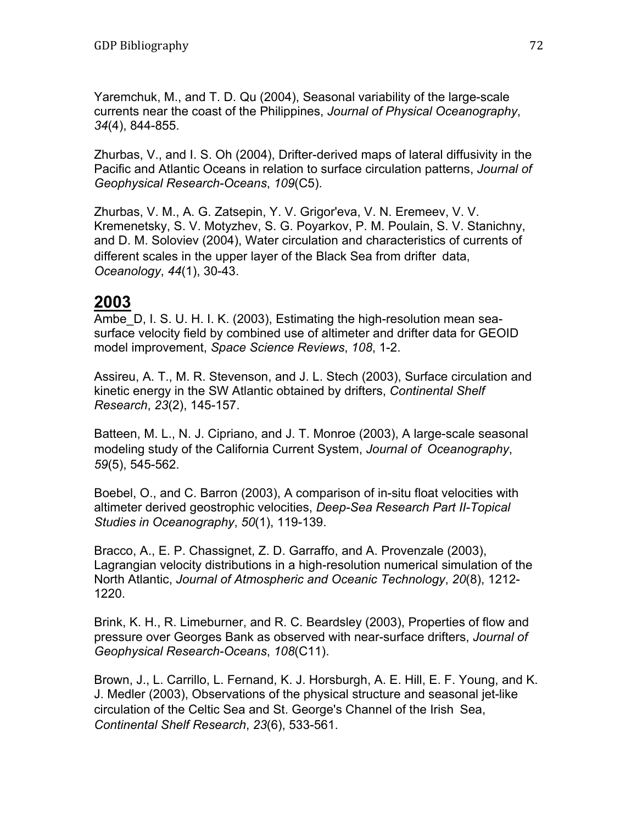Yaremchuk, M., and T. D. Qu (2004), Seasonal variability of the large-scale currents near the coast of the Philippines, *Journal of Physical Oceanography*, *34*(4), 844-855.

Zhurbas, V., and I. S. Oh (2004), Drifter-derived maps of lateral diffusivity in the Pacific and Atlantic Oceans in relation to surface circulation patterns, *Journal of Geophysical Research-Oceans*, *109*(C5).

Zhurbas, V. M., A. G. Zatsepin, Y. V. Grigor'eva, V. N. Eremeev, V. V. Kremenetsky, S. V. Motyzhev, S. G. Poyarkov, P. M. Poulain, S. V. Stanichny, and D. M. Soloviev (2004), Water circulation and characteristics of currents of different scales in the upper layer of the Black Sea from drifter data, *Oceanology*, *44*(1), 30-43.

### **2003**

Ambe D, I. S. U. H. I. K. (2003), Estimating the high-resolution mean seasurface velocity field by combined use of altimeter and drifter data for GEOID model improvement, *Space Science Reviews*, *108*, 1-2.

Assireu, A. T., M. R. Stevenson, and J. L. Stech (2003), Surface circulation and kinetic energy in the SW Atlantic obtained by drifters, *Continental Shelf Research*, *23*(2), 145-157.

Batteen, M. L., N. J. Cipriano, and J. T. Monroe (2003), A large-scale seasonal modeling study of the California Current System, *Journal of Oceanography*, *59*(5), 545-562.

Boebel, O., and C. Barron (2003), A comparison of in-situ float velocities with altimeter derived geostrophic velocities, *Deep-Sea Research Part II-Topical Studies in Oceanography*, *50*(1), 119-139.

Bracco, A., E. P. Chassignet, Z. D. Garraffo, and A. Provenzale (2003), Lagrangian velocity distributions in a high-resolution numerical simulation of the North Atlantic, *Journal of Atmospheric and Oceanic Technology*, *20*(8), 1212- 1220.

Brink, K. H., R. Limeburner, and R. C. Beardsley (2003), Properties of flow and pressure over Georges Bank as observed with near-surface drifters, *Journal of Geophysical Research-Oceans*, *108*(C11).

Brown, J., L. Carrillo, L. Fernand, K. J. Horsburgh, A. E. Hill, E. F. Young, and K. J. Medler (2003), Observations of the physical structure and seasonal jet-like circulation of the Celtic Sea and St. George's Channel of the Irish Sea, *Continental Shelf Research*, *23*(6), 533-561.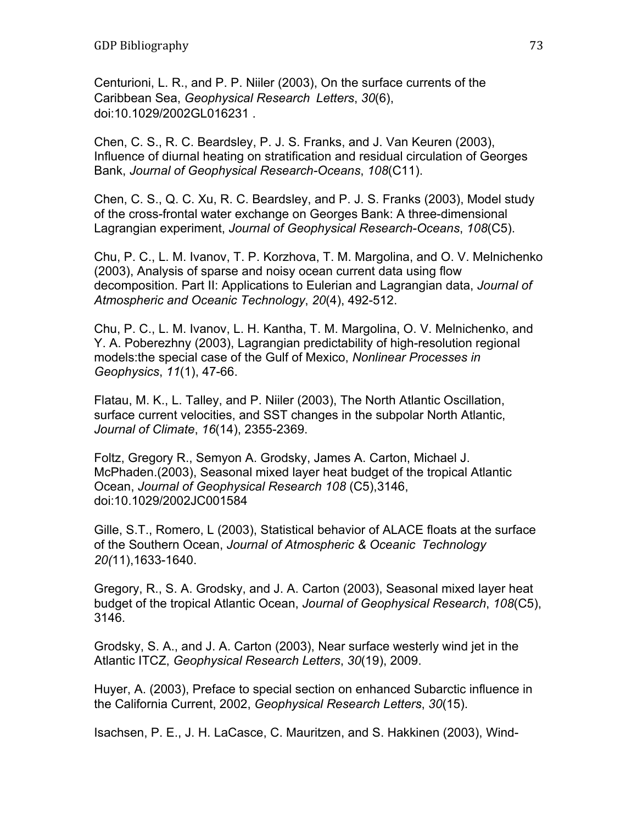Centurioni, L. R., and P. P. Niiler (2003), On the surface currents of the Caribbean Sea, *Geophysical Research Letters*, *30*(6), doi:10.1029/2002GL016231 .

Chen, C. S., R. C. Beardsley, P. J. S. Franks, and J. Van Keuren (2003), Influence of diurnal heating on stratification and residual circulation of Georges Bank, *Journal of Geophysical Research-Oceans*, *108*(C11).

Chen, C. S., Q. C. Xu, R. C. Beardsley, and P. J. S. Franks (2003), Model study of the cross-frontal water exchange on Georges Bank: A three-dimensional Lagrangian experiment, *Journal of Geophysical Research-Oceans*, *108*(C5).

Chu, P. C., L. M. Ivanov, T. P. Korzhova, T. M. Margolina, and O. V. Melnichenko (2003), Analysis of sparse and noisy ocean current data using flow decomposition. Part II: Applications to Eulerian and Lagrangian data, *Journal of Atmospheric and Oceanic Technology*, *20*(4), 492-512.

Chu, P. C., L. M. Ivanov, L. H. Kantha, T. M. Margolina, O. V. Melnichenko, and Y. A. Poberezhny (2003), Lagrangian predictability of high-resolution regional models:the special case of the Gulf of Mexico, *Nonlinear Processes in Geophysics*, *11*(1), 47-66.

Flatau, M. K., L. Talley, and P. Niiler (2003), The North Atlantic Oscillation, surface current velocities, and SST changes in the subpolar North Atlantic, *Journal of Climate*, *16*(14), 2355-2369.

Foltz, Gregory R., Semyon A. Grodsky, James A. Carton, Michael J. McPhaden.(2003), Seasonal mixed layer heat budget of the tropical Atlantic Ocean, *Journal of Geophysical Research 108* (C5),3146, doi:10.1029/2002JC001584

Gille, S.T., Romero, L (2003), Statistical behavior of ALACE floats at the surface of the Southern Ocean, *Journal of Atmospheric & Oceanic Technology 20(*11),1633-1640.

Gregory, R., S. A. Grodsky, and J. A. Carton (2003), Seasonal mixed layer heat budget of the tropical Atlantic Ocean, *Journal of Geophysical Research*, *108*(C5), 3146.

Grodsky, S. A., and J. A. Carton (2003), Near surface westerly wind jet in the Atlantic ITCZ, *Geophysical Research Letters*, *30*(19), 2009.

Huyer, A. (2003), Preface to special section on enhanced Subarctic influence in the California Current, 2002, *Geophysical Research Letters*, *30*(15).

Isachsen, P. E., J. H. LaCasce, C. Mauritzen, and S. Hakkinen (2003), Wind-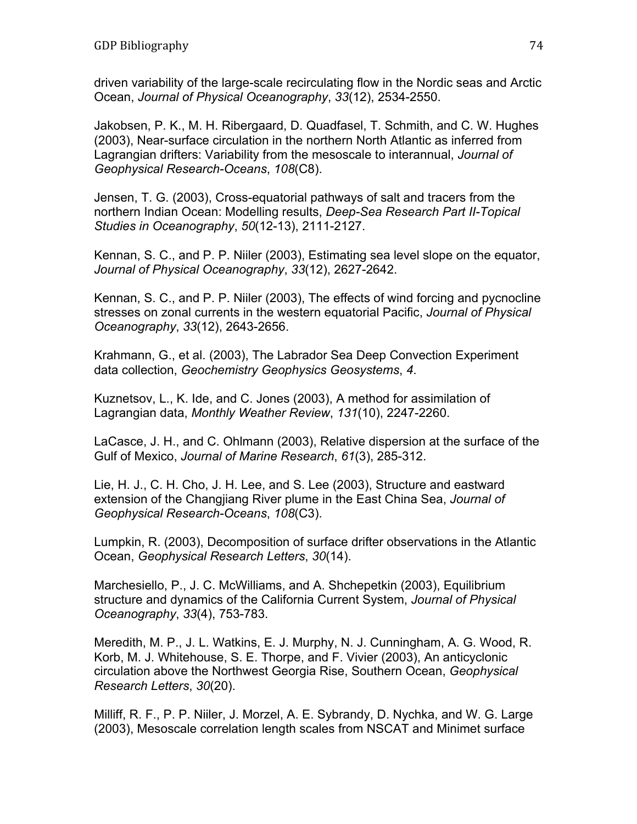driven variability of the large-scale recirculating flow in the Nordic seas and Arctic Ocean, *Journal of Physical Oceanography*, *33*(12), 2534-2550.

Jakobsen, P. K., M. H. Ribergaard, D. Quadfasel, T. Schmith, and C. W. Hughes (2003), Near-surface circulation in the northern North Atlantic as inferred from Lagrangian drifters: Variability from the mesoscale to interannual, *Journal of Geophysical Research-Oceans*, *108*(C8).

Jensen, T. G. (2003), Cross-equatorial pathways of salt and tracers from the northern Indian Ocean: Modelling results, *Deep-Sea Research Part II-Topical Studies in Oceanography*, *50*(12-13), 2111-2127.

Kennan, S. C., and P. P. Niiler (2003), Estimating sea level slope on the equator, *Journal of Physical Oceanography*, *33*(12), 2627-2642.

Kennan, S. C., and P. P. Niiler (2003), The effects of wind forcing and pycnocline stresses on zonal currents in the western equatorial Pacific, *Journal of Physical Oceanography*, *33*(12), 2643-2656.

Krahmann, G., et al. (2003), The Labrador Sea Deep Convection Experiment data collection, *Geochemistry Geophysics Geosystems*, *4*.

Kuznetsov, L., K. Ide, and C. Jones (2003), A method for assimilation of Lagrangian data, *Monthly Weather Review*, *131*(10), 2247-2260.

LaCasce, J. H., and C. Ohlmann (2003), Relative dispersion at the surface of the Gulf of Mexico, *Journal of Marine Research*, *61*(3), 285-312.

Lie, H. J., C. H. Cho, J. H. Lee, and S. Lee (2003), Structure and eastward extension of the Changjiang River plume in the East China Sea, *Journal of Geophysical Research-Oceans*, *108*(C3).

Lumpkin, R. (2003), Decomposition of surface drifter observations in the Atlantic Ocean, *Geophysical Research Letters*, *30*(14).

Marchesiello, P., J. C. McWilliams, and A. Shchepetkin (2003), Equilibrium structure and dynamics of the California Current System, *Journal of Physical Oceanography*, *33*(4), 753-783.

Meredith, M. P., J. L. Watkins, E. J. Murphy, N. J. Cunningham, A. G. Wood, R. Korb, M. J. Whitehouse, S. E. Thorpe, and F. Vivier (2003), An anticyclonic circulation above the Northwest Georgia Rise, Southern Ocean, *Geophysical Research Letters*, *30*(20).

Milliff, R. F., P. P. Niiler, J. Morzel, A. E. Sybrandy, D. Nychka, and W. G. Large (2003), Mesoscale correlation length scales from NSCAT and Minimet surface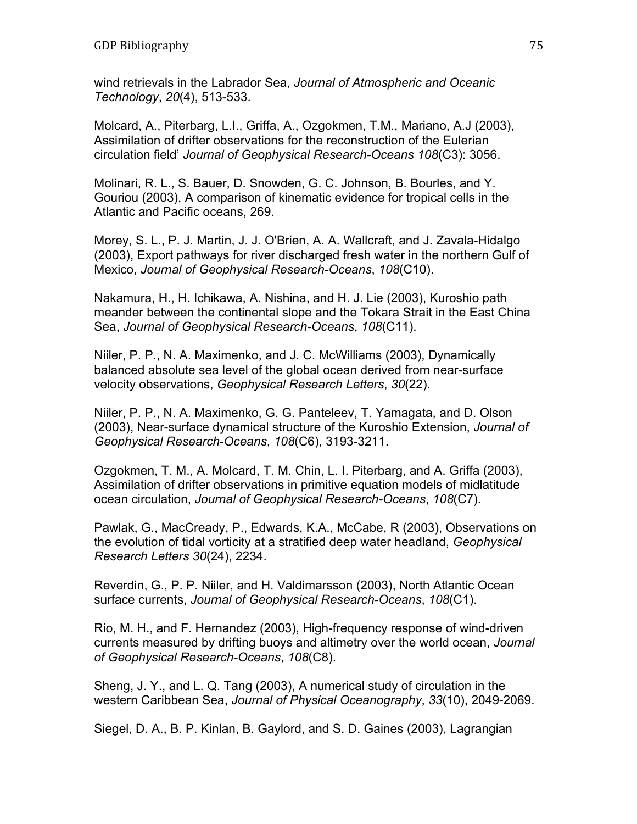wind retrievals in the Labrador Sea, *Journal of Atmospheric and Oceanic Technology*, *20*(4), 513-533.

Molcard, A., Piterbarg, L.I., Griffa, A., Ozgokmen, T.M., Mariano, A.J (2003), Assimilation of drifter observations for the reconstruction of the Eulerian circulation field' *Journal of Geophysical Research-Oceans 108*(C3): 3056.

Molinari, R. L., S. Bauer, D. Snowden, G. C. Johnson, B. Bourles, and Y. Gouriou (2003), A comparison of kinematic evidence for tropical cells in the Atlantic and Pacific oceans, 269.

Morey, S. L., P. J. Martin, J. J. O'Brien, A. A. Wallcraft, and J. Zavala-Hidalgo (2003), Export pathways for river discharged fresh water in the northern Gulf of Mexico, *Journal of Geophysical Research-Oceans*, *108*(C10).

Nakamura, H., H. Ichikawa, A. Nishina, and H. J. Lie (2003), Kuroshio path meander between the continental slope and the Tokara Strait in the East China Sea, *Journal of Geophysical Research-Oceans*, *108*(C11).

Niiler, P. P., N. A. Maximenko, and J. C. McWilliams (2003), Dynamically balanced absolute sea level of the global ocean derived from near-surface velocity observations, *Geophysical Research Letters*, *30*(22).

Niiler, P. P., N. A. Maximenko, G. G. Panteleev, T. Yamagata, and D. Olson (2003), Near-surface dynamical structure of the Kuroshio Extension, *Journal of Geophysical Research-Oceans*, *108*(C6), 3193-3211.

Ozgokmen, T. M., A. Molcard, T. M. Chin, L. I. Piterbarg, and A. Griffa (2003), Assimilation of drifter observations in primitive equation models of midlatitude ocean circulation, *Journal of Geophysical Research-Oceans*, *108*(C7).

Pawlak, G., MacCready, P., Edwards, K.A., McCabe, R (2003), Observations on the evolution of tidal vorticity at a stratified deep water headland, *Geophysical Research Letters 30*(24), 2234.

Reverdin, G., P. P. Niiler, and H. Valdimarsson (2003), North Atlantic Ocean surface currents, *Journal of Geophysical Research-Oceans*, *108*(C1).

Rio, M. H., and F. Hernandez (2003), High-frequency response of wind-driven currents measured by drifting buoys and altimetry over the world ocean, *Journal of Geophysical Research-Oceans*, *108*(C8).

Sheng, J. Y., and L. Q. Tang (2003), A numerical study of circulation in the western Caribbean Sea, *Journal of Physical Oceanography*, *33*(10), 2049-2069.

Siegel, D. A., B. P. Kinlan, B. Gaylord, and S. D. Gaines (2003), Lagrangian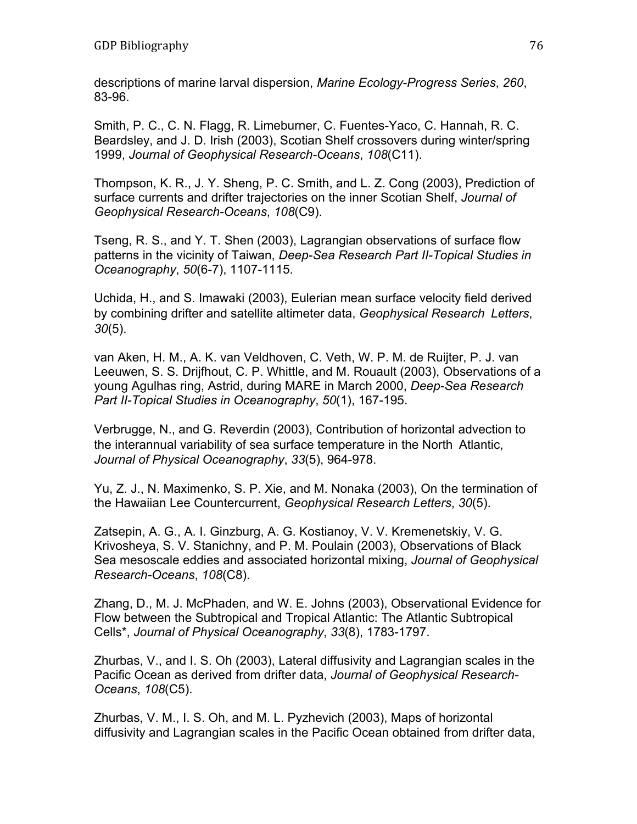descriptions of marine larval dispersion, *Marine Ecology-Progress Series*, *260*, 83-96.

Smith, P. C., C. N. Flagg, R. Limeburner, C. Fuentes-Yaco, C. Hannah, R. C. Beardsley, and J. D. Irish (2003), Scotian Shelf crossovers during winter/spring 1999, *Journal of Geophysical Research-Oceans*, *108*(C11).

Thompson, K. R., J. Y. Sheng, P. C. Smith, and L. Z. Cong (2003), Prediction of surface currents and drifter trajectories on the inner Scotian Shelf, *Journal of Geophysical Research-Oceans*, *108*(C9).

Tseng, R. S., and Y. T. Shen (2003), Lagrangian observations of surface flow patterns in the vicinity of Taiwan, *Deep-Sea Research Part II-Topical Studies in Oceanography*, *50*(6-7), 1107-1115.

Uchida, H., and S. Imawaki (2003), Eulerian mean surface velocity field derived by combining drifter and satellite altimeter data, *Geophysical Research Letters*, *30*(5).

van Aken, H. M., A. K. van Veldhoven, C. Veth, W. P. M. de Ruijter, P. J. van Leeuwen, S. S. Drijfhout, C. P. Whittle, and M. Rouault (2003), Observations of a young Agulhas ring, Astrid, during MARE in March 2000, *Deep-Sea Research Part II-Topical Studies in Oceanography*, *50*(1), 167-195.

Verbrugge, N., and G. Reverdin (2003), Contribution of horizontal advection to the interannual variability of sea surface temperature in the North Atlantic, *Journal of Physical Oceanography*, *33*(5), 964-978.

Yu, Z. J., N. Maximenko, S. P. Xie, and M. Nonaka (2003), On the termination of the Hawaiian Lee Countercurrent, *Geophysical Research Letters*, *30*(5).

Zatsepin, A. G., A. I. Ginzburg, A. G. Kostianoy, V. V. Kremenetskiy, V. G. Krivosheya, S. V. Stanichny, and P. M. Poulain (2003), Observations of Black Sea mesoscale eddies and associated horizontal mixing, *Journal of Geophysical Research-Oceans*, *108*(C8).

Zhang, D., M. J. McPhaden, and W. E. Johns (2003), Observational Evidence for Flow between the Subtropical and Tropical Atlantic: The Atlantic Subtropical Cells\*, *Journal of Physical Oceanography*, *33*(8), 1783-1797.

Zhurbas, V., and I. S. Oh (2003), Lateral diffusivity and Lagrangian scales in the Pacific Ocean as derived from drifter data, *Journal of Geophysical Research-Oceans*, *108*(C5).

Zhurbas, V. M., I. S. Oh, and M. L. Pyzhevich (2003), Maps of horizontal diffusivity and Lagrangian scales in the Pacific Ocean obtained from drifter data,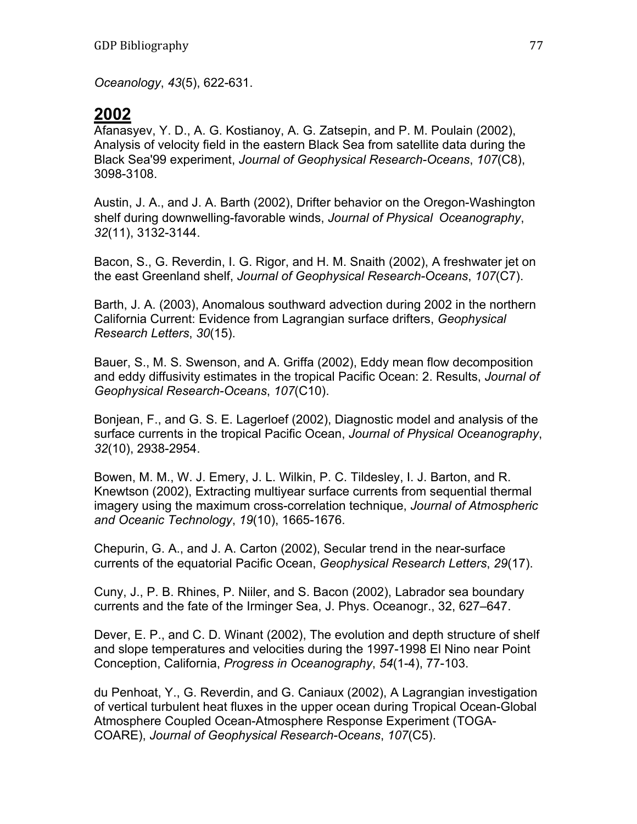*Oceanology*, *43*(5), 622-631.

## **2002**

Afanasyev, Y. D., A. G. Kostianoy, A. G. Zatsepin, and P. M. Poulain (2002), Analysis of velocity field in the eastern Black Sea from satellite data during the Black Sea'99 experiment, *Journal of Geophysical Research-Oceans*, *107*(C8), 3098-3108.

Austin, J. A., and J. A. Barth (2002), Drifter behavior on the Oregon-Washington shelf during downwelling-favorable winds, *Journal of Physical Oceanography*, *32*(11), 3132-3144.

Bacon, S., G. Reverdin, I. G. Rigor, and H. M. Snaith (2002), A freshwater jet on the east Greenland shelf, *Journal of Geophysical Research-Oceans*, *107*(C7).

Barth, J. A. (2003), Anomalous southward advection during 2002 in the northern California Current: Evidence from Lagrangian surface drifters, *Geophysical Research Letters*, *30*(15).

Bauer, S., M. S. Swenson, and A. Griffa (2002), Eddy mean flow decomposition and eddy diffusivity estimates in the tropical Pacific Ocean: 2. Results, *Journal of Geophysical Research-Oceans*, *107*(C10).

Bonjean, F., and G. S. E. Lagerloef (2002), Diagnostic model and analysis of the surface currents in the tropical Pacific Ocean, *Journal of Physical Oceanography*, *32*(10), 2938-2954.

Bowen, M. M., W. J. Emery, J. L. Wilkin, P. C. Tildesley, I. J. Barton, and R. Knewtson (2002), Extracting multiyear surface currents from sequential thermal imagery using the maximum cross-correlation technique, *Journal of Atmospheric and Oceanic Technology*, *19*(10), 1665-1676.

Chepurin, G. A., and J. A. Carton (2002), Secular trend in the near-surface currents of the equatorial Pacific Ocean, *Geophysical Research Letters*, *29*(17).

Cuny, J., P. B. Rhines, P. Niiler, and S. Bacon (2002), Labrador sea boundary currents and the fate of the Irminger Sea, J. Phys. Oceanogr., 32, 627–647.

Dever, E. P., and C. D. Winant (2002), The evolution and depth structure of shelf and slope temperatures and velocities during the 1997-1998 El Nino near Point Conception, California, *Progress in Oceanography*, *54*(1-4), 77-103.

du Penhoat, Y., G. Reverdin, and G. Caniaux (2002), A Lagrangian investigation of vertical turbulent heat fluxes in the upper ocean during Tropical Ocean-Global Atmosphere Coupled Ocean-Atmosphere Response Experiment (TOGA-COARE), *Journal of Geophysical Research-Oceans*, *107*(C5).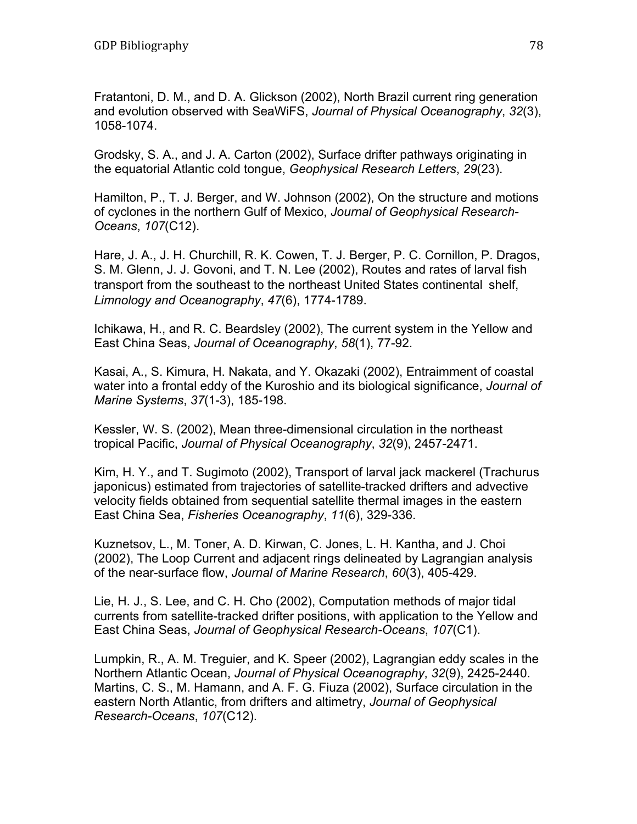Fratantoni, D. M., and D. A. Glickson (2002), North Brazil current ring generation and evolution observed with SeaWiFS, *Journal of Physical Oceanography*, *32*(3), 1058-1074.

Grodsky, S. A., and J. A. Carton (2002), Surface drifter pathways originating in the equatorial Atlantic cold tongue, *Geophysical Research Letters*, *29*(23).

Hamilton, P., T. J. Berger, and W. Johnson (2002), On the structure and motions of cyclones in the northern Gulf of Mexico, *Journal of Geophysical Research-Oceans*, *107*(C12).

Hare, J. A., J. H. Churchill, R. K. Cowen, T. J. Berger, P. C. Cornillon, P. Dragos, S. M. Glenn, J. J. Govoni, and T. N. Lee (2002), Routes and rates of larval fish transport from the southeast to the northeast United States continental shelf, *Limnology and Oceanography*, *47*(6), 1774-1789.

Ichikawa, H., and R. C. Beardsley (2002), The current system in the Yellow and East China Seas, *Journal of Oceanography*, *58*(1), 77-92.

Kasai, A., S. Kimura, H. Nakata, and Y. Okazaki (2002), Entraimment of coastal water into a frontal eddy of the Kuroshio and its biological significance, *Journal of Marine Systems*, *37*(1-3), 185-198.

Kessler, W. S. (2002), Mean three-dimensional circulation in the northeast tropical Pacific, *Journal of Physical Oceanography*, *32*(9), 2457-2471.

Kim, H. Y., and T. Sugimoto (2002), Transport of larval jack mackerel (Trachurus japonicus) estimated from trajectories of satellite-tracked drifters and advective velocity fields obtained from sequential satellite thermal images in the eastern East China Sea, *Fisheries Oceanography*, *11*(6), 329-336.

Kuznetsov, L., M. Toner, A. D. Kirwan, C. Jones, L. H. Kantha, and J. Choi (2002), The Loop Current and adjacent rings delineated by Lagrangian analysis of the near-surface flow, *Journal of Marine Research*, *60*(3), 405-429.

Lie, H. J., S. Lee, and C. H. Cho (2002), Computation methods of major tidal currents from satellite-tracked drifter positions, with application to the Yellow and East China Seas, *Journal of Geophysical Research-Oceans*, *107*(C1).

Lumpkin, R., A. M. Treguier, and K. Speer (2002), Lagrangian eddy scales in the Northern Atlantic Ocean, *Journal of Physical Oceanography*, *32*(9), 2425-2440. Martins, C. S., M. Hamann, and A. F. G. Fiuza (2002), Surface circulation in the eastern North Atlantic, from drifters and altimetry, *Journal of Geophysical Research-Oceans*, *107*(C12).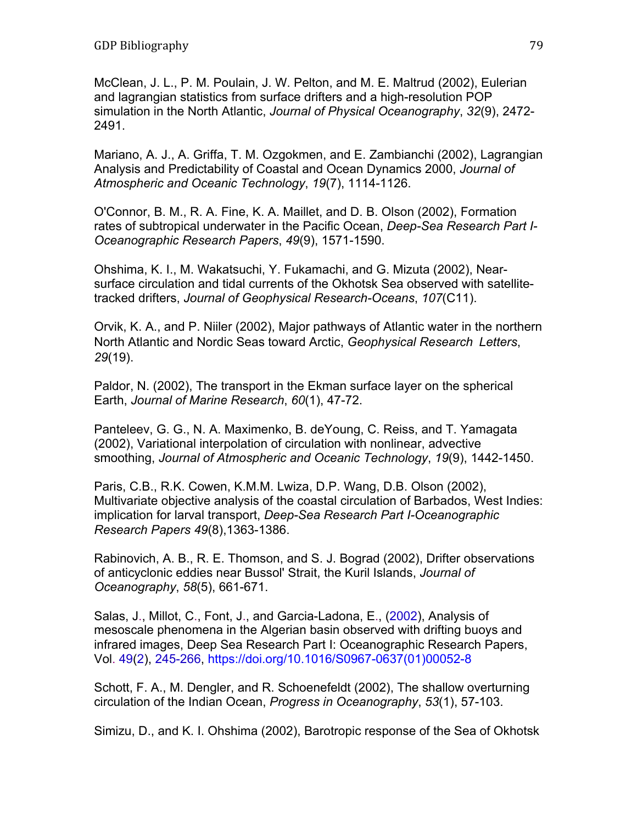McClean, J. L., P. M. Poulain, J. W. Pelton, and M. E. Maltrud (2002), Eulerian and lagrangian statistics from surface drifters and a high-resolution POP simulation in the North Atlantic, *Journal of Physical Oceanography*, *32*(9), 2472- 2491.

Mariano, A. J., A. Griffa, T. M. Ozgokmen, and E. Zambianchi (2002), Lagrangian Analysis and Predictability of Coastal and Ocean Dynamics 2000, *Journal of Atmospheric and Oceanic Technology*, *19*(7), 1114-1126.

O'Connor, B. M., R. A. Fine, K. A. Maillet, and D. B. Olson (2002), Formation rates of subtropical underwater in the Pacific Ocean, *Deep-Sea Research Part I-Oceanographic Research Papers*, *49*(9), 1571-1590.

Ohshima, K. I., M. Wakatsuchi, Y. Fukamachi, and G. Mizuta (2002), Nearsurface circulation and tidal currents of the Okhotsk Sea observed with satellitetracked drifters, *Journal of Geophysical Research-Oceans*, *107*(C11).

Orvik, K. A., and P. Niiler (2002), Major pathways of Atlantic water in the northern North Atlantic and Nordic Seas toward Arctic, *Geophysical Research Letters*, *29*(19).

Paldor, N. (2002), The transport in the Ekman surface layer on the spherical Earth, *Journal of Marine Research*, *60*(1), 47-72.

Panteleev, G. G., N. A. Maximenko, B. deYoung, C. Reiss, and T. Yamagata (2002), Variational interpolation of circulation with nonlinear, advective smoothing, *Journal of Atmospheric and Oceanic Technology*, *19*(9), 1442-1450.

Paris, C.B., R.K. Cowen, K.M.M. Lwiza, D.P. Wang, D.B. Olson (2002), Multivariate objective analysis of the coastal circulation of Barbados, West Indies: implication for larval transport, *Deep-Sea Research Part I-Oceanographic Research Papers 49*(8),1363-1386.

Rabinovich, A. B., R. E. Thomson, and S. J. Bograd (2002), Drifter observations of anticyclonic eddies near Bussol' Strait, the Kuril Islands, *Journal of Oceanography*, *58*(5), 661-671.

Salas, J., Millot, C., Font, J., and Garcia-Ladona, E., (2002), Analysis of mesoscale phenomena in the Algerian basin observed with drifting buoys and infrared images, Deep Sea Research Part I: Oceanographic Research Papers, Vol. 49(2), 245-266, https://doi.org/10.1016/S0967-0637(01)00052-8

Schott, F. A., M. Dengler, and R. Schoenefeldt (2002), The shallow overturning circulation of the Indian Ocean, *Progress in Oceanography*, *53*(1), 57-103.

Simizu, D., and K. I. Ohshima (2002), Barotropic response of the Sea of Okhotsk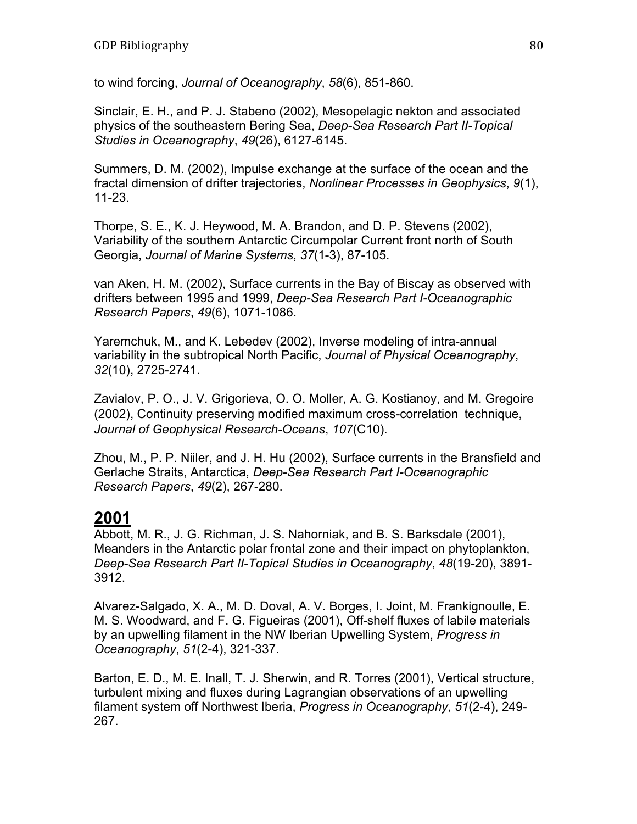to wind forcing, *Journal of Oceanography*, *58*(6), 851-860.

Sinclair, E. H., and P. J. Stabeno (2002), Mesopelagic nekton and associated physics of the southeastern Bering Sea, *Deep-Sea Research Part II-Topical Studies in Oceanography*, *49*(26), 6127-6145.

Summers, D. M. (2002), Impulse exchange at the surface of the ocean and the fractal dimension of drifter trajectories, *Nonlinear Processes in Geophysics*, *9*(1), 11-23.

Thorpe, S. E., K. J. Heywood, M. A. Brandon, and D. P. Stevens (2002), Variability of the southern Antarctic Circumpolar Current front north of South Georgia, *Journal of Marine Systems*, *37*(1-3), 87-105.

van Aken, H. M. (2002), Surface currents in the Bay of Biscay as observed with drifters between 1995 and 1999, *Deep-Sea Research Part I-Oceanographic Research Papers*, *49*(6), 1071-1086.

Yaremchuk, M., and K. Lebedev (2002), Inverse modeling of intra-annual variability in the subtropical North Pacific, *Journal of Physical Oceanography*, *32*(10), 2725-2741.

Zavialov, P. O., J. V. Grigorieva, O. O. Moller, A. G. Kostianoy, and M. Gregoire (2002), Continuity preserving modified maximum cross-correlation technique, *Journal of Geophysical Research-Oceans*, *107*(C10).

Zhou, M., P. P. Niiler, and J. H. Hu (2002), Surface currents in the Bransfield and Gerlache Straits, Antarctica, *Deep-Sea Research Part I-Oceanographic Research Papers*, *49*(2), 267-280.

### **2001**

Abbott, M. R., J. G. Richman, J. S. Nahorniak, and B. S. Barksdale (2001), Meanders in the Antarctic polar frontal zone and their impact on phytoplankton, *Deep-Sea Research Part II-Topical Studies in Oceanography*, *48*(19-20), 3891- 3912.

Alvarez-Salgado, X. A., M. D. Doval, A. V. Borges, I. Joint, M. Frankignoulle, E. M. S. Woodward, and F. G. Figueiras (2001), Off-shelf fluxes of labile materials by an upwelling filament in the NW Iberian Upwelling System, *Progress in Oceanography*, *51*(2-4), 321-337.

Barton, E. D., M. E. Inall, T. J. Sherwin, and R. Torres (2001), Vertical structure, turbulent mixing and fluxes during Lagrangian observations of an upwelling filament system off Northwest Iberia, *Progress in Oceanography*, *51*(2-4), 249- 267.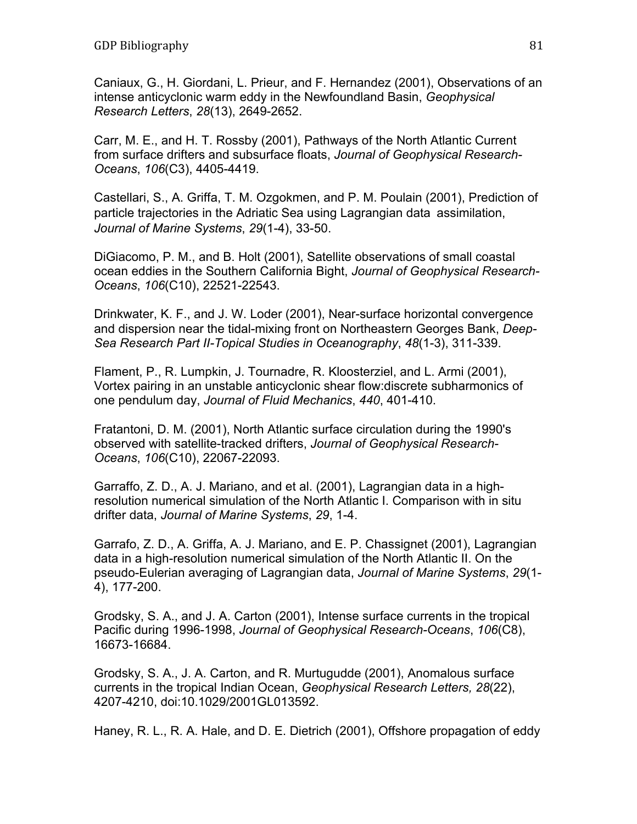Caniaux, G., H. Giordani, L. Prieur, and F. Hernandez (2001), Observations of an intense anticyclonic warm eddy in the Newfoundland Basin, *Geophysical Research Letters*, *28*(13), 2649-2652.

Carr, M. E., and H. T. Rossby (2001), Pathways of the North Atlantic Current from surface drifters and subsurface floats, *Journal of Geophysical Research-Oceans*, *106*(C3), 4405-4419.

Castellari, S., A. Griffa, T. M. Ozgokmen, and P. M. Poulain (2001), Prediction of particle trajectories in the Adriatic Sea using Lagrangian data assimilation, *Journal of Marine Systems*, *29*(1-4), 33-50.

DiGiacomo, P. M., and B. Holt (2001), Satellite observations of small coastal ocean eddies in the Southern California Bight, *Journal of Geophysical Research-Oceans*, *106*(C10), 22521-22543.

Drinkwater, K. F., and J. W. Loder (2001), Near-surface horizontal convergence and dispersion near the tidal-mixing front on Northeastern Georges Bank, *Deep-Sea Research Part II-Topical Studies in Oceanography*, *48*(1-3), 311-339.

Flament, P., R. Lumpkin, J. Tournadre, R. Kloosterziel, and L. Armi (2001), Vortex pairing in an unstable anticyclonic shear flow:discrete subharmonics of one pendulum day, *Journal of Fluid Mechanics*, *440*, 401-410.

Fratantoni, D. M. (2001), North Atlantic surface circulation during the 1990's observed with satellite-tracked drifters, *Journal of Geophysical Research-Oceans*, *106*(C10), 22067-22093.

Garraffo, Z. D., A. J. Mariano, and et al. (2001), Lagrangian data in a highresolution numerical simulation of the North Atlantic I. Comparison with in situ drifter data, *Journal of Marine Systems*, *29*, 1-4.

Garrafo, Z. D., A. Griffa, A. J. Mariano, and E. P. Chassignet (2001), Lagrangian data in a high-resolution numerical simulation of the North Atlantic II. On the pseudo-Eulerian averaging of Lagrangian data, *Journal of Marine Systems*, *29*(1- 4), 177-200.

Grodsky, S. A., and J. A. Carton (2001), Intense surface currents in the tropical Pacific during 1996-1998, *Journal of Geophysical Research-Oceans*, *106*(C8), 16673-16684.

Grodsky, S. A., J. A. Carton, and R. Murtugudde (2001), Anomalous surface currents in the tropical Indian Ocean, *Geophysical Research Letters, 28*(22), 4207-4210, doi:10.1029/2001GL013592.

Haney, R. L., R. A. Hale, and D. E. Dietrich (2001), Offshore propagation of eddy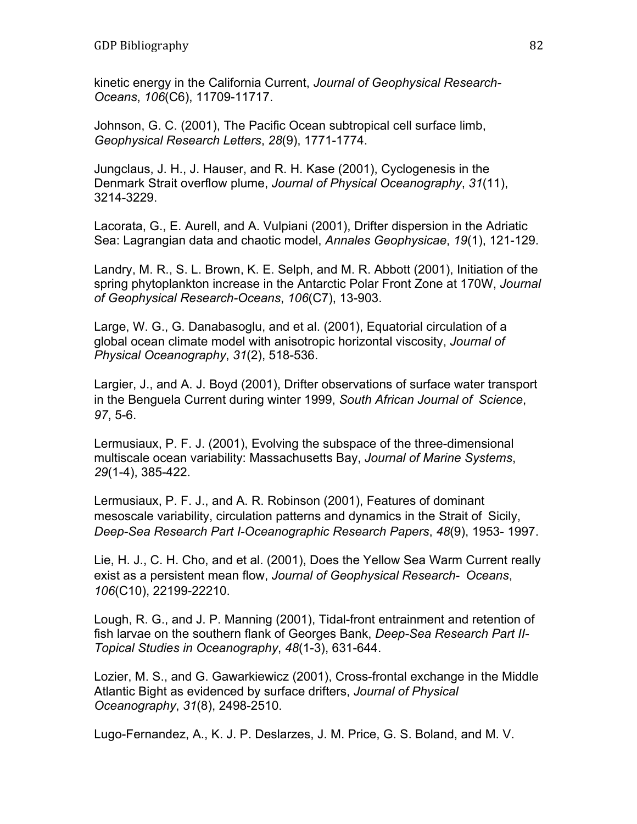kinetic energy in the California Current, *Journal of Geophysical Research-Oceans*, *106*(C6), 11709-11717.

Johnson, G. C. (2001), The Pacific Ocean subtropical cell surface limb, *Geophysical Research Letters*, *28*(9), 1771-1774.

Jungclaus, J. H., J. Hauser, and R. H. Kase (2001), Cyclogenesis in the Denmark Strait overflow plume, *Journal of Physical Oceanography*, *31*(11), 3214-3229.

Lacorata, G., E. Aurell, and A. Vulpiani (2001), Drifter dispersion in the Adriatic Sea: Lagrangian data and chaotic model, *Annales Geophysicae*, *19*(1), 121-129.

Landry, M. R., S. L. Brown, K. E. Selph, and M. R. Abbott (2001), Initiation of the spring phytoplankton increase in the Antarctic Polar Front Zone at 170W, *Journal of Geophysical Research-Oceans*, *106*(C7), 13-903.

Large, W. G., G. Danabasoglu, and et al. (2001), Equatorial circulation of a global ocean climate model with anisotropic horizontal viscosity, *Journal of Physical Oceanography*, *31*(2), 518-536.

Largier, J., and A. J. Boyd (2001), Drifter observations of surface water transport in the Benguela Current during winter 1999, *South African Journal of Science*, *97*, 5-6.

Lermusiaux, P. F. J. (2001), Evolving the subspace of the three-dimensional multiscale ocean variability: Massachusetts Bay, *Journal of Marine Systems*, *29*(1-4), 385-422.

Lermusiaux, P. F. J., and A. R. Robinson (2001), Features of dominant mesoscale variability, circulation patterns and dynamics in the Strait of Sicily, *Deep-Sea Research Part I-Oceanographic Research Papers*, *48*(9), 1953- 1997.

Lie, H. J., C. H. Cho, and et al. (2001), Does the Yellow Sea Warm Current really exist as a persistent mean flow, *Journal of Geophysical Research- Oceans*, *106*(C10), 22199-22210.

Lough, R. G., and J. P. Manning (2001), Tidal-front entrainment and retention of fish larvae on the southern flank of Georges Bank, *Deep-Sea Research Part II-Topical Studies in Oceanography*, *48*(1-3), 631-644.

Lozier, M. S., and G. Gawarkiewicz (2001), Cross-frontal exchange in the Middle Atlantic Bight as evidenced by surface drifters, *Journal of Physical Oceanography*, *31*(8), 2498-2510.

Lugo-Fernandez, A., K. J. P. Deslarzes, J. M. Price, G. S. Boland, and M. V.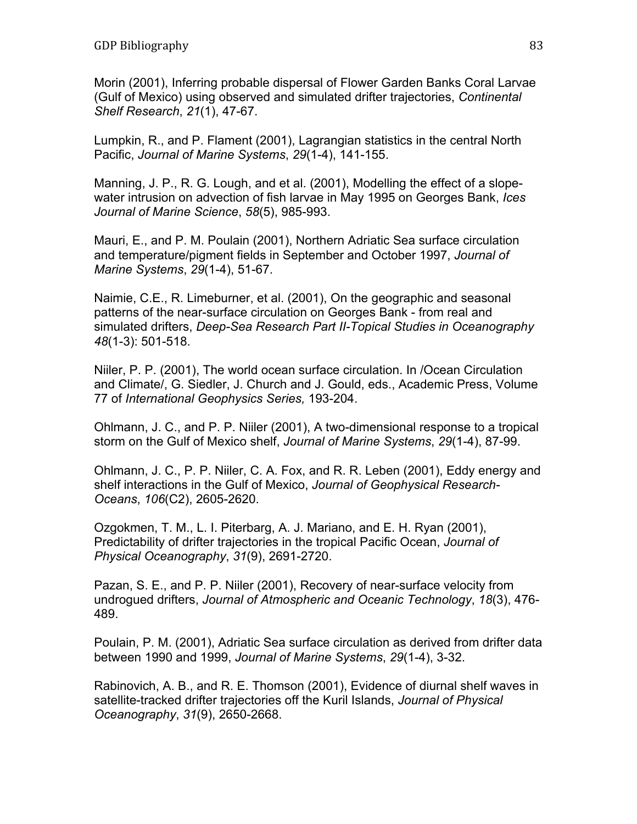Morin (2001), Inferring probable dispersal of Flower Garden Banks Coral Larvae (Gulf of Mexico) using observed and simulated drifter trajectories, *Continental Shelf Research*, *21*(1), 47-67.

Lumpkin, R., and P. Flament (2001), Lagrangian statistics in the central North Pacific, *Journal of Marine Systems*, *29*(1-4), 141-155.

Manning, J. P., R. G. Lough, and et al. (2001), Modelling the effect of a slopewater intrusion on advection of fish larvae in May 1995 on Georges Bank, *Ices Journal of Marine Science*, *58*(5), 985-993.

Mauri, E., and P. M. Poulain (2001), Northern Adriatic Sea surface circulation and temperature/pigment fields in September and October 1997, *Journal of Marine Systems*, *29*(1-4), 51-67.

Naimie, C.E., R. Limeburner, et al. (2001), On the geographic and seasonal patterns of the near-surface circulation on Georges Bank - from real and simulated drifters, *Deep-Sea Research Part II-Topical Studies in Oceanography 48*(1-3): 501-518.

Niiler, P. P. (2001), The world ocean surface circulation. In /Ocean Circulation and Climate/, G. Siedler, J. Church and J. Gould, eds., Academic Press, Volume 77 of *International Geophysics Series,* 193-204.

Ohlmann, J. C., and P. P. Niiler (2001), A two-dimensional response to a tropical storm on the Gulf of Mexico shelf, *Journal of Marine Systems*, *29*(1-4), 87-99.

Ohlmann, J. C., P. P. Niiler, C. A. Fox, and R. R. Leben (2001), Eddy energy and shelf interactions in the Gulf of Mexico, *Journal of Geophysical Research-Oceans*, *106*(C2), 2605-2620.

Ozgokmen, T. M., L. I. Piterbarg, A. J. Mariano, and E. H. Ryan (2001), Predictability of drifter trajectories in the tropical Pacific Ocean, *Journal of Physical Oceanography*, *31*(9), 2691-2720.

Pazan, S. E., and P. P. Niiler (2001), Recovery of near-surface velocity from undrogued drifters, *Journal of Atmospheric and Oceanic Technology*, *18*(3), 476- 489.

Poulain, P. M. (2001), Adriatic Sea surface circulation as derived from drifter data between 1990 and 1999, *Journal of Marine Systems*, *29*(1-4), 3-32.

Rabinovich, A. B., and R. E. Thomson (2001), Evidence of diurnal shelf waves in satellite-tracked drifter trajectories off the Kuril Islands, *Journal of Physical Oceanography*, *31*(9), 2650-2668.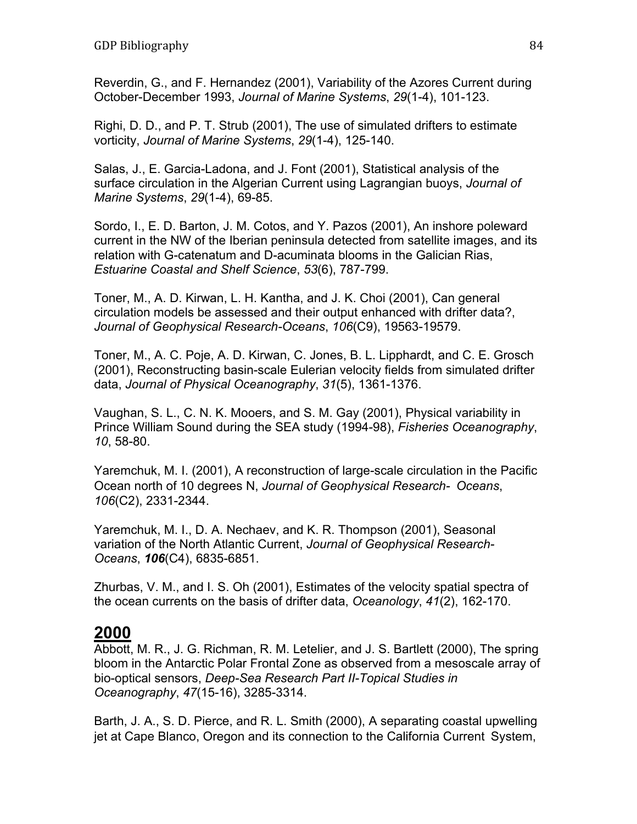Reverdin, G., and F. Hernandez (2001), Variability of the Azores Current during October-December 1993, *Journal of Marine Systems*, *29*(1-4), 101-123.

Righi, D. D., and P. T. Strub (2001), The use of simulated drifters to estimate vorticity, *Journal of Marine Systems*, *29*(1-4), 125-140.

Salas, J., E. Garcia-Ladona, and J. Font (2001), Statistical analysis of the surface circulation in the Algerian Current using Lagrangian buoys, *Journal of Marine Systems*, *29*(1-4), 69-85.

Sordo, I., E. D. Barton, J. M. Cotos, and Y. Pazos (2001), An inshore poleward current in the NW of the Iberian peninsula detected from satellite images, and its relation with G-catenatum and D-acuminata blooms in the Galician Rias, *Estuarine Coastal and Shelf Science*, *53*(6), 787-799.

Toner, M., A. D. Kirwan, L. H. Kantha, and J. K. Choi (2001), Can general circulation models be assessed and their output enhanced with drifter data?, *Journal of Geophysical Research-Oceans*, *106*(C9), 19563-19579.

Toner, M., A. C. Poje, A. D. Kirwan, C. Jones, B. L. Lipphardt, and C. E. Grosch (2001), Reconstructing basin-scale Eulerian velocity fields from simulated drifter data, *Journal of Physical Oceanography*, *31*(5), 1361-1376.

Vaughan, S. L., C. N. K. Mooers, and S. M. Gay (2001), Physical variability in Prince William Sound during the SEA study (1994-98), *Fisheries Oceanography*, *10*, 58-80.

Yaremchuk, M. I. (2001), A reconstruction of large-scale circulation in the Pacific Ocean north of 10 degrees N, *Journal of Geophysical Research- Oceans*, *106*(C2), 2331-2344.

Yaremchuk, M. I., D. A. Nechaev, and K. R. Thompson (2001), Seasonal variation of the North Atlantic Current, *Journal of Geophysical Research-Oceans*, *106*(C4), 6835-6851.

Zhurbas, V. M., and I. S. Oh (2001), Estimates of the velocity spatial spectra of the ocean currents on the basis of drifter data, *Oceanology*, *41*(2), 162-170.

### **2000**

Abbott, M. R., J. G. Richman, R. M. Letelier, and J. S. Bartlett (2000), The spring bloom in the Antarctic Polar Frontal Zone as observed from a mesoscale array of bio-optical sensors, *Deep-Sea Research Part II-Topical Studies in Oceanography*, *47*(15-16), 3285-3314.

Barth, J. A., S. D. Pierce, and R. L. Smith (2000), A separating coastal upwelling jet at Cape Blanco, Oregon and its connection to the California Current System,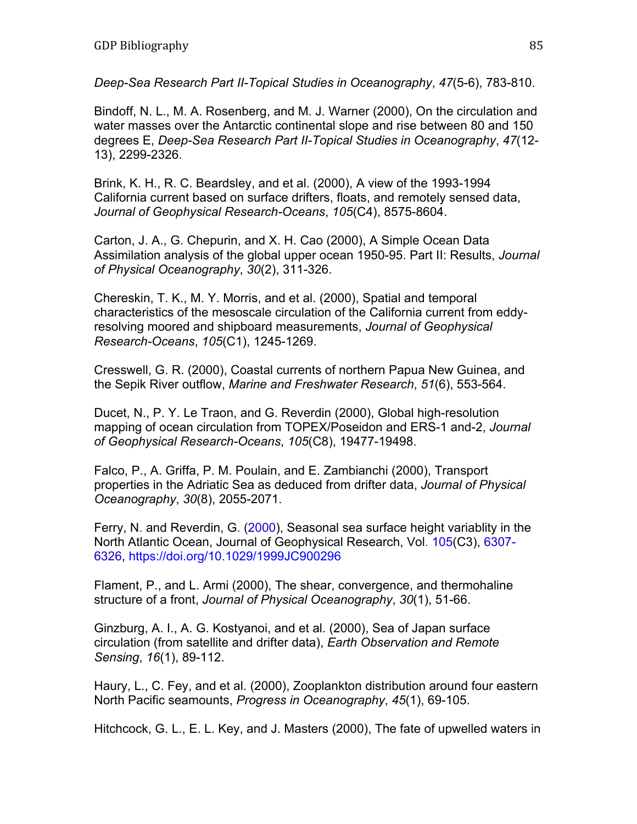*Deep-Sea Research Part II-Topical Studies in Oceanography*, *47*(5-6), 783-810.

Bindoff, N. L., M. A. Rosenberg, and M. J. Warner (2000), On the circulation and water masses over the Antarctic continental slope and rise between 80 and 150 degrees E, *Deep-Sea Research Part II-Topical Studies in Oceanography*, *47*(12- 13), 2299-2326.

Brink, K. H., R. C. Beardsley, and et al. (2000), A view of the 1993-1994 California current based on surface drifters, floats, and remotely sensed data, *Journal of Geophysical Research-Oceans*, *105*(C4), 8575-8604.

Carton, J. A., G. Chepurin, and X. H. Cao (2000), A Simple Ocean Data Assimilation analysis of the global upper ocean 1950-95. Part II: Results, *Journal of Physical Oceanography*, *30*(2), 311-326.

Chereskin, T. K., M. Y. Morris, and et al. (2000), Spatial and temporal characteristics of the mesoscale circulation of the California current from eddyresolving moored and shipboard measurements, *Journal of Geophysical Research-Oceans*, *105*(C1), 1245-1269.

Cresswell, G. R. (2000), Coastal currents of northern Papua New Guinea, and the Sepik River outflow, *Marine and Freshwater Research*, *51*(6), 553-564.

Ducet, N., P. Y. Le Traon, and G. Reverdin (2000), Global high-resolution mapping of ocean circulation from TOPEX/Poseidon and ERS-1 and-2, *Journal of Geophysical Research-Oceans*, *105*(C8), 19477-19498.

Falco, P., A. Griffa, P. M. Poulain, and E. Zambianchi (2000), Transport properties in the Adriatic Sea as deduced from drifter data, *Journal of Physical Oceanography*, *30*(8), 2055-2071.

Ferry, N. and Reverdin, G. (2000), Seasonal sea surface height variablity in the North Atlantic Ocean, Journal of Geophysical Research, Vol. 105(C3), 6307- 6326, https://doi.org/10.1029/1999JC900296

Flament, P., and L. Armi (2000), The shear, convergence, and thermohaline structure of a front, *Journal of Physical Oceanography*, *30*(1), 51-66.

Ginzburg, A. I., A. G. Kostyanoi, and et al. (2000), Sea of Japan surface circulation (from satellite and drifter data), *Earth Observation and Remote Sensing*, *16*(1), 89-112.

Haury, L., C. Fey, and et al. (2000), Zooplankton distribution around four eastern North Pacific seamounts, *Progress in Oceanography*, *45*(1), 69-105.

Hitchcock, G. L., E. L. Key, and J. Masters (2000), The fate of upwelled waters in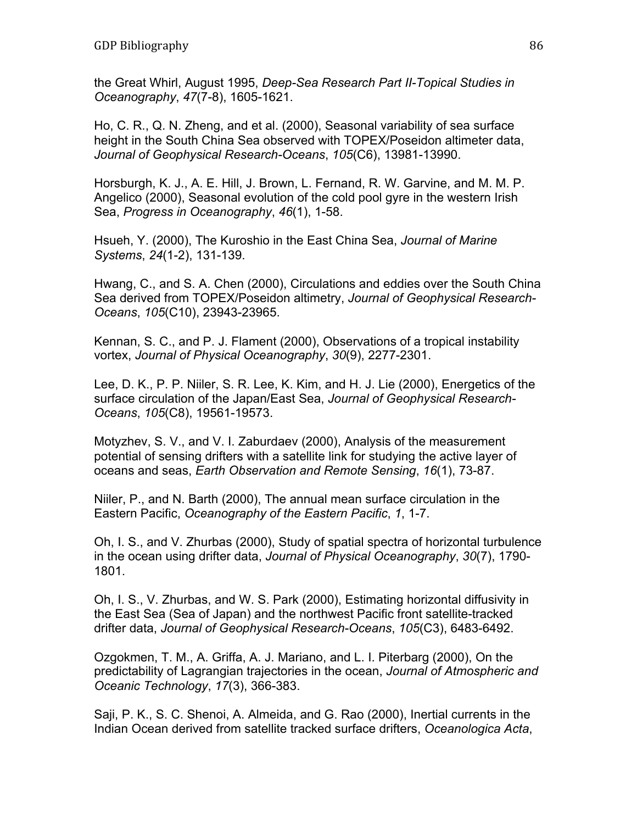the Great Whirl, August 1995, *Deep-Sea Research Part II-Topical Studies in Oceanography*, *47*(7-8), 1605-1621.

Ho, C. R., Q. N. Zheng, and et al. (2000), Seasonal variability of sea surface height in the South China Sea observed with TOPEX/Poseidon altimeter data, *Journal of Geophysical Research-Oceans*, *105*(C6), 13981-13990.

Horsburgh, K. J., A. E. Hill, J. Brown, L. Fernand, R. W. Garvine, and M. M. P. Angelico (2000), Seasonal evolution of the cold pool gyre in the western Irish Sea, *Progress in Oceanography*, *46*(1), 1-58.

Hsueh, Y. (2000), The Kuroshio in the East China Sea, *Journal of Marine Systems*, *24*(1-2), 131-139.

Hwang, C., and S. A. Chen (2000), Circulations and eddies over the South China Sea derived from TOPEX/Poseidon altimetry, *Journal of Geophysical Research-Oceans*, *105*(C10), 23943-23965.

Kennan, S. C., and P. J. Flament (2000), Observations of a tropical instability vortex, *Journal of Physical Oceanography*, *30*(9), 2277-2301.

Lee, D. K., P. P. Niiler, S. R. Lee, K. Kim, and H. J. Lie (2000), Energetics of the surface circulation of the Japan/East Sea, *Journal of Geophysical Research-Oceans*, *105*(C8), 19561-19573.

Motyzhev, S. V., and V. I. Zaburdaev (2000), Analysis of the measurement potential of sensing drifters with a satellite link for studying the active layer of oceans and seas, *Earth Observation and Remote Sensing*, *16*(1), 73-87.

Niiler, P., and N. Barth (2000), The annual mean surface circulation in the Eastern Pacific, *Oceanography of the Eastern Pacific*, *1*, 1-7.

Oh, I. S., and V. Zhurbas (2000), Study of spatial spectra of horizontal turbulence in the ocean using drifter data, *Journal of Physical Oceanography*, *30*(7), 1790- 1801.

Oh, I. S., V. Zhurbas, and W. S. Park (2000), Estimating horizontal diffusivity in the East Sea (Sea of Japan) and the northwest Pacific front satellite-tracked drifter data, *Journal of Geophysical Research-Oceans*, *105*(C3), 6483-6492.

Ozgokmen, T. M., A. Griffa, A. J. Mariano, and L. I. Piterbarg (2000), On the predictability of Lagrangian trajectories in the ocean, *Journal of Atmospheric and Oceanic Technology*, *17*(3), 366-383.

Saji, P. K., S. C. Shenoi, A. Almeida, and G. Rao (2000), Inertial currents in the Indian Ocean derived from satellite tracked surface drifters, *Oceanologica Acta*,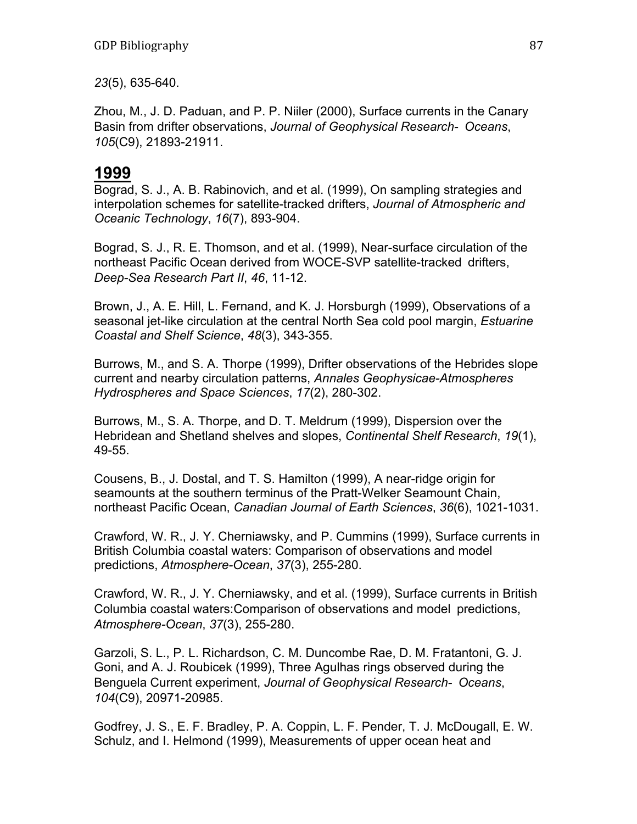*23*(5), 635-640.

Zhou, M., J. D. Paduan, and P. P. Niiler (2000), Surface currents in the Canary Basin from drifter observations, *Journal of Geophysical Research- Oceans*, *105*(C9), 21893-21911.

# **1999**

Bograd, S. J., A. B. Rabinovich, and et al. (1999), On sampling strategies and interpolation schemes for satellite-tracked drifters, *Journal of Atmospheric and Oceanic Technology*, *16*(7), 893-904.

Bograd, S. J., R. E. Thomson, and et al. (1999), Near-surface circulation of the northeast Pacific Ocean derived from WOCE-SVP satellite-tracked drifters, *Deep-Sea Research Part II*, *46*, 11-12.

Brown, J., A. E. Hill, L. Fernand, and K. J. Horsburgh (1999), Observations of a seasonal jet-like circulation at the central North Sea cold pool margin, *Estuarine Coastal and Shelf Science*, *48*(3), 343-355.

Burrows, M., and S. A. Thorpe (1999), Drifter observations of the Hebrides slope current and nearby circulation patterns, *Annales Geophysicae-Atmospheres Hydrospheres and Space Sciences*, *17*(2), 280-302.

Burrows, M., S. A. Thorpe, and D. T. Meldrum (1999), Dispersion over the Hebridean and Shetland shelves and slopes, *Continental Shelf Research*, *19*(1), 49-55.

Cousens, B., J. Dostal, and T. S. Hamilton (1999), A near-ridge origin for seamounts at the southern terminus of the Pratt-Welker Seamount Chain, northeast Pacific Ocean, *Canadian Journal of Earth Sciences*, *36*(6), 1021-1031.

Crawford, W. R., J. Y. Cherniawsky, and P. Cummins (1999), Surface currents in British Columbia coastal waters: Comparison of observations and model predictions, *Atmosphere-Ocean*, *37*(3), 255-280.

Crawford, W. R., J. Y. Cherniawsky, and et al. (1999), Surface currents in British Columbia coastal waters:Comparison of observations and model predictions, *Atmosphere-Ocean*, *37*(3), 255-280.

Garzoli, S. L., P. L. Richardson, C. M. Duncombe Rae, D. M. Fratantoni, G. J. Goni, and A. J. Roubicek (1999), Three Agulhas rings observed during the Benguela Current experiment, *Journal of Geophysical Research- Oceans*, *104*(C9), 20971-20985.

Godfrey, J. S., E. F. Bradley, P. A. Coppin, L. F. Pender, T. J. McDougall, E. W. Schulz, and I. Helmond (1999), Measurements of upper ocean heat and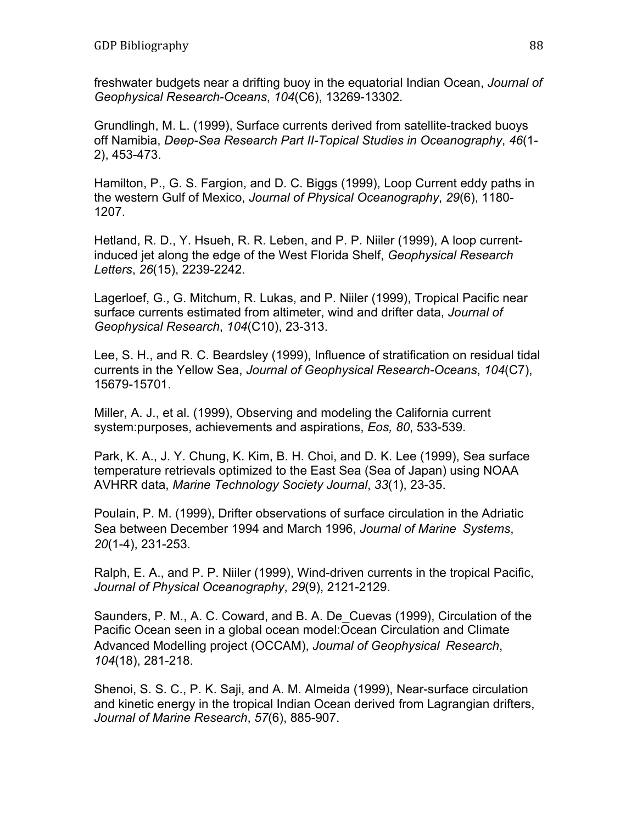freshwater budgets near a drifting buoy in the equatorial Indian Ocean, *Journal of Geophysical Research-Oceans*, *104*(C6), 13269-13302.

Grundlingh, M. L. (1999), Surface currents derived from satellite-tracked buoys off Namibia, *Deep-Sea Research Part II-Topical Studies in Oceanography*, *46*(1- 2), 453-473.

Hamilton, P., G. S. Fargion, and D. C. Biggs (1999), Loop Current eddy paths in the western Gulf of Mexico, *Journal of Physical Oceanography*, *29*(6), 1180- 1207.

Hetland, R. D., Y. Hsueh, R. R. Leben, and P. P. Niiler (1999), A loop currentinduced jet along the edge of the West Florida Shelf, *Geophysical Research Letters*, *26*(15), 2239-2242.

Lagerloef, G., G. Mitchum, R. Lukas, and P. Niiler (1999), Tropical Pacific near surface currents estimated from altimeter, wind and drifter data, *Journal of Geophysical Research*, *104*(C10), 23-313.

Lee, S. H., and R. C. Beardsley (1999), Influence of stratification on residual tidal currents in the Yellow Sea, *Journal of Geophysical Research-Oceans*, *104*(C7), 15679-15701.

Miller, A. J., et al. (1999), Observing and modeling the California current system:purposes, achievements and aspirations, *Eos, 80*, 533-539.

Park, K. A., J. Y. Chung, K. Kim, B. H. Choi, and D. K. Lee (1999), Sea surface temperature retrievals optimized to the East Sea (Sea of Japan) using NOAA AVHRR data, *Marine Technology Society Journal*, *33*(1), 23-35.

Poulain, P. M. (1999), Drifter observations of surface circulation in the Adriatic Sea between December 1994 and March 1996, *Journal of Marine Systems*, *20*(1-4), 231-253.

Ralph, E. A., and P. P. Niiler (1999), Wind-driven currents in the tropical Pacific, *Journal of Physical Oceanography*, *29*(9), 2121-2129.

Saunders, P. M., A. C. Coward, and B. A. De\_Cuevas (1999), Circulation of the Pacific Ocean seen in a global ocean model:Ocean Circulation and Climate Advanced Modelling project (OCCAM), *Journal of Geophysical Research*, *104*(18), 281-218.

Shenoi, S. S. C., P. K. Saji, and A. M. Almeida (1999), Near-surface circulation and kinetic energy in the tropical Indian Ocean derived from Lagrangian drifters, *Journal of Marine Research*, *57*(6), 885-907.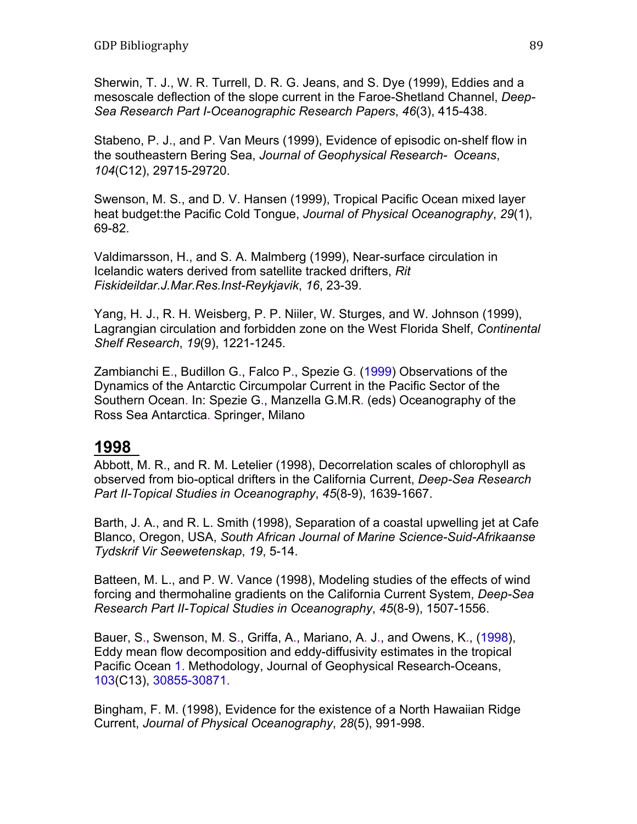Sherwin, T. J., W. R. Turrell, D. R. G. Jeans, and S. Dye (1999), Eddies and a mesoscale deflection of the slope current in the Faroe-Shetland Channel, *Deep-Sea Research Part I-Oceanographic Research Papers*, *46*(3), 415-438.

Stabeno, P. J., and P. Van Meurs (1999), Evidence of episodic on-shelf flow in the southeastern Bering Sea, *Journal of Geophysical Research- Oceans*, *104*(C12), 29715-29720.

Swenson, M. S., and D. V. Hansen (1999), Tropical Pacific Ocean mixed layer heat budget:the Pacific Cold Tongue, *Journal of Physical Oceanography*, *29*(1), 69-82.

Valdimarsson, H., and S. A. Malmberg (1999), Near-surface circulation in Icelandic waters derived from satellite tracked drifters, *Rit Fiskideildar.J.Mar.Res.Inst-Reykjavik*, *16*, 23-39.

Yang, H. J., R. H. Weisberg, P. P. Niiler, W. Sturges, and W. Johnson (1999), Lagrangian circulation and forbidden zone on the West Florida Shelf, *Continental Shelf Research*, *19*(9), 1221-1245.

Zambianchi E., Budillon G., Falco P., Spezie G. (1999) Observations of the Dynamics of the Antarctic Circumpolar Current in the Pacific Sector of the Southern Ocean. In: Spezie G., Manzella G.M.R. (eds) Oceanography of the Ross Sea Antarctica. Springer, Milano

#### **1998**

Abbott, M. R., and R. M. Letelier (1998), Decorrelation scales of chlorophyll as observed from bio-optical drifters in the California Current, *Deep-Sea Research Part II-Topical Studies in Oceanography*, *45*(8-9), 1639-1667.

Barth, J. A., and R. L. Smith (1998), Separation of a coastal upwelling jet at Cafe Blanco, Oregon, USA, *South African Journal of Marine Science-Suid-Afrikaanse Tydskrif Vir Seewetenskap*, *19*, 5-14.

Batteen, M. L., and P. W. Vance (1998), Modeling studies of the effects of wind forcing and thermohaline gradients on the California Current System, *Deep-Sea Research Part II-Topical Studies in Oceanography*, *45*(8-9), 1507-1556.

Bauer, S., Swenson, M. S., Griffa, A., Mariano, A. J., and Owens, K., (1998), Eddy mean flow decomposition and eddy-diffusivity estimates in the tropical Pacific Ocean 1. Methodology, Journal of Geophysical Research-Oceans, 103(C13), 30855-30871.

Bingham, F. M. (1998), Evidence for the existence of a North Hawaiian Ridge Current, *Journal of Physical Oceanography*, *28*(5), 991-998.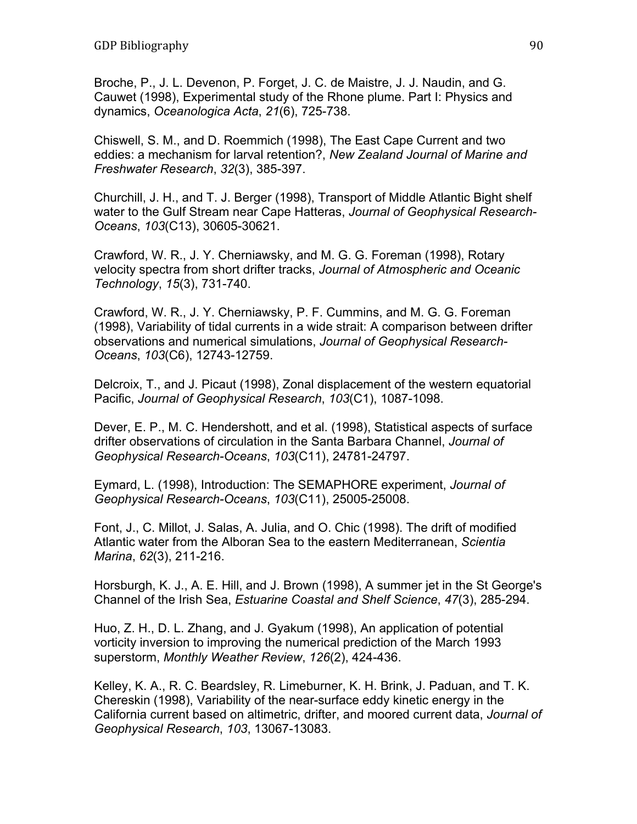Broche, P., J. L. Devenon, P. Forget, J. C. de Maistre, J. J. Naudin, and G. Cauwet (1998), Experimental study of the Rhone plume. Part I: Physics and dynamics, *Oceanologica Acta*, *21*(6), 725-738.

Chiswell, S. M., and D. Roemmich (1998), The East Cape Current and two eddies: a mechanism for larval retention?, *New Zealand Journal of Marine and Freshwater Research*, *32*(3), 385-397.

Churchill, J. H., and T. J. Berger (1998), Transport of Middle Atlantic Bight shelf water to the Gulf Stream near Cape Hatteras, *Journal of Geophysical Research-Oceans*, *103*(C13), 30605-30621.

Crawford, W. R., J. Y. Cherniawsky, and M. G. G. Foreman (1998), Rotary velocity spectra from short drifter tracks, *Journal of Atmospheric and Oceanic Technology*, *15*(3), 731-740.

Crawford, W. R., J. Y. Cherniawsky, P. F. Cummins, and M. G. G. Foreman (1998), Variability of tidal currents in a wide strait: A comparison between drifter observations and numerical simulations, *Journal of Geophysical Research-Oceans*, *103*(C6), 12743-12759.

Delcroix, T., and J. Picaut (1998), Zonal displacement of the western equatorial Pacific, *Journal of Geophysical Research*, *103*(C1), 1087-1098.

Dever, E. P., M. C. Hendershott, and et al. (1998), Statistical aspects of surface drifter observations of circulation in the Santa Barbara Channel, *Journal of Geophysical Research-Oceans*, *103*(C11), 24781-24797.

Eymard, L. (1998), Introduction: The SEMAPHORE experiment, *Journal of Geophysical Research-Oceans*, *103*(C11), 25005-25008.

Font, J., C. Millot, J. Salas, A. Julia, and O. Chic (1998). The drift of modified Atlantic water from the Alboran Sea to the eastern Mediterranean, *Scientia Marina*, *62*(3), 211-216.

Horsburgh, K. J., A. E. Hill, and J. Brown (1998), A summer jet in the St George's Channel of the Irish Sea, *Estuarine Coastal and Shelf Science*, *47*(3), 285-294.

Huo, Z. H., D. L. Zhang, and J. Gyakum (1998), An application of potential vorticity inversion to improving the numerical prediction of the March 1993 superstorm, *Monthly Weather Review*, *126*(2), 424-436.

Kelley, K. A., R. C. Beardsley, R. Limeburner, K. H. Brink, J. Paduan, and T. K. Chereskin (1998), Variability of the near-surface eddy kinetic energy in the California current based on altimetric, drifter, and moored current data, *Journal of Geophysical Research*, *103*, 13067-13083.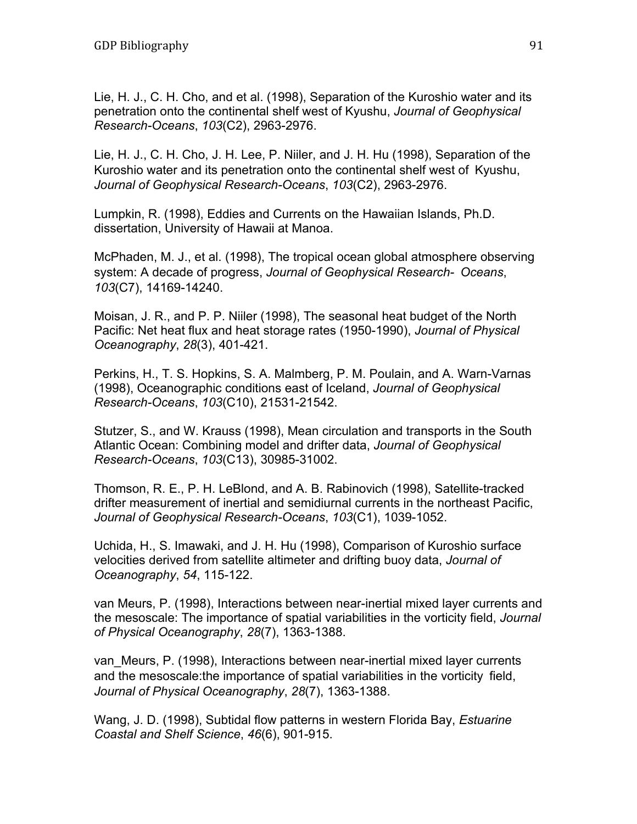Lie, H. J., C. H. Cho, and et al. (1998), Separation of the Kuroshio water and its penetration onto the continental shelf west of Kyushu, *Journal of Geophysical Research-Oceans*, *103*(C2), 2963-2976.

Lie, H. J., C. H. Cho, J. H. Lee, P. Niiler, and J. H. Hu (1998), Separation of the Kuroshio water and its penetration onto the continental shelf west of Kyushu, *Journal of Geophysical Research-Oceans*, *103*(C2), 2963-2976.

Lumpkin, R. (1998), Eddies and Currents on the Hawaiian Islands, Ph.D. dissertation, University of Hawaii at Manoa.

McPhaden, M. J., et al. (1998), The tropical ocean global atmosphere observing system: A decade of progress, *Journal of Geophysical Research- Oceans*, *103*(C7), 14169-14240.

Moisan, J. R., and P. P. Niiler (1998), The seasonal heat budget of the North Pacific: Net heat flux and heat storage rates (1950-1990), *Journal of Physical Oceanography*, *28*(3), 401-421.

Perkins, H., T. S. Hopkins, S. A. Malmberg, P. M. Poulain, and A. Warn-Varnas (1998), Oceanographic conditions east of Iceland, *Journal of Geophysical Research-Oceans*, *103*(C10), 21531-21542.

Stutzer, S., and W. Krauss (1998), Mean circulation and transports in the South Atlantic Ocean: Combining model and drifter data, *Journal of Geophysical Research-Oceans*, *103*(C13), 30985-31002.

Thomson, R. E., P. H. LeBlond, and A. B. Rabinovich (1998), Satellite-tracked drifter measurement of inertial and semidiurnal currents in the northeast Pacific, *Journal of Geophysical Research-Oceans*, *103*(C1), 1039-1052.

Uchida, H., S. Imawaki, and J. H. Hu (1998), Comparison of Kuroshio surface velocities derived from satellite altimeter and drifting buoy data, *Journal of Oceanography*, *54*, 115-122.

van Meurs, P. (1998), Interactions between near-inertial mixed layer currents and the mesoscale: The importance of spatial variabilities in the vorticity field, *Journal of Physical Oceanography*, *28*(7), 1363-1388.

van\_Meurs, P. (1998), Interactions between near-inertial mixed layer currents and the mesoscale:the importance of spatial variabilities in the vorticity field, *Journal of Physical Oceanography*, *28*(7), 1363-1388.

Wang, J. D. (1998), Subtidal flow patterns in western Florida Bay, *Estuarine Coastal and Shelf Science*, *46*(6), 901-915.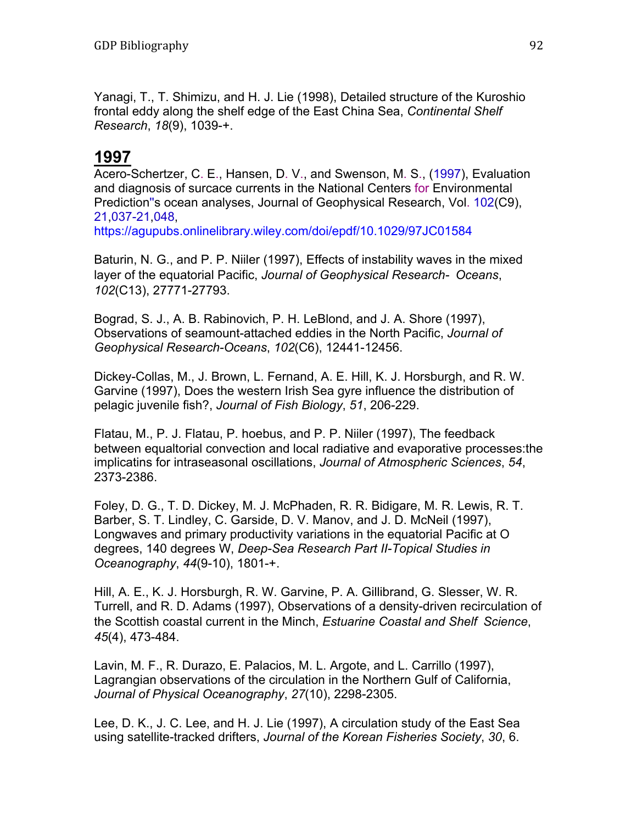Yanagi, T., T. Shimizu, and H. J. Lie (1998), Detailed structure of the Kuroshio frontal eddy along the shelf edge of the East China Sea, *Continental Shelf Research*, *18*(9), 1039-+.

## **1997**

Acero-Schertzer, C. E., Hansen, D. V., and Swenson, M. S., (1997), Evaluation and diagnosis of surcace currents in the National Centers for Environmental Prediction''s ocean analyses, Journal of Geophysical Research, Vol. 102(C9), 21,037-21,048,

https://agupubs.onlinelibrary.wiley.com/doi/epdf/10.1029/97JC01584

Baturin, N. G., and P. P. Niiler (1997), Effects of instability waves in the mixed layer of the equatorial Pacific, *Journal of Geophysical Research- Oceans*, *102*(C13), 27771-27793.

Bograd, S. J., A. B. Rabinovich, P. H. LeBlond, and J. A. Shore (1997), Observations of seamount-attached eddies in the North Pacific, *Journal of Geophysical Research-Oceans*, *102*(C6), 12441-12456.

Dickey-Collas, M., J. Brown, L. Fernand, A. E. Hill, K. J. Horsburgh, and R. W. Garvine (1997), Does the western Irish Sea gyre influence the distribution of pelagic juvenile fish?, *Journal of Fish Biology*, *51*, 206-229.

Flatau, M., P. J. Flatau, P. hoebus, and P. P. Niiler (1997), The feedback between equaltorial convection and local radiative and evaporative processes:the implicatins for intraseasonal oscillations, *Journal of Atmospheric Sciences*, *54*, 2373-2386.

Foley, D. G., T. D. Dickey, M. J. McPhaden, R. R. Bidigare, M. R. Lewis, R. T. Barber, S. T. Lindley, C. Garside, D. V. Manov, and J. D. McNeil (1997), Longwaves and primary productivity variations in the equatorial Pacific at O degrees, 140 degrees W, *Deep-Sea Research Part II-Topical Studies in Oceanography*, *44*(9-10), 1801-+.

Hill, A. E., K. J. Horsburgh, R. W. Garvine, P. A. Gillibrand, G. Slesser, W. R. Turrell, and R. D. Adams (1997), Observations of a density-driven recirculation of the Scottish coastal current in the Minch, *Estuarine Coastal and Shelf Science*, *45*(4), 473-484.

Lavin, M. F., R. Durazo, E. Palacios, M. L. Argote, and L. Carrillo (1997), Lagrangian observations of the circulation in the Northern Gulf of California, *Journal of Physical Oceanography*, *27*(10), 2298-2305.

Lee, D. K., J. C. Lee, and H. J. Lie (1997), A circulation study of the East Sea using satellite-tracked drifters, *Journal of the Korean Fisheries Society*, *30*, 6.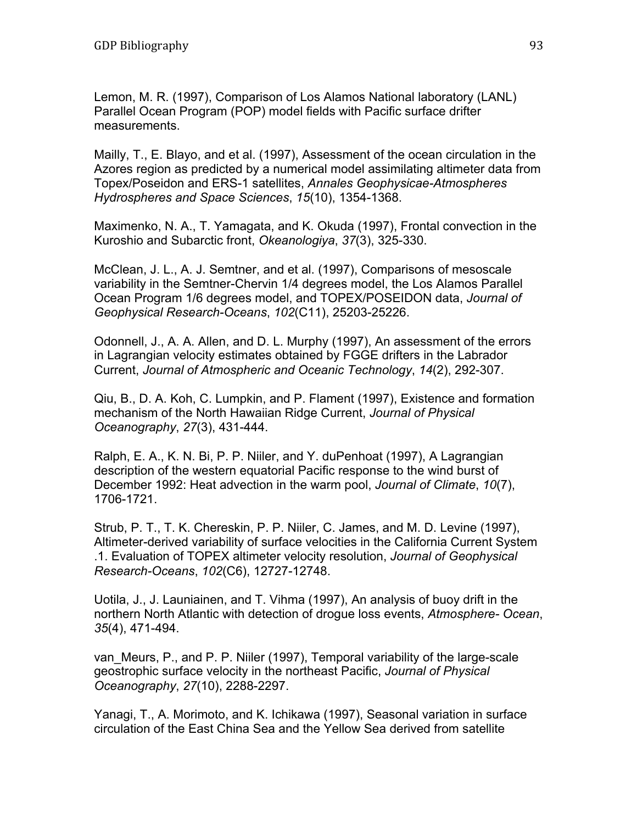Lemon, M. R. (1997), Comparison of Los Alamos National laboratory (LANL) Parallel Ocean Program (POP) model fields with Pacific surface drifter measurements.

Mailly, T., E. Blayo, and et al. (1997), Assessment of the ocean circulation in the Azores region as predicted by a numerical model assimilating altimeter data from Topex/Poseidon and ERS-1 satellites, *Annales Geophysicae-Atmospheres Hydrospheres and Space Sciences*, *15*(10), 1354-1368.

Maximenko, N. A., T. Yamagata, and K. Okuda (1997), Frontal convection in the Kuroshio and Subarctic front, *Okeanologiya*, *37*(3), 325-330.

McClean, J. L., A. J. Semtner, and et al. (1997), Comparisons of mesoscale variability in the Semtner-Chervin 1/4 degrees model, the Los Alamos Parallel Ocean Program 1/6 degrees model, and TOPEX/POSEIDON data, *Journal of Geophysical Research-Oceans*, *102*(C11), 25203-25226.

Odonnell, J., A. A. Allen, and D. L. Murphy (1997), An assessment of the errors in Lagrangian velocity estimates obtained by FGGE drifters in the Labrador Current, *Journal of Atmospheric and Oceanic Technology*, *14*(2), 292-307.

Qiu, B., D. A. Koh, C. Lumpkin, and P. Flament (1997), Existence and formation mechanism of the North Hawaiian Ridge Current, *Journal of Physical Oceanography*, *27*(3), 431-444.

Ralph, E. A., K. N. Bi, P. P. Niiler, and Y. duPenhoat (1997), A Lagrangian description of the western equatorial Pacific response to the wind burst of December 1992: Heat advection in the warm pool, *Journal of Climate*, *10*(7), 1706-1721.

Strub, P. T., T. K. Chereskin, P. P. Niiler, C. James, and M. D. Levine (1997), Altimeter-derived variability of surface velocities in the California Current System .1. Evaluation of TOPEX altimeter velocity resolution, *Journal of Geophysical Research-Oceans*, *102*(C6), 12727-12748.

Uotila, J., J. Launiainen, and T. Vihma (1997), An analysis of buoy drift in the northern North Atlantic with detection of drogue loss events, *Atmosphere- Ocean*, *35*(4), 471-494.

van\_Meurs, P., and P. P. Niiler (1997), Temporal variability of the large-scale geostrophic surface velocity in the northeast Pacific, *Journal of Physical Oceanography*, *27*(10), 2288-2297.

Yanagi, T., A. Morimoto, and K. Ichikawa (1997), Seasonal variation in surface circulation of the East China Sea and the Yellow Sea derived from satellite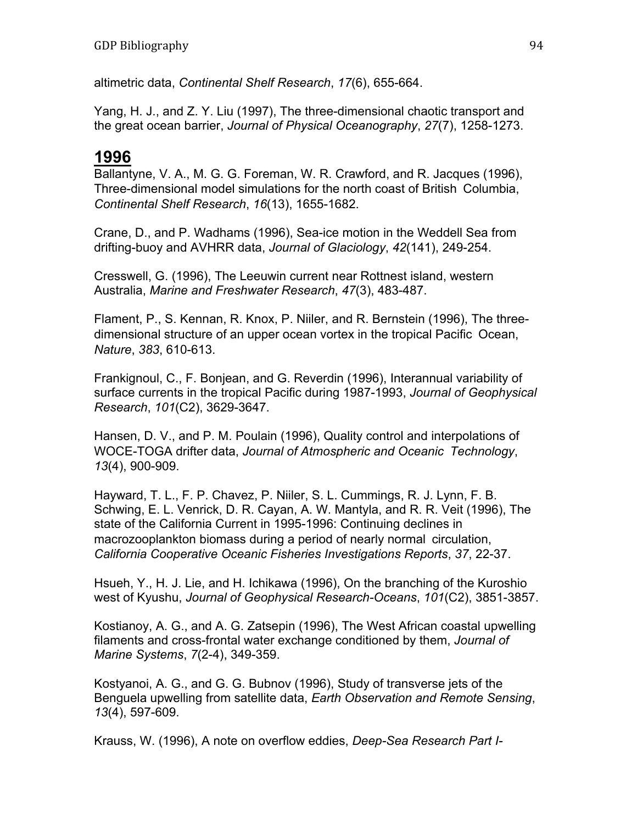altimetric data, *Continental Shelf Research*, *17*(6), 655-664.

Yang, H. J., and Z. Y. Liu (1997), The three-dimensional chaotic transport and the great ocean barrier, *Journal of Physical Oceanography*, *27*(7), 1258-1273.

#### **1996**

Ballantyne, V. A., M. G. G. Foreman, W. R. Crawford, and R. Jacques (1996), Three-dimensional model simulations for the north coast of British Columbia, *Continental Shelf Research*, *16*(13), 1655-1682.

Crane, D., and P. Wadhams (1996), Sea-ice motion in the Weddell Sea from drifting-buoy and AVHRR data, *Journal of Glaciology*, *42*(141), 249-254.

Cresswell, G. (1996), The Leeuwin current near Rottnest island, western Australia, *Marine and Freshwater Research*, *47*(3), 483-487.

Flament, P., S. Kennan, R. Knox, P. Niiler, and R. Bernstein (1996), The threedimensional structure of an upper ocean vortex in the tropical Pacific Ocean, *Nature*, *383*, 610-613.

Frankignoul, C., F. Bonjean, and G. Reverdin (1996), Interannual variability of surface currents in the tropical Pacific during 1987-1993, *Journal of Geophysical Research*, *101*(C2), 3629-3647.

Hansen, D. V., and P. M. Poulain (1996), Quality control and interpolations of WOCE-TOGA drifter data, *Journal of Atmospheric and Oceanic Technology*, *13*(4), 900-909.

Hayward, T. L., F. P. Chavez, P. Niiler, S. L. Cummings, R. J. Lynn, F. B. Schwing, E. L. Venrick, D. R. Cayan, A. W. Mantyla, and R. R. Veit (1996), The state of the California Current in 1995-1996: Continuing declines in macrozooplankton biomass during a period of nearly normal circulation, *California Cooperative Oceanic Fisheries Investigations Reports*, *37*, 22-37.

Hsueh, Y., H. J. Lie, and H. Ichikawa (1996), On the branching of the Kuroshio west of Kyushu, *Journal of Geophysical Research-Oceans*, *101*(C2), 3851-3857.

Kostianoy, A. G., and A. G. Zatsepin (1996), The West African coastal upwelling filaments and cross-frontal water exchange conditioned by them, *Journal of Marine Systems*, *7*(2-4), 349-359.

Kostyanoi, A. G., and G. G. Bubnov (1996), Study of transverse jets of the Benguela upwelling from satellite data, *Earth Observation and Remote Sensing*, *13*(4), 597-609.

Krauss, W. (1996), A note on overflow eddies, *Deep-Sea Research Part I-*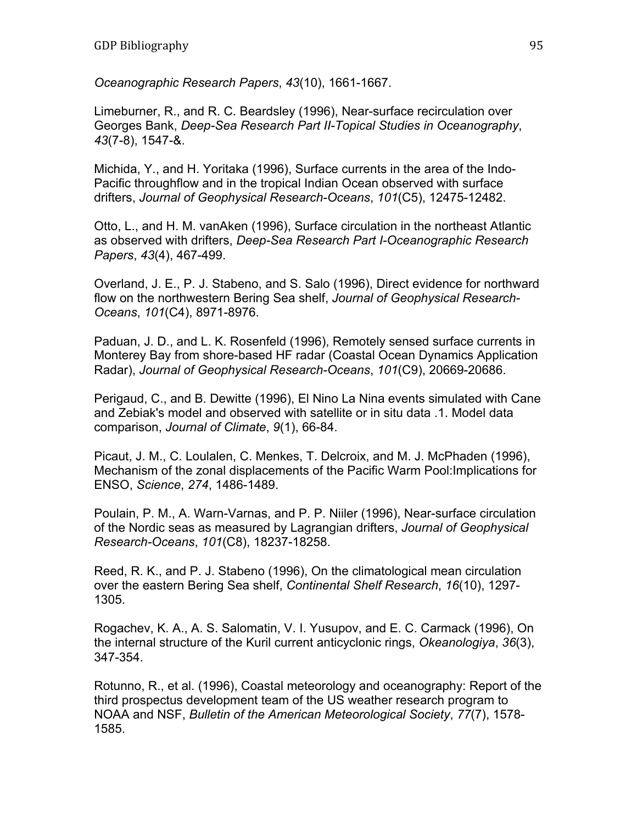*Oceanographic Research Papers*, *43*(10), 1661-1667.

Limeburner, R., and R. C. Beardsley (1996), Near-surface recirculation over Georges Bank, *Deep-Sea Research Part II-Topical Studies in Oceanography*, *43*(7-8), 1547-&.

Michida, Y., and H. Yoritaka (1996), Surface currents in the area of the Indo-Pacific throughflow and in the tropical Indian Ocean observed with surface drifters, *Journal of Geophysical Research-Oceans*, *101*(C5), 12475-12482.

Otto, L., and H. M. vanAken (1996), Surface circulation in the northeast Atlantic as observed with drifters, *Deep-Sea Research Part I-Oceanographic Research Papers*, *43*(4), 467-499.

Overland, J. E., P. J. Stabeno, and S. Salo (1996), Direct evidence for northward flow on the northwestern Bering Sea shelf, *Journal of Geophysical Research-Oceans*, *101*(C4), 8971-8976.

Paduan, J. D., and L. K. Rosenfeld (1996), Remotely sensed surface currents in Monterey Bay from shore-based HF radar (Coastal Ocean Dynamics Application Radar), *Journal of Geophysical Research-Oceans*, *101*(C9), 20669-20686.

Perigaud, C., and B. Dewitte (1996), El Nino La Nina events simulated with Cane and Zebiak's model and observed with satellite or in situ data .1. Model data comparison, *Journal of Climate*, *9*(1), 66-84.

Picaut, J. M., C. Loulalen, C. Menkes, T. Delcroix, and M. J. McPhaden (1996), Mechanism of the zonal displacements of the Pacific Warm Pool:Implications for ENSO, *Science*, *274*, 1486-1489.

Poulain, P. M., A. Warn-Varnas, and P. P. Niiler (1996), Near-surface circulation of the Nordic seas as measured by Lagrangian drifters, *Journal of Geophysical Research-Oceans*, *101*(C8), 18237-18258.

Reed, R. K., and P. J. Stabeno (1996), On the climatological mean circulation over the eastern Bering Sea shelf, *Continental Shelf Research*, *16*(10), 1297- 1305.

Rogachev, K. A., A. S. Salomatin, V. I. Yusupov, and E. C. Carmack (1996), On the internal structure of the Kuril current anticyclonic rings, *Okeanologiya*, *36*(3), 347-354.

Rotunno, R., et al. (1996), Coastal meteorology and oceanography: Report of the third prospectus development team of the US weather research program to NOAA and NSF, *Bulletin of the American Meteorological Society*, *77*(7), 1578- 1585.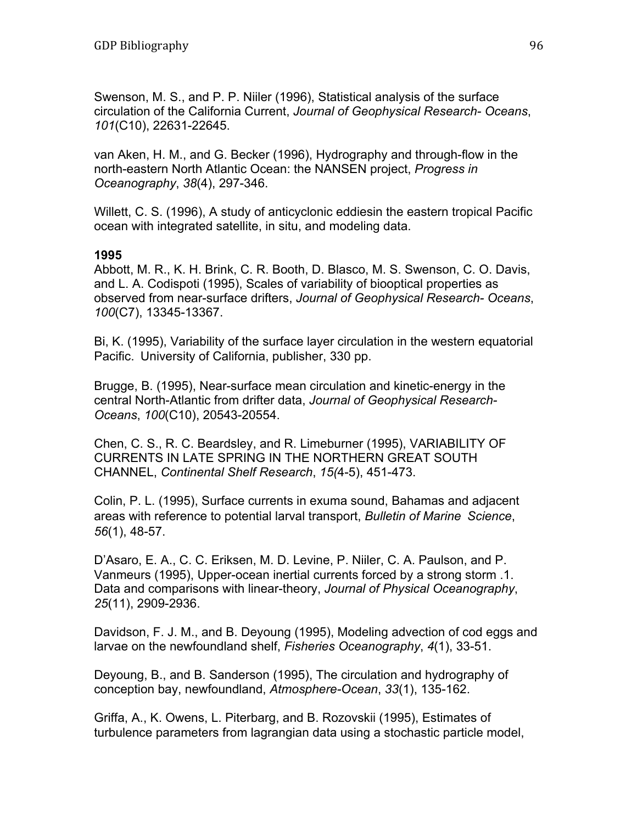Swenson, M. S., and P. P. Niiler (1996), Statistical analysis of the surface circulation of the California Current, *Journal of Geophysical Research- Oceans*, *101*(C10), 22631-22645.

van Aken, H. M., and G. Becker (1996), Hydrography and through-flow in the north-eastern North Atlantic Ocean: the NANSEN project, *Progress in Oceanography*, *38*(4), 297-346.

Willett, C. S. (1996), A study of anticyclonic eddiesin the eastern tropical Pacific ocean with integrated satellite, in situ, and modeling data.

#### **1995**

Abbott, M. R., K. H. Brink, C. R. Booth, D. Blasco, M. S. Swenson, C. O. Davis, and L. A. Codispoti (1995), Scales of variability of biooptical properties as observed from near-surface drifters, *Journal of Geophysical Research- Oceans*, *100*(C7), 13345-13367.

Bi, K. (1995), Variability of the surface layer circulation in the western equatorial Pacific. University of California, publisher, 330 pp.

Brugge, B. (1995), Near-surface mean circulation and kinetic-energy in the central North-Atlantic from drifter data, *Journal of Geophysical Research-Oceans*, *100*(C10), 20543-20554.

Chen, C. S., R. C. Beardsley, and R. Limeburner (1995), VARIABILITY OF CURRENTS IN LATE SPRING IN THE NORTHERN GREAT SOUTH CHANNEL, *Continental Shelf Research*, *15(*4-5), 451-473.

Colin, P. L. (1995), Surface currents in exuma sound, Bahamas and adjacent areas with reference to potential larval transport, *Bulletin of Marine Science*, *56*(1), 48-57.

D'Asaro, E. A., C. C. Eriksen, M. D. Levine, P. Niiler, C. A. Paulson, and P. Vanmeurs (1995), Upper-ocean inertial currents forced by a strong storm .1. Data and comparisons with linear-theory, *Journal of Physical Oceanography*, *25*(11), 2909-2936.

Davidson, F. J. M., and B. Deyoung (1995), Modeling advection of cod eggs and larvae on the newfoundland shelf, *Fisheries Oceanography*, *4*(1), 33-51.

Deyoung, B., and B. Sanderson (1995), The circulation and hydrography of conception bay, newfoundland, *Atmosphere-Ocean*, *33*(1), 135-162.

Griffa, A., K. Owens, L. Piterbarg, and B. Rozovskii (1995), Estimates of turbulence parameters from lagrangian data using a stochastic particle model,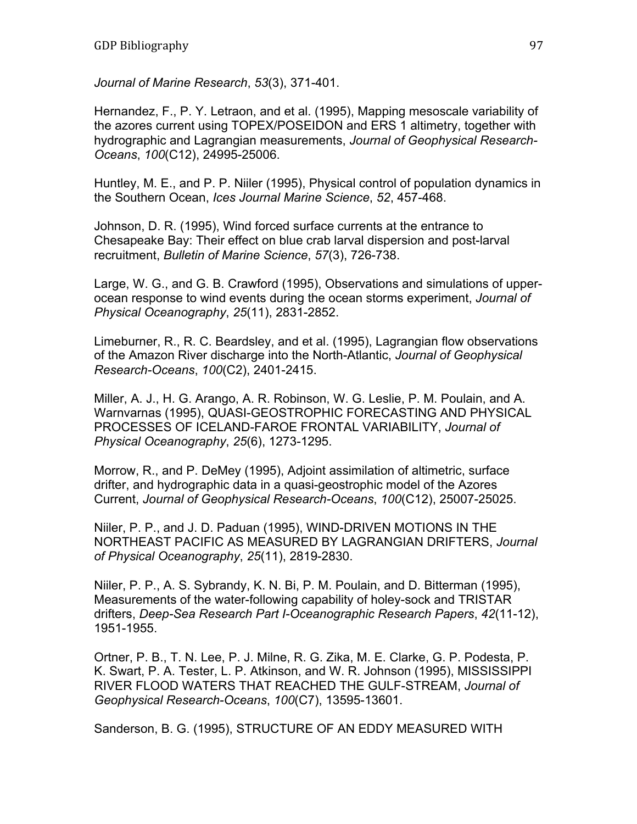*Journal of Marine Research*, *53*(3), 371-401.

Hernandez, F., P. Y. Letraon, and et al. (1995), Mapping mesoscale variability of the azores current using TOPEX/POSEIDON and ERS 1 altimetry, together with hydrographic and Lagrangian measurements, *Journal of Geophysical Research-Oceans*, *100*(C12), 24995-25006.

Huntley, M. E., and P. P. Niiler (1995), Physical control of population dynamics in the Southern Ocean, *Ices Journal Marine Science*, *52*, 457-468.

Johnson, D. R. (1995), Wind forced surface currents at the entrance to Chesapeake Bay: Their effect on blue crab larval dispersion and post-larval recruitment, *Bulletin of Marine Science*, *57*(3), 726-738.

Large, W. G., and G. B. Crawford (1995), Observations and simulations of upperocean response to wind events during the ocean storms experiment, *Journal of Physical Oceanography*, *25*(11), 2831-2852.

Limeburner, R., R. C. Beardsley, and et al. (1995), Lagrangian flow observations of the Amazon River discharge into the North-Atlantic, *Journal of Geophysical Research-Oceans*, *100*(C2), 2401-2415.

Miller, A. J., H. G. Arango, A. R. Robinson, W. G. Leslie, P. M. Poulain, and A. Warnvarnas (1995), QUASI-GEOSTROPHIC FORECASTING AND PHYSICAL PROCESSES OF ICELAND-FAROE FRONTAL VARIABILITY, *Journal of Physical Oceanography*, *25*(6), 1273-1295.

Morrow, R., and P. DeMey (1995), Adjoint assimilation of altimetric, surface drifter, and hydrographic data in a quasi-geostrophic model of the Azores Current, *Journal of Geophysical Research-Oceans*, *100*(C12), 25007-25025.

Niiler, P. P., and J. D. Paduan (1995), WIND-DRIVEN MOTIONS IN THE NORTHEAST PACIFIC AS MEASURED BY LAGRANGIAN DRIFTERS, *Journal of Physical Oceanography*, *25*(11), 2819-2830.

Niiler, P. P., A. S. Sybrandy, K. N. Bi, P. M. Poulain, and D. Bitterman (1995), Measurements of the water-following capability of holey-sock and TRISTAR drifters, *Deep-Sea Research Part I-Oceanographic Research Papers*, *42*(11-12), 1951-1955.

Ortner, P. B., T. N. Lee, P. J. Milne, R. G. Zika, M. E. Clarke, G. P. Podesta, P. K. Swart, P. A. Tester, L. P. Atkinson, and W. R. Johnson (1995), MISSISSIPPI RIVER FLOOD WATERS THAT REACHED THE GULF-STREAM, *Journal of Geophysical Research-Oceans*, *100*(C7), 13595-13601.

Sanderson, B. G. (1995), STRUCTURE OF AN EDDY MEASURED WITH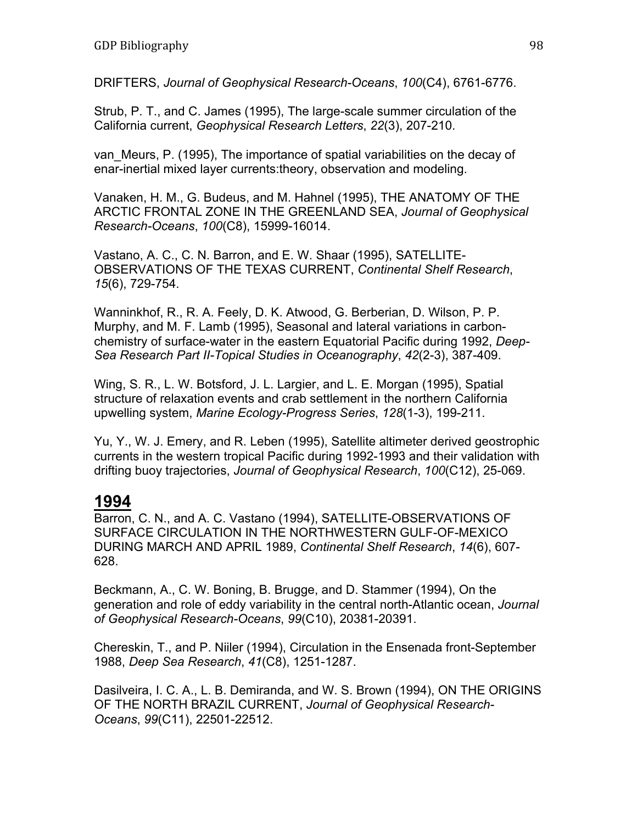DRIFTERS, *Journal of Geophysical Research-Oceans*, *100*(C4), 6761-6776.

Strub, P. T., and C. James (1995), The large-scale summer circulation of the California current, *Geophysical Research Letters*, *22*(3), 207-210.

van Meurs, P. (1995), The importance of spatial variabilities on the decay of enar-inertial mixed layer currents:theory, observation and modeling.

Vanaken, H. M., G. Budeus, and M. Hahnel (1995), THE ANATOMY OF THE ARCTIC FRONTAL ZONE IN THE GREENLAND SEA, *Journal of Geophysical Research-Oceans*, *100*(C8), 15999-16014.

Vastano, A. C., C. N. Barron, and E. W. Shaar (1995), SATELLITE-OBSERVATIONS OF THE TEXAS CURRENT, *Continental Shelf Research*, *15*(6), 729-754.

Wanninkhof, R., R. A. Feely, D. K. Atwood, G. Berberian, D. Wilson, P. P. Murphy, and M. F. Lamb (1995), Seasonal and lateral variations in carbonchemistry of surface-water in the eastern Equatorial Pacific during 1992, *Deep-Sea Research Part II-Topical Studies in Oceanography*, *42*(2-3), 387-409.

Wing, S. R., L. W. Botsford, J. L. Largier, and L. E. Morgan (1995), Spatial structure of relaxation events and crab settlement in the northern California upwelling system, *Marine Ecology-Progress Series*, *128*(1-3), 199-211.

Yu, Y., W. J. Emery, and R. Leben (1995), Satellite altimeter derived geostrophic currents in the western tropical Pacific during 1992-1993 and their validation with drifting buoy trajectories, *Journal of Geophysical Research*, *100*(C12), 25-069.

### **1994**

Barron, C. N., and A. C. Vastano (1994), SATELLITE-OBSERVATIONS OF SURFACE CIRCULATION IN THE NORTHWESTERN GULF-OF-MEXICO DURING MARCH AND APRIL 1989, *Continental Shelf Research*, *14*(6), 607- 628.

Beckmann, A., C. W. Boning, B. Brugge, and D. Stammer (1994), On the generation and role of eddy variability in the central north-Atlantic ocean, *Journal of Geophysical Research-Oceans*, *99*(C10), 20381-20391.

Chereskin, T., and P. Niiler (1994), Circulation in the Ensenada front-September 1988, *Deep Sea Research*, *41*(C8), 1251-1287.

Dasilveira, I. C. A., L. B. Demiranda, and W. S. Brown (1994), ON THE ORIGINS OF THE NORTH BRAZIL CURRENT, *Journal of Geophysical Research-Oceans*, *99*(C11), 22501-22512.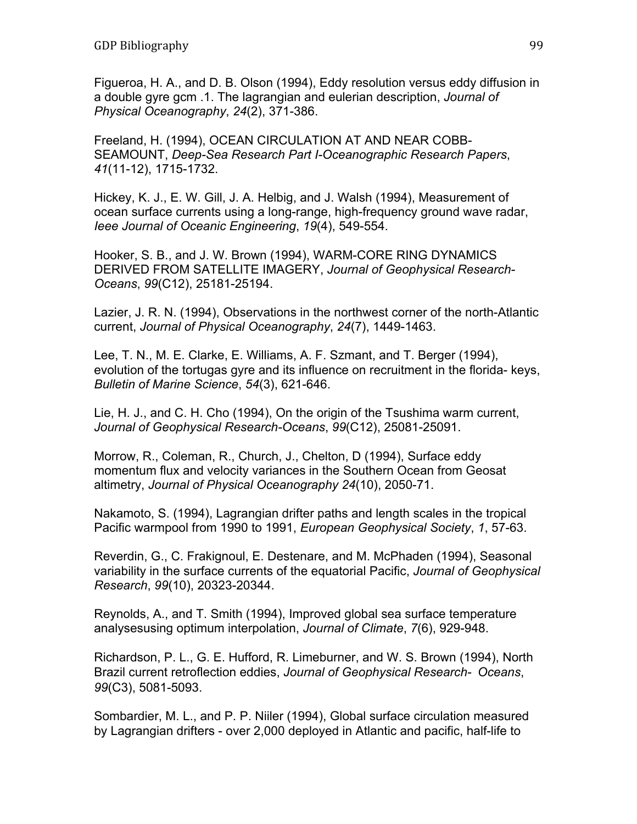Figueroa, H. A., and D. B. Olson (1994), Eddy resolution versus eddy diffusion in a double gyre gcm .1. The lagrangian and eulerian description, *Journal of Physical Oceanography*, *24*(2), 371-386.

Freeland, H. (1994), OCEAN CIRCULATION AT AND NEAR COBB-SEAMOUNT, *Deep-Sea Research Part I-Oceanographic Research Papers*, *41*(11-12), 1715-1732.

Hickey, K. J., E. W. Gill, J. A. Helbig, and J. Walsh (1994), Measurement of ocean surface currents using a long-range, high-frequency ground wave radar, *Ieee Journal of Oceanic Engineering*, *19*(4), 549-554.

Hooker, S. B., and J. W. Brown (1994), WARM-CORE RING DYNAMICS DERIVED FROM SATELLITE IMAGERY, *Journal of Geophysical Research-Oceans*, *99*(C12), 25181-25194.

Lazier, J. R. N. (1994), Observations in the northwest corner of the north-Atlantic current, *Journal of Physical Oceanography*, *24*(7), 1449-1463.

Lee, T. N., M. E. Clarke, E. Williams, A. F. Szmant, and T. Berger (1994), evolution of the tortugas gyre and its influence on recruitment in the florida- keys, *Bulletin of Marine Science*, *54*(3), 621-646.

Lie, H. J., and C. H. Cho (1994), On the origin of the Tsushima warm current, *Journal of Geophysical Research-Oceans*, *99*(C12), 25081-25091.

Morrow, R., Coleman, R., Church, J., Chelton, D (1994), Surface eddy momentum flux and velocity variances in the Southern Ocean from Geosat altimetry, *Journal of Physical Oceanography 24*(10), 2050-71.

Nakamoto, S. (1994), Lagrangian drifter paths and length scales in the tropical Pacific warmpool from 1990 to 1991, *European Geophysical Society*, *1*, 57-63.

Reverdin, G., C. Frakignoul, E. Destenare, and M. McPhaden (1994), Seasonal variability in the surface currents of the equatorial Pacific, *Journal of Geophysical Research*, *99*(10), 20323-20344.

Reynolds, A., and T. Smith (1994), Improved global sea surface temperature analysesusing optimum interpolation, *Journal of Climate*, *7*(6), 929-948.

Richardson, P. L., G. E. Hufford, R. Limeburner, and W. S. Brown (1994), North Brazil current retroflection eddies, *Journal of Geophysical Research- Oceans*, *99*(C3), 5081-5093.

Sombardier, M. L., and P. P. Niiler (1994), Global surface circulation measured by Lagrangian drifters - over 2,000 deployed in Atlantic and pacific, half-life to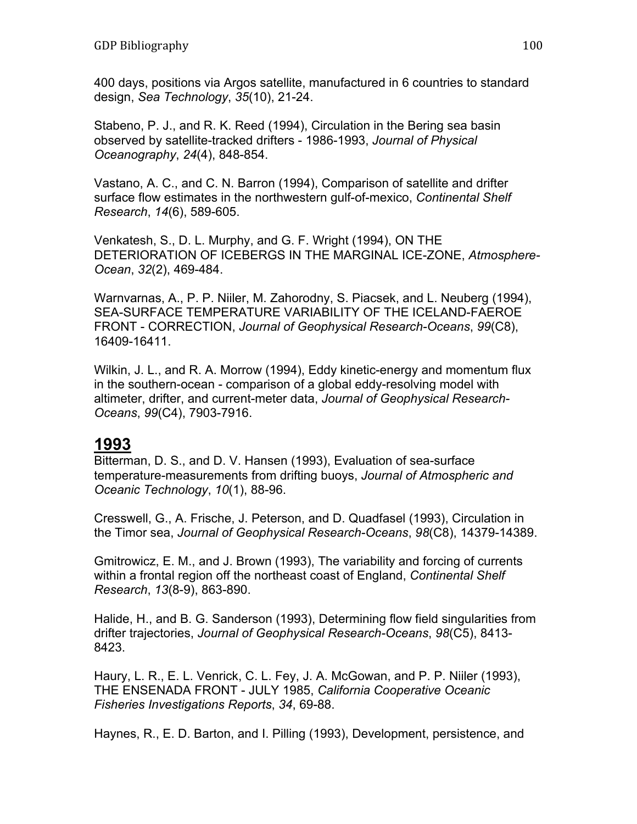400 days, positions via Argos satellite, manufactured in 6 countries to standard design, *Sea Technology*, *35*(10), 21-24.

Stabeno, P. J., and R. K. Reed (1994), Circulation in the Bering sea basin observed by satellite-tracked drifters - 1986-1993, *Journal of Physical Oceanography*, *24*(4), 848-854.

Vastano, A. C., and C. N. Barron (1994), Comparison of satellite and drifter surface flow estimates in the northwestern gulf-of-mexico, *Continental Shelf Research*, *14*(6), 589-605.

Venkatesh, S., D. L. Murphy, and G. F. Wright (1994), ON THE DETERIORATION OF ICEBERGS IN THE MARGINAL ICE-ZONE, *Atmosphere-Ocean*, *32*(2), 469-484.

Warnvarnas, A., P. P. Niiler, M. Zahorodny, S. Piacsek, and L. Neuberg (1994), SEA-SURFACE TEMPERATURE VARIABILITY OF THE ICELAND-FAEROE FRONT - CORRECTION, *Journal of Geophysical Research-Oceans*, *99*(C8), 16409-16411.

Wilkin, J. L., and R. A. Morrow (1994), Eddy kinetic-energy and momentum flux in the southern-ocean - comparison of a global eddy-resolving model with altimeter, drifter, and current-meter data, *Journal of Geophysical Research-Oceans*, *99*(C4), 7903-7916.

### **1993**

Bitterman, D. S., and D. V. Hansen (1993), Evaluation of sea-surface temperature-measurements from drifting buoys, *Journal of Atmospheric and Oceanic Technology*, *10*(1), 88-96.

Cresswell, G., A. Frische, J. Peterson, and D. Quadfasel (1993), Circulation in the Timor sea, *Journal of Geophysical Research-Oceans*, *98*(C8), 14379-14389.

Gmitrowicz, E. M., and J. Brown (1993), The variability and forcing of currents within a frontal region off the northeast coast of England, *Continental Shelf Research*, *13*(8-9), 863-890.

Halide, H., and B. G. Sanderson (1993), Determining flow field singularities from drifter trajectories, *Journal of Geophysical Research-Oceans*, *98*(C5), 8413- 8423.

Haury, L. R., E. L. Venrick, C. L. Fey, J. A. McGowan, and P. P. Niiler (1993), THE ENSENADA FRONT - JULY 1985, *California Cooperative Oceanic Fisheries Investigations Reports*, *34*, 69-88.

Haynes, R., E. D. Barton, and I. Pilling (1993), Development, persistence, and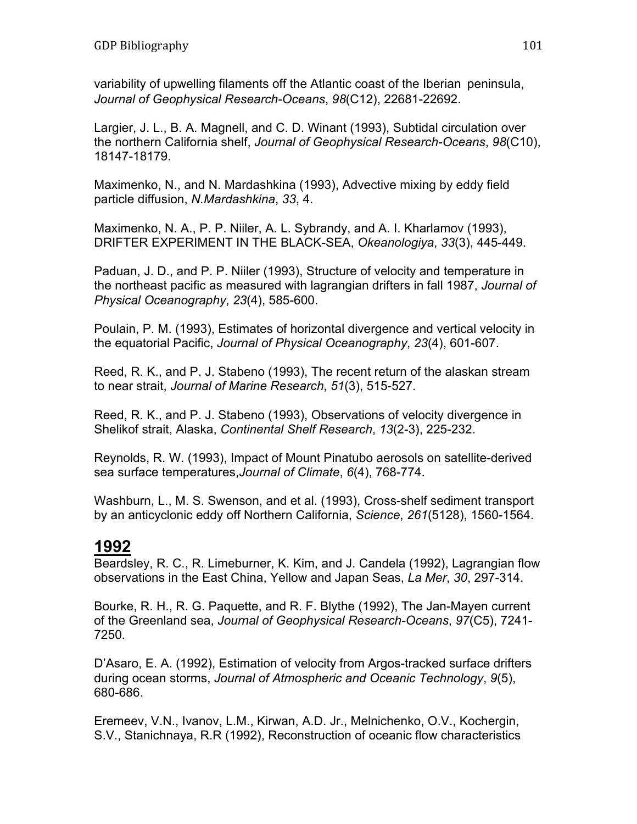variability of upwelling filaments off the Atlantic coast of the Iberian peninsula, *Journal of Geophysical Research-Oceans*, *98*(C12), 22681-22692.

Largier, J. L., B. A. Magnell, and C. D. Winant (1993), Subtidal circulation over the northern California shelf, *Journal of Geophysical Research-Oceans*, *98*(C10), 18147-18179.

Maximenko, N., and N. Mardashkina (1993), Advective mixing by eddy field particle diffusion, *N.Mardashkina*, *33*, 4.

Maximenko, N. A., P. P. Niiler, A. L. Sybrandy, and A. I. Kharlamov (1993), DRIFTER EXPERIMENT IN THE BLACK-SEA, *Okeanologiya*, *33*(3), 445-449.

Paduan, J. D., and P. P. Niiler (1993), Structure of velocity and temperature in the northeast pacific as measured with lagrangian drifters in fall 1987, *Journal of Physical Oceanography*, *23*(4), 585-600.

Poulain, P. M. (1993), Estimates of horizontal divergence and vertical velocity in the equatorial Pacific, *Journal of Physical Oceanography*, *23*(4), 601-607.

Reed, R. K., and P. J. Stabeno (1993), The recent return of the alaskan stream to near strait, *Journal of Marine Research*, *51*(3), 515-527.

Reed, R. K., and P. J. Stabeno (1993), Observations of velocity divergence in Shelikof strait, Alaska, *Continental Shelf Research*, *13*(2-3), 225-232.

Reynolds, R. W. (1993), Impact of Mount Pinatubo aerosols on satellite-derived sea surface temperatures,*Journal of Climate*, *6*(4), 768-774.

Washburn, L., M. S. Swenson, and et al. (1993), Cross-shelf sediment transport by an anticyclonic eddy off Northern California, *Science*, *261*(5128), 1560-1564.

### **1992**

Beardsley, R. C., R. Limeburner, K. Kim, and J. Candela (1992), Lagrangian flow observations in the East China, Yellow and Japan Seas, *La Mer*, *30*, 297-314.

Bourke, R. H., R. G. Paquette, and R. F. Blythe (1992), The Jan-Mayen current of the Greenland sea, *Journal of Geophysical Research-Oceans*, *97*(C5), 7241- 7250.

D'Asaro, E. A. (1992), Estimation of velocity from Argos-tracked surface drifters during ocean storms, *Journal of Atmospheric and Oceanic Technology*, *9*(5), 680-686.

Eremeev, V.N., Ivanov, L.M., Kirwan, A.D. Jr., Melnichenko, O.V., Kochergin, S.V., Stanichnaya, R.R (1992), Reconstruction of oceanic flow characteristics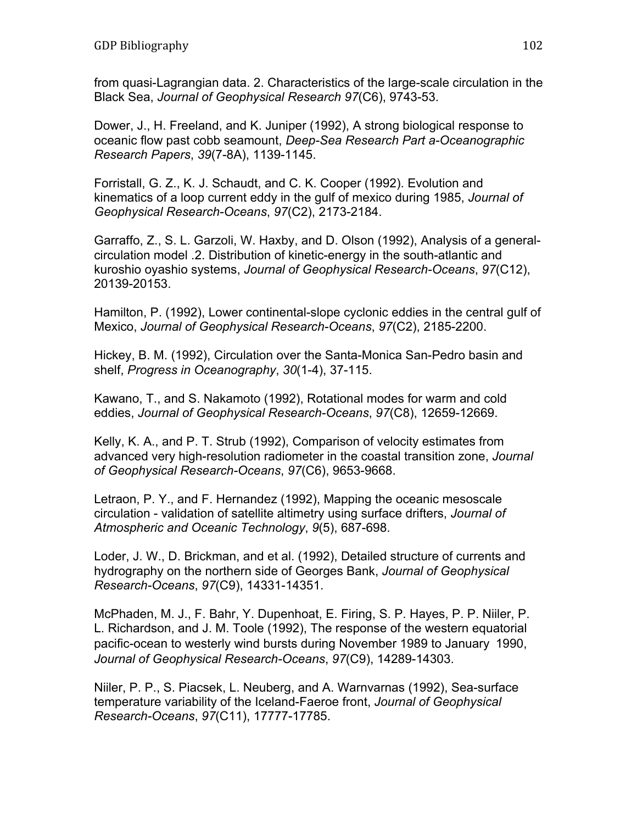from quasi-Lagrangian data. 2. Characteristics of the large-scale circulation in the Black Sea, *Journal of Geophysical Research 97*(C6), 9743-53.

Dower, J., H. Freeland, and K. Juniper (1992), A strong biological response to oceanic flow past cobb seamount, *Deep-Sea Research Part a-Oceanographic Research Papers*, *39*(7-8A), 1139-1145.

Forristall, G. Z., K. J. Schaudt, and C. K. Cooper (1992). Evolution and kinematics of a loop current eddy in the gulf of mexico during 1985, *Journal of Geophysical Research-Oceans*, *97*(C2), 2173-2184.

Garraffo, Z., S. L. Garzoli, W. Haxby, and D. Olson (1992), Analysis of a generalcirculation model .2. Distribution of kinetic-energy in the south-atlantic and kuroshio oyashio systems, *Journal of Geophysical Research-Oceans*, *97*(C12), 20139-20153.

Hamilton, P. (1992), Lower continental-slope cyclonic eddies in the central gulf of Mexico, *Journal of Geophysical Research-Oceans*, *97*(C2), 2185-2200.

Hickey, B. M. (1992), Circulation over the Santa-Monica San-Pedro basin and shelf, *Progress in Oceanography*, *30*(1-4), 37-115.

Kawano, T., and S. Nakamoto (1992), Rotational modes for warm and cold eddies, *Journal of Geophysical Research-Oceans*, *97*(C8), 12659-12669.

Kelly, K. A., and P. T. Strub (1992), Comparison of velocity estimates from advanced very high-resolution radiometer in the coastal transition zone, *Journal of Geophysical Research-Oceans*, *97*(C6), 9653-9668.

Letraon, P. Y., and F. Hernandez (1992), Mapping the oceanic mesoscale circulation - validation of satellite altimetry using surface drifters, *Journal of Atmospheric and Oceanic Technology*, *9*(5), 687-698.

Loder, J. W., D. Brickman, and et al. (1992), Detailed structure of currents and hydrography on the northern side of Georges Bank, *Journal of Geophysical Research-Oceans*, *97*(C9), 14331-14351.

McPhaden, M. J., F. Bahr, Y. Dupenhoat, E. Firing, S. P. Hayes, P. P. Niiler, P. L. Richardson, and J. M. Toole (1992), The response of the western equatorial pacific-ocean to westerly wind bursts during November 1989 to January 1990, *Journal of Geophysical Research-Oceans*, *97*(C9), 14289-14303.

Niiler, P. P., S. Piacsek, L. Neuberg, and A. Warnvarnas (1992), Sea-surface temperature variability of the Iceland-Faeroe front, *Journal of Geophysical Research-Oceans*, *97*(C11), 17777-17785.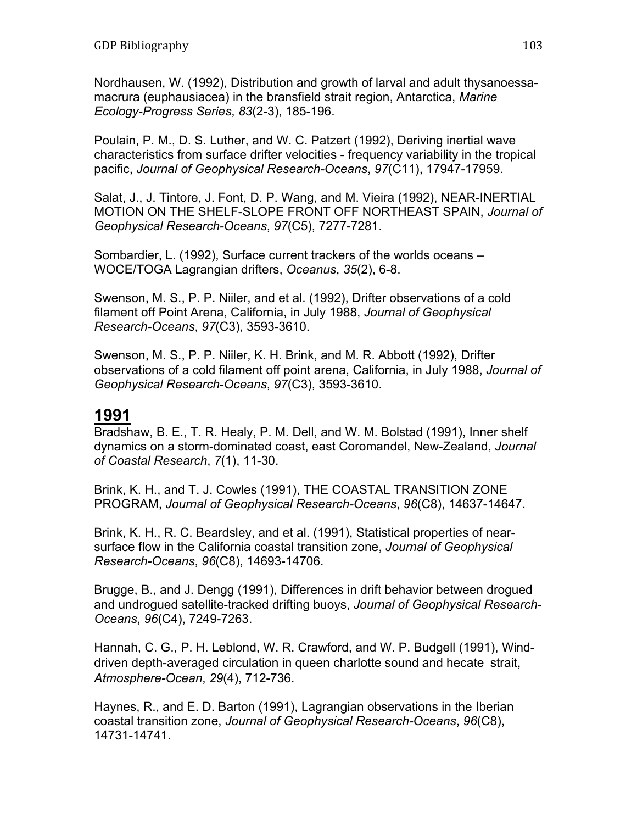Nordhausen, W. (1992), Distribution and growth of larval and adult thysanoessamacrura (euphausiacea) in the bransfield strait region, Antarctica, *Marine Ecology-Progress Series*, *83*(2-3), 185-196.

Poulain, P. M., D. S. Luther, and W. C. Patzert (1992), Deriving inertial wave characteristics from surface drifter velocities - frequency variability in the tropical pacific, *Journal of Geophysical Research-Oceans*, *97*(C11), 17947-17959.

Salat, J., J. Tintore, J. Font, D. P. Wang, and M. Vieira (1992), NEAR-INERTIAL MOTION ON THE SHELF-SLOPE FRONT OFF NORTHEAST SPAIN, *Journal of Geophysical Research-Oceans*, *97*(C5), 7277-7281.

Sombardier, L. (1992), Surface current trackers of the worlds oceans – WOCE/TOGA Lagrangian drifters, *Oceanus*, *35*(2), 6-8.

Swenson, M. S., P. P. Niiler, and et al. (1992), Drifter observations of a cold filament off Point Arena, California, in July 1988, *Journal of Geophysical Research-Oceans*, *97*(C3), 3593-3610.

Swenson, M. S., P. P. Niiler, K. H. Brink, and M. R. Abbott (1992), Drifter observations of a cold filament off point arena, California, in July 1988, *Journal of Geophysical Research-Oceans*, *97*(C3), 3593-3610.

#### **1991**

Bradshaw, B. E., T. R. Healy, P. M. Dell, and W. M. Bolstad (1991), Inner shelf dynamics on a storm-dominated coast, east Coromandel, New-Zealand, *Journal of Coastal Research*, *7*(1), 11-30.

Brink, K. H., and T. J. Cowles (1991), THE COASTAL TRANSITION ZONE PROGRAM, *Journal of Geophysical Research-Oceans*, *96*(C8), 14637-14647.

Brink, K. H., R. C. Beardsley, and et al. (1991), Statistical properties of nearsurface flow in the California coastal transition zone, *Journal of Geophysical Research-Oceans*, *96*(C8), 14693-14706.

Brugge, B., and J. Dengg (1991), Differences in drift behavior between drogued and undrogued satellite-tracked drifting buoys, *Journal of Geophysical Research-Oceans*, *96*(C4), 7249-7263.

Hannah, C. G., P. H. Leblond, W. R. Crawford, and W. P. Budgell (1991), Winddriven depth-averaged circulation in queen charlotte sound and hecate strait, *Atmosphere-Ocean*, *29*(4), 712-736.

Haynes, R., and E. D. Barton (1991), Lagrangian observations in the Iberian coastal transition zone, *Journal of Geophysical Research-Oceans*, *96*(C8), 14731-14741.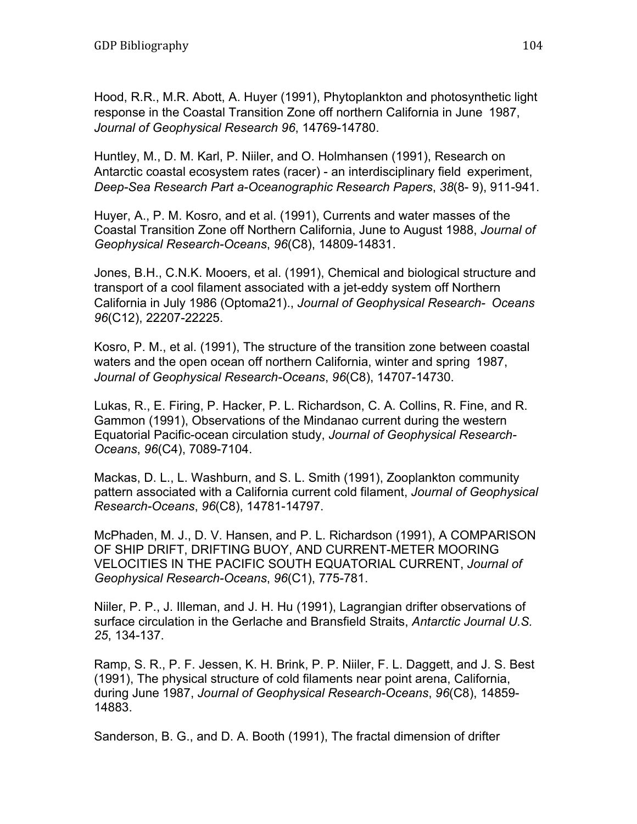Hood, R.R., M.R. Abott, A. Huyer (1991), Phytoplankton and photosynthetic light response in the Coastal Transition Zone off northern California in June 1987, *Journal of Geophysical Research 96*, 14769-14780.

Huntley, M., D. M. Karl, P. Niiler, and O. Holmhansen (1991), Research on Antarctic coastal ecosystem rates (racer) - an interdisciplinary field experiment, *Deep-Sea Research Part a-Oceanographic Research Papers*, *38*(8- 9), 911-941.

Huyer, A., P. M. Kosro, and et al. (1991), Currents and water masses of the Coastal Transition Zone off Northern California, June to August 1988, *Journal of Geophysical Research-Oceans*, *96*(C8), 14809-14831.

Jones, B.H., C.N.K. Mooers, et al. (1991), Chemical and biological structure and transport of a cool filament associated with a jet-eddy system off Northern California in July 1986 (Optoma21)., *Journal of Geophysical Research- Oceans 96*(C12), 22207-22225.

Kosro, P. M., et al. (1991), The structure of the transition zone between coastal waters and the open ocean off northern California, winter and spring 1987, *Journal of Geophysical Research-Oceans*, *96*(C8), 14707-14730.

Lukas, R., E. Firing, P. Hacker, P. L. Richardson, C. A. Collins, R. Fine, and R. Gammon (1991), Observations of the Mindanao current during the western Equatorial Pacific-ocean circulation study, *Journal of Geophysical Research-Oceans*, *96*(C4), 7089-7104.

Mackas, D. L., L. Washburn, and S. L. Smith (1991), Zooplankton community pattern associated with a California current cold filament, *Journal of Geophysical Research-Oceans*, *96*(C8), 14781-14797.

McPhaden, M. J., D. V. Hansen, and P. L. Richardson (1991), A COMPARISON OF SHIP DRIFT, DRIFTING BUOY, AND CURRENT-METER MOORING VELOCITIES IN THE PACIFIC SOUTH EQUATORIAL CURRENT, *Journal of Geophysical Research-Oceans*, *96*(C1), 775-781.

Niiler, P. P., J. Illeman, and J. H. Hu (1991), Lagrangian drifter observations of surface circulation in the Gerlache and Bransfield Straits, *Antarctic Journal U.S. 25*, 134-137.

Ramp, S. R., P. F. Jessen, K. H. Brink, P. P. Niiler, F. L. Daggett, and J. S. Best (1991), The physical structure of cold filaments near point arena, California, during June 1987, *Journal of Geophysical Research-Oceans*, *96*(C8), 14859- 14883.

Sanderson, B. G., and D. A. Booth (1991), The fractal dimension of drifter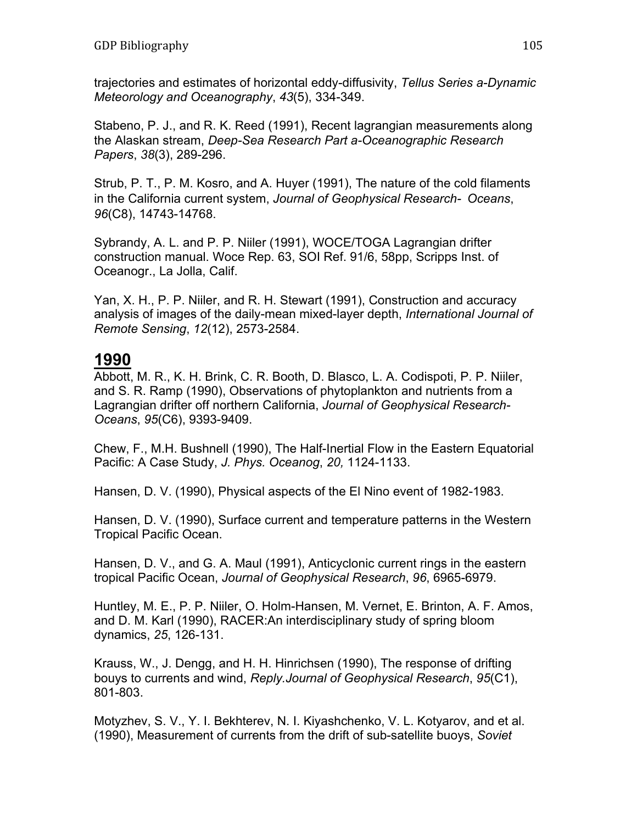trajectories and estimates of horizontal eddy-diffusivity, *Tellus Series a-Dynamic Meteorology and Oceanography*, *43*(5), 334-349.

Stabeno, P. J., and R. K. Reed (1991), Recent lagrangian measurements along the Alaskan stream, *Deep-Sea Research Part a-Oceanographic Research Papers*, *38*(3), 289-296.

Strub, P. T., P. M. Kosro, and A. Huyer (1991), The nature of the cold filaments in the California current system, *Journal of Geophysical Research- Oceans*, *96*(C8), 14743-14768.

Sybrandy, A. L. and P. P. Niiler (1991), WOCE/TOGA Lagrangian drifter construction manual. Woce Rep. 63, SOI Ref. 91/6, 58pp, Scripps Inst. of Oceanogr., La Jolla, Calif.

Yan, X. H., P. P. Niiler, and R. H. Stewart (1991), Construction and accuracy analysis of images of the daily-mean mixed-layer depth, *International Journal of Remote Sensing*, *12*(12), 2573-2584.

#### **1990**

Abbott, M. R., K. H. Brink, C. R. Booth, D. Blasco, L. A. Codispoti, P. P. Niiler, and S. R. Ramp (1990), Observations of phytoplankton and nutrients from a Lagrangian drifter off northern California, *Journal of Geophysical Research-Oceans*, *95*(C6), 9393-9409.

Chew, F., M.H. Bushnell (1990), The Half-Inertial Flow in the Eastern Equatorial Pacific: A Case Study, *J. Phys. Oceanog*, *20,* 1124-1133.

Hansen, D. V. (1990), Physical aspects of the El Nino event of 1982-1983.

Hansen, D. V. (1990), Surface current and temperature patterns in the Western Tropical Pacific Ocean.

Hansen, D. V., and G. A. Maul (1991), Anticyclonic current rings in the eastern tropical Pacific Ocean, *Journal of Geophysical Research*, *96*, 6965-6979.

Huntley, M. E., P. P. Niiler, O. Holm-Hansen, M. Vernet, E. Brinton, A. F. Amos, and D. M. Karl (1990), RACER:An interdisciplinary study of spring bloom dynamics, *25*, 126-131.

Krauss, W., J. Dengg, and H. H. Hinrichsen (1990), The response of drifting bouys to currents and wind, *Reply.Journal of Geophysical Research*, *95*(C1), 801-803.

Motyzhev, S. V., Y. I. Bekhterev, N. I. Kiyashchenko, V. L. Kotyarov, and et al. (1990), Measurement of currents from the drift of sub-satellite buoys, *Soviet*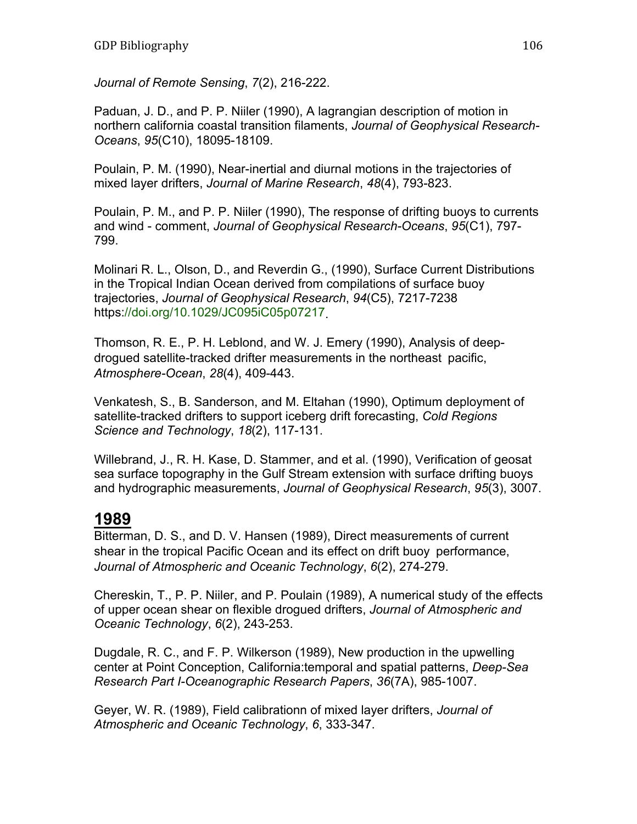*Journal of Remote Sensing*, *7*(2), 216-222.

Paduan, J. D., and P. P. Niiler (1990), A lagrangian description of motion in northern california coastal transition filaments, *Journal of Geophysical Research-Oceans*, *95*(C10), 18095-18109.

Poulain, P. M. (1990), Near-inertial and diurnal motions in the trajectories of mixed layer drifters, *Journal of Marine Research*, *48*(4), 793-823.

Poulain, P. M., and P. P. Niiler (1990), The response of drifting buoys to currents and wind - comment, *Journal of Geophysical Research-Oceans*, *95*(C1), 797- 799.

Molinari R. L., Olson, D., and Reverdin G., (1990), Surface Current Distributions in the Tropical Indian Ocean derived from compilations of surface buoy trajectories, *Journal of Geophysical Research*, *94*(C5), 7217-7238 https://doi.org/10.1029/JC095iC05p07217.

Thomson, R. E., P. H. Leblond, and W. J. Emery (1990), Analysis of deepdrogued satellite-tracked drifter measurements in the northeast pacific, *Atmosphere-Ocean*, *28*(4), 409-443.

Venkatesh, S., B. Sanderson, and M. Eltahan (1990), Optimum deployment of satellite-tracked drifters to support iceberg drift forecasting, *Cold Regions Science and Technology*, *18*(2), 117-131.

Willebrand, J., R. H. Kase, D. Stammer, and et al. (1990), Verification of geosat sea surface topography in the Gulf Stream extension with surface drifting buoys and hydrographic measurements, *Journal of Geophysical Research*, *95*(3), 3007.

# **1989**

Bitterman, D. S., and D. V. Hansen (1989), Direct measurements of current shear in the tropical Pacific Ocean and its effect on drift buoy performance, *Journal of Atmospheric and Oceanic Technology*, *6*(2), 274-279.

Chereskin, T., P. P. Niiler, and P. Poulain (1989), A numerical study of the effects of upper ocean shear on flexible drogued drifters, *Journal of Atmospheric and Oceanic Technology*, *6*(2), 243-253.

Dugdale, R. C., and F. P. Wilkerson (1989), New production in the upwelling center at Point Conception, California:temporal and spatial patterns, *Deep-Sea Research Part I-Oceanographic Research Papers*, *36*(7A), 985-1007.

Geyer, W. R. (1989), Field calibrationn of mixed layer drifters, *Journal of Atmospheric and Oceanic Technology*, *6*, 333-347.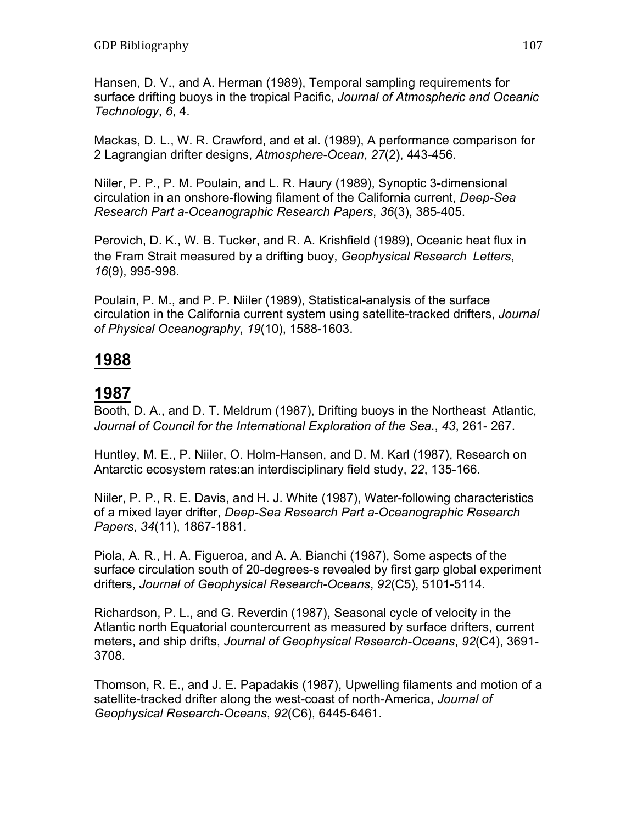Hansen, D. V., and A. Herman (1989), Temporal sampling requirements for surface drifting buoys in the tropical Pacific, *Journal of Atmospheric and Oceanic Technology*, *6*, 4.

Mackas, D. L., W. R. Crawford, and et al. (1989), A performance comparison for 2 Lagrangian drifter designs, *Atmosphere-Ocean*, *27*(2), 443-456.

Niiler, P. P., P. M. Poulain, and L. R. Haury (1989), Synoptic 3-dimensional circulation in an onshore-flowing filament of the California current, *Deep-Sea Research Part a-Oceanographic Research Papers*, *36*(3), 385-405.

Perovich, D. K., W. B. Tucker, and R. A. Krishfield (1989), Oceanic heat flux in the Fram Strait measured by a drifting buoy, *Geophysical Research Letters*, *16*(9), 995-998.

Poulain, P. M., and P. P. Niiler (1989), Statistical-analysis of the surface circulation in the California current system using satellite-tracked drifters, *Journal of Physical Oceanography*, *19*(10), 1588-1603.

# **1988**

## **1987**

Booth, D. A., and D. T. Meldrum (1987), Drifting buoys in the Northeast Atlantic, *Journal of Council for the International Exploration of the Sea.*, *43*, 261- 267.

Huntley, M. E., P. Niiler, O. Holm-Hansen, and D. M. Karl (1987), Research on Antarctic ecosystem rates:an interdisciplinary field study, *22*, 135-166.

Niiler, P. P., R. E. Davis, and H. J. White (1987), Water-following characteristics of a mixed layer drifter, *Deep-Sea Research Part a-Oceanographic Research Papers*, *34*(11), 1867-1881.

Piola, A. R., H. A. Figueroa, and A. A. Bianchi (1987), Some aspects of the surface circulation south of 20-degrees-s revealed by first garp global experiment drifters, *Journal of Geophysical Research-Oceans*, *92*(C5), 5101-5114.

Richardson, P. L., and G. Reverdin (1987), Seasonal cycle of velocity in the Atlantic north Equatorial countercurrent as measured by surface drifters, current meters, and ship drifts, *Journal of Geophysical Research-Oceans*, *92*(C4), 3691- 3708.

Thomson, R. E., and J. E. Papadakis (1987), Upwelling filaments and motion of a satellite-tracked drifter along the west-coast of north-America, *Journal of Geophysical Research-Oceans*, *92*(C6), 6445-6461.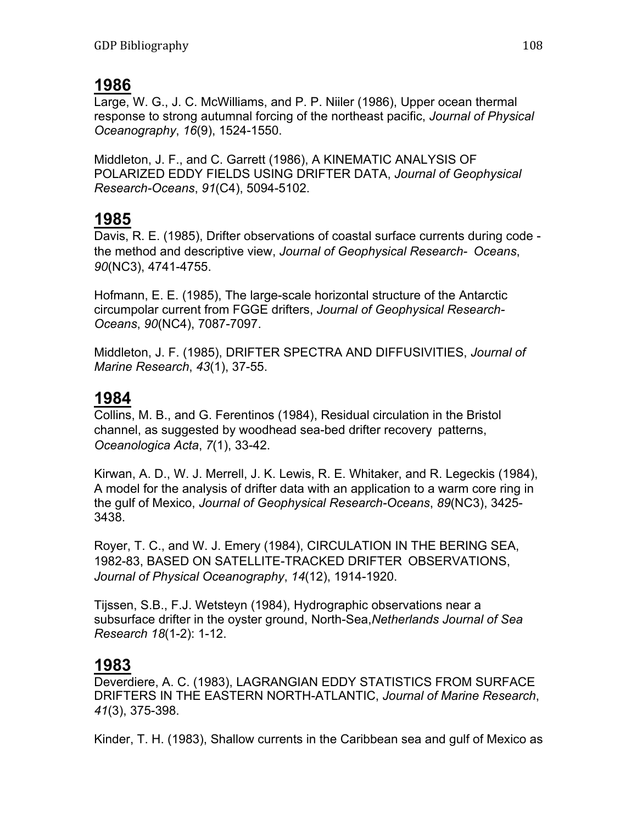### **1986**

Large, W. G., J. C. McWilliams, and P. P. Niiler (1986), Upper ocean thermal response to strong autumnal forcing of the northeast pacific, *Journal of Physical Oceanography*, *16*(9), 1524-1550.

Middleton, J. F., and C. Garrett (1986), A KINEMATIC ANALYSIS OF POLARIZED EDDY FIELDS USING DRIFTER DATA, *Journal of Geophysical Research-Oceans*, *91*(C4), 5094-5102.

## **1985**

Davis, R. E. (1985), Drifter observations of coastal surface currents during code the method and descriptive view, *Journal of Geophysical Research- Oceans*, *90*(NC3), 4741-4755.

Hofmann, E. E. (1985), The large-scale horizontal structure of the Antarctic circumpolar current from FGGE drifters, *Journal of Geophysical Research-Oceans*, *90*(NC4), 7087-7097.

Middleton, J. F. (1985), DRIFTER SPECTRA AND DIFFUSIVITIES, *Journal of Marine Research*, *43*(1), 37-55.

### **1984**

Collins, M. B., and G. Ferentinos (1984), Residual circulation in the Bristol channel, as suggested by woodhead sea-bed drifter recovery patterns, *Oceanologica Acta*, *7*(1), 33-42.

Kirwan, A. D., W. J. Merrell, J. K. Lewis, R. E. Whitaker, and R. Legeckis (1984), A model for the analysis of drifter data with an application to a warm core ring in the gulf of Mexico, *Journal of Geophysical Research-Oceans*, *89*(NC3), 3425- 3438.

Royer, T. C., and W. J. Emery (1984), CIRCULATION IN THE BERING SEA, 1982-83, BASED ON SATELLITE-TRACKED DRIFTER OBSERVATIONS, *Journal of Physical Oceanography*, *14*(12), 1914-1920.

Tijssen, S.B., F.J. Wetsteyn (1984), Hydrographic observations near a subsurface drifter in the oyster ground, North-Sea,*Netherlands Journal of Sea Research 18*(1-2): 1-12.

# **1983**

Deverdiere, A. C. (1983), LAGRANGIAN EDDY STATISTICS FROM SURFACE DRIFTERS IN THE EASTERN NORTH-ATLANTIC, *Journal of Marine Research*, *41*(3), 375-398.

Kinder, T. H. (1983), Shallow currents in the Caribbean sea and gulf of Mexico as